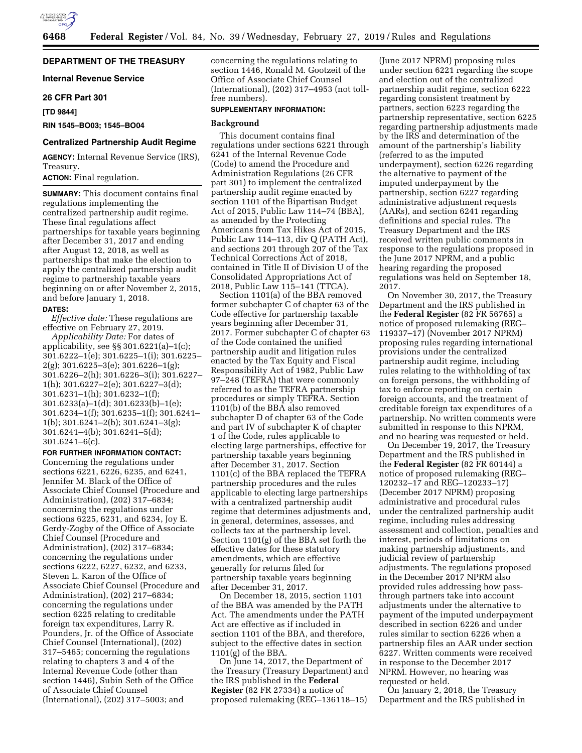# **DEPARTMENT OF THE TREASURY**

**Internal Revenue Service** 

#### **26 CFR Part 301**

**[TD 9844]** 

**RIN 1545–BO03; 1545–BO04** 

# **Centralized Partnership Audit Regime**

**AGENCY:** Internal Revenue Service (IRS), Treasury.

**ACTION:** Final regulation.

**SUMMARY:** This document contains final regulations implementing the centralized partnership audit regime. These final regulations affect partnerships for taxable years beginning after December 31, 2017 and ending after August 12, 2018, as well as partnerships that make the election to apply the centralized partnership audit regime to partnership taxable years beginning on or after November 2, 2015, and before January 1, 2018.

#### **DATES:**

*Effective date:* These regulations are effective on February 27, 2019.

*Applicability Date:* For dates of applicability, see §§ 301.6221(a)–1(c); 301.6222–1(e); 301.6225–1(i); 301.6225– 2(g); 301.6225–3(e); 301.6226–1(g); 301.6226–2(h); 301.6226–3(i); 301.6227– 1(h); 301.6227–2(e); 301.6227–3(d); 301.6231–1(h); 301.6232–1(f); 301.6233(a)–1(d); 301.6233(b)–1(e); 301.6234–1(f); 301.6235–1(f); 301.6241– 1(b); 301.6241–2(b); 301.6241–3(g); 301.6241–4(b); 301.6241–5(d); 301.6241–6(c).

# **FOR FURTHER INFORMATION CONTACT:**

Concerning the regulations under sections 6221, 6226, 6235, and 6241, Jennifer M. Black of the Office of Associate Chief Counsel (Procedure and Administration), (202) 317–6834; concerning the regulations under sections 6225, 6231, and 6234, Joy E. Gerdy-Zogby of the Office of Associate Chief Counsel (Procedure and Administration), (202) 317–6834; concerning the regulations under sections 6222, 6227, 6232, and 6233, Steven L. Karon of the Office of Associate Chief Counsel (Procedure and Administration), (202) 217–6834; concerning the regulations under section 6225 relating to creditable foreign tax expenditures, Larry R. Pounders, Jr. of the Office of Associate Chief Counsel (International), (202) 317–5465; concerning the regulations relating to chapters 3 and 4 of the Internal Revenue Code (other than section 1446), Subin Seth of the Office of Associate Chief Counsel (International), (202) 317–5003; and

concerning the regulations relating to section 1446, Ronald M. Gootzeit of the Office of Associate Chief Counsel (International), (202) 317–4953 (not tollfree numbers).

# **SUPPLEMENTARY INFORMATION:**

# **Background**

This document contains final regulations under sections 6221 through 6241 of the Internal Revenue Code (Code) to amend the Procedure and Administration Regulations (26 CFR part 301) to implement the centralized partnership audit regime enacted by section 1101 of the Bipartisan Budget Act of 2015, Public Law 114–74 (BBA), as amended by the Protecting Americans from Tax Hikes Act of 2015, Public Law 114–113, div Q (PATH Act), and sections 201 through 207 of the Tax Technical Corrections Act of 2018, contained in Title II of Division U of the Consolidated Appropriations Act of 2018, Public Law 115–141 (TTCA).

Section 1101(a) of the BBA removed former subchapter C of chapter 63 of the Code effective for partnership taxable years beginning after December 31, 2017. Former subchapter C of chapter 63 of the Code contained the unified partnership audit and litigation rules enacted by the Tax Equity and Fiscal Responsibility Act of 1982, Public Law 97–248 (TEFRA) that were commonly referred to as the TEFRA partnership procedures or simply TEFRA. Section 1101(b) of the BBA also removed subchapter D of chapter 63 of the Code and part IV of subchapter K of chapter 1 of the Code, rules applicable to electing large partnerships, effective for partnership taxable years beginning after December 31, 2017. Section 1101(c) of the BBA replaced the TEFRA partnership procedures and the rules applicable to electing large partnerships with a centralized partnership audit regime that determines adjustments and, in general, determines, assesses, and collects tax at the partnership level. Section 1101(g) of the BBA set forth the effective dates for these statutory amendments, which are effective generally for returns filed for partnership taxable years beginning after December 31, 2017.

On December 18, 2015, section 1101 of the BBA was amended by the PATH Act. The amendments under the PATH Act are effective as if included in section 1101 of the BBA, and therefore, subject to the effective dates in section 1101(g) of the BBA.

On June 14, 2017, the Department of the Treasury (Treasury Department) and the IRS published in the **Federal Register** (82 FR 27334) a notice of proposed rulemaking (REG–136118–15)

(June 2017 NPRM) proposing rules under section 6221 regarding the scope and election out of the centralized partnership audit regime, section 6222 regarding consistent treatment by partners, section 6223 regarding the partnership representative, section 6225 regarding partnership adjustments made by the IRS and determination of the amount of the partnership's liability (referred to as the imputed underpayment), section 6226 regarding the alternative to payment of the imputed underpayment by the partnership, section 6227 regarding administrative adjustment requests (AARs), and section 6241 regarding definitions and special rules. The Treasury Department and the IRS received written public comments in response to the regulations proposed in the June 2017 NPRM, and a public hearing regarding the proposed regulations was held on September 18, 2017.

On November 30, 2017, the Treasury Department and the IRS published in the **Federal Register** (82 FR 56765) a notice of proposed rulemaking (REG– 119337–17) (November 2017 NPRM) proposing rules regarding international provisions under the centralized partnership audit regime, including rules relating to the withholding of tax on foreign persons, the withholding of tax to enforce reporting on certain foreign accounts, and the treatment of creditable foreign tax expenditures of a partnership. No written comments were submitted in response to this NPRM, and no hearing was requested or held.

On December 19, 2017, the Treasury Department and the IRS published in the **Federal Register** (82 FR 60144) a notice of proposed rulemaking (REG– 120232–17 and REG–120233–17) (December 2017 NPRM) proposing administrative and procedural rules under the centralized partnership audit regime, including rules addressing assessment and collection, penalties and interest, periods of limitations on making partnership adjustments, and judicial review of partnership adjustments. The regulations proposed in the December 2017 NPRM also provided rules addressing how passthrough partners take into account adjustments under the alternative to payment of the imputed underpayment described in section 6226 and under rules similar to section 6226 when a partnership files an AAR under section 6227. Written comments were received in response to the December 2017 NPRM. However, no hearing was requested or held.

On January 2, 2018, the Treasury Department and the IRS published in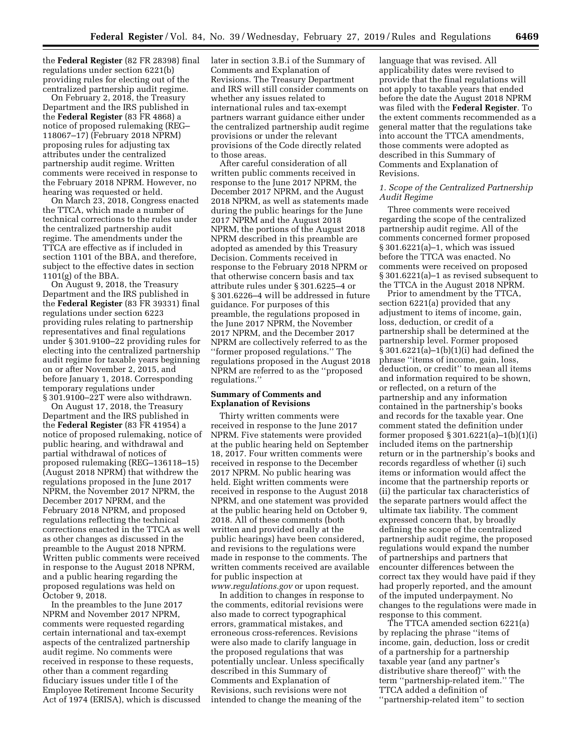the **Federal Register** (82 FR 28398) final regulations under section 6221(b) providing rules for electing out of the centralized partnership audit regime.

On February 2, 2018, the Treasury Department and the IRS published in the **Federal Register** (83 FR 4868) a notice of proposed rulemaking (REG– 118067–17) (February 2018 NPRM) proposing rules for adjusting tax attributes under the centralized partnership audit regime. Written comments were received in response to the February 2018 NPRM. However, no hearing was requested or held.

On March 23, 2018, Congress enacted the TTCA, which made a number of technical corrections to the rules under the centralized partnership audit regime. The amendments under the TTCA are effective as if included in section 1101 of the BBA, and therefore, subject to the effective dates in section  $1101(g)$  of the BBA.

On August 9, 2018, the Treasury Department and the IRS published in the **Federal Register** (83 FR 39331) final regulations under section 6223 providing rules relating to partnership representatives and final regulations under § 301.9100–22 providing rules for electing into the centralized partnership audit regime for taxable years beginning on or after November 2, 2015, and before January 1, 2018. Corresponding temporary regulations under

§ 301.9100–22T were also withdrawn. On August 17, 2018, the Treasury Department and the IRS published in the **Federal Register** (83 FR 41954) a notice of proposed rulemaking, notice of public hearing, and withdrawal and partial withdrawal of notices of proposed rulemaking (REG–136118–15) (August 2018 NPRM) that withdrew the regulations proposed in the June 2017 NPRM, the November 2017 NPRM, the December 2017 NPRM, and the February 2018 NPRM, and proposed regulations reflecting the technical corrections enacted in the TTCA as well as other changes as discussed in the preamble to the August 2018 NPRM. Written public comments were received in response to the August 2018 NPRM, and a public hearing regarding the proposed regulations was held on October 9, 2018.

In the preambles to the June 2017 NPRM and November 2017 NPRM, comments were requested regarding certain international and tax-exempt aspects of the centralized partnership audit regime. No comments were received in response to these requests, other than a comment regarding fiduciary issues under title I of the Employee Retirement Income Security Act of 1974 (ERISA), which is discussed later in section 3.B.i of the Summary of Comments and Explanation of Revisions. The Treasury Department and IRS will still consider comments on whether any issues related to international rules and tax-exempt partners warrant guidance either under the centralized partnership audit regime provisions or under the relevant provisions of the Code directly related to those areas.

After careful consideration of all written public comments received in response to the June 2017 NPRM, the December 2017 NPRM, and the August 2018 NPRM, as well as statements made during the public hearings for the June 2017 NPRM and the August 2018 NPRM, the portions of the August 2018 NPRM described in this preamble are adopted as amended by this Treasury Decision. Comments received in response to the February 2018 NPRM or that otherwise concern basis and tax attribute rules under § 301.6225–4 or § 301.6226–4 will be addressed in future guidance. For purposes of this preamble, the regulations proposed in the June 2017 NPRM, the November 2017 NPRM, and the December 2017 NPRM are collectively referred to as the ''former proposed regulations.'' The regulations proposed in the August 2018 NPRM are referred to as the ''proposed regulations.''

# **Summary of Comments and Explanation of Revisions**

Thirty written comments were received in response to the June 2017 NPRM. Five statements were provided at the public hearing held on September 18, 2017. Four written comments were received in response to the December 2017 NPRM. No public hearing was held. Eight written comments were received in response to the August 2018 NPRM, and one statement was provided at the public hearing held on October 9, 2018. All of these comments (both written and provided orally at the public hearings) have been considered, and revisions to the regulations were made in response to the comments. The written comments received are available for public inspection at *[www.regulations.gov](http://www.regulations.gov)* or upon request.

In addition to changes in response to the comments, editorial revisions were also made to correct typographical errors, grammatical mistakes, and erroneous cross-references. Revisions were also made to clarify language in the proposed regulations that was potentially unclear. Unless specifically described in this Summary of Comments and Explanation of Revisions, such revisions were not intended to change the meaning of the

language that was revised. All applicability dates were revised to provide that the final regulations will not apply to taxable years that ended before the date the August 2018 NPRM was filed with the **Federal Register**. To the extent comments recommended as a general matter that the regulations take into account the TTCA amendments, those comments were adopted as described in this Summary of Comments and Explanation of Revisions.

# *1. Scope of the Centralized Partnership Audit Regime*

Three comments were received regarding the scope of the centralized partnership audit regime. All of the comments concerned former proposed § 301.6221(a)–1, which was issued before the TTCA was enacted. No comments were received on proposed § 301.6221(a)–1 as revised subsequent to the TTCA in the August 2018 NPRM.

Prior to amendment by the TTCA, section 6221(a) provided that any adjustment to items of income, gain, loss, deduction, or credit of a partnership shall be determined at the partnership level. Former proposed § 301.6221(a)–1(b)(1)(i) had defined the phrase ''items of income, gain, loss, deduction, or credit'' to mean all items and information required to be shown, or reflected, on a return of the partnership and any information contained in the partnership's books and records for the taxable year. One comment stated the definition under former proposed § 301.6221(a)–1(b)(1)(i) included items on the partnership return or in the partnership's books and records regardless of whether (i) such items or information would affect the income that the partnership reports or (ii) the particular tax characteristics of the separate partners would affect the ultimate tax liability. The comment expressed concern that, by broadly defining the scope of the centralized partnership audit regime, the proposed regulations would expand the number of partnerships and partners that encounter differences between the correct tax they would have paid if they had properly reported, and the amount of the imputed underpayment. No changes to the regulations were made in response to this comment.

The TTCA amended section 6221(a) by replacing the phrase ''items of income, gain, deduction, loss or credit of a partnership for a partnership taxable year (and any partner's distributive share thereof)'' with the term ''partnership-related item.'' The TTCA added a definition of ''partnership-related item'' to section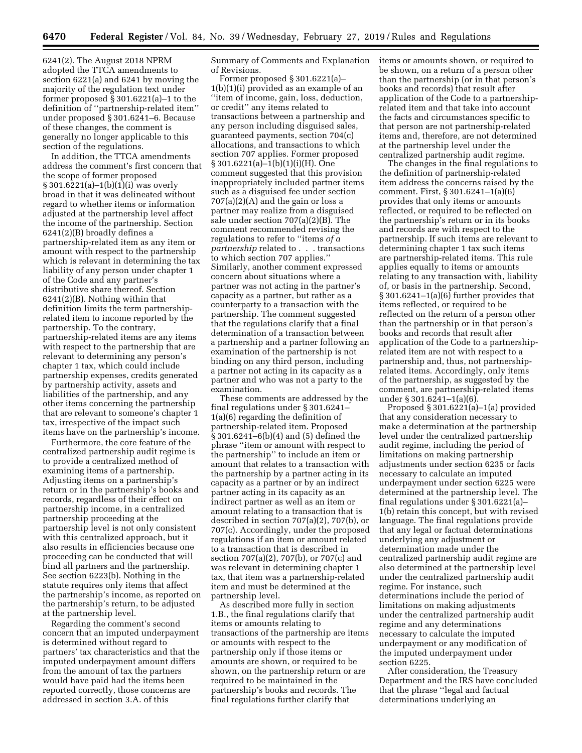6241(2). The August 2018 NPRM adopted the TTCA amendments to section 6221(a) and 6241 by moving the majority of the regulation text under former proposed § 301.6221(a)–1 to the definition of ''partnership-related item'' under proposed § 301.6241–6. Because of these changes, the comment is generally no longer applicable to this section of the regulations.

In addition, the TTCA amendments address the comment's first concern that the scope of former proposed § 301.6221(a)–1(b)(1)(i) was overly broad in that it was delineated without regard to whether items or information adjusted at the partnership level affect the income of the partnership. Section 6241(2)(B) broadly defines a partnership-related item as any item or amount with respect to the partnership which is relevant in determining the tax liability of any person under chapter 1 of the Code and any partner's distributive share thereof. Section 6241(2)(B). Nothing within that definition limits the term partnershiprelated item to income reported by the partnership. To the contrary, partnership-related items are any items with respect to the partnership that are relevant to determining any person's chapter 1 tax, which could include partnership expenses, credits generated by partnership activity, assets and liabilities of the partnership, and any other items concerning the partnership that are relevant to someone's chapter 1 tax, irrespective of the impact such items have on the partnership's income.

Furthermore, the core feature of the centralized partnership audit regime is to provide a centralized method of examining items of a partnership. Adjusting items on a partnership's return or in the partnership's books and records, regardless of their effect on partnership income, in a centralized partnership proceeding at the partnership level is not only consistent with this centralized approach, but it also results in efficiencies because one proceeding can be conducted that will bind all partners and the partnership. See section 6223(b). Nothing in the statute requires only items that affect the partnership's income, as reported on the partnership's return, to be adjusted at the partnership level.

Regarding the comment's second concern that an imputed underpayment is determined without regard to partners' tax characteristics and that the imputed underpayment amount differs from the amount of tax the partners would have paid had the items been reported correctly, those concerns are addressed in section 3.A. of this

Summary of Comments and Explanation of Revisions.

Former proposed § 301.6221(a)– 1(b)(1)(i) provided as an example of an ''item of income, gain, loss, deduction, or credit'' any items related to transactions between a partnership and any person including disguised sales, guaranteed payments, section 704(c) allocations, and transactions to which section 707 applies. Former proposed § 301.6221(a)–1(b)(1)(i)(H). One comment suggested that this provision inappropriately included partner items such as a disguised fee under section  $707(a)(2)(A)$  and the gain or loss a partner may realize from a disguised sale under section 707(a)(2)(B). The comment recommended revising the regulations to refer to ''items *of a partnership* related to . . . transactions to which section 707 applies.'' Similarly, another comment expressed concern about situations where a partner was not acting in the partner's capacity as a partner, but rather as a counterparty to a transaction with the partnership. The comment suggested that the regulations clarify that a final determination of a transaction between a partnership and a partner following an examination of the partnership is not binding on any third person, including a partner not acting in its capacity as a partner and who was not a party to the examination.

These comments are addressed by the final regulations under § 301.6241– 1(a)(6) regarding the definition of partnership-related item. Proposed § 301.6241–6(b)(4) and (5) defined the phrase ''item or amount with respect to the partnership'' to include an item or amount that relates to a transaction with the partnership by a partner acting in its capacity as a partner or by an indirect partner acting in its capacity as an indirect partner as well as an item or amount relating to a transaction that is described in section 707(a)(2), 707(b), or 707(c). Accordingly, under the proposed regulations if an item or amount related to a transaction that is described in section 707(a)(2), 707(b), or 707(c) and was relevant in determining chapter 1 tax, that item was a partnership-related item and must be determined at the partnership level.

As described more fully in section 1.B., the final regulations clarify that items or amounts relating to transactions of the partnership are items or amounts with respect to the partnership only if those items or amounts are shown, or required to be shown, on the partnership return or are required to be maintained in the partnership's books and records. The final regulations further clarify that

items or amounts shown, or required to be shown, on a return of a person other than the partnership (or in that person's books and records) that result after application of the Code to a partnershiprelated item and that take into account the facts and circumstances specific to that person are not partnership-related items and, therefore, are not determined at the partnership level under the centralized partnership audit regime.

The changes in the final regulations to the definition of partnership-related item address the concerns raised by the comment. First, § 301.6241–1(a)(6) provides that only items or amounts reflected, or required to be reflected on the partnership's return or in its books and records are with respect to the partnership. If such items are relevant to determining chapter 1 tax such items are partnership-related items. This rule applies equally to items or amounts relating to any transaction with, liability of, or basis in the partnership. Second, § 301.6241–1(a)(6) further provides that items reflected, or required to be reflected on the return of a person other than the partnership or in that person's books and records that result after application of the Code to a partnershiprelated item are not with respect to a partnership and, thus, not partnershiprelated items. Accordingly, only items of the partnership, as suggested by the comment, are partnership-related items under § 301.6241–1(a)(6).

Proposed § 301.6221(a)–1(a) provided that any consideration necessary to make a determination at the partnership level under the centralized partnership audit regime, including the period of limitations on making partnership adjustments under section 6235 or facts necessary to calculate an imputed underpayment under section 6225 were determined at the partnership level. The final regulations under § 301.6221(a)– 1(b) retain this concept, but with revised language. The final regulations provide that any legal or factual determinations underlying any adjustment or determination made under the centralized partnership audit regime are also determined at the partnership level under the centralized partnership audit regime. For instance, such determinations include the period of limitations on making adjustments under the centralized partnership audit regime and any determinations necessary to calculate the imputed underpayment or any modification of the imputed underpayment under section 6225.

After consideration, the Treasury Department and the IRS have concluded that the phrase ''legal and factual determinations underlying an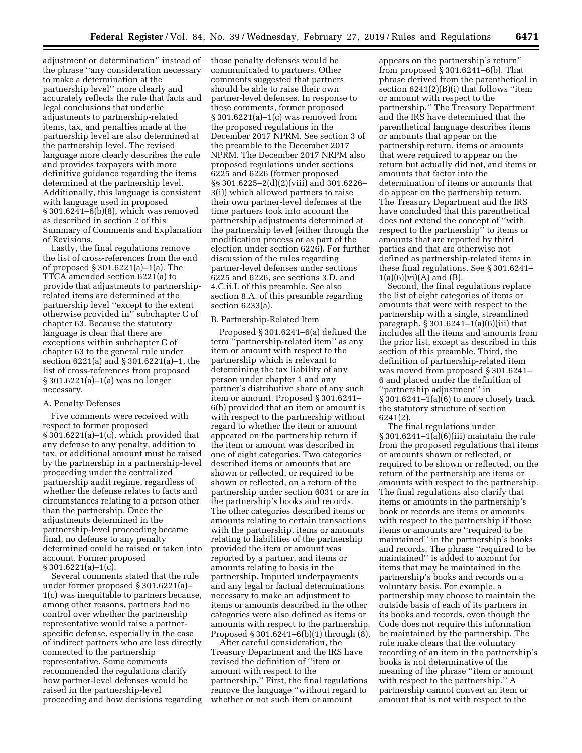adjustment or determination'' instead of the phrase ''any consideration necessary to make a determination at the partnership level'' more clearly and accurately reflects the rule that facts and legal conclusions that underlie adjustments to partnership-related items, tax, and penalties made at the partnership level are also determined at the partnership level. The revised language more clearly describes the rule and provides taxpayers with more definitive guidance regarding the items determined at the partnership level. Additionally, this language is consistent with language used in proposed § 301.6241–6(b)(8), which was removed as described in section 2 of this Summary of Comments and Explanation of Revisions.

Lastly, the final regulations remove the list of cross-references from the end of proposed § 301.6221(a)–1(a). The TTCA amended section 6221(a) to provide that adjustments to partnershiprelated items are determined at the partnership level ''except to the extent otherwise provided in'' subchapter C of chapter 63. Because the statutory language is clear that there are exceptions within subchapter C of chapter 63 to the general rule under section 6221(a) and § 301.6221(a)–1, the list of cross-references from proposed § 301.6221(a)–1(a) was no longer necessary.

### A. Penalty Defenses

Five comments were received with respect to former proposed § 301.6221(a)–1(c), which provided that any defense to any penalty, addition to tax, or additional amount must be raised by the partnership in a partnership-level proceeding under the centralized partnership audit regime, regardless of whether the defense relates to facts and circumstances relating to a person other than the partnership. Once the adjustments determined in the partnership-level proceeding became final, no defense to any penalty determined could be raised or taken into account. Former proposed  $§ 301.6221(a)-1(c).$ 

Several comments stated that the rule under former proposed § 301.6221(a)– 1(c) was inequitable to partners because, among other reasons, partners had no control over whether the partnership representative would raise a partnerspecific defense, especially in the case of indirect partners who are less directly connected to the partnership representative. Some comments recommended the regulations clarify how partner-level defenses would be raised in the partnership-level proceeding and how decisions regarding those penalty defenses would be communicated to partners. Other comments suggested that partners should be able to raise their own partner-level defenses. In response to these comments, former proposed § 301.6221(a)–1(c) was removed from the proposed regulations in the December 2017 NPRM. See section 3 of the preamble to the December 2017 NPRM. The December 2017 NRPM also proposed regulations under sections 6225 and 6226 (former proposed §§ 301.6225–2(d)(2)(viii) and 301.6226– 3(i)) which allowed partners to raise their own partner-level defenses at the time partners took into account the partnership adjustments determined at the partnership level (either through the modification process or as part of the election under section 6226). For further discussion of the rules regarding partner-level defenses under sections 6225 and 6226, see sections 3.D. and 4.C.ii.I. of this preamble. See also section 8.A. of this preamble regarding section 6233(a).

#### B. Partnership-Related Item

Proposed § 301.6241–6(a) defined the term ''partnership-related item'' as any item or amount with respect to the partnership which is relevant to determining the tax liability of any person under chapter 1 and any partner's distributive share of any such item or amount. Proposed § 301.6241– 6(b) provided that an item or amount is with respect to the partnership without regard to whether the item or amount appeared on the partnership return if the item or amount was described in one of eight categories. Two categories described items or amounts that are shown or reflected, or required to be shown or reflected, on a return of the partnership under section 6031 or are in the partnership's books and records. The other categories described items or amounts relating to certain transactions with the partnership, items or amounts relating to liabilities of the partnership provided the item or amount was reported by a partner, and items or amounts relating to basis in the partnership. Imputed underpayments and any legal or factual determinations necessary to make an adjustment to items or amounts described in the other categories were also defined as items or amounts with respect to the partnership. Proposed § 301.6241–6(b)(1) through (8).

After careful consideration, the Treasury Department and the IRS have revised the definition of ''item or amount with respect to the partnership.'' First, the final regulations remove the language ''without regard to whether or not such item or amount

appears on the partnership's return'' from proposed  $\S 301.6241 - 6(b)$ . That phrase derived from the parenthetical in section 6241(2)(B)(i) that follows ''item or amount with respect to the partnership.'' The Treasury Department and the IRS have determined that the parenthetical language describes items or amounts that appear on the partnership return, items or amounts that were required to appear on the return but actually did not, and items or amounts that factor into the determination of items or amounts that do appear on the partnership return. The Treasury Department and the IRS have concluded that this parenthetical does not extend the concept of ''with respect to the partnership'' to items or amounts that are reported by third parties and that are otherwise not defined as partnership-related items in these final regulations. See § 301.6241–  $1(a)(6)(vi)(A)$  and  $(B)$ .

Second, the final regulations replace the list of eight categories of items or amounts that were with respect to the partnership with a single, streamlined paragraph,  $\S 301.6241 - 1(a)(6)(iii)$  that includes all the items and amounts from the prior list, except as described in this section of this preamble. Third, the definition of partnership-related item was moved from proposed § 301.6241– 6 and placed under the definition of ''partnership adjustment'' in § 301.6241–1(a)(6) to more closely track the statutory structure of section 6241(2).

The final regulations under § 301.6241–1(a)(6)(iii) maintain the rule from the proposed regulations that items or amounts shown or reflected, or required to be shown or reflected, on the return of the partnership are items or amounts with respect to the partnership. The final regulations also clarify that items or amounts in the partnership's book or records are items or amounts with respect to the partnership if those items or amounts are ''required to be maintained'' in the partnership's books and records. The phrase ''required to be maintained'' is added to account for items that may be maintained in the partnership's books and records on a voluntary basis. For example, a partnership may choose to maintain the outside basis of each of its partners in its books and records, even though the Code does not require this information be maintained by the partnership. The rule make clears that the voluntary recording of an item in the partnership's books is not determinative of the meaning of the phrase ''item or amount with respect to the partnership.'' A partnership cannot convert an item or amount that is not with respect to the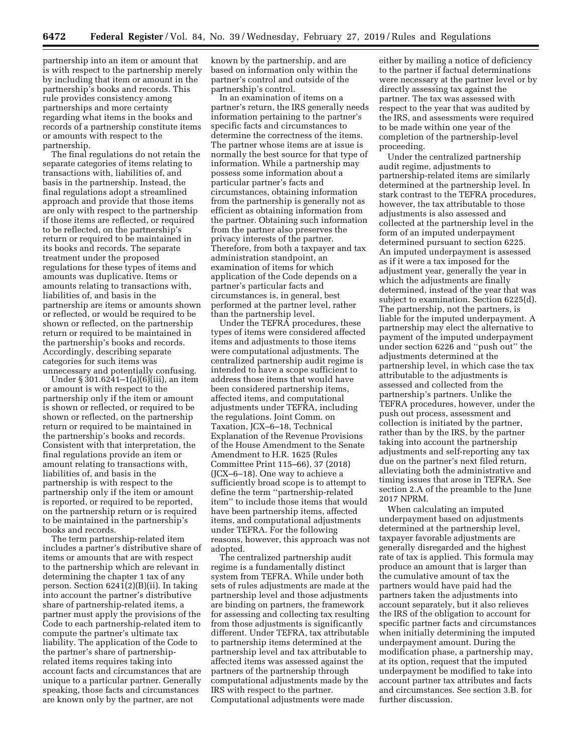partnership into an item or amount that is with respect to the partnership merely by including that item or amount in the partnership's books and records. This rule provides consistency among partnerships and more certainty regarding what items in the books and records of a partnership constitute items or amounts with respect to the partnership.

The final regulations do not retain the separate categories of items relating to transactions with, liabilities of, and basis in the partnership. Instead, the final regulations adopt a streamlined approach and provide that those items are only with respect to the partnership if those items are reflected, or required to be reflected, on the partnership's return or required to be maintained in its books and records. The separate treatment under the proposed regulations for these types of items and amounts was duplicative. Items or amounts relating to transactions with, liabilities of, and basis in the partnership are items or amounts shown or reflected, or would be required to be shown or reflected, on the partnership return or required to be maintained in the partnership's books and records. Accordingly, describing separate categories for such items was unnecessary and potentially confusing.

Under § 301.6241–1(a)(6)(iii), an item or amount is with respect to the partnership only if the item or amount is shown or reflected, or required to be shown or reflected, on the partnership return or required to be maintained in the partnership's books and records. Consistent with that interpretation, the final regulations provide an item or amount relating to transactions with, liabilities of, and basis in the partnership is with respect to the partnership only if the item or amount is reported, or required to be reported, on the partnership return or is required to be maintained in the partnership's books and records.

The term partnership-related item includes a partner's distributive share of items or amounts that are with respect to the partnership which are relevant in determining the chapter 1 tax of any person. Section 6241(2)(B)(ii). In taking into account the partner's distributive share of partnership-related items, a partner must apply the provisions of the Code to each partnership-related item to compute the partner's ultimate tax liability. The application of the Code to the partner's share of partnershiprelated items requires taking into account facts and circumstances that are unique to a particular partner. Generally speaking, those facts and circumstances are known only by the partner, are not

known by the partnership, and are based on information only within the partner's control and outside of the partnership's control.

In an examination of items on a partner's return, the IRS generally needs information pertaining to the partner's specific facts and circumstances to determine the correctness of the items. The partner whose items are at issue is normally the best source for that type of information. While a partnership may possess some information about a particular partner's facts and circumstances, obtaining information from the partnership is generally not as efficient as obtaining information from the partner. Obtaining such information from the partner also preserves the privacy interests of the partner. Therefore, from both a taxpayer and tax administration standpoint, an examination of items for which application of the Code depends on a partner's particular facts and circumstances is, in general, best performed at the partner level, rather than the partnership level.

Under the TEFRA procedures, these types of items were considered affected items and adjustments to those items were computational adjustments. The centralized partnership audit regime is intended to have a scope sufficient to address those items that would have been considered partnership items, affected items, and computational adjustments under TEFRA, including the regulations. Joint Comm. on Taxation, JCX–6–18, Technical Explanation of the Revenue Provisions of the House Amendment to the Senate Amendment to H.R. 1625 (Rules Committee Print 115–66), 37 (2018) (JCX–6–18). One way to achieve a sufficiently broad scope is to attempt to define the term ''partnership-related item'' to include those items that would have been partnership items, affected items, and computational adjustments under TEFRA. For the following reasons, however, this approach was not adopted.

The centralized partnership audit regime is a fundamentally distinct system from TEFRA. While under both sets of rules adjustments are made at the partnership level and those adjustments are binding on partners, the framework for assessing and collecting tax resulting from those adjustments is significantly different. Under TEFRA, tax attributable to partnership items determined at the partnership level and tax attributable to affected items was assessed against the partners of the partnership through computational adjustments made by the IRS with respect to the partner. Computational adjustments were made

either by mailing a notice of deficiency to the partner if factual determinations were necessary at the partner level or by directly assessing tax against the partner. The tax was assessed with respect to the year that was audited by the IRS, and assessments were required to be made within one year of the completion of the partnership-level proceeding.

Under the centralized partnership audit regime, adjustments to partnership-related items are similarly determined at the partnership level. In stark contrast to the TEFRA procedures, however, the tax attributable to those adjustments is also assessed and collected at the partnership level in the form of an imputed underpayment determined pursuant to section 6225. An imputed underpayment is assessed as if it were a tax imposed for the adjustment year, generally the year in which the adjustments are finally determined, instead of the year that was subject to examination. Section 6225(d). The partnership, not the partners, is liable for the imputed underpayment. A partnership may elect the alternative to payment of the imputed underpayment under section 6226 and ''push out'' the adjustments determined at the partnership level, in which case the tax attributable to the adjustments is assessed and collected from the partnership's partners. Unlike the TEFRA procedures, however, under the push out process, assessment and collection is initiated by the partner, rather than by the IRS, by the partner taking into account the partnership adjustments and self-reporting any tax due on the partner's next filed return, alleviating both the administrative and timing issues that arose in TEFRA. See section 2.A of the preamble to the June 2017 NPRM.

When calculating an imputed underpayment based on adjustments determined at the partnership level, taxpayer favorable adjustments are generally disregarded and the highest rate of tax is applied. This formula may produce an amount that is larger than the cumulative amount of tax the partners would have paid had the partners taken the adjustments into account separately, but it also relieves the IRS of the obligation to account for specific partner facts and circumstances when initially determining the imputed underpayment amount. During the modification phase, a partnership may, at its option, request that the imputed underpayment be modified to take into account partner tax attributes and facts and circumstances. See section 3.B. for further discussion.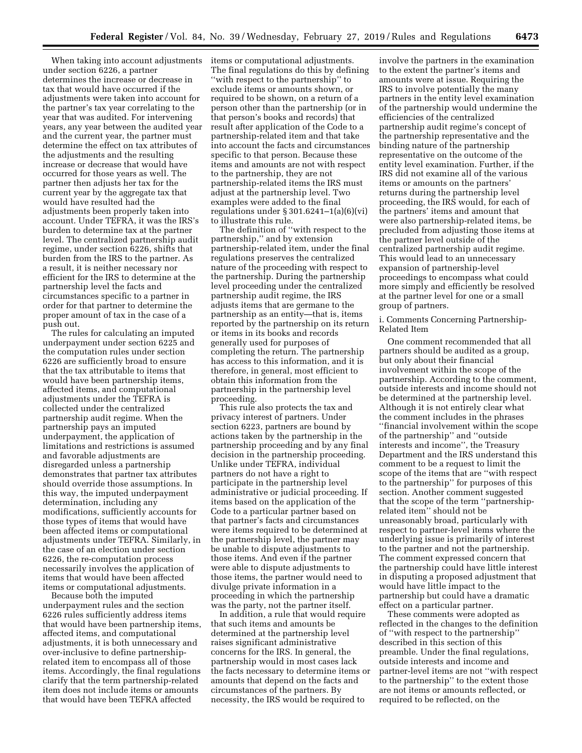When taking into account adjustments under section 6226, a partner determines the increase or decrease in tax that would have occurred if the adjustments were taken into account for the partner's tax year correlating to the year that was audited. For intervening years, any year between the audited year and the current year, the partner must determine the effect on tax attributes of the adjustments and the resulting increase or decrease that would have occurred for those years as well. The partner then adjusts her tax for the current year by the aggregate tax that would have resulted had the adjustments been properly taken into account. Under TEFRA, it was the IRS's burden to determine tax at the partner level. The centralized partnership audit regime, under section 6226, shifts that burden from the IRS to the partner. As a result, it is neither necessary nor efficient for the IRS to determine at the partnership level the facts and circumstances specific to a partner in order for that partner to determine the proper amount of tax in the case of a push out.

The rules for calculating an imputed underpayment under section 6225 and the computation rules under section 6226 are sufficiently broad to ensure that the tax attributable to items that would have been partnership items, affected items, and computational adjustments under the TEFRA is collected under the centralized partnership audit regime. When the partnership pays an imputed underpayment, the application of limitations and restrictions is assumed and favorable adjustments are disregarded unless a partnership demonstrates that partner tax attributes should override those assumptions. In this way, the imputed underpayment determination, including any modifications, sufficiently accounts for those types of items that would have been affected items or computational adjustments under TEFRA. Similarly, in the case of an election under section 6226, the re-computation process necessarily involves the application of items that would have been affected items or computational adjustments.

Because both the imputed underpayment rules and the section 6226 rules sufficiently address items that would have been partnership items, affected items, and computational adjustments, it is both unnecessary and over-inclusive to define partnershiprelated item to encompass all of those items. Accordingly, the final regulations clarify that the term partnership-related item does not include items or amounts that would have been TEFRA affected

items or computational adjustments. The final regulations do this by defining ''with respect to the partnership'' to exclude items or amounts shown, or required to be shown, on a return of a person other than the partnership (or in that person's books and records) that result after application of the Code to a partnership-related item and that take into account the facts and circumstances specific to that person. Because these items and amounts are not with respect to the partnership, they are not partnership-related items the IRS must adjust at the partnership level. Two examples were added to the final regulations under § 301.6241–1(a)(6)(vi) to illustrate this rule.

The definition of ''with respect to the partnership,'' and by extension partnership-related item, under the final regulations preserves the centralized nature of the proceeding with respect to the partnership. During the partnership level proceeding under the centralized partnership audit regime, the IRS adjusts items that are germane to the partnership as an entity—that is, items reported by the partnership on its return or items in its books and records generally used for purposes of completing the return. The partnership has access to this information, and it is therefore, in general, most efficient to obtain this information from the partnership in the partnership level proceeding.

This rule also protects the tax and privacy interest of partners. Under section 6223, partners are bound by actions taken by the partnership in the partnership proceeding and by any final decision in the partnership proceeding. Unlike under TEFRA, individual partners do not have a right to participate in the partnership level administrative or judicial proceeding. If items based on the application of the Code to a particular partner based on that partner's facts and circumstances were items required to be determined at the partnership level, the partner may be unable to dispute adjustments to those items. And even if the partner were able to dispute adjustments to those items, the partner would need to divulge private information in a proceeding in which the partnership was the party, not the partner itself.

In addition, a rule that would require that such items and amounts be determined at the partnership level raises significant administrative concerns for the IRS. In general, the partnership would in most cases lack the facts necessary to determine items or amounts that depend on the facts and circumstances of the partners. By necessity, the IRS would be required to

involve the partners in the examination to the extent the partner's items and amounts were at issue. Requiring the IRS to involve potentially the many partners in the entity level examination of the partnership would undermine the efficiencies of the centralized partnership audit regime's concept of the partnership representative and the binding nature of the partnership representative on the outcome of the entity level examination. Further, if the IRS did not examine all of the various items or amounts on the partners' returns during the partnership level proceeding, the IRS would, for each of the partners' items and amount that were also partnership-related items, be precluded from adjusting those items at the partner level outside of the centralized partnership audit regime. This would lead to an unnecessary expansion of partnership-level proceedings to encompass what could more simply and efficiently be resolved at the partner level for one or a small group of partners.

i. Comments Concerning Partnership-Related Item

One comment recommended that all partners should be audited as a group, but only about their financial involvement within the scope of the partnership. According to the comment, outside interests and income should not be determined at the partnership level. Although it is not entirely clear what the comment includes in the phrases ''financial involvement within the scope of the partnership'' and ''outside interests and income'', the Treasury Department and the IRS understand this comment to be a request to limit the scope of the items that are ''with respect to the partnership'' for purposes of this section. Another comment suggested that the scope of the term ''partnershiprelated item'' should not be unreasonably broad, particularly with respect to partner-level items where the underlying issue is primarily of interest to the partner and not the partnership. The comment expressed concern that the partnership could have little interest in disputing a proposed adjustment that would have little impact to the partnership but could have a dramatic effect on a particular partner.

These comments were adopted as reflected in the changes to the definition of ''with respect to the partnership'' described in this section of this preamble. Under the final regulations, outside interests and income and partner-level items are not ''with respect to the partnership'' to the extent those are not items or amounts reflected, or required to be reflected, on the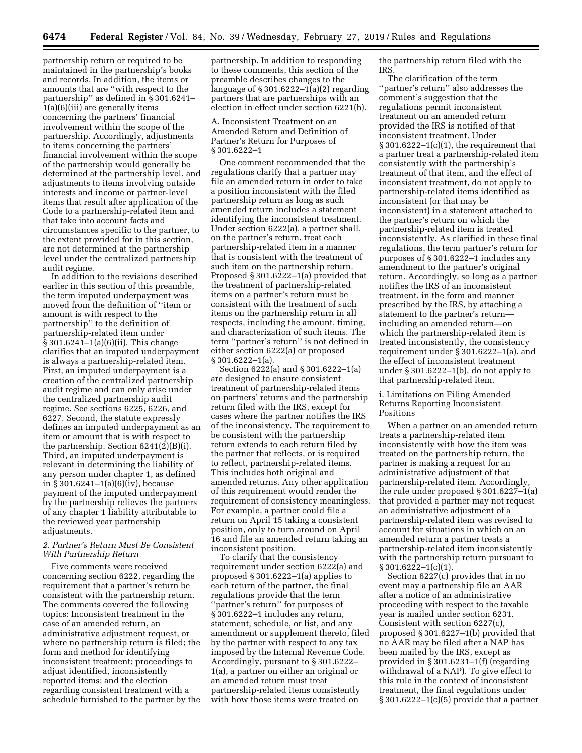partnership return or required to be maintained in the partnership's books and records. In addition, the items or amounts that are ''with respect to the partnership'' as defined in § 301.6241– 1(a)(6)(iii) are generally items concerning the partners' financial involvement within the scope of the partnership. Accordingly, adjustments to items concerning the partners' financial involvement within the scope of the partnership would generally be determined at the partnership level, and adjustments to items involving outside interests and income or partner-level items that result after application of the Code to a partnership-related item and that take into account facts and circumstances specific to the partner, to the extent provided for in this section, are not determined at the partnership level under the centralized partnership audit regime.

In addition to the revisions described earlier in this section of this preamble, the term imputed underpayment was moved from the definition of ''item or amount is with respect to the partnership'' to the definition of partnership-related item under § 301.6241–1(a)(6)(ii). This change clarifies that an imputed underpayment is always a partnership-related item. First, an imputed underpayment is a creation of the centralized partnership audit regime and can only arise under the centralized partnership audit regime. See sections 6225, 6226, and 6227. Second, the statute expressly defines an imputed underpayment as an item or amount that is with respect to the partnership. Section 6241(2)(B)(i). Third, an imputed underpayment is relevant in determining the liability of any person under chapter 1, as defined in § 301.6241–1(a)(6)(iv), because payment of the imputed underpayment by the partnership relieves the partners of any chapter 1 liability attributable to the reviewed year partnership adjustments.

## *2. Partner's Return Must Be Consistent With Partnership Return*

Five comments were received concerning section 6222, regarding the requirement that a partner's return be consistent with the partnership return. The comments covered the following topics: Inconsistent treatment in the case of an amended return, an administrative adjustment request, or where no partnership return is filed; the form and method for identifying inconsistent treatment; proceedings to adjust identified, inconsistently reported items; and the election regarding consistent treatment with a schedule furnished to the partner by the partnership. In addition to responding to these comments, this section of the preamble describes changes to the language of § 301.6222–1(a)(2) regarding partners that are partnerships with an election in effect under section 6221(b).

A. Inconsistent Treatment on an Amended Return and Definition of Partner's Return for Purposes of § 301.6222–1

One comment recommended that the regulations clarify that a partner may file an amended return in order to take a position inconsistent with the filed partnership return as long as such amended return includes a statement identifying the inconsistent treatment. Under section 6222(a), a partner shall, on the partner's return, treat each partnership-related item in a manner that is consistent with the treatment of such item on the partnership return. Proposed § 301.6222–1(a) provided that the treatment of partnership-related items on a partner's return must be consistent with the treatment of such items on the partnership return in all respects, including the amount, timing, and characterization of such items. The term ''partner's return'' is not defined in either section 6222(a) or proposed § 301.6222–1(a).

Section 6222(a) and § 301.6222–1(a) are designed to ensure consistent treatment of partnership-related items on partners' returns and the partnership return filed with the IRS, except for cases where the partner notifies the IRS of the inconsistency. The requirement to be consistent with the partnership return extends to each return filed by the partner that reflects, or is required to reflect, partnership-related items. This includes both original and amended returns. Any other application of this requirement would render the requirement of consistency meaningless. For example, a partner could file a return on April 15 taking a consistent position, only to turn around on April 16 and file an amended return taking an inconsistent position.

To clarify that the consistency requirement under section 6222(a) and proposed § 301.6222–1(a) applies to each return of the partner, the final regulations provide that the term ''partner's return'' for purposes of § 301.6222–1 includes any return, statement, schedule, or list, and any amendment or supplement thereto, filed by the partner with respect to any tax imposed by the Internal Revenue Code. Accordingly, pursuant to § 301.6222– 1(a), a partner on either an original or an amended return must treat partnership-related items consistently with how those items were treated on

the partnership return filed with the IRS.

The clarification of the term ''partner's return'' also addresses the comment's suggestion that the regulations permit inconsistent treatment on an amended return provided the IRS is notified of that inconsistent treatment. Under  $§ 301.6222-1(c)(1)$ , the requirement that a partner treat a partnership-related item consistently with the partnership's treatment of that item, and the effect of inconsistent treatment, do not apply to partnership-related items identified as inconsistent (or that may be inconsistent) in a statement attached to the partner's return on which the partnership-related item is treated inconsistently. As clarified in these final regulations, the term partner's return for purposes of § 301.6222–1 includes any amendment to the partner's original return. Accordingly, so long as a partner notifies the IRS of an inconsistent treatment, in the form and manner prescribed by the IRS, by attaching a statement to the partner's return including an amended return—on which the partnership-related item is treated inconsistently, the consistency requirement under § 301.6222–1(a), and the effect of inconsistent treatment under § 301.6222–1(b), do not apply to that partnership-related item.

i. Limitations on Filing Amended Returns Reporting Inconsistent Positions

When a partner on an amended return treats a partnership-related item inconsistently with how the item was treated on the partnership return, the partner is making a request for an administrative adjustment of that partnership-related item. Accordingly, the rule under proposed § 301.6227–1(a) that provided a partner may not request an administrative adjustment of a partnership-related item was revised to account for situations in which on an amended return a partner treats a partnership-related item inconsistently with the partnership return pursuant to § 301.6222-1(c)(1).

Section 6227(c) provides that in no event may a partnership file an AAR after a notice of an administrative proceeding with respect to the taxable year is mailed under section 6231. Consistent with section 6227(c), proposed § 301.6227–1(b) provided that no AAR may be filed after a NAP has been mailed by the IRS, except as provided in § 301.6231–1(f) (regarding withdrawal of a NAP). To give effect to this rule in the context of inconsistent treatment, the final regulations under  $§ 301.6222-1(c)(5)$  provide that a partner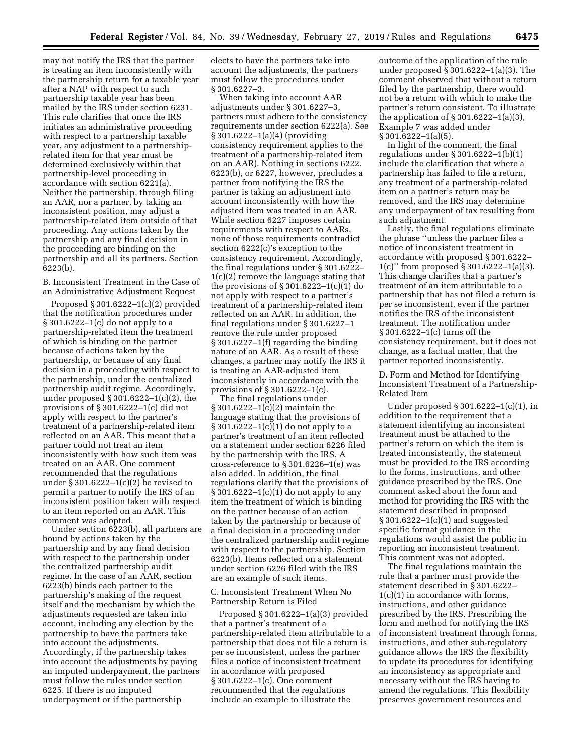may not notify the IRS that the partner is treating an item inconsistently with the partnership return for a taxable year after a NAP with respect to such partnership taxable year has been mailed by the IRS under section 6231. This rule clarifies that once the IRS initiates an administrative proceeding with respect to a partnership taxable year, any adjustment to a partnershiprelated item for that year must be determined exclusively within that partnership-level proceeding in accordance with section 6221(a). Neither the partnership, through filing an AAR, nor a partner, by taking an inconsistent position, may adjust a partnership-related item outside of that proceeding. Any actions taken by the partnership and any final decision in the proceeding are binding on the partnership and all its partners. Section 6223(b).

B. Inconsistent Treatment in the Case of an Administrative Adjustment Request

Proposed § 301.6222–1(c)(2) provided that the notification procedures under § 301.6222–1(c) do not apply to a partnership-related item the treatment of which is binding on the partner because of actions taken by the partnership, or because of any final decision in a proceeding with respect to the partnership, under the centralized partnership audit regime. Accordingly, under proposed § 301.6222–1(c)(2), the provisions of § 301.6222–1(c) did not apply with respect to the partner's treatment of a partnership-related item reflected on an AAR. This meant that a partner could not treat an item inconsistently with how such item was treated on an AAR. One comment recommended that the regulations under § 301.6222–1(c)(2) be revised to permit a partner to notify the IRS of an inconsistent position taken with respect to an item reported on an AAR. This comment was adopted.

Under section 6223(b), all partners are bound by actions taken by the partnership and by any final decision with respect to the partnership under the centralized partnership audit regime. In the case of an AAR, section 6223(b) binds each partner to the partnership's making of the request itself and the mechanism by which the adjustments requested are taken into account, including any election by the partnership to have the partners take into account the adjustments. Accordingly, if the partnership takes into account the adjustments by paying an imputed underpayment, the partners must follow the rules under section 6225. If there is no imputed underpayment or if the partnership

elects to have the partners take into account the adjustments, the partners must follow the procedures under § 301.6227–3.

When taking into account AAR adjustments under § 301.6227–3, partners must adhere to the consistency requirements under section 6222(a). See § 301.6222–1(a)(4) (providing consistency requirement applies to the treatment of a partnership-related item on an AAR). Nothing in sections 6222, 6223(b), or 6227, however, precludes a partner from notifying the IRS the partner is taking an adjustment into account inconsistently with how the adjusted item was treated in an AAR. While section 6227 imposes certain requirements with respect to AARs, none of those requirements contradict section 6222(c)'s exception to the consistency requirement. Accordingly, the final regulations under § 301.6222– 1(c)(2) remove the language stating that the provisions of  $\S 301.6222-1(c)(1)$  do not apply with respect to a partner's treatment of a partnership-related item reflected on an AAR. In addition, the final regulations under § 301.6227–1 remove the rule under proposed § 301.6227–1(f) regarding the binding nature of an AAR. As a result of these changes, a partner may notify the IRS it is treating an AAR-adjusted item inconsistently in accordance with the provisions of § 301.6222–1(c).

The final regulations under § 301.6222–1(c)(2) maintain the language stating that the provisions of § 301.6222–1(c)(1) do not apply to a partner's treatment of an item reflected on a statement under section 6226 filed by the partnership with the IRS. A cross-reference to § 301.6226–1(e) was also added. In addition, the final regulations clarify that the provisions of § 301.6222–1(c)(1) do not apply to any item the treatment of which is binding on the partner because of an action taken by the partnership or because of a final decision in a proceeding under the centralized partnership audit regime with respect to the partnership. Section 6223(b). Items reflected on a statement under section 6226 filed with the IRS are an example of such items.

C. Inconsistent Treatment When No Partnership Return is Filed

Proposed § 301.6222–1(a)(3) provided that a partner's treatment of a partnership-related item attributable to a partnership that does not file a return is per se inconsistent, unless the partner files a notice of inconsistent treatment in accordance with proposed § 301.6222–1(c). One comment recommended that the regulations include an example to illustrate the

outcome of the application of the rule under proposed § 301.6222–1(a)(3). The comment observed that without a return filed by the partnership, there would not be a return with which to make the partner's return consistent. To illustrate the application of  $\S 301.6222 - 1(a)(3)$ , Example 7 was added under § 301.6222–1(a)(5).

In light of the comment, the final regulations under § 301.6222–1(b)(1) include the clarification that where a partnership has failed to file a return, any treatment of a partnership-related item on a partner's return may be removed, and the IRS may determine any underpayment of tax resulting from such adjustment.

Lastly, the final regulations eliminate the phrase ''unless the partner files a notice of inconsistent treatment in accordance with proposed § 301.6222– 1(c)'' from proposed § 301.6222–1(a)(3). This change clarifies that a partner's treatment of an item attributable to a partnership that has not filed a return is per se inconsistent, even if the partner notifies the IRS of the inconsistent treatment. The notification under § 301.6222–1(c) turns off the consistency requirement, but it does not change, as a factual matter, that the partner reported inconsistently.

D. Form and Method for Identifying Inconsistent Treatment of a Partnership-Related Item

Under proposed § 301.6222–1(c)(1), in addition to the requirement that a statement identifying an inconsistent treatment must be attached to the partner's return on which the item is treated inconsistently, the statement must be provided to the IRS according to the forms, instructions, and other guidance prescribed by the IRS. One comment asked about the form and method for providing the IRS with the statement described in proposed § 301.6222–1(c)(1) and suggested specific format guidance in the regulations would assist the public in reporting an inconsistent treatment. This comment was not adopted.

The final regulations maintain the rule that a partner must provide the statement described in § 301.6222– 1(c)(1) in accordance with forms, instructions, and other guidance prescribed by the IRS. Prescribing the form and method for notifying the IRS of inconsistent treatment through forms, instructions, and other sub-regulatory guidance allows the IRS the flexibility to update its procedures for identifying an inconsistency as appropriate and necessary without the IRS having to amend the regulations. This flexibility preserves government resources and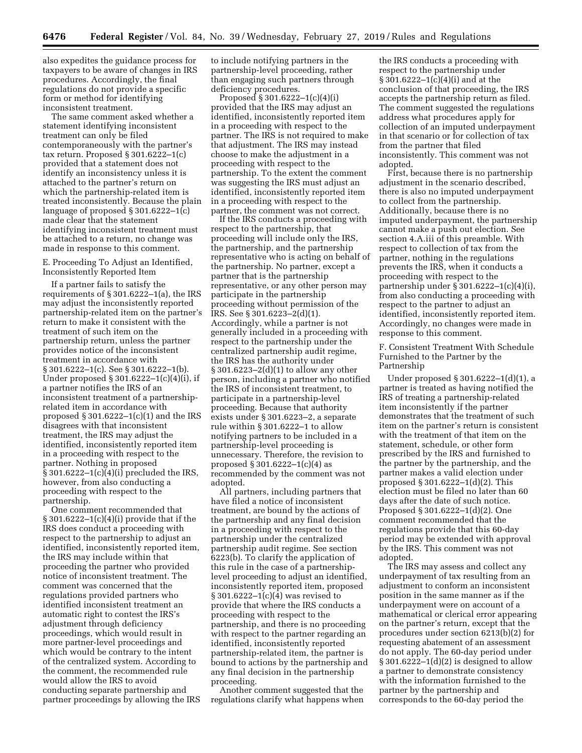also expedites the guidance process for taxpayers to be aware of changes in IRS procedures. Accordingly, the final regulations do not provide a specific form or method for identifying inconsistent treatment.

The same comment asked whether a statement identifying inconsistent treatment can only be filed contemporaneously with the partner's tax return. Proposed § 301.6222–1(c) provided that a statement does not identify an inconsistency unless it is attached to the partner's return on which the partnership-related item is treated inconsistently. Because the plain language of proposed § 301.6222–1(c) made clear that the statement identifying inconsistent treatment must be attached to a return, no change was made in response to this comment.

E. Proceeding To Adjust an Identified, Inconsistently Reported Item

If a partner fails to satisfy the requirements of § 301.6222–1(a), the IRS may adjust the inconsistently reported partnership-related item on the partner's return to make it consistent with the treatment of such item on the partnership return, unless the partner provides notice of the inconsistent treatment in accordance with § 301.6222–1(c). See § 301.6222–1(b). Under proposed § 301.6222–1(c)(4)(i), if a partner notifies the IRS of an inconsistent treatment of a partnershiprelated item in accordance with proposed  $\S 301.6222 - 1(c)(1)$  and the IRS disagrees with that inconsistent treatment, the IRS may adjust the identified, inconsistently reported item in a proceeding with respect to the partner. Nothing in proposed § 301.6222–1(c)(4)(i) precluded the IRS, however, from also conducting a proceeding with respect to the partnership.

One comment recommended that § 301.6222–1(c)(4)(i) provide that if the IRS does conduct a proceeding with respect to the partnership to adjust an identified, inconsistently reported item, the IRS may include within that proceeding the partner who provided notice of inconsistent treatment. The comment was concerned that the regulations provided partners who identified inconsistent treatment an automatic right to contest the IRS's adjustment through deficiency proceedings, which would result in more partner-level proceedings and which would be contrary to the intent of the centralized system. According to the comment, the recommended rule would allow the IRS to avoid conducting separate partnership and partner proceedings by allowing the IRS to include notifying partners in the partnership-level proceeding, rather than engaging such partners through deficiency procedures.

Proposed § 301.6222–1(c)(4)(i) provided that the IRS may adjust an identified, inconsistently reported item in a proceeding with respect to the partner. The IRS is not required to make that adjustment. The IRS may instead choose to make the adjustment in a proceeding with respect to the partnership. To the extent the comment was suggesting the IRS must adjust an identified, inconsistently reported item in a proceeding with respect to the partner, the comment was not correct.

If the IRS conducts a proceeding with respect to the partnership, that proceeding will include only the IRS, the partnership, and the partnership representative who is acting on behalf of the partnership. No partner, except a partner that is the partnership representative, or any other person may participate in the partnership proceeding without permission of the IRS. See § 301.6223–2(d)(1). Accordingly, while a partner is not generally included in a proceeding with respect to the partnership under the centralized partnership audit regime, the IRS has the authority under § 301.6223–2(d)(1) to allow any other person, including a partner who notified the IRS of inconsistent treatment, to participate in a partnership-level proceeding. Because that authority exists under § 301.6223–2, a separate rule within § 301.6222–1 to allow notifying partners to be included in a partnership-level proceeding is unnecessary. Therefore, the revision to proposed  $\S$  301.6222–1(c)(4) as recommended by the comment was not adopted.

All partners, including partners that have filed a notice of inconsistent treatment, are bound by the actions of the partnership and any final decision in a proceeding with respect to the partnership under the centralized partnership audit regime. See section 6223(b). To clarify the application of this rule in the case of a partnershiplevel proceeding to adjust an identified, inconsistently reported item, proposed § 301.6222–1(c)(4) was revised to provide that where the IRS conducts a proceeding with respect to the partnership, and there is no proceeding with respect to the partner regarding an identified, inconsistently reported partnership-related item, the partner is bound to actions by the partnership and any final decision in the partnership proceeding.

Another comment suggested that the regulations clarify what happens when

the IRS conducts a proceeding with respect to the partnership under § 301.6222–1(c)(4)(i) and at the conclusion of that proceeding, the IRS accepts the partnership return as filed. The comment suggested the regulations address what procedures apply for collection of an imputed underpayment in that scenario or for collection of tax from the partner that filed inconsistently. This comment was not adopted.

First, because there is no partnership adjustment in the scenario described, there is also no imputed underpayment to collect from the partnership. Additionally, because there is no imputed underpayment, the partnership cannot make a push out election. See section 4.A.iii of this preamble. With respect to collection of tax from the partner, nothing in the regulations prevents the IRS, when it conducts a proceeding with respect to the partnership under § 301.6222–1(c)(4)(i), from also conducting a proceeding with respect to the partner to adjust an identified, inconsistently reported item. Accordingly, no changes were made in response to this comment.

F. Consistent Treatment With Schedule Furnished to the Partner by the Partnership

Under proposed § 301.6222–1(d)(1), a partner is treated as having notified the IRS of treating a partnership-related item inconsistently if the partner demonstrates that the treatment of such item on the partner's return is consistent with the treatment of that item on the statement, schedule, or other form prescribed by the IRS and furnished to the partner by the partnership, and the partner makes a valid election under proposed § 301.6222–1(d)(2). This election must be filed no later than 60 days after the date of such notice. Proposed § 301.6222–1(d)(2). One comment recommended that the regulations provide that this 60-day period may be extended with approval by the IRS. This comment was not adopted.

The IRS may assess and collect any underpayment of tax resulting from an adjustment to conform an inconsistent position in the same manner as if the underpayment were on account of a mathematical or clerical error appearing on the partner's return, except that the procedures under section 6213(b)(2) for requesting abatement of an assessment do not apply. The 60-day period under § 301.6222–1(d)(2) is designed to allow a partner to demonstrate consistency with the information furnished to the partner by the partnership and corresponds to the 60-day period the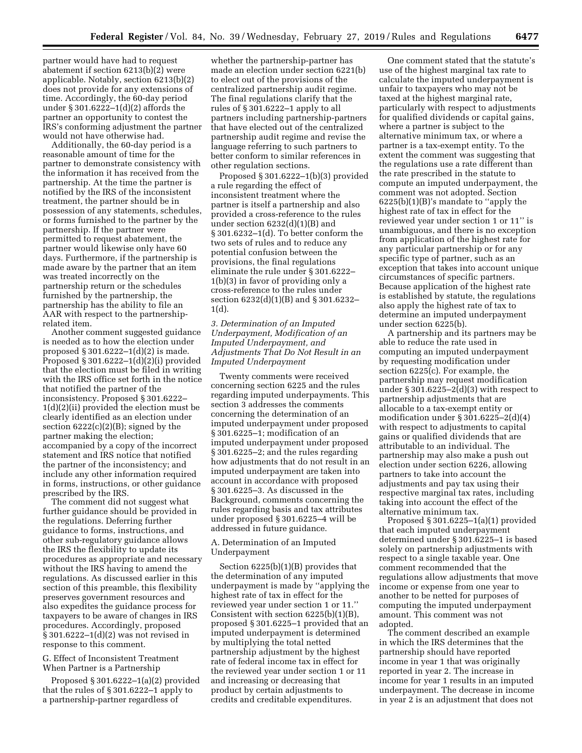partner would have had to request abatement if section 6213(b)(2) were applicable. Notably, section 6213(b)(2) does not provide for any extensions of time. Accordingly, the 60-day period under § 301.6222–1(d)(2) affords the partner an opportunity to contest the IRS's conforming adjustment the partner would not have otherwise had.

Additionally, the 60-day period is a reasonable amount of time for the partner to demonstrate consistency with the information it has received from the partnership. At the time the partner is notified by the IRS of the inconsistent treatment, the partner should be in possession of any statements, schedules, or forms furnished to the partner by the partnership. If the partner were permitted to request abatement, the partner would likewise only have 60 days. Furthermore, if the partnership is made aware by the partner that an item was treated incorrectly on the partnership return or the schedules furnished by the partnership, the partnership has the ability to file an AAR with respect to the partnershiprelated item.

Another comment suggested guidance is needed as to how the election under proposed § 301.6222–1(d)(2) is made. Proposed § 301.6222–1(d)(2)(i) provided that the election must be filed in writing with the IRS office set forth in the notice that notified the partner of the inconsistency. Proposed § 301.6222– 1(d)(2)(ii) provided the election must be clearly identified as an election under section  $6222(c)(2)(B)$ ; signed by the partner making the election; accompanied by a copy of the incorrect statement and IRS notice that notified the partner of the inconsistency; and include any other information required in forms, instructions, or other guidance prescribed by the IRS.

The comment did not suggest what further guidance should be provided in the regulations. Deferring further guidance to forms, instructions, and other sub-regulatory guidance allows the IRS the flexibility to update its procedures as appropriate and necessary without the IRS having to amend the regulations. As discussed earlier in this section of this preamble, this flexibility preserves government resources and also expedites the guidance process for taxpayers to be aware of changes in IRS procedures. Accordingly, proposed § 301.6222–1(d)(2) was not revised in response to this comment.

# G. Effect of Inconsistent Treatment When Partner is a Partnership

Proposed § 301.6222–1(a)(2) provided that the rules of § 301.6222–1 apply to a partnership-partner regardless of

whether the partnership-partner has made an election under section 6221(b) to elect out of the provisions of the centralized partnership audit regime. The final regulations clarify that the rules of § 301.6222–1 apply to all partners including partnership-partners that have elected out of the centralized partnership audit regime and revise the language referring to such partners to better conform to similar references in other regulation sections.

Proposed § 301.6222–1(b)(3) provided a rule regarding the effect of inconsistent treatment where the partner is itself a partnership and also provided a cross-reference to the rules under section 6232(d)(1)(B) and § 301.6232–1(d). To better conform the two sets of rules and to reduce any potential confusion between the provisions, the final regulations eliminate the rule under § 301.6222– 1(b)(3) in favor of providing only a cross-reference to the rules under section 6232(d)(1)(B) and § 301.6232– 1(d).

*3. Determination of an Imputed Underpayment, Modification of an Imputed Underpayment, and Adjustments That Do Not Result in an Imputed Underpayment* 

Twenty comments were received concerning section 6225 and the rules regarding imputed underpayments. This section 3 addresses the comments concerning the determination of an imputed underpayment under proposed § 301.6225–1; modification of an imputed underpayment under proposed § 301.6225–2; and the rules regarding how adjustments that do not result in an imputed underpayment are taken into account in accordance with proposed § 301.6225–3. As discussed in the Background, comments concerning the rules regarding basis and tax attributes under proposed § 301.6225–4 will be addressed in future guidance.

# A. Determination of an Imputed Underpayment

Section 6225(b)(1)(B) provides that the determination of any imputed underpayment is made by ''applying the highest rate of tax in effect for the reviewed year under section 1 or 11.'' Consistent with section 6225(b)(1)(B), proposed § 301.6225–1 provided that an imputed underpayment is determined by multiplying the total netted partnership adjustment by the highest rate of federal income tax in effect for the reviewed year under section 1 or 11 and increasing or decreasing that product by certain adjustments to credits and creditable expenditures.

One comment stated that the statute's use of the highest marginal tax rate to calculate the imputed underpayment is unfair to taxpayers who may not be taxed at the highest marginal rate, particularly with respect to adjustments for qualified dividends or capital gains, where a partner is subject to the alternative minimum tax, or where a partner is a tax-exempt entity. To the extent the comment was suggesting that the regulations use a rate different than the rate prescribed in the statute to compute an imputed underpayment, the comment was not adopted. Section 6225(b)(1)(B)'s mandate to ''apply the highest rate of tax in effect for the reviewed year under section 1 or 11'' is unambiguous, and there is no exception from application of the highest rate for any particular partnership or for any specific type of partner, such as an exception that takes into account unique circumstances of specific partners. Because application of the highest rate is established by statute, the regulations also apply the highest rate of tax to determine an imputed underpayment under section 6225(b).

A partnership and its partners may be able to reduce the rate used in computing an imputed underpayment by requesting modification under section 6225(c). For example, the partnership may request modification under § 301.6225–2(d)(3) with respect to partnership adjustments that are allocable to a tax-exempt entity or modification under  $\S 301.6225 - 2(d)(4)$ with respect to adjustments to capital gains or qualified dividends that are attributable to an individual. The partnership may also make a push out election under section 6226, allowing partners to take into account the adjustments and pay tax using their respective marginal tax rates, including taking into account the effect of the alternative minimum tax.

Proposed § 301.6225–1(a)(1) provided that each imputed underpayment determined under § 301.6225–1 is based solely on partnership adjustments with respect to a single taxable year. One comment recommended that the regulations allow adjustments that move income or expense from one year to another to be netted for purposes of computing the imputed underpayment amount. This comment was not adopted.

The comment described an example in which the IRS determines that the partnership should have reported income in year 1 that was originally reported in year 2. The increase in income for year 1 results in an imputed underpayment. The decrease in income in year 2 is an adjustment that does not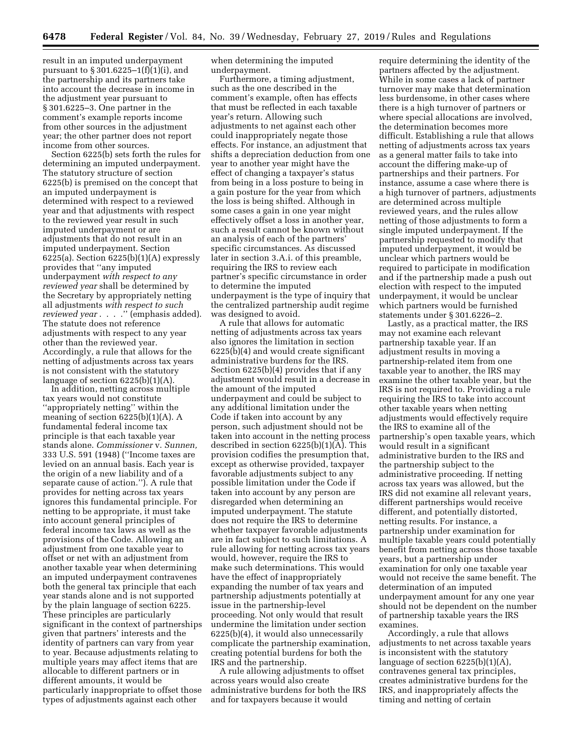result in an imputed underpayment pursuant to § 301.6225–1(f)(1)(i), and the partnership and its partners take into account the decrease in income in the adjustment year pursuant to § 301.6225–3. One partner in the comment's example reports income from other sources in the adjustment year; the other partner does not report income from other sources.

Section 6225(b) sets forth the rules for determining an imputed underpayment. The statutory structure of section 6225(b) is premised on the concept that an imputed underpayment is determined with respect to a reviewed year and that adjustments with respect to the reviewed year result in such imputed underpayment or are adjustments that do not result in an imputed underpayment. Section  $6225(a)$ . Section  $6225(b)(1)(A)$  expressly provides that ''any imputed underpayment *with respect to any reviewed year* shall be determined by the Secretary by appropriately netting all adjustments *with respect to such reviewed year* . . . .'' (emphasis added). The statute does not reference adjustments with respect to any year other than the reviewed year. Accordingly, a rule that allows for the netting of adjustments across tax years is not consistent with the statutory language of section  $6225(b)(1)(A)$ .

In addition, netting across multiple tax years would not constitute ''appropriately netting'' within the meaning of section  $6225(b)(1)(A)$ . A fundamental federal income tax principle is that each taxable year stands alone. *Commissioner* v. *Sunnen,*  333 U.S. 591 (1948) (''Income taxes are levied on an annual basis. Each year is the origin of a new liability and of a separate cause of action.''). A rule that provides for netting across tax years ignores this fundamental principle. For netting to be appropriate, it must take into account general principles of federal income tax laws as well as the provisions of the Code. Allowing an adjustment from one taxable year to offset or net with an adjustment from another taxable year when determining an imputed underpayment contravenes both the general tax principle that each year stands alone and is not supported by the plain language of section 6225. These principles are particularly significant in the context of partnerships given that partners' interests and the identity of partners can vary from year to year. Because adjustments relating to multiple years may affect items that are allocable to different partners or in different amounts, it would be particularly inappropriate to offset those types of adjustments against each other

when determining the imputed underpayment.

Furthermore, a timing adjustment, such as the one described in the comment's example, often has effects that must be reflected in each taxable year's return. Allowing such adjustments to net against each other could inappropriately negate those effects. For instance, an adjustment that shifts a depreciation deduction from one year to another year might have the effect of changing a taxpayer's status from being in a loss posture to being in a gain posture for the year from which the loss is being shifted. Although in some cases a gain in one year might effectively offset a loss in another year, such a result cannot be known without an analysis of each of the partners' specific circumstances. As discussed later in section 3.A.i. of this preamble, requiring the IRS to review each partner's specific circumstance in order to determine the imputed underpayment is the type of inquiry that the centralized partnership audit regime was designed to avoid.

A rule that allows for automatic netting of adjustments across tax years also ignores the limitation in section 6225(b)(4) and would create significant administrative burdens for the IRS. Section 6225(b)(4) provides that if any adjustment would result in a decrease in the amount of the imputed underpayment and could be subject to any additional limitation under the Code if taken into account by any person, such adjustment should not be taken into account in the netting process described in section 6225(b)(1)(A). This provision codifies the presumption that, except as otherwise provided, taxpayer favorable adjustments subject to any possible limitation under the Code if taken into account by any person are disregarded when determining an imputed underpayment. The statute does not require the IRS to determine whether taxpayer favorable adjustments are in fact subject to such limitations. A rule allowing for netting across tax years would, however, require the IRS to make such determinations. This would have the effect of inappropriately expanding the number of tax years and partnership adjustments potentially at issue in the partnership-level proceeding. Not only would that result undermine the limitation under section 6225(b)(4), it would also unnecessarily complicate the partnership examination, creating potential burdens for both the IRS and the partnership.

A rule allowing adjustments to offset across years would also create administrative burdens for both the IRS and for taxpayers because it would

require determining the identity of the partners affected by the adjustment. While in some cases a lack of partner turnover may make that determination less burdensome, in other cases where there is a high turnover of partners or where special allocations are involved, the determination becomes more difficult. Establishing a rule that allows netting of adjustments across tax years as a general matter fails to take into account the differing make-up of partnerships and their partners. For instance, assume a case where there is a high turnover of partners, adjustments are determined across multiple reviewed years, and the rules allow netting of those adjustments to form a single imputed underpayment. If the partnership requested to modify that imputed underpayment, it would be unclear which partners would be required to participate in modification and if the partnership made a push out election with respect to the imputed underpayment, it would be unclear which partners would be furnished statements under § 301.6226–2.

Lastly, as a practical matter, the IRS may not examine each relevant partnership taxable year. If an adjustment results in moving a partnership-related item from one taxable year to another, the IRS may examine the other taxable year, but the IRS is not required to. Providing a rule requiring the IRS to take into account other taxable years when netting adjustments would effectively require the IRS to examine all of the partnership's open taxable years, which would result in a significant administrative burden to the IRS and the partnership subject to the administrative proceeding. If netting across tax years was allowed, but the IRS did not examine all relevant years, different partnerships would receive different, and potentially distorted, netting results. For instance, a partnership under examination for multiple taxable years could potentially benefit from netting across those taxable years, but a partnership under examination for only one taxable year would not receive the same benefit. The determination of an imputed underpayment amount for any one year should not be dependent on the number of partnership taxable years the IRS examines.

Accordingly, a rule that allows adjustments to net across taxable years is inconsistent with the statutory language of section 6225(b)(1)(A), contravenes general tax principles, creates administrative burdens for the IRS, and inappropriately affects the timing and netting of certain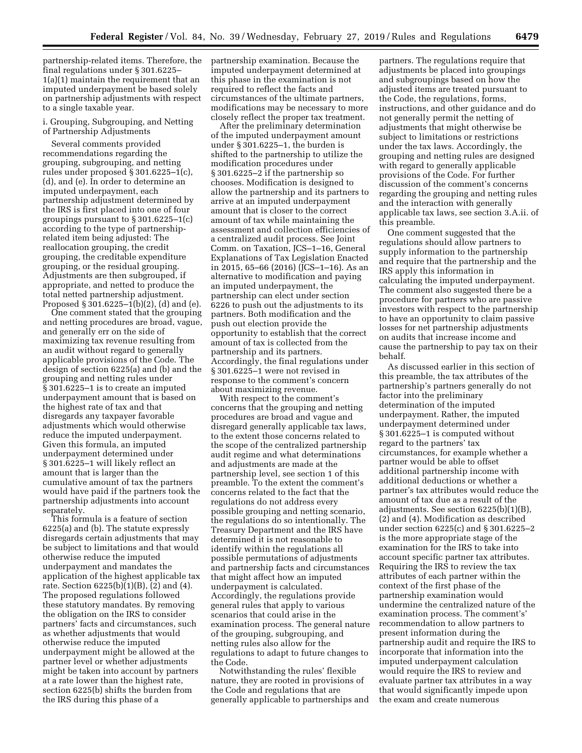partnership-related items. Therefore, the final regulations under § 301.6225– 1(a)(1) maintain the requirement that an imputed underpayment be based solely on partnership adjustments with respect to a single taxable year.

i. Grouping, Subgrouping, and Netting of Partnership Adjustments

Several comments provided recommendations regarding the grouping, subgrouping, and netting rules under proposed § 301.6225–1(c), (d), and (e). In order to determine an imputed underpayment, each partnership adjustment determined by the IRS is first placed into one of four groupings pursuant to § 301.6225–1(c) according to the type of partnershiprelated item being adjusted: The reallocation grouping, the credit grouping, the creditable expenditure grouping, or the residual grouping. Adjustments are then subgrouped, if appropriate, and netted to produce the total netted partnership adjustment. Proposed § 301.6225–1(b)(2), (d) and (e).

One comment stated that the grouping and netting procedures are broad, vague, and generally err on the side of maximizing tax revenue resulting from an audit without regard to generally applicable provisions of the Code. The design of section 6225(a) and (b) and the grouping and netting rules under § 301.6225–1 is to create an imputed underpayment amount that is based on the highest rate of tax and that disregards any taxpayer favorable adjustments which would otherwise reduce the imputed underpayment. Given this formula, an imputed underpayment determined under § 301.6225–1 will likely reflect an amount that is larger than the cumulative amount of tax the partners would have paid if the partners took the partnership adjustments into account separately.

This formula is a feature of section 6225(a) and (b). The statute expressly disregards certain adjustments that may be subject to limitations and that would otherwise reduce the imputed underpayment and mandates the application of the highest applicable tax rate. Section 6225(b)(1)(B), (2) and (4). The proposed regulations followed these statutory mandates. By removing the obligation on the IRS to consider partners' facts and circumstances, such as whether adjustments that would otherwise reduce the imputed underpayment might be allowed at the partner level or whether adjustments might be taken into account by partners at a rate lower than the highest rate, section 6225(b) shifts the burden from the IRS during this phase of a

partnership examination. Because the imputed underpayment determined at this phase in the examination is not required to reflect the facts and circumstances of the ultimate partners, modifications may be necessary to more closely reflect the proper tax treatment.

After the preliminary determination of the imputed underpayment amount under § 301.6225–1, the burden is shifted to the partnership to utilize the modification procedures under § 301.6225–2 if the partnership so chooses. Modification is designed to allow the partnership and its partners to arrive at an imputed underpayment amount that is closer to the correct amount of tax while maintaining the assessment and collection efficiencies of a centralized audit process. See Joint Comm. on Taxation, JCS–1–16, General Explanations of Tax Legislation Enacted in 2015, 65–66 (2016) (JCS–1–16). As an alternative to modification and paying an imputed underpayment, the partnership can elect under section 6226 to push out the adjustments to its partners. Both modification and the push out election provide the opportunity to establish that the correct amount of tax is collected from the partnership and its partners. Accordingly, the final regulations under § 301.6225–1 were not revised in response to the comment's concern about maximizing revenue.

With respect to the comment's concerns that the grouping and netting procedures are broad and vague and disregard generally applicable tax laws, to the extent those concerns related to the scope of the centralized partnership audit regime and what determinations and adjustments are made at the partnership level, see section 1 of this preamble. To the extent the comment's concerns related to the fact that the regulations do not address every possible grouping and netting scenario, the regulations do so intentionally. The Treasury Department and the IRS have determined it is not reasonable to identify within the regulations all possible permutations of adjustments and partnership facts and circumstances that might affect how an imputed underpayment is calculated. Accordingly, the regulations provide general rules that apply to various scenarios that could arise in the examination process. The general nature of the grouping, subgrouping, and netting rules also allow for the regulations to adapt to future changes to the Code.

Notwithstanding the rules' flexible nature, they are rooted in provisions of the Code and regulations that are generally applicable to partnerships and

partners. The regulations require that adjustments be placed into groupings and subgroupings based on how the adjusted items are treated pursuant to the Code, the regulations, forms, instructions, and other guidance and do not generally permit the netting of adjustments that might otherwise be subject to limitations or restrictions under the tax laws. Accordingly, the grouping and netting rules are designed with regard to generally applicable provisions of the Code. For further discussion of the comment's concerns regarding the grouping and netting rules and the interaction with generally applicable tax laws, see section 3.A.ii. of this preamble.

One comment suggested that the regulations should allow partners to supply information to the partnership and require that the partnership and the IRS apply this information in calculating the imputed underpayment. The comment also suggested there be a procedure for partners who are passive investors with respect to the partnership to have an opportunity to claim passive losses for net partnership adjustments on audits that increase income and cause the partnership to pay tax on their behalf.

As discussed earlier in this section of this preamble, the tax attributes of the partnership's partners generally do not factor into the preliminary determination of the imputed underpayment. Rather, the imputed underpayment determined under § 301.6225–1 is computed without regard to the partners' tax circumstances, for example whether a partner would be able to offset additional partnership income with additional deductions or whether a partner's tax attributes would reduce the amount of tax due as a result of the adjustments. See section 6225(b)(1)(B), (2) and (4). Modification as described under section 6225(c) and § 301.6225–2 is the more appropriate stage of the examination for the IRS to take into account specific partner tax attributes. Requiring the IRS to review the tax attributes of each partner within the context of the first phase of the partnership examination would undermine the centralized nature of the examination process. The comment's' recommendation to allow partners to present information during the partnership audit and require the IRS to incorporate that information into the imputed underpayment calculation would require the IRS to review and evaluate partner tax attributes in a way that would significantly impede upon the exam and create numerous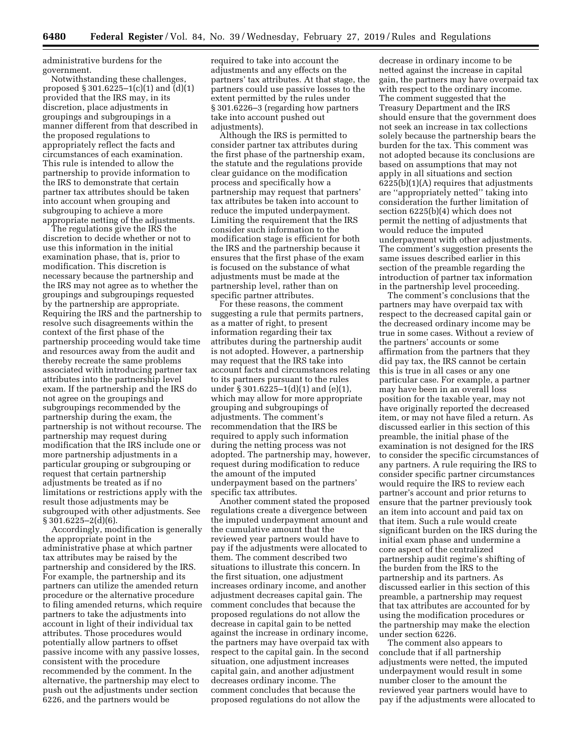administrative burdens for the government.

Notwithstanding these challenges, proposed  $\S 301.6225 - 1(c)(1)$  and  $(d)(1)$ provided that the IRS may, in its discretion, place adjustments in groupings and subgroupings in a manner different from that described in the proposed regulations to appropriately reflect the facts and circumstances of each examination. This rule is intended to allow the partnership to provide information to the IRS to demonstrate that certain partner tax attributes should be taken into account when grouping and subgrouping to achieve a more appropriate netting of the adjustments.

The regulations give the IRS the discretion to decide whether or not to use this information in the initial examination phase, that is, prior to modification. This discretion is necessary because the partnership and the IRS may not agree as to whether the groupings and subgroupings requested by the partnership are appropriate. Requiring the IRS and the partnership to resolve such disagreements within the context of the first phase of the partnership proceeding would take time and resources away from the audit and thereby recreate the same problems associated with introducing partner tax attributes into the partnership level exam. If the partnership and the IRS do not agree on the groupings and subgroupings recommended by the partnership during the exam, the partnership is not without recourse. The partnership may request during modification that the IRS include one or more partnership adjustments in a particular grouping or subgrouping or request that certain partnership adjustments be treated as if no limitations or restrictions apply with the result those adjustments may be subgrouped with other adjustments. See  $\S 301.6225 - 2(d)(6)$ .

Accordingly, modification is generally the appropriate point in the administrative phase at which partner tax attributes may be raised by the partnership and considered by the IRS. For example, the partnership and its partners can utilize the amended return procedure or the alternative procedure to filing amended returns, which require partners to take the adjustments into account in light of their individual tax attributes. Those procedures would potentially allow partners to offset passive income with any passive losses, consistent with the procedure recommended by the comment. In the alternative, the partnership may elect to push out the adjustments under section 6226, and the partners would be

required to take into account the adjustments and any effects on the partners' tax attributes. At that stage, the partners could use passive losses to the extent permitted by the rules under § 301.6226–3 (regarding how partners take into account pushed out adjustments).

Although the IRS is permitted to consider partner tax attributes during the first phase of the partnership exam, the statute and the regulations provide clear guidance on the modification process and specifically how a partnership may request that partners' tax attributes be taken into account to reduce the imputed underpayment. Limiting the requirement that the IRS consider such information to the modification stage is efficient for both the IRS and the partnership because it ensures that the first phase of the exam is focused on the substance of what adjustments must be made at the partnership level, rather than on specific partner attributes.

For these reasons, the comment suggesting a rule that permits partners, as a matter of right, to present information regarding their tax attributes during the partnership audit is not adopted. However, a partnership may request that the IRS take into account facts and circumstances relating to its partners pursuant to the rules under § 301.6225–1(d)(1) and (e)(1), which may allow for more appropriate grouping and subgroupings of adjustments. The comment's recommendation that the IRS be required to apply such information during the netting process was not adopted. The partnership may, however, request during modification to reduce the amount of the imputed underpayment based on the partners' specific tax attributes.

Another comment stated the proposed regulations create a divergence between the imputed underpayment amount and the cumulative amount that the reviewed year partners would have to pay if the adjustments were allocated to them. The comment described two situations to illustrate this concern. In the first situation, one adjustment increases ordinary income, and another adjustment decreases capital gain. The comment concludes that because the proposed regulations do not allow the decrease in capital gain to be netted against the increase in ordinary income, the partners may have overpaid tax with respect to the capital gain. In the second situation, one adjustment increases capital gain, and another adjustment decreases ordinary income. The comment concludes that because the proposed regulations do not allow the

decrease in ordinary income to be netted against the increase in capital gain, the partners may have overpaid tax with respect to the ordinary income. The comment suggested that the Treasury Department and the IRS should ensure that the government does not seek an increase in tax collections solely because the partnership bears the burden for the tax. This comment was not adopted because its conclusions are based on assumptions that may not apply in all situations and section  $6225(b)(1)(A)$  requires that adjustments are ''appropriately netted'' taking into consideration the further limitation of section 6225(b)(4) which does not permit the netting of adjustments that would reduce the imputed underpayment with other adjustments. The comment's suggestion presents the same issues described earlier in this section of the preamble regarding the introduction of partner tax information in the partnership level proceeding.

The comment's conclusions that the partners may have overpaid tax with respect to the decreased capital gain or the decreased ordinary income may be true in some cases. Without a review of the partners' accounts or some affirmation from the partners that they did pay tax, the IRS cannot be certain this is true in all cases or any one particular case. For example, a partner may have been in an overall loss position for the taxable year, may not have originally reported the decreased item, or may not have filed a return. As discussed earlier in this section of this preamble, the initial phase of the examination is not designed for the IRS to consider the specific circumstances of any partners. A rule requiring the IRS to consider specific partner circumstances would require the IRS to review each partner's account and prior returns to ensure that the partner previously took an item into account and paid tax on that item. Such a rule would create significant burden on the IRS during the initial exam phase and undermine a core aspect of the centralized partnership audit regime's shifting of the burden from the IRS to the partnership and its partners. As discussed earlier in this section of this preamble, a partnership may request that tax attributes are accounted for by using the modification procedures or the partnership may make the election under section 6226.

The comment also appears to conclude that if all partnership adjustments were netted, the imputed underpayment would result in some number closer to the amount the reviewed year partners would have to pay if the adjustments were allocated to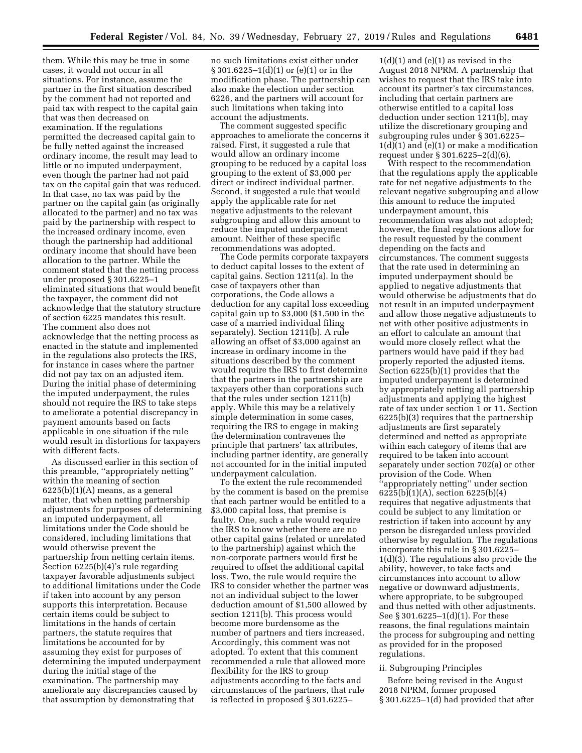them. While this may be true in some cases, it would not occur in all situations. For instance, assume the partner in the first situation described by the comment had not reported and paid tax with respect to the capital gain that was then decreased on examination. If the regulations permitted the decreased capital gain to be fully netted against the increased ordinary income, the result may lead to little or no imputed underpayment, even though the partner had not paid tax on the capital gain that was reduced. In that case, no tax was paid by the partner on the capital gain (as originally allocated to the partner) and no tax was paid by the partnership with respect to the increased ordinary income, even though the partnership had additional ordinary income that should have been allocation to the partner. While the comment stated that the netting process under proposed § 301.6225–1 eliminated situations that would benefit the taxpayer, the comment did not acknowledge that the statutory structure of section 6225 mandates this result. The comment also does not acknowledge that the netting process as enacted in the statute and implemented in the regulations also protects the IRS, for instance in cases where the partner did not pay tax on an adjusted item. During the initial phase of determining the imputed underpayment, the rules should not require the IRS to take steps to ameliorate a potential discrepancy in payment amounts based on facts applicable in one situation if the rule would result in distortions for taxpayers with different facts.

As discussed earlier in this section of this preamble, ''appropriately netting'' within the meaning of section 6225(b)(1)(A) means, as a general matter, that when netting partnership adjustments for purposes of determining an imputed underpayment, all limitations under the Code should be considered, including limitations that would otherwise prevent the partnership from netting certain items. Section 6225(b)(4)'s rule regarding taxpayer favorable adjustments subject to additional limitations under the Code if taken into account by any person supports this interpretation. Because certain items could be subject to limitations in the hands of certain partners, the statute requires that limitations be accounted for by assuming they exist for purposes of determining the imputed underpayment during the initial stage of the examination. The partnership may ameliorate any discrepancies caused by that assumption by demonstrating that

no such limitations exist either under § 301.6225–1(d)(1) or (e)(1) or in the modification phase. The partnership can also make the election under section 6226, and the partners will account for such limitations when taking into account the adjustments.

The comment suggested specific approaches to ameliorate the concerns it raised. First, it suggested a rule that would allow an ordinary income grouping to be reduced by a capital loss grouping to the extent of \$3,000 per direct or indirect individual partner. Second, it suggested a rule that would apply the applicable rate for net negative adjustments to the relevant subgrouping and allow this amount to reduce the imputed underpayment amount. Neither of these specific recommendations was adopted.

The Code permits corporate taxpayers to deduct capital losses to the extent of capital gains. Section 1211(a). In the case of taxpayers other than corporations, the Code allows a deduction for any capital loss exceeding capital gain up to \$3,000 (\$1,500 in the case of a married individual filing separately). Section 1211(b). A rule allowing an offset of \$3,000 against an increase in ordinary income in the situations described by the comment would require the IRS to first determine that the partners in the partnership are taxpayers other than corporations such that the rules under section 1211(b) apply. While this may be a relatively simple determination in some cases, requiring the IRS to engage in making the determination contravenes the principle that partners' tax attributes, including partner identity, are generally not accounted for in the initial imputed underpayment calculation.

To the extent the rule recommended by the comment is based on the premise that each partner would be entitled to a \$3,000 capital loss, that premise is faulty. One, such a rule would require the IRS to know whether there are no other capital gains (related or unrelated to the partnership) against which the non-corporate partners would first be required to offset the additional capital loss. Two, the rule would require the IRS to consider whether the partner was not an individual subject to the lower deduction amount of \$1,500 allowed by section 1211(b). This process would become more burdensome as the number of partners and tiers increased. Accordingly, this comment was not adopted. To extent that this comment recommended a rule that allowed more flexibility for the IRS to group adjustments according to the facts and circumstances of the partners, that rule is reflected in proposed § 301.6225–

 $1(d)(1)$  and  $(e)(1)$  as revised in the August 2018 NPRM. A partnership that wishes to request that the IRS take into account its partner's tax circumstances, including that certain partners are otherwise entitled to a capital loss deduction under section 1211(b), may utilize the discretionary grouping and subgrouping rules under § 301.6225– 1(d)(1) and (e)(1) or make a modification request under § 301.6225–2(d)(6).

With respect to the recommendation that the regulations apply the applicable rate for net negative adjustments to the relevant negative subgrouping and allow this amount to reduce the imputed underpayment amount, this recommendation was also not adopted; however, the final regulations allow for the result requested by the comment depending on the facts and circumstances. The comment suggests that the rate used in determining an imputed underpayment should be applied to negative adjustments that would otherwise be adjustments that do not result in an imputed underpayment and allow those negative adjustments to net with other positive adjustments in an effort to calculate an amount that would more closely reflect what the partners would have paid if they had properly reported the adjusted items. Section 6225(b)(1) provides that the imputed underpayment is determined by appropriately netting all partnership adjustments and applying the highest rate of tax under section 1 or 11. Section 6225(b)(3) requires that the partnership adjustments are first separately determined and netted as appropriate within each category of items that are required to be taken into account separately under section 702(a) or other provision of the Code. When ''appropriately netting'' under section 6225(b)(1)(A), section 6225(b)(4) requires that negative adjustments that could be subject to any limitation or restriction if taken into account by any person be disregarded unless provided otherwise by regulation. The regulations incorporate this rule in § 301.6225– 1(d)(3). The regulations also provide the ability, however, to take facts and circumstances into account to allow negative or downward adjustments, where appropriate, to be subgrouped and thus netted with other adjustments. See § 301.6225–1(d)(1). For these reasons, the final regulations maintain the process for subgrouping and netting as provided for in the proposed regulations.

#### ii. Subgrouping Principles

Before being revised in the August 2018 NPRM, former proposed § 301.6225–1(d) had provided that after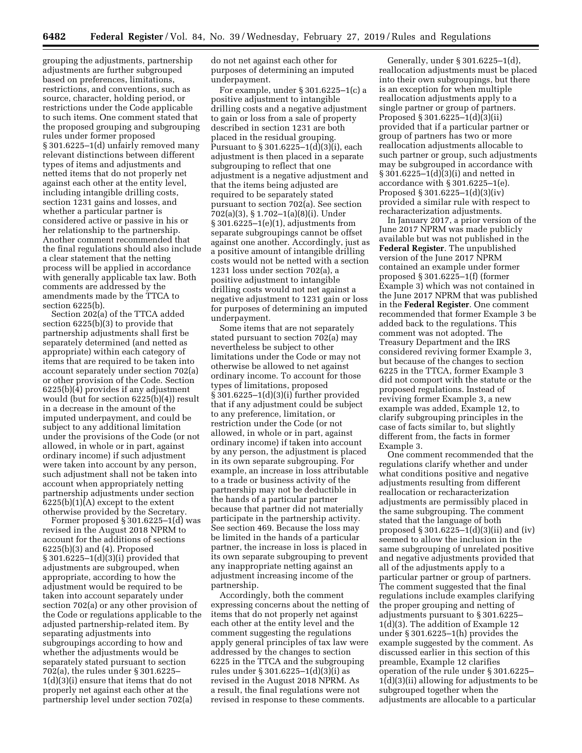grouping the adjustments, partnership adjustments are further subgrouped based on preferences, limitations, restrictions, and conventions, such as source, character, holding period, or restrictions under the Code applicable to such items. One comment stated that the proposed grouping and subgrouping rules under former proposed § 301.6225–1(d) unfairly removed many relevant distinctions between different types of items and adjustments and netted items that do not properly net against each other at the entity level, including intangible drilling costs, section 1231 gains and losses, and whether a particular partner is considered active or passive in his or her relationship to the partnership. Another comment recommended that the final regulations should also include a clear statement that the netting process will be applied in accordance with generally applicable tax law. Both comments are addressed by the amendments made by the TTCA to section 6225(b).

Section 202(a) of the TTCA added section 6225(b)(3) to provide that partnership adjustments shall first be separately determined (and netted as appropriate) within each category of items that are required to be taken into account separately under section 702(a) or other provision of the Code. Section 6225(b)(4) provides if any adjustment would (but for section 6225(b)(4)) result in a decrease in the amount of the imputed underpayment, and could be subject to any additional limitation under the provisions of the Code (or not allowed, in whole or in part, against ordinary income) if such adjustment were taken into account by any person, such adjustment shall not be taken into account when appropriately netting partnership adjustments under section 6225(b)(1)(A) except to the extent otherwise provided by the Secretary.

Former proposed § 301.6225–1(d) was revised in the August 2018 NPRM to account for the additions of sections 6225(b)(3) and (4). Proposed § 301.6225–1(d)(3)(i) provided that adjustments are subgrouped, when appropriate, according to how the adjustment would be required to be taken into account separately under section 702(a) or any other provision of the Code or regulations applicable to the adjusted partnership-related item. By separating adjustments into subgroupings according to how and whether the adjustments would be separately stated pursuant to section 702(a), the rules under § 301.6225– 1(d)(3)(i) ensure that items that do not properly net against each other at the partnership level under section 702(a)

do not net against each other for purposes of determining an imputed underpayment.

For example, under § 301.6225–1(c) a positive adjustment to intangible drilling costs and a negative adjustment to gain or loss from a sale of property described in section 1231 are both placed in the residual grouping. Pursuant to § 301.6225–1(d)(3)(i), each adjustment is then placed in a separate subgrouping to reflect that one adjustment is a negative adjustment and that the items being adjusted are required to be separately stated pursuant to section 702(a). See section 702(a)(3), § 1.702–1(a)(8)(i). Under § 301.6225–1(e)(1), adjustments from separate subgroupings cannot be offset against one another. Accordingly, just as a positive amount of intangible drilling costs would not be netted with a section 1231 loss under section 702(a), a positive adjustment to intangible drilling costs would not net against a negative adjustment to 1231 gain or loss for purposes of determining an imputed underpayment.

Some items that are not separately stated pursuant to section 702(a) may nevertheless be subject to other limitations under the Code or may not otherwise be allowed to net against ordinary income. To account for those types of limitations, proposed § 301.6225–1(d)(3)(i) further provided that if any adjustment could be subject to any preference, limitation, or restriction under the Code (or not allowed, in whole or in part, against ordinary income) if taken into account by any person, the adjustment is placed in its own separate subgrouping. For example, an increase in loss attributable to a trade or business activity of the partnership may not be deductible in the hands of a particular partner because that partner did not materially participate in the partnership activity. See section 469. Because the loss may be limited in the hands of a particular partner, the increase in loss is placed in its own separate subgrouping to prevent any inappropriate netting against an adjustment increasing income of the partnership.

Accordingly, both the comment expressing concerns about the netting of items that do not properly net against each other at the entity level and the comment suggesting the regulations apply general principles of tax law were addressed by the changes to section 6225 in the TTCA and the subgrouping rules under § 301.6225–1(d)(3)(i) as revised in the August 2018 NPRM. As a result, the final regulations were not revised in response to these comments.

Generally, under § 301.6225–1(d), reallocation adjustments must be placed into their own subgroupings, but there is an exception for when multiple reallocation adjustments apply to a single partner or group of partners. Proposed § 301.6225–1(d)(3)(ii) provided that if a particular partner or group of partners has two or more reallocation adjustments allocable to such partner or group, such adjustments may be subgrouped in accordance with § 301.6225–1(d)(3)(i) and netted in accordance with § 301.6225–1(e). Proposed § 301.6225–1(d)(3)(iv) provided a similar rule with respect to recharacterization adjustments.

In January 2017, a prior version of the June 2017 NPRM was made publicly available but was not published in the **Federal Register**. The unpublished version of the June 2017 NPRM contained an example under former proposed § 301.6225–1(f) (former Example 3) which was not contained in the June 2017 NPRM that was published in the **Federal Register**. One comment recommended that former Example 3 be added back to the regulations. This comment was not adopted. The Treasury Department and the IRS considered reviving former Example 3, but because of the changes to section 6225 in the TTCA, former Example 3 did not comport with the statute or the proposed regulations. Instead of reviving former Example 3, a new example was added, Example 12, to clarify subgrouping principles in the case of facts similar to, but slightly different from, the facts in former Example 3.

One comment recommended that the regulations clarify whether and under what conditions positive and negative adjustments resulting from different reallocation or recharacterization adjustments are permissibly placed in the same subgrouping. The comment stated that the language of both proposed § 301.6225–1(d)(3)(ii) and (iv) seemed to allow the inclusion in the same subgrouping of unrelated positive and negative adjustments provided that all of the adjustments apply to a particular partner or group of partners. The comment suggested that the final regulations include examples clarifying the proper grouping and netting of adjustments pursuant to § 301.6225– 1(d)(3). The addition of Example 12 under § 301.6225–1(h) provides the example suggested by the comment. As discussed earlier in this section of this preamble, Example 12 clarifies operation of the rule under § 301.6225– 1(d)(3)(ii) allowing for adjustments to be subgrouped together when the adjustments are allocable to a particular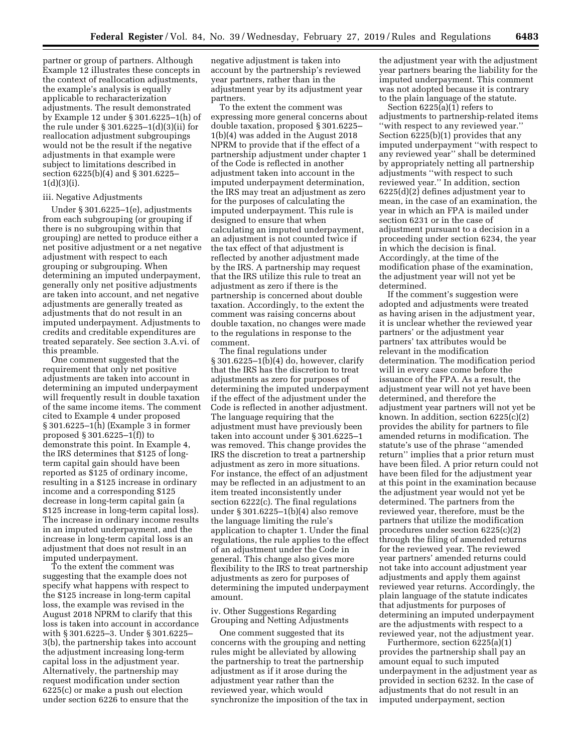partner or group of partners. Although Example 12 illustrates these concepts in the context of reallocation adjustments, the example's analysis is equally applicable to recharacterization adjustments. The result demonstrated by Example 12 under § 301.6225–1(h) of the rule under § 301.6225–1(d)(3)(ii) for reallocation adjustment subgroupings would not be the result if the negative adjustments in that example were subject to limitations described in section 6225(b)(4) and § 301.6225–  $1(d)(3)(i)$ .

# iii. Negative Adjustments

Under § 301.6225–1(e), adjustments from each subgrouping (or grouping if there is no subgrouping within that grouping) are netted to produce either a net positive adjustment or a net negative adjustment with respect to each grouping or subgrouping. When determining an imputed underpayment, generally only net positive adjustments are taken into account, and net negative adjustments are generally treated as adjustments that do not result in an imputed underpayment. Adjustments to credits and creditable expenditures are treated separately. See section 3.A.vi. of this preamble.

One comment suggested that the requirement that only net positive adjustments are taken into account in determining an imputed underpayment will frequently result in double taxation of the same income items. The comment cited to Example 4 under proposed § 301.6225–1(h) (Example 3 in former proposed § 301.6225–1(f)) to demonstrate this point. In Example 4, the IRS determines that \$125 of longterm capital gain should have been reported as \$125 of ordinary income, resulting in a \$125 increase in ordinary income and a corresponding \$125 decrease in long-term capital gain (a \$125 increase in long-term capital loss). The increase in ordinary income results in an imputed underpayment, and the increase in long-term capital loss is an adjustment that does not result in an imputed underpayment.

To the extent the comment was suggesting that the example does not specify what happens with respect to the \$125 increase in long-term capital loss, the example was revised in the August 2018 NPRM to clarify that this loss is taken into account in accordance with § 301.6225–3. Under § 301.6225– 3(b), the partnership takes into account the adjustment increasing long-term capital loss in the adjustment year. Alternatively, the partnership may request modification under section 6225(c) or make a push out election under section 6226 to ensure that the

negative adjustment is taken into account by the partnership's reviewed year partners, rather than in the adjustment year by its adjustment year partners.

To the extent the comment was expressing more general concerns about double taxation, proposed § 301.6225– 1(b)(4) was added in the August 2018 NPRM to provide that if the effect of a partnership adjustment under chapter 1 of the Code is reflected in another adjustment taken into account in the imputed underpayment determination, the IRS may treat an adjustment as zero for the purposes of calculating the imputed underpayment. This rule is designed to ensure that when calculating an imputed underpayment, an adjustment is not counted twice if the tax effect of that adjustment is reflected by another adjustment made by the IRS. A partnership may request that the IRS utilize this rule to treat an adjustment as zero if there is the partnership is concerned about double taxation. Accordingly, to the extent the comment was raising concerns about double taxation, no changes were made to the regulations in response to the comment.

The final regulations under § 301.6225–1(b)(4) do, however, clarify that the IRS has the discretion to treat adjustments as zero for purposes of determining the imputed underpayment if the effect of the adjustment under the Code is reflected in another adjustment. The language requiring that the adjustment must have previously been taken into account under § 301.6225–1 was removed. This change provides the IRS the discretion to treat a partnership adjustment as zero in more situations. For instance, the effect of an adjustment may be reflected in an adjustment to an item treated inconsistently under section 6222(c). The final regulations under § 301.6225–1(b)(4) also remove the language limiting the rule's application to chapter 1. Under the final regulations, the rule applies to the effect of an adjustment under the Code in general. This change also gives more flexibility to the IRS to treat partnership adjustments as zero for purposes of determining the imputed underpayment amount.

iv. Other Suggestions Regarding Grouping and Netting Adjustments

One comment suggested that its concerns with the grouping and netting rules might be alleviated by allowing the partnership to treat the partnership adjustment as if it arose during the adjustment year rather than the reviewed year, which would synchronize the imposition of the tax in the adjustment year with the adjustment year partners bearing the liability for the imputed underpayment. This comment was not adopted because it is contrary to the plain language of the statute.

Section 6225(a)(1) refers to adjustments to partnership-related items ''with respect to any reviewed year.'' Section 6225(b)(1) provides that any imputed underpayment ''with respect to any reviewed year'' shall be determined by appropriately netting all partnership adjustments ''with respect to such reviewed year.'' In addition, section 6225(d)(2) defines adjustment year to mean, in the case of an examination, the year in which an FPA is mailed under section 6231 or in the case of adjustment pursuant to a decision in a proceeding under section 6234, the year in which the decision is final. Accordingly, at the time of the modification phase of the examination, the adjustment year will not yet be determined.

If the comment's suggestion were adopted and adjustments were treated as having arisen in the adjustment year, it is unclear whether the reviewed year partners' or the adjustment year partners' tax attributes would be relevant in the modification determination. The modification period will in every case come before the issuance of the FPA. As a result, the adjustment year will not yet have been determined, and therefore the adjustment year partners will not yet be known. In addition, section 6225(c)(2) provides the ability for partners to file amended returns in modification. The statute's use of the phrase ''amended return'' implies that a prior return must have been filed. A prior return could not have been filed for the adjustment year at this point in the examination because the adjustment year would not yet be determined. The partners from the reviewed year, therefore, must be the partners that utilize the modification procedures under section 6225(c)(2) through the filing of amended returns for the reviewed year. The reviewed year partners' amended returns could not take into account adjustment year adjustments and apply them against reviewed year returns. Accordingly, the plain language of the statute indicates that adjustments for purposes of determining an imputed underpayment are the adjustments with respect to a reviewed year, not the adjustment year.

Furthermore, section 6225(a)(1) provides the partnership shall pay an amount equal to such imputed underpayment in the adjustment year as provided in section 6232. In the case of adjustments that do not result in an imputed underpayment, section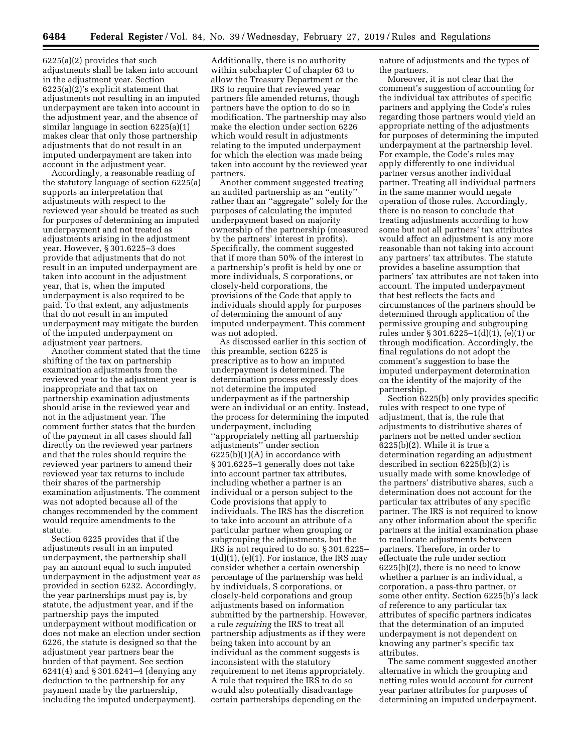6225(a)(2) provides that such adjustments shall be taken into account in the adjustment year. Section 6225(a)(2)'s explicit statement that adjustments not resulting in an imputed underpayment are taken into account in the adjustment year, and the absence of similar language in section 6225(a)(1) makes clear that only those partnership adjustments that do not result in an imputed underpayment are taken into account in the adjustment year.

Accordingly, a reasonable reading of the statutory language of section 6225(a) supports an interpretation that adjustments with respect to the reviewed year should be treated as such for purposes of determining an imputed underpayment and not treated as adjustments arising in the adjustment year. However, § 301.6225–3 does provide that adjustments that do not result in an imputed underpayment are taken into account in the adjustment year, that is, when the imputed underpayment is also required to be paid. To that extent, any adjustments that do not result in an imputed underpayment may mitigate the burden of the imputed underpayment on adjustment year partners.

Another comment stated that the time shifting of the tax on partnership examination adjustments from the reviewed year to the adjustment year is inappropriate and that tax on partnership examination adjustments should arise in the reviewed year and not in the adjustment year. The comment further states that the burden of the payment in all cases should fall directly on the reviewed year partners and that the rules should require the reviewed year partners to amend their reviewed year tax returns to include their shares of the partnership examination adjustments. The comment was not adopted because all of the changes recommended by the comment would require amendments to the statute.

Section 6225 provides that if the adjustments result in an imputed underpayment, the partnership shall pay an amount equal to such imputed underpayment in the adjustment year as provided in section 6232. Accordingly, the year partnerships must pay is, by statute, the adjustment year, and if the partnership pays the imputed underpayment without modification or does not make an election under section 6226, the statute is designed so that the adjustment year partners bear the burden of that payment. See section 6241(4) and § 301.6241–4 (denying any deduction to the partnership for any payment made by the partnership, including the imputed underpayment).

Additionally, there is no authority within subchapter C of chapter 63 to allow the Treasury Department or the IRS to require that reviewed year partners file amended returns, though partners have the option to do so in modification. The partnership may also make the election under section 6226 which would result in adjustments relating to the imputed underpayment for which the election was made being taken into account by the reviewed year partners.

Another comment suggested treating an audited partnership as an ''entity'' rather than an ''aggregate'' solely for the purposes of calculating the imputed underpayment based on majority ownership of the partnership (measured by the partners' interest in profits). Specifically, the comment suggested that if more than 50% of the interest in a partnership's profit is held by one or more individuals, S corporations, or closely-held corporations, the provisions of the Code that apply to individuals should apply for purposes of determining the amount of any imputed underpayment. This comment was not adopted.

As discussed earlier in this section of this preamble, section 6225 is prescriptive as to how an imputed underpayment is determined. The determination process expressly does not determine the imputed underpayment as if the partnership were an individual or an entity. Instead, the process for determining the imputed underpayment, including ''appropriately netting all partnership adjustments'' under section  $6225(b)(1)(A)$  in accordance with § 301.6225–1 generally does not take into account partner tax attributes, including whether a partner is an individual or a person subject to the Code provisions that apply to individuals. The IRS has the discretion to take into account an attribute of a particular partner when grouping or subgrouping the adjustments, but the IRS is not required to do so. § 301.6225–  $1(d)(1)$ , (e) $(1)$ . For instance, the IRS may consider whether a certain ownership percentage of the partnership was held by individuals, S corporations, or closely-held corporations and group adjustments based on information submitted by the partnership. However, a rule *requiring* the IRS to treat all partnership adjustments as if they were being taken into account by an individual as the comment suggests is inconsistent with the statutory requirement to net items appropriately. A rule that required the IRS to do so would also potentially disadvantage certain partnerships depending on the

nature of adjustments and the types of the partners.

Moreover, it is not clear that the comment's suggestion of accounting for the individual tax attributes of specific partners and applying the Code's rules regarding those partners would yield an appropriate netting of the adjustments for purposes of determining the imputed underpayment at the partnership level. For example, the Code's rules may apply differently to one individual partner versus another individual partner. Treating all individual partners in the same manner would negate operation of those rules. Accordingly, there is no reason to conclude that treating adjustments according to how some but not all partners' tax attributes would affect an adjustment is any more reasonable than not taking into account any partners' tax attributes. The statute provides a baseline assumption that partners' tax attributes are not taken into account. The imputed underpayment that best reflects the facts and circumstances of the partners should be determined through application of the permissive grouping and subgrouping rules under § 301.6225–1(d)(1), (e)(1) or through modification. Accordingly, the final regulations do not adopt the comment's suggestion to base the imputed underpayment determination on the identity of the majority of the partnership.

Section 6225(b) only provides specific rules with respect to one type of adjustment, that is, the rule that adjustments to distributive shares of partners not be netted under section 6225(b)(2). While it is true a determination regarding an adjustment described in section 6225(b)(2) is usually made with some knowledge of the partners' distributive shares, such a determination does not account for the particular tax attributes of any specific partner. The IRS is not required to know any other information about the specific partners at the initial examination phase to reallocate adjustments between partners. Therefore, in order to effectuate the rule under section 6225(b)(2), there is no need to know whether a partner is an individual, a corporation, a pass-thru partner, or some other entity. Section 6225(b)'s lack of reference to any particular tax attributes of specific partners indicates that the determination of an imputed underpayment is not dependent on knowing any partner's specific tax attributes.

The same comment suggested another alternative in which the grouping and netting rules would account for current year partner attributes for purposes of determining an imputed underpayment.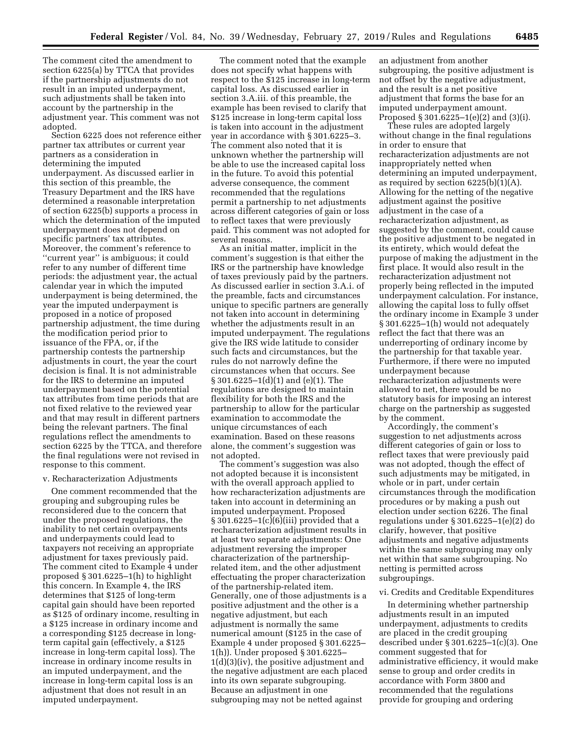The comment cited the amendment to section 6225(a) by TTCA that provides if the partnership adjustments do not result in an imputed underpayment, such adjustments shall be taken into account by the partnership in the adjustment year. This comment was not adopted.

Section 6225 does not reference either partner tax attributes or current year partners as a consideration in determining the imputed underpayment. As discussed earlier in this section of this preamble, the Treasury Department and the IRS have determined a reasonable interpretation of section 6225(b) supports a process in which the determination of the imputed underpayment does not depend on specific partners' tax attributes. Moreover, the comment's reference to ''current year'' is ambiguous; it could refer to any number of different time periods: the adjustment year, the actual calendar year in which the imputed underpayment is being determined, the year the imputed underpayment is proposed in a notice of proposed partnership adjustment, the time during the modification period prior to issuance of the FPA, or, if the partnership contests the partnership adjustments in court, the year the court decision is final. It is not administrable for the IRS to determine an imputed underpayment based on the potential tax attributes from time periods that are not fixed relative to the reviewed year and that may result in different partners being the relevant partners. The final regulations reflect the amendments to section 6225 by the TTCA, and therefore the final regulations were not revised in response to this comment.

#### v. Recharacterization Adjustments

One comment recommended that the grouping and subgrouping rules be reconsidered due to the concern that under the proposed regulations, the inability to net certain overpayments and underpayments could lead to taxpayers not receiving an appropriate adjustment for taxes previously paid. The comment cited to Example 4 under proposed § 301.6225–1(h) to highlight this concern. In Example 4, the IRS determines that \$125 of long-term capital gain should have been reported as \$125 of ordinary income, resulting in a \$125 increase in ordinary income and a corresponding \$125 decrease in longterm capital gain (effectively, a \$125 increase in long-term capital loss). The increase in ordinary income results in an imputed underpayment, and the increase in long-term capital loss is an adjustment that does not result in an imputed underpayment.

The comment noted that the example does not specify what happens with respect to the \$125 increase in long-term capital loss. As discussed earlier in section 3.A.iii. of this preamble, the example has been revised to clarify that \$125 increase in long-term capital loss is taken into account in the adjustment year in accordance with § 301.6225–3. The comment also noted that it is unknown whether the partnership will be able to use the increased capital loss in the future. To avoid this potential adverse consequence, the comment recommended that the regulations permit a partnership to net adjustments across different categories of gain or loss to reflect taxes that were previously paid. This comment was not adopted for several reasons.

As an initial matter, implicit in the comment's suggestion is that either the IRS or the partnership have knowledge of taxes previously paid by the partners. As discussed earlier in section 3.A.i. of the preamble, facts and circumstances unique to specific partners are generally not taken into account in determining whether the adjustments result in an imputed underpayment. The regulations give the IRS wide latitude to consider such facts and circumstances, but the rules do not narrowly define the circumstances when that occurs. See § 301.6225–1(d)(1) and (e)(1). The regulations are designed to maintain flexibility for both the IRS and the partnership to allow for the particular examination to accommodate the unique circumstances of each examination. Based on these reasons alone, the comment's suggestion was not adopted.

The comment's suggestion was also not adopted because it is inconsistent with the overall approach applied to how recharacterization adjustments are taken into account in determining an imputed underpayment. Proposed § 301.6225–1(c)(6)(iii) provided that a recharacterization adjustment results in at least two separate adjustments: One adjustment reversing the improper characterization of the partnershiprelated item, and the other adjustment effectuating the proper characterization of the partnership-related item. Generally, one of those adjustments is a positive adjustment and the other is a negative adjustment, but each adjustment is normally the same numerical amount (\$125 in the case of Example 4 under proposed § 301.6225– 1(h)). Under proposed § 301.6225– 1(d)(3)(iv), the positive adjustment and the negative adjustment are each placed into its own separate subgrouping. Because an adjustment in one subgrouping may not be netted against

an adjustment from another subgrouping, the positive adjustment is not offset by the negative adjustment, and the result is a net positive adjustment that forms the base for an imputed underpayment amount. Proposed § 301.6225–1(e)(2) and (3)(i).

These rules are adopted largely without change in the final regulations in order to ensure that recharacterization adjustments are not inappropriately netted when determining an imputed underpayment, as required by section 6225(b)(1)(A). Allowing for the netting of the negative adjustment against the positive adjustment in the case of a recharacterization adjustment, as suggested by the comment, could cause the positive adjustment to be negated in its entirety, which would defeat the purpose of making the adjustment in the first place. It would also result in the recharacterization adjustment not properly being reflected in the imputed underpayment calculation. For instance, allowing the capital loss to fully offset the ordinary income in Example 3 under § 301.6225–1(h) would not adequately reflect the fact that there was an underreporting of ordinary income by the partnership for that taxable year. Furthermore, if there were no imputed underpayment because recharacterization adjustments were allowed to net, there would be no statutory basis for imposing an interest charge on the partnership as suggested by the comment.

Accordingly, the comment's suggestion to net adjustments across different categories of gain or loss to reflect taxes that were previously paid was not adopted, though the effect of such adjustments may be mitigated, in whole or in part, under certain circumstances through the modification procedures or by making a push out election under section 6226. The final regulations under § 301.6225–1(e)(2) do clarify, however, that positive adjustments and negative adjustments within the same subgrouping may only net within that same subgrouping. No netting is permitted across subgroupings.

### vi. Credits and Creditable Expenditures

In determining whether partnership adjustments result in an imputed underpayment, adjustments to credits are placed in the credit grouping described under § 301.6225–1(c)(3). One comment suggested that for administrative efficiency, it would make sense to group and order credits in accordance with Form 3800 and recommended that the regulations provide for grouping and ordering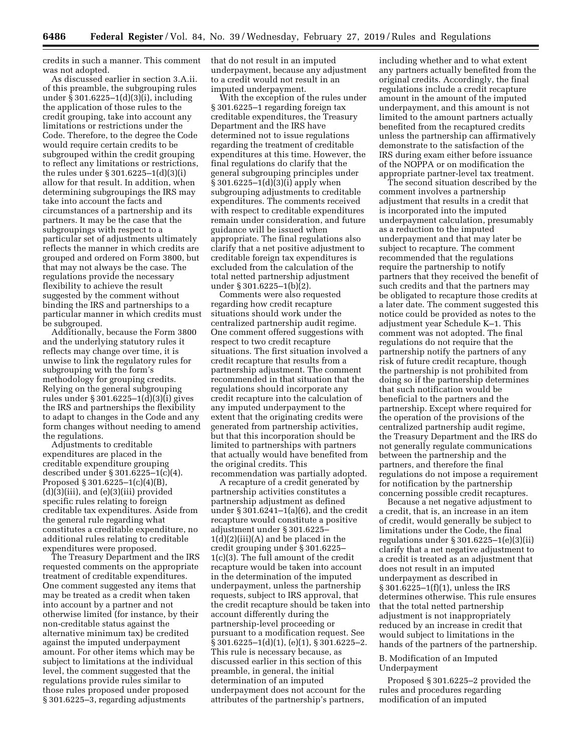credits in such a manner. This comment was not adopted.

As discussed earlier in section 3.A.ii. of this preamble, the subgrouping rules under  $\hat{\S}$  301.6225–1(d)(3)(i), including the application of those rules to the credit grouping, take into account any limitations or restrictions under the Code. Therefore, to the degree the Code would require certain credits to be subgrouped within the credit grouping to reflect any limitations or restrictions, the rules under § 301.6225–1(d)(3)(i) allow for that result. In addition, when determining subgroupings the IRS may take into account the facts and circumstances of a partnership and its partners. It may be the case that the subgroupings with respect to a particular set of adjustments ultimately reflects the manner in which credits are grouped and ordered on Form 3800, but that may not always be the case. The regulations provide the necessary flexibility to achieve the result suggested by the comment without binding the IRS and partnerships to a particular manner in which credits must be subgrouped.

Additionally, because the Form 3800 and the underlying statutory rules it reflects may change over time, it is unwise to link the regulatory rules for subgrouping with the form's methodology for grouping credits. Relying on the general subgrouping rules under § 301.6225–1(d)(3)(i) gives the IRS and partnerships the flexibility to adapt to changes in the Code and any form changes without needing to amend the regulations.

Adjustments to creditable expenditures are placed in the creditable expenditure grouping described under § 301.6225–1(c)(4). Proposed § 301.6225–1(c)(4)(B),  $(d)(3)(iii)$ , and  $(e)(3)(iii)$  provided specific rules relating to foreign creditable tax expenditures. Aside from the general rule regarding what constitutes a creditable expenditure, no additional rules relating to creditable expenditures were proposed.

The Treasury Department and the IRS requested comments on the appropriate treatment of creditable expenditures. One comment suggested any items that may be treated as a credit when taken into account by a partner and not otherwise limited (for instance, by their non-creditable status against the alternative minimum tax) be credited against the imputed underpayment amount. For other items which may be subject to limitations at the individual level, the comment suggested that the regulations provide rules similar to those rules proposed under proposed § 301.6225–3, regarding adjustments

that do not result in an imputed underpayment, because any adjustment to a credit would not result in an imputed underpayment.

With the exception of the rules under § 301.6225–1 regarding foreign tax creditable expenditures, the Treasury Department and the IRS have determined not to issue regulations regarding the treatment of creditable expenditures at this time. However, the final regulations do clarify that the general subgrouping principles under § 301.6225–1(d)(3)(i) apply when subgrouping adjustments to creditable expenditures. The comments received with respect to creditable expenditures remain under consideration, and future guidance will be issued when appropriate. The final regulations also clarify that a net positive adjustment to creditable foreign tax expenditures is excluded from the calculation of the total netted partnership adjustment under § 301.6225–1(b)(2).

Comments were also requested regarding how credit recapture situations should work under the centralized partnership audit regime. One comment offered suggestions with respect to two credit recapture situations. The first situation involved a credit recapture that results from a partnership adjustment. The comment recommended in that situation that the regulations should incorporate any credit recapture into the calculation of any imputed underpayment to the extent that the originating credits were generated from partnership activities, but that this incorporation should be limited to partnerships with partners that actually would have benefited from the original credits. This recommendation was partially adopted.

A recapture of a credit generated by partnership activities constitutes a partnership adjustment as defined under § 301.6241–1(a)(6), and the credit recapture would constitute a positive adjustment under § 301.6225– 1(d)(2)(iii)(A) and be placed in the credit grouping under § 301.6225– 1(c)(3). The full amount of the credit recapture would be taken into account in the determination of the imputed underpayment, unless the partnership requests, subject to IRS approval, that the credit recapture should be taken into account differently during the partnership-level proceeding or pursuant to a modification request. See § 301.6225–1(d)(1), (e)(1), § 301.6225–2. This rule is necessary because, as discussed earlier in this section of this preamble, in general, the initial determination of an imputed underpayment does not account for the attributes of the partnership's partners,

including whether and to what extent any partners actually benefited from the original credits. Accordingly, the final regulations include a credit recapture amount in the amount of the imputed underpayment, and this amount is not limited to the amount partners actually benefited from the recaptured credits unless the partnership can affirmatively demonstrate to the satisfaction of the IRS during exam either before issuance of the NOPPA or on modification the appropriate partner-level tax treatment.

The second situation described by the comment involves a partnership adjustment that results in a credit that is incorporated into the imputed underpayment calculation, presumably as a reduction to the imputed underpayment and that may later be subject to recapture. The comment recommended that the regulations require the partnership to notify partners that they received the benefit of such credits and that the partners may be obligated to recapture those credits at a later date. The comment suggested this notice could be provided as notes to the adjustment year Schedule K–1. This comment was not adopted. The final regulations do not require that the partnership notify the partners of any risk of future credit recapture, though the partnership is not prohibited from doing so if the partnership determines that such notification would be beneficial to the partners and the partnership. Except where required for the operation of the provisions of the centralized partnership audit regime, the Treasury Department and the IRS do not generally regulate communications between the partnership and the partners, and therefore the final regulations do not impose a requirement for notification by the partnership concerning possible credit recaptures.

Because a net negative adjustment to a credit, that is, an increase in an item of credit, would generally be subject to limitations under the Code, the final regulations under § 301.6225–1(e)(3)(ii) clarify that a net negative adjustment to a credit is treated as an adjustment that does not result in an imputed underpayment as described in § 301.6225–1(f)(1), unless the IRS determines otherwise. This rule ensures that the total netted partnership adjustment is not inappropriately reduced by an increase in credit that would subject to limitations in the hands of the partners of the partnership.

# B. Modification of an Imputed Underpayment

Proposed § 301.6225–2 provided the rules and procedures regarding modification of an imputed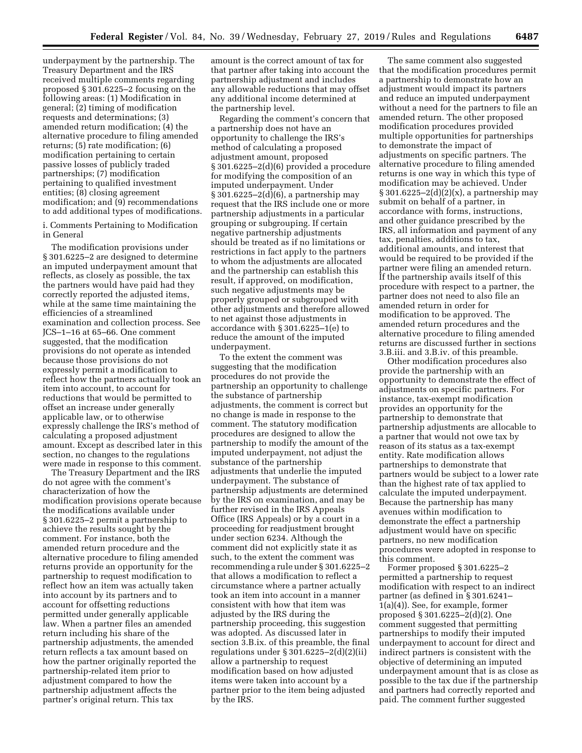underpayment by the partnership. The Treasury Department and the IRS received multiple comments regarding proposed § 301.6225–2 focusing on the following areas: (1) Modification in general; (2) timing of modification requests and determinations; (3) amended return modification; (4) the alternative procedure to filing amended returns; (5) rate modification; (6) modification pertaining to certain passive losses of publicly traded partnerships; (7) modification pertaining to qualified investment entities; (8) closing agreement modification; and (9) recommendations to add additional types of modifications.

i. Comments Pertaining to Modification in General

The modification provisions under § 301.6225–2 are designed to determine an imputed underpayment amount that reflects, as closely as possible, the tax the partners would have paid had they correctly reported the adjusted items, while at the same time maintaining the efficiencies of a streamlined examination and collection process. See JCS–1–16 at 65–66. One comment suggested, that the modification provisions do not operate as intended because those provisions do not expressly permit a modification to reflect how the partners actually took an item into account, to account for reductions that would be permitted to offset an increase under generally applicable law, or to otherwise expressly challenge the IRS's method of calculating a proposed adjustment amount. Except as described later in this section, no changes to the regulations were made in response to this comment.

The Treasury Department and the IRS do not agree with the comment's characterization of how the modification provisions operate because the modifications available under § 301.6225–2 permit a partnership to achieve the results sought by the comment. For instance, both the amended return procedure and the alternative procedure to filing amended returns provide an opportunity for the partnership to request modification to reflect how an item was actually taken into account by its partners and to account for offsetting reductions permitted under generally applicable law. When a partner files an amended return including his share of the partnership adjustments, the amended return reflects a tax amount based on how the partner originally reported the partnership-related item prior to adjustment compared to how the partnership adjustment affects the partner's original return. This tax

amount is the correct amount of tax for that partner after taking into account the partnership adjustment and includes any allowable reductions that may offset any additional income determined at the partnership level.

Regarding the comment's concern that a partnership does not have an opportunity to challenge the IRS's method of calculating a proposed adjustment amount, proposed § 301.6225–2(d)(6) provided a procedure for modifying the composition of an imputed underpayment. Under § 301.6225–2(d)(6), a partnership may request that the IRS include one or more partnership adjustments in a particular grouping or subgrouping. If certain negative partnership adjustments should be treated as if no limitations or restrictions in fact apply to the partners to whom the adjustments are allocated and the partnership can establish this result, if approved, on modification, such negative adjustments may be properly grouped or subgrouped with other adjustments and therefore allowed to net against those adjustments in accordance with § 301.6225–1(e) to reduce the amount of the imputed underpayment.

To the extent the comment was suggesting that the modification procedures do not provide the partnership an opportunity to challenge the substance of partnership adjustments, the comment is correct but no change is made in response to the comment. The statutory modification procedures are designed to allow the partnership to modify the amount of the imputed underpayment, not adjust the substance of the partnership adjustments that underlie the imputed underpayment. The substance of partnership adjustments are determined by the IRS on examination, and may be further revised in the IRS Appeals Office (IRS Appeals) or by a court in a proceeding for readjustment brought under section 6234. Although the comment did not explicitly state it as such, to the extent the comment was recommending a rule under § 301.6225–2 that allows a modification to reflect a circumstance where a partner actually took an item into account in a manner consistent with how that item was adjusted by the IRS during the partnership proceeding, this suggestion was adopted. As discussed later in section 3.B.ix. of this preamble, the final regulations under  $\S 301.6225 - 2(d)(2)(ii)$ allow a partnership to request modification based on how adjusted items were taken into account by a partner prior to the item being adjusted by the IRS.

The same comment also suggested that the modification procedures permit a partnership to demonstrate how an adjustment would impact its partners and reduce an imputed underpayment without a need for the partners to file an amended return. The other proposed modification procedures provided multiple opportunities for partnerships to demonstrate the impact of adjustments on specific partners. The alternative procedure to filing amended returns is one way in which this type of modification may be achieved. Under § 301.6225–2(d)(2)(x), a partnership may submit on behalf of a partner, in accordance with forms, instructions, and other guidance prescribed by the IRS, all information and payment of any tax, penalties, additions to tax, additional amounts, and interest that would be required to be provided if the partner were filing an amended return. If the partnership avails itself of this procedure with respect to a partner, the partner does not need to also file an amended return in order for modification to be approved. The amended return procedures and the alternative procedure to filing amended returns are discussed further in sections 3.B.iii. and 3.B.iv. of this preamble.

Other modification procedures also provide the partnership with an opportunity to demonstrate the effect of adjustments on specific partners. For instance, tax-exempt modification provides an opportunity for the partnership to demonstrate that partnership adjustments are allocable to a partner that would not owe tax by reason of its status as a tax-exempt entity. Rate modification allows partnerships to demonstrate that partners would be subject to a lower rate than the highest rate of tax applied to calculate the imputed underpayment. Because the partnership has many avenues within modification to demonstrate the effect a partnership adjustment would have on specific partners, no new modification procedures were adopted in response to this comment.

Former proposed § 301.6225–2 permitted a partnership to request modification with respect to an indirect partner (as defined in § 301.6241– 1(a)(4)). See, for example, former proposed § 301.6225–2(d)(2). One comment suggested that permitting partnerships to modify their imputed underpayment to account for direct and indirect partners is consistent with the objective of determining an imputed underpayment amount that is as close as possible to the tax due if the partnership and partners had correctly reported and paid. The comment further suggested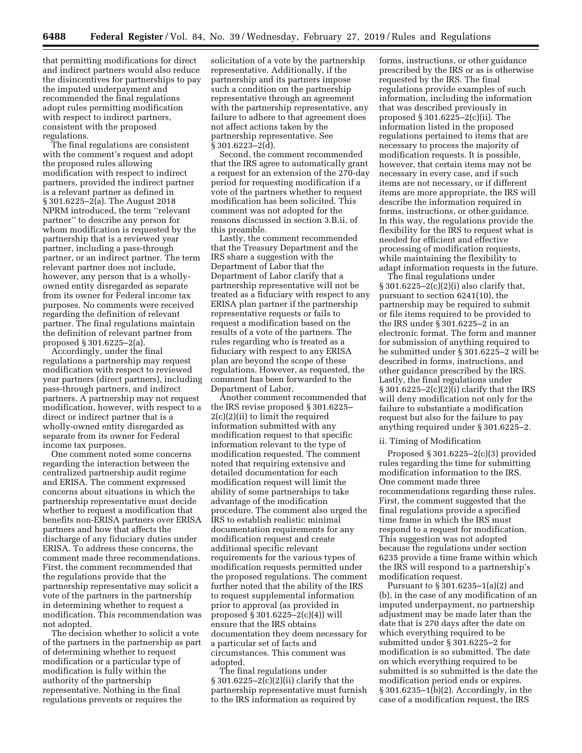that permitting modifications for direct and indirect partners would also reduce the disincentives for partnerships to pay the imputed underpayment and recommended the final regulations adopt rules permitting modification with respect to indirect partners, consistent with the proposed regulations.

The final regulations are consistent with the comment's request and adopt the proposed rules allowing modification with respect to indirect partners, provided the indirect partner is a relevant partner as defined in § 301.6225–2(a). The August 2018 NPRM introduced, the term ''relevant partner'' to describe any person for whom modification is requested by the partnership that is a reviewed year partner, including a pass-through partner, or an indirect partner. The term relevant partner does not include, however, any person that is a whollyowned entity disregarded as separate from its owner for Federal income tax purposes. No comments were received regarding the definition of relevant partner. The final regulations maintain the definition of relevant partner from proposed § 301.6225–2(a).

Accordingly, under the final regulations a partnership may request modification with respect to reviewed year partners (direct partners), including pass-through partners, and indirect partners. A partnership may not request modification, however, with respect to a direct or indirect partner that is a wholly-owned entity disregarded as separate from its owner for Federal income tax purposes.

One comment noted some concerns regarding the interaction between the centralized partnership audit regime and ERISA. The comment expressed concerns about situations in which the partnership representative must decide whether to request a modification that benefits non-ERISA partners over ERISA partners and how that affects the discharge of any fiduciary duties under ERISA. To address these concerns, the comment made three recommendations. First, the comment recommended that the regulations provide that the partnership representative may solicit a vote of the partners in the partnership in determining whether to request a modification. This recommendation was not adopted.

The decision whether to solicit a vote of the partners in the partnership as part of determining whether to request modification or a particular type of modification is fully within the authority of the partnership representative. Nothing in the final regulations prevents or requires the

solicitation of a vote by the partnership representative. Additionally, if the partnership and its partners impose such a condition on the partnership representative through an agreement with the partnership representative, any failure to adhere to that agreement does not affect actions taken by the partnership representative. See § 301.6223–2(d).

Second, the comment recommended that the IRS agree to automatically grant a request for an extension of the 270-day period for requesting modification if a vote of the partners whether to request modification has been solicited. This comment was not adopted for the reasons discussed in section 3.B.ii. of this preamble.

Lastly, the comment recommended that the Treasury Department and the IRS share a suggestion with the Department of Labor that the Department of Labor clarify that a partnership representative will not be treated as a fiduciary with respect to any ERISA plan partner if the partnership representative requests or fails to request a modification based on the results of a vote of the partners. The rules regarding who is treated as a fiduciary with respect to any ERISA plan are beyond the scope of these regulations. However, as requested, the comment has been forwarded to the Department of Labor.

Another comment recommended that the IRS revise proposed § 301.6225– 2(c)(2)(ii) to limit the required information submitted with any modification request to that specific information relevant to the type of modification requested. The comment noted that requiring extensive and detailed documentation for each modification request will limit the ability of some partnerships to take advantage of the modification procedure. The comment also urged the IRS to establish realistic minimal documentation requirements for any modification request and create additional specific relevant requirements for the various types of modification requests permitted under the proposed regulations. The comment further noted that the ability of the IRS to request supplemental information prior to approval (as provided in proposed § 301.6225–2(c)(4)) will ensure that the IRS obtains documentation they deem necessary for a particular set of facts and circumstances. This comment was adopted.

The final regulations under § 301.6225–2(c)(2)(ii) clarify that the partnership representative must furnish to the IRS information as required by

forms, instructions, or other guidance prescribed by the IRS or as is otherwise requested by the IRS. The final regulations provide examples of such information, including the information that was described previously in proposed § 301.6225–2(c)(ii). The information listed in the proposed regulations pertained to items that are necessary to process the majority of modification requests. It is possible, however, that certain items may not be necessary in every case, and if such items are not necessary, or if different items are more appropriate, the IRS will describe the information required in forms, instructions, or other guidance. In this way, the regulations provide the flexibility for the IRS to request what is needed for efficient and effective processing of modification requests, while maintaining the flexibility to adapt information requests in the future.

The final regulations under § 301.6225–2(c)(2)(i) also clarify that, pursuant to section 6241(10), the partnership may be required to submit or file items required to be provided to the IRS under § 301.6225–2 in an electronic format. The form and manner for submission of anything required to be submitted under § 301.6225–2 will be described in forms, instructions, and other guidance prescribed by the IRS. Lastly, the final regulations under § 301.6225–2(c)(2)(i) clarify that the IRS will deny modification not only for the failure to substantiate a modification request but also for the failure to pay anything required under § 301.6225–2.

#### ii. Timing of Modification

Proposed § 301.6225–2(c)(3) provided rules regarding the time for submitting modification information to the IRS. One comment made three recommendations regarding these rules. First, the comment suggested that the final regulations provide a specified time frame in which the IRS must respond to a request for modification. This suggestion was not adopted because the regulations under section 6235 provide a time frame within which the IRS will respond to a partnership's modification request.

Pursuant to § 301.6235–1(a)(2) and (b), in the case of any modification of an imputed underpayment, no partnership adjustment may be made later than the date that is 270 days after the date on which everything required to be submitted under § 301.6225–2 for modification is so submitted. The date on which everything required to be submitted is so submitted is the date the modification period ends or expires. § 301.6235–1(b)(2). Accordingly, in the case of a modification request, the IRS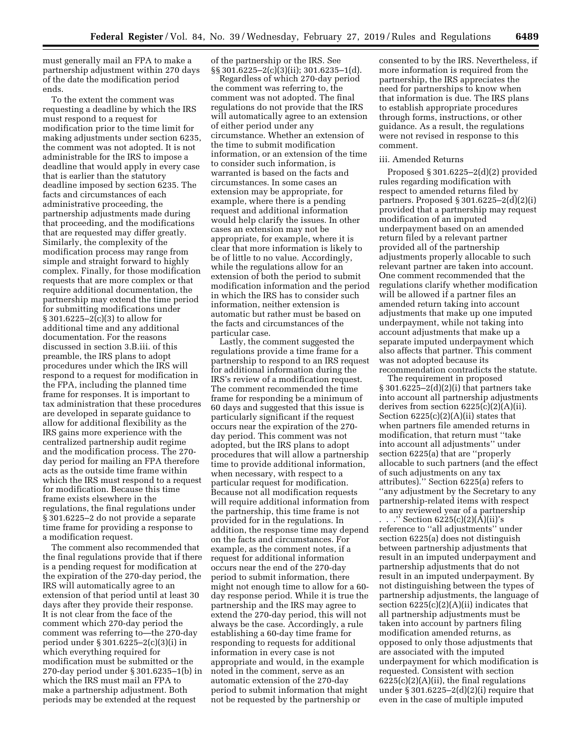must generally mail an FPA to make a partnership adjustment within 270 days of the date the modification period ends.

To the extent the comment was requesting a deadline by which the IRS must respond to a request for modification prior to the time limit for making adjustments under section 6235, the comment was not adopted. It is not administrable for the IRS to impose a deadline that would apply in every case that is earlier than the statutory deadline imposed by section 6235. The facts and circumstances of each administrative proceeding, the partnership adjustments made during that proceeding, and the modifications that are requested may differ greatly. Similarly, the complexity of the modification process may range from simple and straight forward to highly complex. Finally, for those modification requests that are more complex or that require additional documentation, the partnership may extend the time period for submitting modifications under § 301.6225–2(c)(3) to allow for additional time and any additional documentation. For the reasons discussed in section 3.B.iii. of this preamble, the IRS plans to adopt procedures under which the IRS will respond to a request for modification in the FPA, including the planned time frame for responses. It is important to tax administration that these procedures are developed in separate guidance to allow for additional flexibility as the IRS gains more experience with the centralized partnership audit regime and the modification process. The 270 day period for mailing an FPA therefore acts as the outside time frame within which the IRS must respond to a request for modification. Because this time frame exists elsewhere in the regulations, the final regulations under § 301.6225–2 do not provide a separate time frame for providing a response to a modification request.

The comment also recommended that the final regulations provide that if there is a pending request for modification at the expiration of the 270-day period, the IRS will automatically agree to an extension of that period until at least 30 days after they provide their response. It is not clear from the face of the comment which 270-day period the comment was referring to—the 270-day period under § 301.6225–2(c)(3)(i) in which everything required for modification must be submitted or the 270-day period under § 301.6235–1(b) in which the IRS must mail an FPA to make a partnership adjustment. Both periods may be extended at the request

of the partnership or the IRS. See §§ 301.6225–2(c)(3)(ii); 301.6235–1(d).

Regardless of which 270-day period the comment was referring to, the comment was not adopted. The final regulations do not provide that the IRS will automatically agree to an extension of either period under any circumstance. Whether an extension of the time to submit modification information, or an extension of the time to consider such information, is warranted is based on the facts and circumstances. In some cases an extension may be appropriate, for example, where there is a pending request and additional information would help clarify the issues. In other cases an extension may not be appropriate, for example, where it is clear that more information is likely to be of little to no value. Accordingly, while the regulations allow for an extension of both the period to submit modification information and the period in which the IRS has to consider such information, neither extension is automatic but rather must be based on the facts and circumstances of the particular case.

Lastly, the comment suggested the regulations provide a time frame for a partnership to respond to an IRS request for additional information during the IRS's review of a modification request. The comment recommended the time frame for responding be a minimum of 60 days and suggested that this issue is particularly significant if the request occurs near the expiration of the 270 day period. This comment was not adopted, but the IRS plans to adopt procedures that will allow a partnership time to provide additional information, when necessary, with respect to a particular request for modification. Because not all modification requests will require additional information from the partnership, this time frame is not provided for in the regulations. In addition, the response time may depend on the facts and circumstances. For example, as the comment notes, if a request for additional information occurs near the end of the 270-day period to submit information, there might not enough time to allow for a 60 day response period. While it is true the partnership and the IRS may agree to extend the 270-day period, this will not always be the case. Accordingly, a rule establishing a 60-day time frame for responding to requests for additional information in every case is not appropriate and would, in the example noted in the comment, serve as an automatic extension of the 270-day period to submit information that might not be requested by the partnership or

consented to by the IRS. Nevertheless, if more information is required from the partnership, the IRS appreciates the need for partnerships to know when that information is due. The IRS plans to establish appropriate procedures through forms, instructions, or other guidance. As a result, the regulations were not revised in response to this comment.

#### iii. Amended Returns

Proposed § 301.6225–2(d)(2) provided rules regarding modification with respect to amended returns filed by partners. Proposed § 301.6225–2(d)(2)(i) provided that a partnership may request modification of an imputed underpayment based on an amended return filed by a relevant partner provided all of the partnership adjustments properly allocable to such relevant partner are taken into account. One comment recommended that the regulations clarify whether modification will be allowed if a partner files an amended return taking into account adjustments that make up one imputed underpayment, while not taking into account adjustments that make up a separate imputed underpayment which also affects that partner. This comment was not adopted because its recommendation contradicts the statute.

The requirement in proposed § 301.6225–2(d)(2)(i) that partners take into account all partnership adjustments derives from section 6225(c)(2)(A)(ii). Section  $6225(c)(2)(A)(ii)$  states that when partners file amended returns in modification, that return must ''take into account all adjustments'' under section 6225(a) that are ''properly allocable to such partners (and the effect of such adjustments on any tax attributes).'' Section 6225(a) refers to ''any adjustment by the Secretary to any partnership-related items with respect to any reviewed year of a partnership . . .'' Section 6225(c)(2)(A)(ii)'s reference to ''all adjustments'' under section 6225(a) does not distinguish between partnership adjustments that result in an imputed underpayment and partnership adjustments that do not

result in an imputed underpayment. By not distinguishing between the types of partnership adjustments, the language of section  $6225(c)(2)(A)(ii)$  indicates that all partnership adjustments must be taken into account by partners filing modification amended returns, as opposed to only those adjustments that are associated with the imputed underpayment for which modification is requested. Consistent with section  $6225(c)(2)(A)(ii)$ , the final regulations under  $\S 301.6225 - 2(d)(2)(i)$  require that even in the case of multiple imputed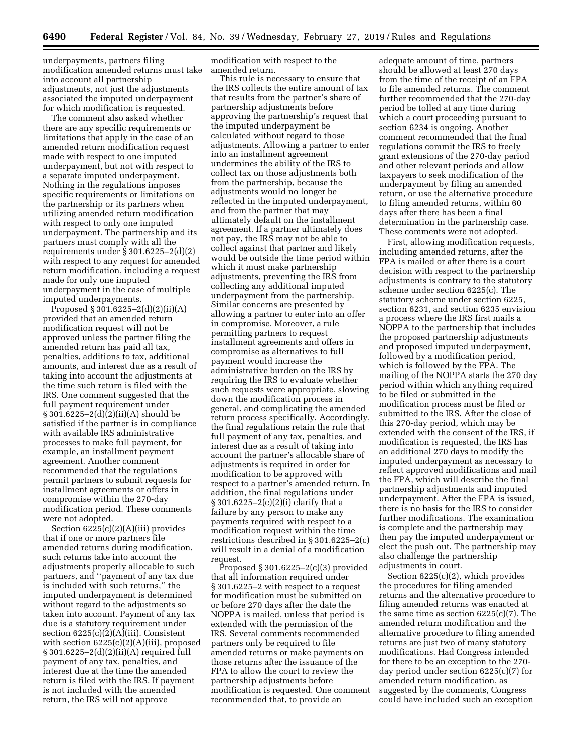underpayments, partners filing modification amended returns must take into account all partnership adjustments, not just the adjustments associated the imputed underpayment for which modification is requested.

The comment also asked whether there are any specific requirements or limitations that apply in the case of an amended return modification request made with respect to one imputed underpayment, but not with respect to a separate imputed underpayment. Nothing in the regulations imposes specific requirements or limitations on the partnership or its partners when utilizing amended return modification with respect to only one imputed underpayment. The partnership and its partners must comply with all the requirements under § 301.6225–2(d)(2) with respect to any request for amended return modification, including a request made for only one imputed underpayment in the case of multiple imputed underpayments.

Proposed § 301.6225–2(d)(2)(ii)(A) provided that an amended return modification request will not be approved unless the partner filing the amended return has paid all tax, penalties, additions to tax, additional amounts, and interest due as a result of taking into account the adjustments at the time such return is filed with the IRS. One comment suggested that the full payment requirement under § 301.6225–2(d)(2)(ii)(A) should be satisfied if the partner is in compliance with available IRS administrative processes to make full payment, for example, an installment payment agreement. Another comment recommended that the regulations permit partners to submit requests for installment agreements or offers in compromise within the 270-day modification period. These comments were not adopted.

Section 6225(c)(2)(A)(iii) provides that if one or more partners file amended returns during modification, such returns take into account the adjustments properly allocable to such partners, and ''payment of any tax due is included with such returns,'' the imputed underpayment is determined without regard to the adjustments so taken into account. Payment of any tax due is a statutory requirement under section  $6225(c)(2)(A)(iii)$ . Consistent with section 6225(c)(2)(A)(iii), proposed § 301.6225–2(d)(2)(ii)(A) required full payment of any tax, penalties, and interest due at the time the amended return is filed with the IRS. If payment is not included with the amended return, the IRS will not approve

modification with respect to the amended return.

This rule is necessary to ensure that the IRS collects the entire amount of tax that results from the partner's share of partnership adjustments before approving the partnership's request that the imputed underpayment be calculated without regard to those adjustments. Allowing a partner to enter into an installment agreement undermines the ability of the IRS to collect tax on those adjustments both from the partnership, because the adjustments would no longer be reflected in the imputed underpayment, and from the partner that may ultimately default on the installment agreement. If a partner ultimately does not pay, the IRS may not be able to collect against that partner and likely would be outside the time period within which it must make partnership adjustments, preventing the IRS from collecting any additional imputed underpayment from the partnership. Similar concerns are presented by allowing a partner to enter into an offer in compromise. Moreover, a rule permitting partners to request installment agreements and offers in compromise as alternatives to full payment would increase the administrative burden on the IRS by requiring the IRS to evaluate whether such requests were appropriate, slowing down the modification process in general, and complicating the amended return process specifically. Accordingly, the final regulations retain the rule that full payment of any tax, penalties, and interest due as a result of taking into account the partner's allocable share of adjustments is required in order for modification to be approved with respect to a partner's amended return. In addition, the final regulations under § 301.6225–2(c)(2)(i) clarify that a failure by any person to make any payments required with respect to a modification request within the time restrictions described in § 301.6225–2(c) will result in a denial of a modification request.

Proposed  $\S 301.6225 - 2(c)(3)$  provided that all information required under § 301.6225–2 with respect to a request for modification must be submitted on or before 270 days after the date the NOPPA is mailed, unless that period is extended with the permission of the IRS. Several comments recommended partners only be required to file amended returns or make payments on those returns after the issuance of the FPA to allow the court to review the partnership adjustments before modification is requested. One comment recommended that, to provide an

adequate amount of time, partners should be allowed at least 270 days from the time of the receipt of an FPA to file amended returns. The comment further recommended that the 270-day period be tolled at any time during which a court proceeding pursuant to section 6234 is ongoing. Another comment recommended that the final regulations commit the IRS to freely grant extensions of the 270-day period and other relevant periods and allow taxpayers to seek modification of the underpayment by filing an amended return, or use the alternative procedure to filing amended returns, within 60 days after there has been a final determination in the partnership case. These comments were not adopted.

First, allowing modification requests, including amended returns, after the FPA is mailed or after there is a court decision with respect to the partnership adjustments is contrary to the statutory scheme under section 6225(c). The statutory scheme under section 6225, section 6231, and section 6235 envision a process where the IRS first mails a NOPPA to the partnership that includes the proposed partnership adjustments and proposed imputed underpayment, followed by a modification period, which is followed by the FPA. The mailing of the NOPPA starts the 270 day period within which anything required to be filed or submitted in the modification process must be filed or submitted to the IRS. After the close of this 270-day period, which may be extended with the consent of the IRS, if modification is requested, the IRS has an additional 270 days to modify the imputed underpayment as necessary to reflect approved modifications and mail the FPA, which will describe the final partnership adjustments and imputed underpayment. After the FPA is issued, there is no basis for the IRS to consider further modifications. The examination is complete and the partnership may then pay the imputed underpayment or elect the push out. The partnership may also challenge the partnership adjustments in court.

Section 6225(c)(2), which provides the procedures for filing amended returns and the alternative procedure to filing amended returns was enacted at the same time as section 6225(c)(7). The amended return modification and the alternative procedure to filing amended returns are just two of many statutory modifications. Had Congress intended for there to be an exception to the 270 day period under section 6225(c)(7) for amended return modification, as suggested by the comments, Congress could have included such an exception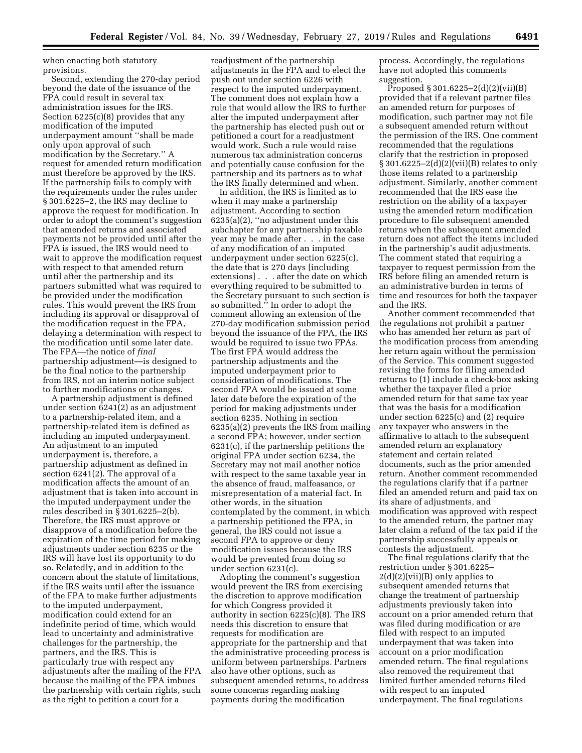when enacting both statutory provisions.

Second, extending the 270-day period beyond the date of the issuance of the FPA could result in several tax administration issues for the IRS. Section 6225(c)(8) provides that any modification of the imputed underpayment amount ''shall be made only upon approval of such modification by the Secretary.'' A request for amended return modification must therefore be approved by the IRS. If the partnership fails to comply with the requirements under the rules under § 301.6225–2, the IRS may decline to approve the request for modification. In order to adopt the comment's suggestion that amended returns and associated payments not be provided until after the FPA is issued, the IRS would need to wait to approve the modification request with respect to that amended return until after the partnership and its partners submitted what was required to be provided under the modification rules. This would prevent the IRS from including its approval or disapproval of the modification request in the FPA, delaying a determination with respect to the modification until some later date. The FPA—the notice of *final*  partnership adjustment—is designed to be the final notice to the partnership from IRS, not an interim notice subject to further modifications or changes.

A partnership adjustment is defined under section 6241(2) as an adjustment to a partnership-related item, and a partnership-related item is defined as including an imputed underpayment. An adjustment to an imputed underpayment is, therefore, a partnership adjustment as defined in section 6241(2). The approval of a modification affects the amount of an adjustment that is taken into account in the imputed underpayment under the rules described in § 301.6225–2(b). Therefore, the IRS must approve or disapprove of a modification before the expiration of the time period for making adjustments under section 6235 or the IRS will have lost its opportunity to do so. Relatedly, and in addition to the concern about the statute of limitations, if the IRS waits until after the issuance of the FPA to make further adjustments to the imputed underpayment, modification could extend for an indefinite period of time, which would lead to uncertainty and administrative challenges for the partnership, the partners, and the IRS. This is particularly true with respect any adjustments after the mailing of the FPA because the mailing of the FPA imbues the partnership with certain rights, such as the right to petition a court for a

readjustment of the partnership adjustments in the FPA and to elect the push out under section 6226 with respect to the imputed underpayment. The comment does not explain how a rule that would allow the IRS to further alter the imputed underpayment after the partnership has elected push out or petitioned a court for a readjustment would work. Such a rule would raise numerous tax administration concerns and potentially cause confusion for the partnership and its partners as to what the IRS finally determined and when.

In addition, the IRS is limited as to when it may make a partnership adjustment. According to section 6235(a)(2), ''no adjustment under this subchapter for any partnership taxable year may be made after . . . in the case of any modification of an imputed underpayment under section 6225(c), the date that is 270 days [including extensions] . . . after the date on which everything required to be submitted to the Secretary pursuant to such section is so submitted.'' In order to adopt the comment allowing an extension of the 270-day modification submission period beyond the issuance of the FPA, the IRS would be required to issue two FPAs. The first FPA would address the partnership adjustments and the imputed underpayment prior to consideration of modifications. The second FPA would be issued at some later date before the expiration of the period for making adjustments under section 6235. Nothing in section 6235(a)(2) prevents the IRS from mailing a second FPA; however, under section 6231(c), if the partnership petitions the original FPA under section 6234, the Secretary may not mail another notice with respect to the same taxable year in the absence of fraud, malfeasance, or misrepresentation of a material fact. In other words, in the situation contemplated by the comment, in which a partnership petitioned the FPA, in general, the IRS could not issue a second FPA to approve or deny modification issues because the IRS would be prevented from doing so under section 6231(c).

Adopting the comment's suggestion would prevent the IRS from exercising the discretion to approve modification for which Congress provided it authority in section 6225(c)(8). The IRS needs this discretion to ensure that requests for modification are appropriate for the partnership and that the administrative proceeding process is uniform between partnerships. Partners also have other options, such as subsequent amended returns, to address some concerns regarding making payments during the modification

process. Accordingly, the regulations have not adopted this comments suggestion.

Proposed § 301.6225–2(d)(2)(vii)(B) provided that if a relevant partner files an amended return for purposes of modification, such partner may not file a subsequent amended return without the permission of the IRS. One comment recommended that the regulations clarify that the restriction in proposed § 301.6225–2(d)(2)(vii)(B) relates to only those items related to a partnership adjustment. Similarly, another comment recommended that the IRS ease the restriction on the ability of a taxpayer using the amended return modification procedure to file subsequent amended returns when the subsequent amended return does not affect the items included in the partnership's audit adjustments. The comment stated that requiring a taxpayer to request permission from the IRS before filing an amended return is an administrative burden in terms of time and resources for both the taxpayer and the IRS.

Another comment recommended that the regulations not prohibit a partner who has amended her return as part of the modification process from amending her return again without the permission of the Service. This comment suggested revising the forms for filing amended returns to (1) include a check-box asking whether the taxpayer filed a prior amended return for that same tax year that was the basis for a modification under section 6225(c) and (2) require any taxpayer who answers in the affirmative to attach to the subsequent amended return an explanatory statement and certain related documents, such as the prior amended return. Another comment recommended the regulations clarify that if a partner filed an amended return and paid tax on its share of adjustments, and modification was approved with respect to the amended return, the partner may later claim a refund of the tax paid if the partnership successfully appeals or contests the adjustment.

The final regulations clarify that the restriction under § 301.6225–  $2(d)(2)(vii)(B)$  only applies to subsequent amended returns that change the treatment of partnership adjustments previously taken into account on a prior amended return that was filed during modification or are filed with respect to an imputed underpayment that was taken into account on a prior modification amended return. The final regulations also removed the requirement that limited further amended returns filed with respect to an imputed underpayment. The final regulations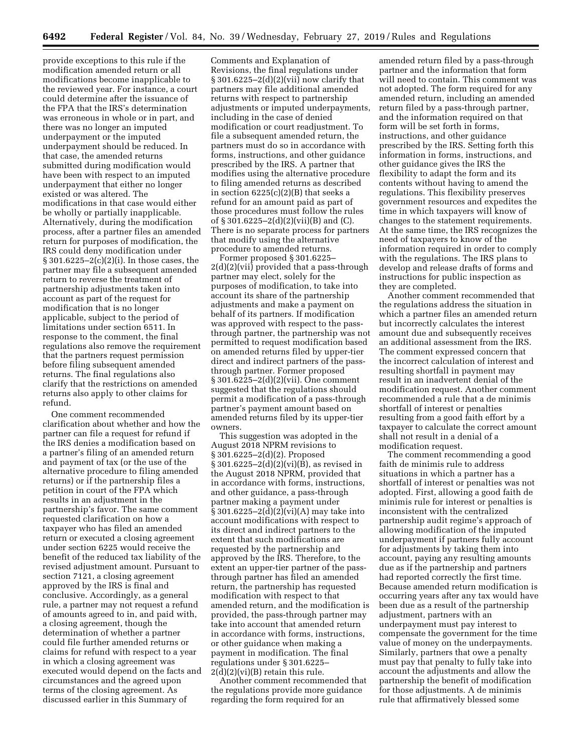provide exceptions to this rule if the modification amended return or all modifications become inapplicable to the reviewed year. For instance, a court could determine after the issuance of the FPA that the IRS's determination was erroneous in whole or in part, and there was no longer an imputed underpayment or the imputed underpayment should be reduced. In that case, the amended returns submitted during modification would have been with respect to an imputed underpayment that either no longer existed or was altered. The modifications in that case would either be wholly or partially inapplicable. Alternatively, during the modification process, after a partner files an amended return for purposes of modification, the IRS could deny modification under § 301.6225–2(c)(2)(i). In those cases, the partner may file a subsequent amended return to reverse the treatment of partnership adjustments taken into account as part of the request for modification that is no longer applicable, subject to the period of limitations under section 6511. In response to the comment, the final regulations also remove the requirement that the partners request permission before filing subsequent amended returns. The final regulations also clarify that the restrictions on amended returns also apply to other claims for refund.

One comment recommended clarification about whether and how the partner can file a request for refund if the IRS denies a modification based on a partner's filing of an amended return and payment of tax (or the use of the alternative procedure to filing amended returns) or if the partnership files a petition in court of the FPA which results in an adjustment in the partnership's favor. The same comment requested clarification on how a taxpayer who has filed an amended return or executed a closing agreement under section 6225 would receive the benefit of the reduced tax liability of the revised adjustment amount. Pursuant to section 7121, a closing agreement approved by the IRS is final and conclusive. Accordingly, as a general rule, a partner may not request a refund of amounts agreed to in, and paid with, a closing agreement, though the determination of whether a partner could file further amended returns or claims for refund with respect to a year in which a closing agreement was executed would depend on the facts and circumstances and the agreed upon terms of the closing agreement. As discussed earlier in this Summary of

Comments and Explanation of Revisions, the final regulations under  $\S 301.6225 - 2(d)(2)(vii)$  now clarify that partners may file additional amended returns with respect to partnership adjustments or imputed underpayments, including in the case of denied modification or court readjustment. To file a subsequent amended return, the partners must do so in accordance with forms, instructions, and other guidance prescribed by the IRS. A partner that modifies using the alternative procedure to filing amended returns as described in section  $6225(c)(2)(B)$  that seeks a refund for an amount paid as part of those procedures must follow the rules of § 301.6225–2(d)(2)(vii)(B) and (C). There is no separate process for partners that modify using the alternative procedure to amended returns.

Former proposed § 301.6225– 2(d)(2)(vii) provided that a pass-through partner may elect, solely for the purposes of modification, to take into account its share of the partnership adjustments and make a payment on behalf of its partners. If modification was approved with respect to the passthrough partner, the partnership was not permitted to request modification based on amended returns filed by upper-tier direct and indirect partners of the passthrough partner. Former proposed § 301.6225–2(d)(2)(vii). One comment suggested that the regulations should permit a modification of a pass-through partner's payment amount based on amended returns filed by its upper-tier owners.

This suggestion was adopted in the August 2018 NPRM revisions to § 301.6225–2(d)(2). Proposed § 301.6225–2(d)(2)(vi)(B), as revised in the August 2018 NPRM, provided that in accordance with forms, instructions, and other guidance, a pass-through partner making a payment under § 301.6225–2(d)(2)(vi)(A) may take into account modifications with respect to its direct and indirect partners to the extent that such modifications are requested by the partnership and approved by the IRS. Therefore, to the extent an upper-tier partner of the passthrough partner has filed an amended return, the partnership has requested modification with respect to that amended return, and the modification is provided, the pass-through partner may take into account that amended return in accordance with forms, instructions, or other guidance when making a payment in modification. The final regulations under § 301.6225–  $2(d)(2)(vi)(B)$  retain this rule.

Another comment recommended that the regulations provide more guidance regarding the form required for an

amended return filed by a pass-through partner and the information that form will need to contain. This comment was not adopted. The form required for any amended return, including an amended return filed by a pass-through partner, and the information required on that form will be set forth in forms, instructions, and other guidance prescribed by the IRS. Setting forth this information in forms, instructions, and other guidance gives the IRS the flexibility to adapt the form and its contents without having to amend the regulations. This flexibility preserves government resources and expedites the time in which taxpayers will know of changes to the statement requirements. At the same time, the IRS recognizes the need of taxpayers to know of the information required in order to comply with the regulations. The IRS plans to develop and release drafts of forms and instructions for public inspection as they are completed.

Another comment recommended that the regulations address the situation in which a partner files an amended return but incorrectly calculates the interest amount due and subsequently receives an additional assessment from the IRS. The comment expressed concern that the incorrect calculation of interest and resulting shortfall in payment may result in an inadvertent denial of the modification request. Another comment recommended a rule that a de minimis shortfall of interest or penalties resulting from a good faith effort by a taxpayer to calculate the correct amount shall not result in a denial of a modification request.

The comment recommending a good faith de minimis rule to address situations in which a partner has a shortfall of interest or penalties was not adopted. First, allowing a good faith de minimis rule for interest or penalties is inconsistent with the centralized partnership audit regime's approach of allowing modification of the imputed underpayment if partners fully account for adjustments by taking them into account, paying any resulting amounts due as if the partnership and partners had reported correctly the first time. Because amended return modification is occurring years after any tax would have been due as a result of the partnership adjustment, partners with an underpayment must pay interest to compensate the government for the time value of money on the underpayments. Similarly, partners that owe a penalty must pay that penalty to fully take into account the adjustments and allow the partnership the benefit of modification for those adjustments. A de minimis rule that affirmatively blessed some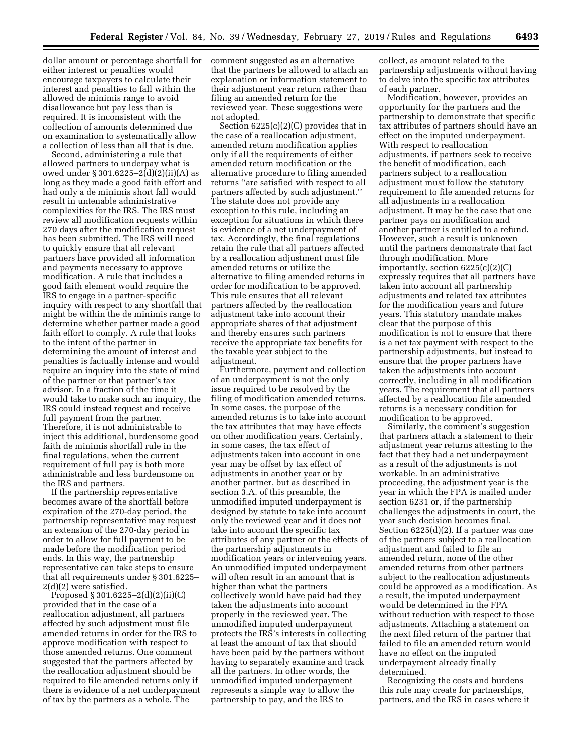dollar amount or percentage shortfall for either interest or penalties would encourage taxpayers to calculate their interest and penalties to fall within the allowed de minimis range to avoid disallowance but pay less than is required. It is inconsistent with the collection of amounts determined due on examination to systematically allow a collection of less than all that is due.

Second, administering a rule that allowed partners to underpay what is owed under § 301.6225–2(d)(2)(ii)(A) as long as they made a good faith effort and had only a de minimis short fall would result in untenable administrative complexities for the IRS. The IRS must review all modification requests within 270 days after the modification request has been submitted. The IRS will need to quickly ensure that all relevant partners have provided all information and payments necessary to approve modification. A rule that includes a good faith element would require the IRS to engage in a partner-specific inquiry with respect to any shortfall that might be within the de minimis range to determine whether partner made a good faith effort to comply. A rule that looks to the intent of the partner in determining the amount of interest and penalties is factually intense and would require an inquiry into the state of mind of the partner or that partner's tax advisor. In a fraction of the time it would take to make such an inquiry, the IRS could instead request and receive full payment from the partner. Therefore, it is not administrable to inject this additional, burdensome good faith de minimis shortfall rule in the final regulations, when the current requirement of full pay is both more administrable and less burdensome on the IRS and partners.

If the partnership representative becomes aware of the shortfall before expiration of the 270-day period, the partnership representative may request an extension of the 270-day period in order to allow for full payment to be made before the modification period ends. In this way, the partnership representative can take steps to ensure that all requirements under § 301.6225– 2(d)(2) were satisfied.

Proposed § 301.6225–2(d)(2)(ii)(C) provided that in the case of a reallocation adjustment, all partners affected by such adjustment must file amended returns in order for the IRS to approve modification with respect to those amended returns. One comment suggested that the partners affected by the reallocation adjustment should be required to file amended returns only if there is evidence of a net underpayment of tax by the partners as a whole. The

comment suggested as an alternative that the partners be allowed to attach an explanation or information statement to their adjustment year return rather than filing an amended return for the reviewed year. These suggestions were not adopted.

Section 6225(c)(2)(C) provides that in the case of a reallocation adjustment, amended return modification applies only if all the requirements of either amended return modification or the alternative procedure to filing amended returns ''are satisfied with respect to all partners affected by such adjustment.'' The statute does not provide any exception to this rule, including an exception for situations in which there is evidence of a net underpayment of tax. Accordingly, the final regulations retain the rule that all partners affected by a reallocation adjustment must file amended returns or utilize the alternative to filing amended returns in order for modification to be approved. This rule ensures that all relevant partners affected by the reallocation adjustment take into account their appropriate shares of that adjustment and thereby ensures such partners receive the appropriate tax benefits for the taxable year subject to the adjustment.

Furthermore, payment and collection of an underpayment is not the only issue required to be resolved by the filing of modification amended returns. In some cases, the purpose of the amended returns is to take into account the tax attributes that may have effects on other modification years. Certainly, in some cases, the tax effect of adjustments taken into account in one year may be offset by tax effect of adjustments in another year or by another partner, but as described in section 3.A. of this preamble, the unmodified imputed underpayment is designed by statute to take into account only the reviewed year and it does not take into account the specific tax attributes of any partner or the effects of the partnership adjustments in modification years or intervening years. An unmodified imputed underpayment will often result in an amount that is higher than what the partners collectively would have paid had they taken the adjustments into account properly in the reviewed year. The unmodified imputed underpayment protects the IRS's interests in collecting at least the amount of tax that should have been paid by the partners without having to separately examine and track all the partners. In other words, the unmodified imputed underpayment represents a simple way to allow the partnership to pay, and the IRS to

collect, as amount related to the partnership adjustments without having to delve into the specific tax attributes of each partner.

Modification, however, provides an opportunity for the partners and the partnership to demonstrate that specific tax attributes of partners should have an effect on the imputed underpayment. With respect to reallocation adjustments, if partners seek to receive the benefit of modification, each partners subject to a reallocation adjustment must follow the statutory requirement to file amended returns for all adjustments in a reallocation adjustment. It may be the case that one partner pays on modification and another partner is entitled to a refund. However, such a result is unknown until the partners demonstrate that fact through modification. More importantly, section 6225(c)(2)(C) expressly requires that all partners have taken into account all partnership adjustments and related tax attributes for the modification years and future years. This statutory mandate makes clear that the purpose of this modification is not to ensure that there is a net tax payment with respect to the partnership adjustments, but instead to ensure that the proper partners have taken the adjustments into account correctly, including in all modification years. The requirement that all partners affected by a reallocation file amended returns is a necessary condition for modification to be approved.

Similarly, the comment's suggestion that partners attach a statement to their adjustment year returns attesting to the fact that they had a net underpayment as a result of the adjustments is not workable. In an administrative proceeding, the adjustment year is the year in which the FPA is mailed under section 6231 or, if the partnership challenges the adjustments in court, the year such decision becomes final. Section 6225(d)(2). If a partner was one of the partners subject to a reallocation adjustment and failed to file an amended return, none of the other amended returns from other partners subject to the reallocation adjustments could be approved as a modification. As a result, the imputed underpayment would be determined in the FPA without reduction with respect to those adjustments. Attaching a statement on the next filed return of the partner that failed to file an amended return would have no effect on the imputed underpayment already finally determined.

Recognizing the costs and burdens this rule may create for partnerships, partners, and the IRS in cases where it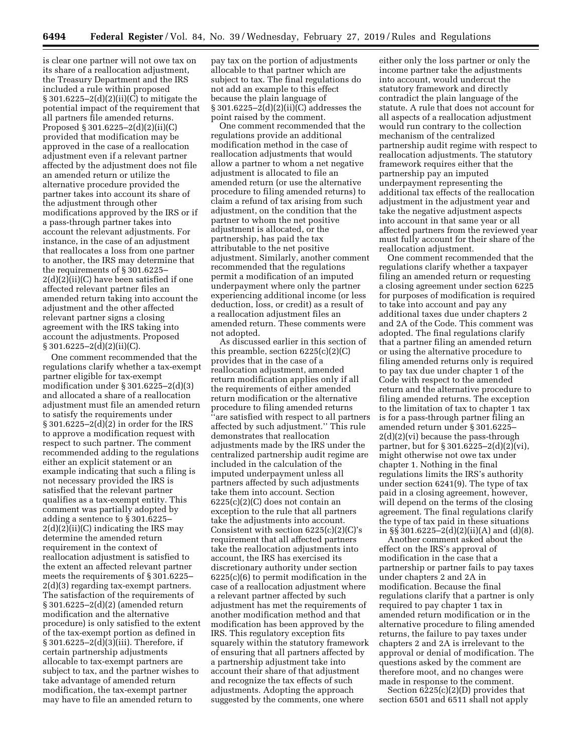is clear one partner will not owe tax on its share of a reallocation adjustment, the Treasury Department and the IRS included a rule within proposed § 301.6225–2(d)(2)(ii)(C) to mitigate the potential impact of the requirement that all partners file amended returns. Proposed § 301.6225–2(d)(2)(ii)(C) provided that modification may be approved in the case of a reallocation adjustment even if a relevant partner affected by the adjustment does not file an amended return or utilize the alternative procedure provided the partner takes into account its share of the adjustment through other modifications approved by the IRS or if a pass-through partner takes into account the relevant adjustments. For instance, in the case of an adjustment that reallocates a loss from one partner to another, the IRS may determine that the requirements of § 301.6225– 2(d)(2)(ii)(C) have been satisfied if one affected relevant partner files an amended return taking into account the adjustment and the other affected relevant partner signs a closing agreement with the IRS taking into account the adjustments. Proposed § 301.6225–2(d)(2)(ii)(C).

One comment recommended that the regulations clarify whether a tax-exempt partner eligible for tax-exempt modification under § 301.6225–2(d)(3) and allocated a share of a reallocation adjustment must file an amended return to satisfy the requirements under § 301.6225–2(d)(2) in order for the IRS to approve a modification request with respect to such partner. The comment recommended adding to the regulations either an explicit statement or an example indicating that such a filing is not necessary provided the IRS is satisfied that the relevant partner qualifies as a tax-exempt entity. This comment was partially adopted by adding a sentence to § 301.6225–  $2(d)(2)(ii)(C)$  indicating the IRS may determine the amended return requirement in the context of reallocation adjustment is satisfied to the extent an affected relevant partner meets the requirements of § 301.6225– 2(d)(3) regarding tax-exempt partners. The satisfaction of the requirements of § 301.6225–2(d)(2) (amended return modification and the alternative procedure) is only satisfied to the extent of the tax-exempt portion as defined in  $\S 301.6225 - 2(d)(3)(iii)$ . Therefore, if certain partnership adjustments allocable to tax-exempt partners are subject to tax, and the partner wishes to take advantage of amended return modification, the tax-exempt partner may have to file an amended return to

pay tax on the portion of adjustments allocable to that partner which are subject to tax. The final regulations do not add an example to this effect because the plain language of § 301.6225–2(d)(2)(ii)(C) addresses the point raised by the comment.

One comment recommended that the regulations provide an additional modification method in the case of reallocation adjustments that would allow a partner to whom a net negative adjustment is allocated to file an amended return (or use the alternative procedure to filing amended returns) to claim a refund of tax arising from such adjustment, on the condition that the partner to whom the net positive adjustment is allocated, or the partnership, has paid the tax attributable to the net positive adjustment. Similarly, another comment recommended that the regulations permit a modification of an imputed underpayment where only the partner experiencing additional income (or less deduction, loss, or credit) as a result of a reallocation adjustment files an amended return. These comments were not adopted.

As discussed earlier in this section of this preamble, section 6225(c)(2)(C) provides that in the case of a reallocation adjustment, amended return modification applies only if all the requirements of either amended return modification or the alternative procedure to filing amended returns ''are satisfied with respect to all partners affected by such adjustment.'' This rule demonstrates that reallocation adjustments made by the IRS under the centralized partnership audit regime are included in the calculation of the imputed underpayment unless all partners affected by such adjustments take them into account. Section  $6225(c)(2)(C)$  does not contain an exception to the rule that all partners take the adjustments into account. Consistent with section 6225(c)(2)(C)'s requirement that all affected partners take the reallocation adjustments into account, the IRS has exercised its discretionary authority under section 6225(c)(6) to permit modification in the case of a reallocation adjustment where a relevant partner affected by such adjustment has met the requirements of another modification method and that modification has been approved by the IRS. This regulatory exception fits squarely within the statutory framework of ensuring that all partners affected by a partnership adjustment take into account their share of that adjustment and recognize the tax effects of such adjustments. Adopting the approach suggested by the comments, one where

either only the loss partner or only the income partner take the adjustments into account, would undercut the statutory framework and directly contradict the plain language of the statute. A rule that does not account for all aspects of a reallocation adjustment would run contrary to the collection mechanism of the centralized partnership audit regime with respect to reallocation adjustments. The statutory framework requires either that the partnership pay an imputed underpayment representing the additional tax effects of the reallocation adjustment in the adjustment year and take the negative adjustment aspects into account in that same year or all affected partners from the reviewed year must fully account for their share of the reallocation adjustment.

One comment recommended that the regulations clarify whether a taxpayer filing an amended return or requesting a closing agreement under section 6225 for purposes of modification is required to take into account and pay any additional taxes due under chapters 2 and 2A of the Code. This comment was adopted. The final regulations clarify that a partner filing an amended return or using the alternative procedure to filing amended returns only is required to pay tax due under chapter 1 of the Code with respect to the amended return and the alternative procedure to filing amended returns. The exception to the limitation of tax to chapter 1 tax is for a pass-through partner filing an amended return under § 301.6225– 2(d)(2)(vi) because the pass-through partner, but for § 301.6225–2(d)(2)(vi), might otherwise not owe tax under chapter 1. Nothing in the final regulations limits the IRS's authority under section 6241(9). The type of tax paid in a closing agreement, however, will depend on the terms of the closing agreement. The final regulations clarify the type of tax paid in these situations in §§ 301.6225–2(d)(2)(ii)(A) and (d)(8).

Another comment asked about the effect on the IRS's approval of modification in the case that a partnership or partner fails to pay taxes under chapters 2 and 2A in modification. Because the final regulations clarify that a partner is only required to pay chapter 1 tax in amended return modification or in the alternative procedure to filing amended returns, the failure to pay taxes under chapters 2 and 2A is irrelevant to the approval or denial of modification. The questions asked by the comment are therefore moot, and no changes were made in response to the comment.

Section 6225(c)(2)(D) provides that section 6501 and 6511 shall not apply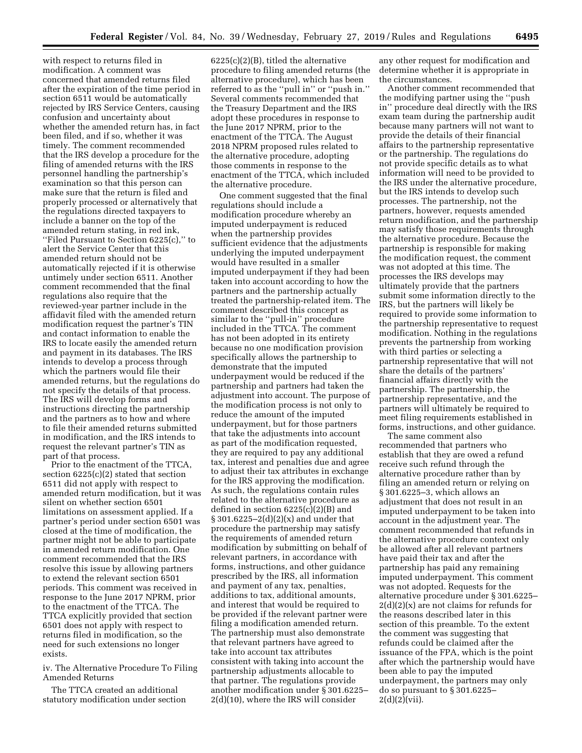with respect to returns filed in modification. A comment was concerned that amended returns filed after the expiration of the time period in section 6511 would be automatically rejected by IRS Service Centers, causing confusion and uncertainty about whether the amended return has, in fact been filed, and if so, whether it was timely. The comment recommended that the IRS develop a procedure for the filing of amended returns with the IRS personnel handling the partnership's examination so that this person can make sure that the return is filed and properly processed or alternatively that the regulations directed taxpayers to include a banner on the top of the amended return stating, in red ink, ''Filed Pursuant to Section 6225(c),'' to alert the Service Center that this amended return should not be automatically rejected if it is otherwise untimely under section 6511. Another comment recommended that the final regulations also require that the reviewed-year partner include in the affidavit filed with the amended return modification request the partner's TIN and contact information to enable the IRS to locate easily the amended return and payment in its databases. The IRS intends to develop a process through which the partners would file their amended returns, but the regulations do not specify the details of that process. The IRS will develop forms and instructions directing the partnership and the partners as to how and where to file their amended returns submitted in modification, and the IRS intends to request the relevant partner's TIN as part of that process.

Prior to the enactment of the TTCA, section 6225(c)(2) stated that section 6511 did not apply with respect to amended return modification, but it was silent on whether section 6501 limitations on assessment applied. If a partner's period under section 6501 was closed at the time of modification, the partner might not be able to participate in amended return modification. One comment recommended that the IRS resolve this issue by allowing partners to extend the relevant section 6501 periods. This comment was received in response to the June 2017 NPRM, prior to the enactment of the TTCA. The TTCA explicitly provided that section 6501 does not apply with respect to returns filed in modification, so the need for such extensions no longer exists.

iv. The Alternative Procedure To Filing Amended Returns

The TTCA created an additional statutory modification under section

6225(c)(2)(B), titled the alternative procedure to filing amended returns (the alternative procedure), which has been referred to as the ''pull in'' or ''push in.'' Several comments recommended that the Treasury Department and the IRS adopt these procedures in response to the June 2017 NPRM, prior to the enactment of the TTCA. The August 2018 NPRM proposed rules related to the alternative procedure, adopting those comments in response to the enactment of the TTCA, which included the alternative procedure.

One comment suggested that the final regulations should include a modification procedure whereby an imputed underpayment is reduced when the partnership provides sufficient evidence that the adjustments underlying the imputed underpayment would have resulted in a smaller imputed underpayment if they had been taken into account according to how the partners and the partnership actually treated the partnership-related item. The comment described this concept as similar to the ''pull-in'' procedure included in the TTCA. The comment has not been adopted in its entirety because no one modification provision specifically allows the partnership to demonstrate that the imputed underpayment would be reduced if the partnership and partners had taken the adjustment into account. The purpose of the modification process is not only to reduce the amount of the imputed underpayment, but for those partners that take the adjustments into account as part of the modification requested, they are required to pay any additional tax, interest and penalties due and agree to adjust their tax attributes in exchange for the IRS approving the modification. As such, the regulations contain rules related to the alternative procedure as defined in section 6225(c)(2)(B) and  $§ 301.6225 - 2(d)(2)(x)$  and under that procedure the partnership may satisfy the requirements of amended return modification by submitting on behalf of relevant partners, in accordance with forms, instructions, and other guidance prescribed by the IRS, all information and payment of any tax, penalties, additions to tax, additional amounts, and interest that would be required to be provided if the relevant partner were filing a modification amended return. The partnership must also demonstrate that relevant partners have agreed to take into account tax attributes consistent with taking into account the partnership adjustments allocable to that partner. The regulations provide another modification under § 301.6225– 2(d)(10), where the IRS will consider

any other request for modification and determine whether it is appropriate in the circumstances.

Another comment recommended that the modifying partner using the ''push in'' procedure deal directly with the IRS exam team during the partnership audit because many partners will not want to provide the details of their financial affairs to the partnership representative or the partnership. The regulations do not provide specific details as to what information will need to be provided to the IRS under the alternative procedure, but the IRS intends to develop such processes. The partnership, not the partners, however, requests amended return modification, and the partnership may satisfy those requirements through the alternative procedure. Because the partnership is responsible for making the modification request, the comment was not adopted at this time. The processes the IRS develops may ultimately provide that the partners submit some information directly to the IRS, but the partners will likely be required to provide some information to the partnership representative to request modification. Nothing in the regulations prevents the partnership from working with third parties or selecting a partnership representative that will not share the details of the partners' financial affairs directly with the partnership. The partnership, the partnership representative, and the partners will ultimately be required to meet filing requirements established in forms, instructions, and other guidance.

The same comment also recommended that partners who establish that they are owed a refund receive such refund through the alternative procedure rather than by filing an amended return or relying on § 301.6225–3, which allows an adjustment that does not result in an imputed underpayment to be taken into account in the adjustment year. The comment recommended that refunds in the alternative procedure context only be allowed after all relevant partners have paid their tax and after the partnership has paid any remaining imputed underpayment. This comment was not adopted. Requests for the alternative procedure under § 301.6225–  $2(d)(2)(x)$  are not claims for refunds for the reasons described later in this section of this preamble. To the extent the comment was suggesting that refunds could be claimed after the issuance of the FPA, which is the point after which the partnership would have been able to pay the imputed underpayment, the partners may only do so pursuant to § 301.6225–  $2(d)(2)(vii)$ .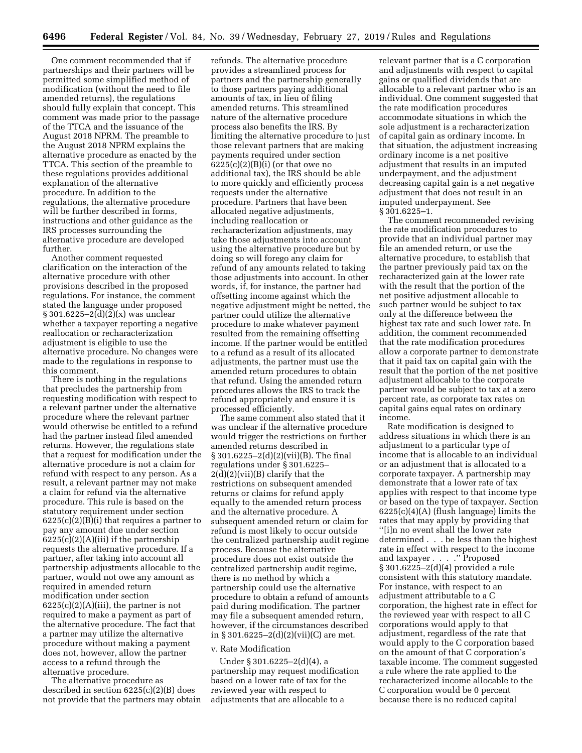One comment recommended that if partnerships and their partners will be permitted some simplified method of modification (without the need to file amended returns), the regulations should fully explain that concept. This comment was made prior to the passage of the TTCA and the issuance of the August 2018 NPRM. The preamble to the August 2018 NPRM explains the alternative procedure as enacted by the TTCA. This section of the preamble to these regulations provides additional explanation of the alternative procedure. In addition to the regulations, the alternative procedure will be further described in forms, instructions and other guidance as the IRS processes surrounding the alternative procedure are developed further.

Another comment requested clarification on the interaction of the alternative procedure with other provisions described in the proposed regulations. For instance, the comment stated the language under proposed § 301.6225–2(d)(2)(x) was unclear whether a taxpayer reporting a negative reallocation or recharacterization adjustment is eligible to use the alternative procedure. No changes were made to the regulations in response to this comment.

There is nothing in the regulations that precludes the partnership from requesting modification with respect to a relevant partner under the alternative procedure where the relevant partner would otherwise be entitled to a refund had the partner instead filed amended returns. However, the regulations state that a request for modification under the alternative procedure is not a claim for refund with respect to any person. As a result, a relevant partner may not make a claim for refund via the alternative procedure. This rule is based on the statutory requirement under section  $6225(c)(2)(B)(i)$  that requires a partner to pay any amount due under section  $6225(c)(2)(A)(iii)$  if the partnership requests the alternative procedure. If a partner, after taking into account all partnership adjustments allocable to the partner, would not owe any amount as required in amended return modification under section  $6225(c)(2)(A)(iii)$ , the partner is not required to make a payment as part of the alternative procedure. The fact that a partner may utilize the alternative procedure without making a payment does not, however, allow the partner access to a refund through the alternative procedure.

The alternative procedure as described in section 6225(c)(2)(B) does not provide that the partners may obtain

refunds. The alternative procedure provides a streamlined process for partners and the partnership generally to those partners paying additional amounts of tax, in lieu of filing amended returns. This streamlined nature of the alternative procedure process also benefits the IRS. By limiting the alternative procedure to just those relevant partners that are making payments required under section 6225(c)(2)(B)(i) (or that owe no additional tax), the IRS should be able to more quickly and efficiently process requests under the alternative procedure. Partners that have been allocated negative adjustments, including reallocation or recharacterization adjustments, may take those adjustments into account using the alternative procedure but by doing so will forego any claim for refund of any amounts related to taking those adjustments into account. In other words, if, for instance, the partner had offsetting income against which the negative adjustment might be netted, the partner could utilize the alternative procedure to make whatever payment resulted from the remaining offsetting income. If the partner would be entitled to a refund as a result of its allocated adjustments, the partner must use the amended return procedures to obtain that refund. Using the amended return procedures allows the IRS to track the refund appropriately and ensure it is processed efficiently.

The same comment also stated that it was unclear if the alternative procedure would trigger the restrictions on further amended returns described in § 301.6225–2(d)(2)(vii)(B). The final regulations under § 301.6225– 2(d)(2)(vii)(B) clarify that the restrictions on subsequent amended returns or claims for refund apply equally to the amended return process and the alternative procedure. A subsequent amended return or claim for refund is most likely to occur outside the centralized partnership audit regime process. Because the alternative procedure does not exist outside the centralized partnership audit regime, there is no method by which a partnership could use the alternative procedure to obtain a refund of amounts paid during modification. The partner may file a subsequent amended return, however, if the circumstances described in § 301.6225–2(d)(2)(vii)(C) are met.

# v. Rate Modification

Under § 301.6225–2(d)(4), a partnership may request modification based on a lower rate of tax for the reviewed year with respect to adjustments that are allocable to a

relevant partner that is a C corporation and adjustments with respect to capital gains or qualified dividends that are allocable to a relevant partner who is an individual. One comment suggested that the rate modification procedures accommodate situations in which the sole adjustment is a recharacterization of capital gain as ordinary income. In that situation, the adjustment increasing ordinary income is a net positive adjustment that results in an imputed underpayment, and the adjustment decreasing capital gain is a net negative adjustment that does not result in an imputed underpayment. See § 301.6225–1.

The comment recommended revising the rate modification procedures to provide that an individual partner may file an amended return, or use the alternative procedure, to establish that the partner previously paid tax on the recharacterized gain at the lower rate with the result that the portion of the net positive adjustment allocable to such partner would be subject to tax only at the difference between the highest tax rate and such lower rate. In addition, the comment recommended that the rate modification procedures allow a corporate partner to demonstrate that it paid tax on capital gain with the result that the portion of the net positive adjustment allocable to the corporate partner would be subject to tax at a zero percent rate, as corporate tax rates on capital gains equal rates on ordinary income.

Rate modification is designed to address situations in which there is an adjustment to a particular type of income that is allocable to an individual or an adjustment that is allocated to a corporate taxpayer. A partnership may demonstrate that a lower rate of tax applies with respect to that income type or based on the type of taxpayer. Section 6225(c)(4)(A) (flush language) limits the rates that may apply by providing that ''[i]n no event shall the lower rate determined . . . be less than the highest rate in effect with respect to the income and taxpayer . . . .'' Proposed § 301.6225–2(d)(4) provided a rule consistent with this statutory mandate. For instance, with respect to an adjustment attributable to a C corporation, the highest rate in effect for the reviewed year with respect to all C corporations would apply to that adjustment, regardless of the rate that would apply to the C corporation based on the amount of that C corporation's taxable income. The comment suggested a rule where the rate applied to the recharacterized income allocable to the C corporation would be 0 percent because there is no reduced capital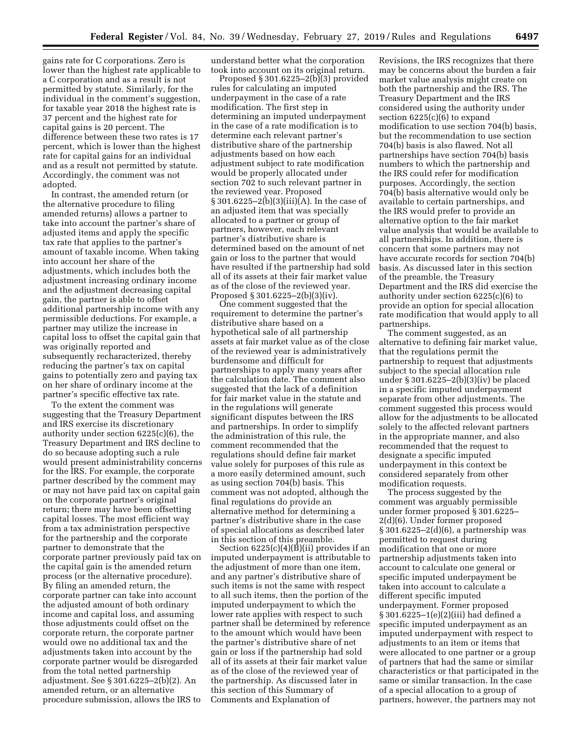gains rate for C corporations. Zero is lower than the highest rate applicable to a C corporation and as a result is not permitted by statute. Similarly, for the individual in the comment's suggestion, for taxable year 2018 the highest rate is 37 percent and the highest rate for capital gains is 20 percent. The difference between these two rates is 17 percent, which is lower than the highest rate for capital gains for an individual and as a result not permitted by statute. Accordingly, the comment was not adopted.

In contrast, the amended return (or the alternative procedure to filing amended returns) allows a partner to take into account the partner's share of adjusted items and apply the specific tax rate that applies to the partner's amount of taxable income. When taking into account her share of the adjustments, which includes both the adjustment increasing ordinary income and the adjustment decreasing capital gain, the partner is able to offset additional partnership income with any permissible deductions. For example, a partner may utilize the increase in capital loss to offset the capital gain that was originally reported and subsequently recharacterized, thereby reducing the partner's tax on capital gains to potentially zero and paying tax on her share of ordinary income at the partner's specific effective tax rate.

To the extent the comment was suggesting that the Treasury Department and IRS exercise its discretionary authority under section 6225(c)(6), the Treasury Department and IRS decline to do so because adopting such a rule would present administrability concerns for the IRS. For example, the corporate partner described by the comment may or may not have paid tax on capital gain on the corporate partner's original return; there may have been offsetting capital losses. The most efficient way from a tax administration perspective for the partnership and the corporate partner to demonstrate that the corporate partner previously paid tax on the capital gain is the amended return process (or the alternative procedure). By filing an amended return, the corporate partner can take into account the adjusted amount of both ordinary income and capital loss, and assuming those adjustments could offset on the corporate return, the corporate partner would owe no additional tax and the adjustments taken into account by the corporate partner would be disregarded from the total netted partnership adjustment. See § 301.6225–2(b)(2). An amended return, or an alternative procedure submission, allows the IRS to

understand better what the corporation took into account on its original return.

Proposed § 301.6225–2(b)(3) provided rules for calculating an imputed underpayment in the case of a rate modification. The first step in determining an imputed underpayment in the case of a rate modification is to determine each relevant partner's distributive share of the partnership adjustments based on how each adjustment subject to rate modification would be properly allocated under section 702 to such relevant partner in the reviewed year. Proposed § 301.6225–2(b)(3)(iii)(A). In the case of an adjusted item that was specially allocated to a partner or group of partners, however, each relevant partner's distributive share is determined based on the amount of net gain or loss to the partner that would have resulted if the partnership had sold all of its assets at their fair market value as of the close of the reviewed year. Proposed § 301.6225–2(b)(3)(iv).

One comment suggested that the requirement to determine the partner's distributive share based on a hypothetical sale of all partnership assets at fair market value as of the close of the reviewed year is administratively burdensome and difficult for partnerships to apply many years after the calculation date. The comment also suggested that the lack of a definition for fair market value in the statute and in the regulations will generate significant disputes between the IRS and partnerships. In order to simplify the administration of this rule, the comment recommended that the regulations should define fair market value solely for purposes of this rule as a more easily determined amount, such as using section 704(b) basis. This comment was not adopted, although the final regulations do provide an alternative method for determining a partner's distributive share in the case of special allocations as described later in this section of this preamble.

Section 6225(c)(4)(B)(ii) provides if an imputed underpayment is attributable to the adjustment of more than one item, and any partner's distributive share of such items is not the same with respect to all such items, then the portion of the imputed underpayment to which the lower rate applies with respect to such partner shall be determined by reference to the amount which would have been the partner's distributive share of net gain or loss if the partnership had sold all of its assets at their fair market value as of the close of the reviewed year of the partnership. As discussed later in this section of this Summary of Comments and Explanation of

Revisions, the IRS recognizes that there may be concerns about the burden a fair market value analysis might create on both the partnership and the IRS. The Treasury Department and the IRS considered using the authority under section 6225(c)(6) to expand modification to use section 704(b) basis, but the recommendation to use section 704(b) basis is also flawed. Not all partnerships have section 704(b) basis numbers to which the partnership and the IRS could refer for modification purposes. Accordingly, the section 704(b) basis alternative would only be available to certain partnerships, and the IRS would prefer to provide an alternative option to the fair market value analysis that would be available to all partnerships. In addition, there is concern that some partners may not have accurate records for section 704(b) basis. As discussed later in this section of the preamble, the Treasury Department and the IRS did exercise the authority under section 6225(c)(6) to provide an option for special allocation rate modification that would apply to all partnerships.

The comment suggested, as an alternative to defining fair market value, that the regulations permit the partnership to request that adjustments subject to the special allocation rule under § 301.6225–2(b)(3)(iv) be placed in a specific imputed underpayment separate from other adjustments. The comment suggested this process would allow for the adjustments to be allocated solely to the affected relevant partners in the appropriate manner, and also recommended that the request to designate a specific imputed underpayment in this context be considered separately from other modification requests.

The process suggested by the comment was arguably permissible under former proposed § 301.6225– 2(d)(6). Under former proposed § 301.6225–2(d)(6), a partnership was permitted to request during modification that one or more partnership adjustments taken into account to calculate one general or specific imputed underpayment be taken into account to calculate a different specific imputed underpayment. Former proposed § 301.6225–1(e)(2)(iii) had defined a specific imputed underpayment as an imputed underpayment with respect to adjustments to an item or items that were allocated to one partner or a group of partners that had the same or similar characteristics or that participated in the same or similar transaction. In the case of a special allocation to a group of partners, however, the partners may not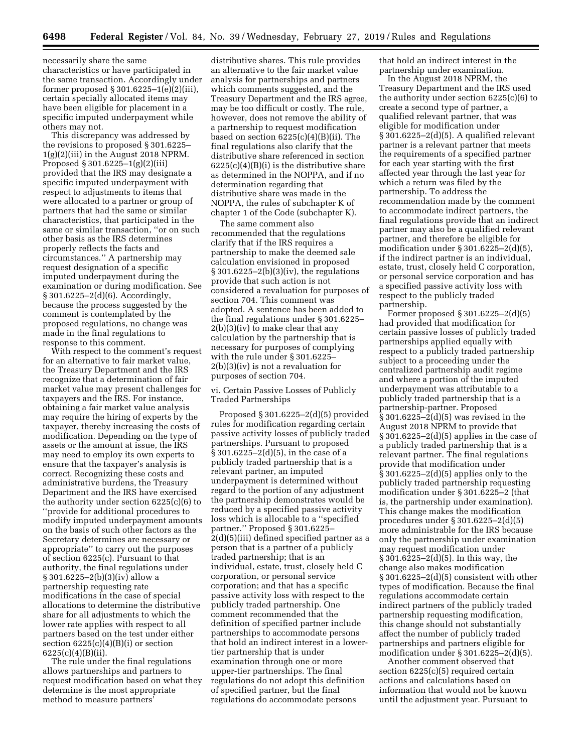necessarily share the same characteristics or have participated in the same transaction. Accordingly under former proposed § 301.6225–1(e)(2)(iii), certain specially allocated items may have been eligible for placement in a specific imputed underpayment while others may not.

This discrepancy was addressed by the revisions to proposed § 301.6225–  $1(g)(2)(iii)$  in the August 2018 NPRM. Proposed § 301.6225–1(g)(2)(iii) provided that the IRS may designate a specific imputed underpayment with respect to adjustments to items that were allocated to a partner or group of partners that had the same or similar characteristics, that participated in the same or similar transaction, ''or on such other basis as the IRS determines properly reflects the facts and circumstances.'' A partnership may request designation of a specific imputed underpayment during the examination or during modification. See § 301.6225–2(d)(6). Accordingly, because the process suggested by the comment is contemplated by the proposed regulations, no change was made in the final regulations to response to this comment.

With respect to the comment's request for an alternative to fair market value, the Treasury Department and the IRS recognize that a determination of fair market value may present challenges for taxpayers and the IRS. For instance, obtaining a fair market value analysis may require the hiring of experts by the taxpayer, thereby increasing the costs of modification. Depending on the type of assets or the amount at issue, the IRS may need to employ its own experts to ensure that the taxpayer's analysis is correct. Recognizing these costs and administrative burdens, the Treasury Department and the IRS have exercised the authority under section 6225(c)(6) to ''provide for additional procedures to modify imputed underpayment amounts on the basis of such other factors as the Secretary determines are necessary or appropriate'' to carry out the purposes of section 6225(c). Pursuant to that authority, the final regulations under § 301.6225–2(b)(3)(iv) allow a partnership requesting rate modifications in the case of special allocations to determine the distributive share for all adjustments to which the lower rate applies with respect to all partners based on the test under either section  $6225(c)(4)(B)(i)$  or section  $6225(c)(4)(B)(ii)$ .

The rule under the final regulations allows partnerships and partners to request modification based on what they determine is the most appropriate method to measure partners'

distributive shares. This rule provides an alternative to the fair market value analysis for partnerships and partners which comments suggested, and the Treasury Department and the IRS agree, may be too difficult or costly. The rule, however, does not remove the ability of a partnership to request modification based on section 6225(c)(4)(B)(ii). The final regulations also clarify that the distributive share referenced in section  $6225(c)(4)(B)(i)$  is the distributive share as determined in the NOPPA, and if no determination regarding that distributive share was made in the NOPPA, the rules of subchapter K of chapter 1 of the Code (subchapter K).

The same comment also recommended that the regulations clarify that if the IRS requires a partnership to make the deemed sale calculation envisioned in proposed § 301.6225–2(b)(3)(iv), the regulations provide that such action is not considered a revaluation for purposes of section 704. This comment was adopted. A sentence has been added to the final regulations under § 301.6225– 2(b)(3)(iv) to make clear that any calculation by the partnership that is necessary for purposes of complying with the rule under § 301.6225– 2(b)(3)(iv) is not a revaluation for purposes of section 704.

vi. Certain Passive Losses of Publicly Traded Partnerships

Proposed § 301.6225–2(d)(5) provided rules for modification regarding certain passive activity losses of publicly traded partnerships. Pursuant to proposed § 301.6225–2(d)(5), in the case of a publicly traded partnership that is a relevant partner, an imputed underpayment is determined without regard to the portion of any adjustment the partnership demonstrates would be reduced by a specified passive activity loss which is allocable to a ''specified partner.'' Proposed § 301.6225– 2(d)(5)(iii) defined specified partner as a person that is a partner of a publicly traded partnership; that is an individual, estate, trust, closely held C corporation, or personal service corporation; and that has a specific passive activity loss with respect to the publicly traded partnership. One comment recommended that the definition of specified partner include partnerships to accommodate persons that hold an indirect interest in a lowertier partnership that is under examination through one or more upper-tier partnerships. The final regulations do not adopt this definition of specified partner, but the final regulations do accommodate persons

that hold an indirect interest in the partnership under examination.

In the August 2018 NPRM, the Treasury Department and the IRS used the authority under section 6225(c)(6) to create a second type of partner, a qualified relevant partner, that was eligible for modification under § 301.6225–2(d)(5). A qualified relevant partner is a relevant partner that meets the requirements of a specified partner for each year starting with the first affected year through the last year for which a return was filed by the partnership. To address the recommendation made by the comment to accommodate indirect partners, the final regulations provide that an indirect partner may also be a qualified relevant partner, and therefore be eligible for modification under § 301.6225–2(d)(5), if the indirect partner is an individual, estate, trust, closely held C corporation, or personal service corporation and has a specified passive activity loss with respect to the publicly traded partnership.

Former proposed § 301.6225–2(d)(5) had provided that modification for certain passive losses of publicly traded partnerships applied equally with respect to a publicly traded partnership subject to a proceeding under the centralized partnership audit regime and where a portion of the imputed underpayment was attributable to a publicly traded partnership that is a partnership-partner. Proposed  $\hat{\S}$  301.6225–2(d)(5) was revised in the August 2018 NPRM to provide that § 301.6225–2(d)(5) applies in the case of a publicly traded partnership that is a relevant partner. The final regulations provide that modification under § 301.6225–2(d)(5) applies only to the publicly traded partnership requesting modification under § 301.6225–2 (that is, the partnership under examination). This change makes the modification procedures under § 301.6225–2(d)(5) more administrable for the IRS because only the partnership under examination may request modification under § 301.6225–2(d)(5). In this way, the change also makes modification § 301.6225–2(d)(5) consistent with other types of modification. Because the final regulations accommodate certain indirect partners of the publicly traded partnership requesting modification, this change should not substantially affect the number of publicly traded partnerships and partners eligible for modification under § 301.6225–2(d)(5).

Another comment observed that section 6225(c)(5) required certain actions and calculations based on information that would not be known until the adjustment year. Pursuant to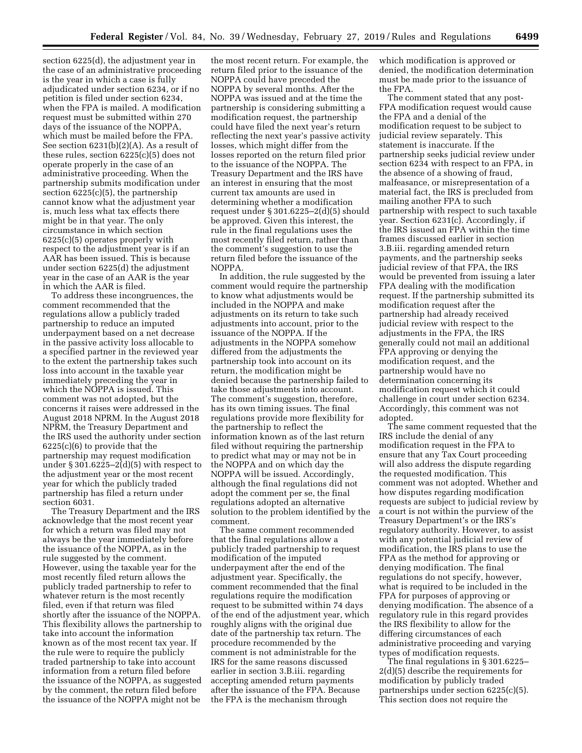section 6225(d), the adjustment year in the case of an administrative proceeding is the year in which a case is fully adjudicated under section 6234, or if no petition is filed under section 6234, when the FPA is mailed. A modification request must be submitted within 270 days of the issuance of the NOPPA, which must be mailed before the FPA. See section 6231(b)(2)(A). As a result of these rules, section 6225(c)(5) does not operate properly in the case of an administrative proceeding. When the partnership submits modification under section 6225(c)(5), the partnership cannot know what the adjustment year is, much less what tax effects there might be in that year. The only circumstance in which section 6225(c)(5) operates properly with respect to the adjustment year is if an AAR has been issued. This is because under section 6225(d) the adjustment year in the case of an AAR is the year in which the AAR is filed.

To address these incongruences, the comment recommended that the regulations allow a publicly traded partnership to reduce an imputed underpayment based on a net decrease in the passive activity loss allocable to a specified partner in the reviewed year to the extent the partnership takes such loss into account in the taxable year immediately preceding the year in which the NOPPA is issued. This comment was not adopted, but the concerns it raises were addressed in the August 2018 NPRM. In the August 2018 NPRM, the Treasury Department and the IRS used the authority under section 6225(c)(6) to provide that the partnership may request modification under  $\S 301.6225 - 2(d)(5)$  with respect to the adjustment year or the most recent year for which the publicly traded partnership has filed a return under section 6031.

The Treasury Department and the IRS acknowledge that the most recent year for which a return was filed may not always be the year immediately before the issuance of the NOPPA, as in the rule suggested by the comment. However, using the taxable year for the most recently filed return allows the publicly traded partnership to refer to whatever return is the most recently filed, even if that return was filed shortly after the issuance of the NOPPA. This flexibility allows the partnership to take into account the information known as of the most recent tax year. If the rule were to require the publicly traded partnership to take into account information from a return filed before the issuance of the NOPPA, as suggested by the comment, the return filed before the issuance of the NOPPA might not be

the most recent return. For example, the return filed prior to the issuance of the NOPPA could have preceded the NOPPA by several months. After the NOPPA was issued and at the time the partnership is considering submitting a modification request, the partnership could have filed the next year's return reflecting the next year's passive activity losses, which might differ from the losses reported on the return filed prior to the issuance of the NOPPA. The Treasury Department and the IRS have an interest in ensuring that the most current tax amounts are used in determining whether a modification request under § 301.6225–2(d)(5) should be approved. Given this interest, the rule in the final regulations uses the most recently filed return, rather than the comment's suggestion to use the return filed before the issuance of the NOPPA.

In addition, the rule suggested by the comment would require the partnership to know what adjustments would be included in the NOPPA and make adjustments on its return to take such adjustments into account, prior to the issuance of the NOPPA. If the adjustments in the NOPPA somehow differed from the adjustments the partnership took into account on its return, the modification might be denied because the partnership failed to take those adjustments into account. The comment's suggestion, therefore, has its own timing issues. The final regulations provide more flexibility for the partnership to reflect the information known as of the last return filed without requiring the partnership to predict what may or may not be in the NOPPA and on which day the NOPPA will be issued. Accordingly, although the final regulations did not adopt the comment per se, the final regulations adopted an alternative solution to the problem identified by the comment.

The same comment recommended that the final regulations allow a publicly traded partnership to request modification of the imputed underpayment after the end of the adjustment year. Specifically, the comment recommended that the final regulations require the modification request to be submitted within 74 days of the end of the adjustment year, which roughly aligns with the original due date of the partnership tax return. The procedure recommended by the comment is not administrable for the IRS for the same reasons discussed earlier in section 3.B.iii. regarding accepting amended return payments after the issuance of the FPA. Because the FPA is the mechanism through

which modification is approved or denied, the modification determination must be made prior to the issuance of the FPA.

The comment stated that any post-FPA modification request would cause the FPA and a denial of the modification request to be subject to judicial review separately. This statement is inaccurate. If the partnership seeks judicial review under section 6234 with respect to an FPA, in the absence of a showing of fraud, malfeasance, or misrepresentation of a material fact, the IRS is precluded from mailing another FPA to such partnership with respect to such taxable year. Section 6231(c). Accordingly, if the IRS issued an FPA within the time frames discussed earlier in section 3.B.iii. regarding amended return payments, and the partnership seeks judicial review of that FPA, the IRS would be prevented from issuing a later FPA dealing with the modification request. If the partnership submitted its modification request after the partnership had already received judicial review with respect to the adjustments in the FPA, the IRS generally could not mail an additional FPA approving or denying the modification request, and the partnership would have no determination concerning its modification request which it could challenge in court under section 6234. Accordingly, this comment was not adopted.

The same comment requested that the IRS include the denial of any modification request in the FPA to ensure that any Tax Court proceeding will also address the dispute regarding the requested modification. This comment was not adopted. Whether and how disputes regarding modification requests are subject to judicial review by a court is not within the purview of the Treasury Department's or the IRS's regulatory authority. However, to assist with any potential judicial review of modification, the IRS plans to use the FPA as the method for approving or denying modification. The final regulations do not specify, however, what is required to be included in the FPA for purposes of approving or denying modification. The absence of a regulatory rule in this regard provides the IRS flexibility to allow for the differing circumstances of each administrative proceeding and varying types of modification requests.

The final regulations in § 301.6225– 2(d)(5) describe the requirements for modification by publicly traded partnerships under section 6225(c)(5). This section does not require the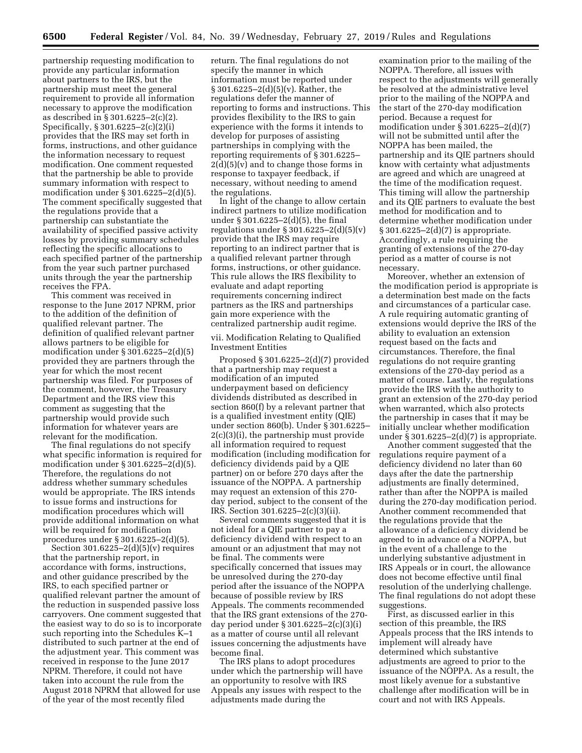partnership requesting modification to provide any particular information about partners to the IRS, but the partnership must meet the general requirement to provide all information necessary to approve the modification as described in § 301.6225–2(c)(2). Specifically, § 301.6225–2(c)(2)(i) provides that the IRS may set forth in forms, instructions, and other guidance the information necessary to request modification. One comment requested that the partnership be able to provide summary information with respect to modification under § 301.6225–2(d)(5). The comment specifically suggested that the regulations provide that a partnership can substantiate the availability of specified passive activity losses by providing summary schedules reflecting the specific allocations to each specified partner of the partnership from the year such partner purchased units through the year the partnership receives the FPA.

This comment was received in response to the June 2017 NPRM, prior to the addition of the definition of qualified relevant partner. The definition of qualified relevant partner allows partners to be eligible for modification under § 301.6225–2(d)(5) provided they are partners through the year for which the most recent partnership was filed. For purposes of the comment, however, the Treasury Department and the IRS view this comment as suggesting that the partnership would provide such information for whatever years are relevant for the modification.

The final regulations do not specify what specific information is required for modification under § 301.6225–2(d)(5). Therefore, the regulations do not address whether summary schedules would be appropriate. The IRS intends to issue forms and instructions for modification procedures which will provide additional information on what will be required for modification procedures under § 301.6225–2(d)(5).

Section 301.6225–2(d)(5)(v) requires that the partnership report, in accordance with forms, instructions, and other guidance prescribed by the IRS, to each specified partner or qualified relevant partner the amount of the reduction in suspended passive loss carryovers. One comment suggested that the easiest way to do so is to incorporate such reporting into the Schedules K–1 distributed to such partner at the end of the adjustment year. This comment was received in response to the June 2017 NPRM. Therefore, it could not have taken into account the rule from the August 2018 NPRM that allowed for use of the year of the most recently filed

return. The final regulations do not specify the manner in which information must be reported under § 301.6225–2(d)(5)(v). Rather, the regulations defer the manner of reporting to forms and instructions. This provides flexibility to the IRS to gain experience with the forms it intends to develop for purposes of assisting partnerships in complying with the reporting requirements of § 301.6225– 2(d)(5)(v) and to change those forms in response to taxpayer feedback, if necessary, without needing to amend the regulations.

In light of the change to allow certain indirect partners to utilize modification under § 301.6225–2(d)(5), the final regulations under  $\S 301.6225 - 2(d)(5)(v)$ provide that the IRS may require reporting to an indirect partner that is a qualified relevant partner through forms, instructions, or other guidance. This rule allows the IRS flexibility to evaluate and adapt reporting requirements concerning indirect partners as the IRS and partnerships gain more experience with the centralized partnership audit regime.

vii. Modification Relating to Qualified Investment Entities

Proposed § 301.6225–2(d)(7) provided that a partnership may request a modification of an imputed underpayment based on deficiency dividends distributed as described in section 860(f) by a relevant partner that is a qualified investment entity (QIE) under section 860(b). Under § 301.6225– 2(c)(3)(i), the partnership must provide all information required to request modification (including modification for deficiency dividends paid by a QIE partner) on or before 270 days after the issuance of the NOPPA. A partnership may request an extension of this 270 day period, subject to the consent of the IRS. Section 301.6225–2(c)(3)(ii).

Several comments suggested that it is not ideal for a QIE partner to pay a deficiency dividend with respect to an amount or an adjustment that may not be final. The comments were specifically concerned that issues may be unresolved during the 270-day period after the issuance of the NOPPA because of possible review by IRS Appeals. The comments recommended that the IRS grant extensions of the 270 day period under § 301.6225–2(c)(3)(i) as a matter of course until all relevant issues concerning the adjustments have become final.

The IRS plans to adopt procedures under which the partnership will have an opportunity to resolve with IRS Appeals any issues with respect to the adjustments made during the

examination prior to the mailing of the NOPPA. Therefore, all issues with respect to the adjustments will generally be resolved at the administrative level prior to the mailing of the NOPPA and the start of the 270-day modification period. Because a request for modification under  $\S 301.6225 - 2(d)(7)$ will not be submitted until after the NOPPA has been mailed, the partnership and its QIE partners should know with certainty what adjustments are agreed and which are unagreed at the time of the modification request. This timing will allow the partnership and its QIE partners to evaluate the best method for modification and to determine whether modification under § 301.6225–2(d)(7) is appropriate. Accordingly, a rule requiring the granting of extensions of the 270-day period as a matter of course is not necessary.

Moreover, whether an extension of the modification period is appropriate is a determination best made on the facts and circumstances of a particular case. A rule requiring automatic granting of extensions would deprive the IRS of the ability to evaluation an extension request based on the facts and circumstances. Therefore, the final regulations do not require granting extensions of the 270-day period as a matter of course. Lastly, the regulations provide the IRS with the authority to grant an extension of the 270-day period when warranted, which also protects the partnership in cases that it may be initially unclear whether modification under  $\S 301.6225 - 2(d)(7)$  is appropriate.

Another comment suggested that the regulations require payment of a deficiency dividend no later than 60 days after the date the partnership adjustments are finally determined, rather than after the NOPPA is mailed during the 270-day modification period. Another comment recommended that the regulations provide that the allowance of a deficiency dividend be agreed to in advance of a NOPPA, but in the event of a challenge to the underlying substantive adjustment in IRS Appeals or in court, the allowance does not become effective until final resolution of the underlying challenge. The final regulations do not adopt these suggestions.

First, as discussed earlier in this section of this preamble, the IRS Appeals process that the IRS intends to implement will already have determined which substantive adjustments are agreed to prior to the issuance of the NOPPA. As a result, the most likely avenue for a substantive challenge after modification will be in court and not with IRS Appeals.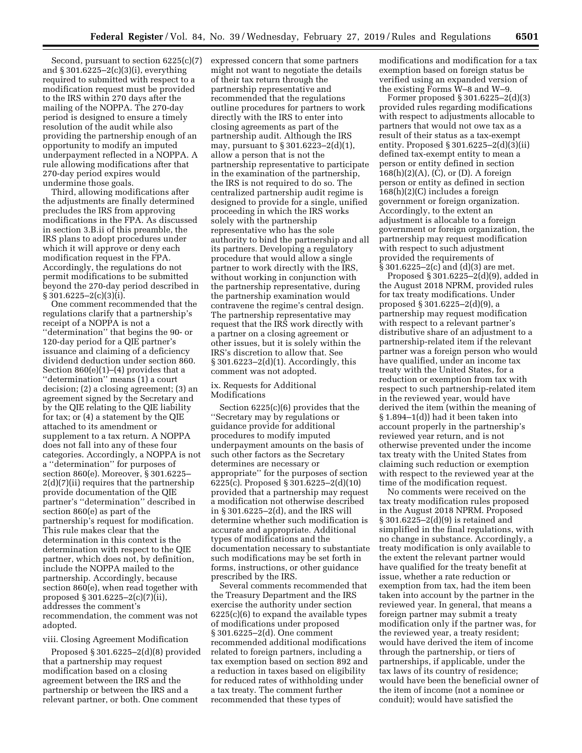Second, pursuant to section 6225(c)(7) and § 301.6225–2(c)(3)(i), everything required to submitted with respect to a modification request must be provided to the IRS within 270 days after the mailing of the NOPPA. The 270-day period is designed to ensure a timely resolution of the audit while also providing the partnership enough of an opportunity to modify an imputed underpayment reflected in a NOPPA. A rule allowing modifications after that 270-day period expires would undermine those goals.

Third, allowing modifications after the adjustments are finally determined precludes the IRS from approving modifications in the FPA. As discussed in section 3.B.ii of this preamble, the IRS plans to adopt procedures under which it will approve or deny each modification request in the FPA. Accordingly, the regulations do not permit modifications to be submitted beyond the 270-day period described in  $§ 301.6225 - 2(c)(3)(i).$ 

One comment recommended that the regulations clarify that a partnership's receipt of a NOPPA is not a ''determination'' that begins the 90- or 120-day period for a QIE partner's issuance and claiming of a deficiency dividend deduction under section 860. Section 860(e)(1)–(4) provides that a ''determination'' means (1) a court decision; (2) a closing agreement; (3) an agreement signed by the Secretary and by the QIE relating to the QIE liability for tax; or (4) a statement by the QIE attached to its amendment or supplement to a tax return. A NOPPA does not fall into any of these four categories. Accordingly, a NOPPA is not a ''determination'' for purposes of section 860(e). Moreover, § 301.6225– 2(d)(7)(ii) requires that the partnership provide documentation of the QIE partner's ''determination'' described in section 860(e) as part of the partnership's request for modification. This rule makes clear that the determination in this context is the determination with respect to the QIE partner, which does not, by definition, include the NOPPA mailed to the partnership. Accordingly, because section 860(e), when read together with proposed § 301.6225–2(c)(7)(ii), addresses the comment's recommendation, the comment was not adopted.

#### viii. Closing Agreement Modification

Proposed § 301.6225–2(d)(8) provided that a partnership may request modification based on a closing agreement between the IRS and the partnership or between the IRS and a relevant partner, or both. One comment

expressed concern that some partners might not want to negotiate the details of their tax return through the partnership representative and recommended that the regulations outline procedures for partners to work directly with the IRS to enter into closing agreements as part of the partnership audit. Although the IRS may, pursuant to § 301.6223–2(d)(1), allow a person that is not the partnership representative to participate in the examination of the partnership, the IRS is not required to do so. The centralized partnership audit regime is designed to provide for a single, unified proceeding in which the IRS works solely with the partnership representative who has the sole authority to bind the partnership and all its partners. Developing a regulatory procedure that would allow a single partner to work directly with the IRS, without working in conjunction with the partnership representative, during the partnership examination would contravene the regime's central design. The partnership representative may request that the IRS work directly with a partner on a closing agreement or other issues, but it is solely within the IRS's discretion to allow that. See § 301.6223–2(d)(1). Accordingly, this comment was not adopted.

## ix. Requests for Additional Modifications

Section 6225(c)(6) provides that the ''Secretary may by regulations or guidance provide for additional procedures to modify imputed underpayment amounts on the basis of such other factors as the Secretary determines are necessary or appropriate'' for the purposes of section 6225(c). Proposed § 301.6225–2(d)(10) provided that a partnership may request a modification not otherwise described in § 301.6225–2(d), and the IRS will determine whether such modification is accurate and appropriate. Additional types of modifications and the documentation necessary to substantiate such modifications may be set forth in forms, instructions, or other guidance prescribed by the IRS.

Several comments recommended that the Treasury Department and the IRS exercise the authority under section 6225(c)(6) to expand the available types of modifications under proposed § 301.6225–2(d). One comment recommended additional modifications related to foreign partners, including a tax exemption based on section 892 and a reduction in taxes based on eligibility for reduced rates of withholding under a tax treaty. The comment further recommended that these types of

modifications and modification for a tax exemption based on foreign status be verified using an expanded version of the existing Forms W–8 and W–9.

Former proposed § 301.6225–2(d)(3) provided rules regarding modifications with respect to adjustments allocable to partners that would not owe tax as a result of their status as a tax-exempt entity. Proposed § 301.6225–2(d)(3)(ii) defined tax-exempt entity to mean a person or entity defined in section 168(h)(2)(A), (C), or (D). A foreign person or entity as defined in section 168(h)(2)(C) includes a foreign government or foreign organization. Accordingly, to the extent an adjustment is allocable to a foreign government or foreign organization, the partnership may request modification with respect to such adjustment provided the requirements of § 301.6225–2(c) and (d)(3) are met.

Proposed § 301.6225–2(d)(9), added in the August 2018 NPRM, provided rules for tax treaty modifications. Under proposed § 301.6225–2(d)(9), a partnership may request modification with respect to a relevant partner's distributive share of an adjustment to a partnership-related item if the relevant partner was a foreign person who would have qualified, under an income tax treaty with the United States, for a reduction or exemption from tax with respect to such partnership-related item in the reviewed year, would have derived the item (within the meaning of § 1.894–1(d)) had it been taken into account properly in the partnership's reviewed year return, and is not otherwise prevented under the income tax treaty with the United States from claiming such reduction or exemption with respect to the reviewed year at the time of the modification request.

No comments were received on the tax treaty modification rules proposed in the August 2018 NPRM. Proposed § 301.6225–2(d)(9) is retained and simplified in the final regulations, with no change in substance. Accordingly, a treaty modification is only available to the extent the relevant partner would have qualified for the treaty benefit at issue, whether a rate reduction or exemption from tax, had the item been taken into account by the partner in the reviewed year. In general, that means a foreign partner may submit a treaty modification only if the partner was, for the reviewed year, a treaty resident; would have derived the item of income through the partnership, or tiers of partnerships, if applicable, under the tax laws of its country of residence; would have been the beneficial owner of the item of income (not a nominee or conduit); would have satisfied the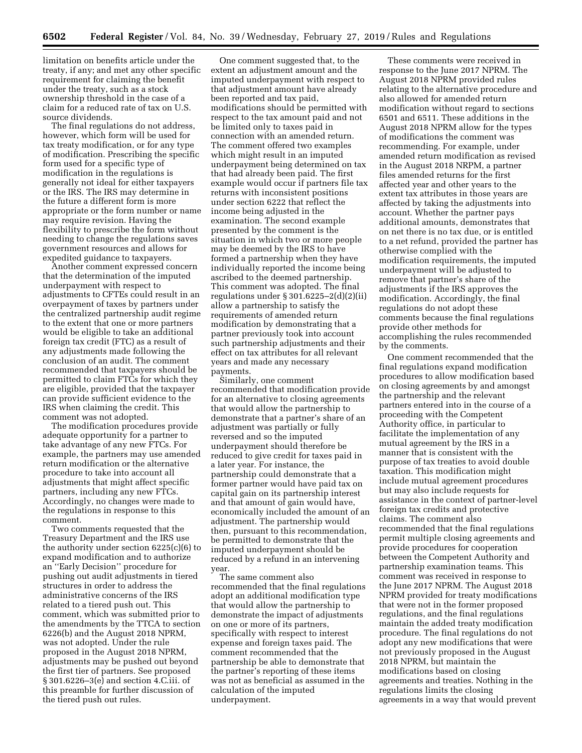limitation on benefits article under the treaty, if any; and met any other specific requirement for claiming the benefit under the treaty, such as a stock ownership threshold in the case of a claim for a reduced rate of tax on U.S. source dividends.

The final regulations do not address, however, which form will be used for tax treaty modification, or for any type of modification. Prescribing the specific form used for a specific type of modification in the regulations is generally not ideal for either taxpayers or the IRS. The IRS may determine in the future a different form is more appropriate or the form number or name may require revision. Having the flexibility to prescribe the form without needing to change the regulations saves government resources and allows for expedited guidance to taxpayers.

Another comment expressed concern that the determination of the imputed underpayment with respect to adjustments to CFTEs could result in an overpayment of taxes by partners under the centralized partnership audit regime to the extent that one or more partners would be eligible to take an additional foreign tax credit (FTC) as a result of any adjustments made following the conclusion of an audit. The comment recommended that taxpayers should be permitted to claim FTCs for which they are eligible, provided that the taxpayer can provide sufficient evidence to the IRS when claiming the credit. This comment was not adopted.

The modification procedures provide adequate opportunity for a partner to take advantage of any new FTCs. For example, the partners may use amended return modification or the alternative procedure to take into account all adjustments that might affect specific partners, including any new FTCs. Accordingly, no changes were made to the regulations in response to this comment.

Two comments requested that the Treasury Department and the IRS use the authority under section 6225(c)(6) to expand modification and to authorize an ''Early Decision'' procedure for pushing out audit adjustments in tiered structures in order to address the administrative concerns of the IRS related to a tiered push out. This comment, which was submitted prior to the amendments by the TTCA to section 6226(b) and the August 2018 NPRM, was not adopted. Under the rule proposed in the August 2018 NPRM, adjustments may be pushed out beyond the first tier of partners. See proposed § 301.6226–3(e) and section 4.C.iii. of this preamble for further discussion of the tiered push out rules.

One comment suggested that, to the extent an adjustment amount and the imputed underpayment with respect to that adjustment amount have already been reported and tax paid, modifications should be permitted with respect to the tax amount paid and not be limited only to taxes paid in connection with an amended return. The comment offered two examples which might result in an imputed underpayment being determined on tax that had already been paid. The first example would occur if partners file tax returns with inconsistent positions under section 6222 that reflect the income being adjusted in the examination. The second example presented by the comment is the situation in which two or more people may be deemed by the IRS to have formed a partnership when they have individually reported the income being ascribed to the deemed partnership. This comment was adopted. The final regulations under § 301.6225–2(d)(2)(ii) allow a partnership to satisfy the requirements of amended return modification by demonstrating that a partner previously took into account such partnership adjustments and their effect on tax attributes for all relevant years and made any necessary payments.

Similarly, one comment recommended that modification provide for an alternative to closing agreements that would allow the partnership to demonstrate that a partner's share of an adjustment was partially or fully reversed and so the imputed underpayment should therefore be reduced to give credit for taxes paid in a later year. For instance, the partnership could demonstrate that a former partner would have paid tax on capital gain on its partnership interest and that amount of gain would have, economically included the amount of an adjustment. The partnership would then, pursuant to this recommendation, be permitted to demonstrate that the imputed underpayment should be reduced by a refund in an intervening year.

The same comment also recommended that the final regulations adopt an additional modification type that would allow the partnership to demonstrate the impact of adjustments on one or more of its partners, specifically with respect to interest expense and foreign taxes paid. The comment recommended that the partnership be able to demonstrate that the partner's reporting of these items was not as beneficial as assumed in the calculation of the imputed underpayment.

These comments were received in response to the June 2017 NPRM. The August 2018 NPRM provided rules relating to the alternative procedure and also allowed for amended return modification without regard to sections 6501 and 6511. These additions in the August 2018 NPRM allow for the types of modifications the comment was recommending. For example, under amended return modification as revised in the August 2018 NRPM, a partner files amended returns for the first affected year and other years to the extent tax attributes in those years are affected by taking the adjustments into account. Whether the partner pays additional amounts, demonstrates that on net there is no tax due, or is entitled to a net refund, provided the partner has otherwise complied with the modification requirements, the imputed underpayment will be adjusted to remove that partner's share of the adjustments if the IRS approves the modification. Accordingly, the final regulations do not adopt these comments because the final regulations provide other methods for accomplishing the rules recommended by the comments.

One comment recommended that the final regulations expand modification procedures to allow modification based on closing agreements by and amongst the partnership and the relevant partners entered into in the course of a proceeding with the Competent Authority office, in particular to facilitate the implementation of any mutual agreement by the IRS in a manner that is consistent with the purpose of tax treaties to avoid double taxation. This modification might include mutual agreement procedures but may also include requests for assistance in the context of partner-level foreign tax credits and protective claims. The comment also recommended that the final regulations permit multiple closing agreements and provide procedures for cooperation between the Competent Authority and partnership examination teams. This comment was received in response to the June 2017 NPRM. The August 2018 NPRM provided for treaty modifications that were not in the former proposed regulations, and the final regulations maintain the added treaty modification procedure. The final regulations do not adopt any new modifications that were not previously proposed in the August 2018 NPRM, but maintain the modifications based on closing agreements and treaties. Nothing in the regulations limits the closing agreements in a way that would prevent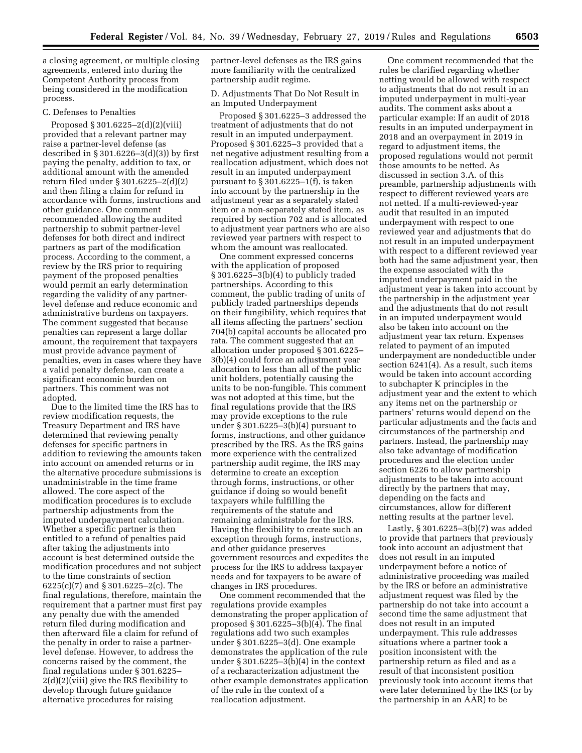a closing agreement, or multiple closing agreements, entered into during the Competent Authority process from being considered in the modification process.

### C. Defenses to Penalties

Proposed § 301.6225–2(d)(2)(viii) provided that a relevant partner may raise a partner-level defense (as described in  $\S 301.6226 - 3(d)(3)$  by first paying the penalty, addition to tax, or additional amount with the amended return filed under § 301.6225–2(d)(2) and then filing a claim for refund in accordance with forms, instructions and other guidance. One comment recommended allowing the audited partnership to submit partner-level defenses for both direct and indirect partners as part of the modification process. According to the comment, a review by the IRS prior to requiring payment of the proposed penalties would permit an early determination regarding the validity of any partnerlevel defense and reduce economic and administrative burdens on taxpayers. The comment suggested that because penalties can represent a large dollar amount, the requirement that taxpayers must provide advance payment of penalties, even in cases where they have a valid penalty defense, can create a significant economic burden on partners. This comment was not adopted.

Due to the limited time the IRS has to review modification requests, the Treasury Department and IRS have determined that reviewing penalty defenses for specific partners in addition to reviewing the amounts taken into account on amended returns or in the alternative procedure submissions is unadministrable in the time frame allowed. The core aspect of the modification procedures is to exclude partnership adjustments from the imputed underpayment calculation. Whether a specific partner is then entitled to a refund of penalties paid after taking the adjustments into account is best determined outside the modification procedures and not subject to the time constraints of section 6225(c)(7) and § 301.6225–2(c). The final regulations, therefore, maintain the requirement that a partner must first pay any penalty due with the amended return filed during modification and then afterward file a claim for refund of the penalty in order to raise a partnerlevel defense. However, to address the concerns raised by the comment, the final regulations under § 301.6225– 2(d)(2)(viii) give the IRS flexibility to develop through future guidance alternative procedures for raising

partner-level defenses as the IRS gains more familiarity with the centralized partnership audit regime.

D. Adjustments That Do Not Result in an Imputed Underpayment

Proposed § 301.6225–3 addressed the treatment of adjustments that do not result in an imputed underpayment. Proposed § 301.6225–3 provided that a net negative adjustment resulting from a reallocation adjustment, which does not result in an imputed underpayment pursuant to § 301.6225–1(f), is taken into account by the partnership in the adjustment year as a separately stated item or a non-separately stated item, as required by section 702 and is allocated to adjustment year partners who are also reviewed year partners with respect to whom the amount was reallocated.

One comment expressed concerns with the application of proposed § 301.6225–3(b)(4) to publicly traded partnerships. According to this comment, the public trading of units of publicly traded partnerships depends on their fungibility, which requires that all items affecting the partners' section 704(b) capital accounts be allocated pro rata. The comment suggested that an allocation under proposed § 301.6225– 3(b)(4) could force an adjustment year allocation to less than all of the public unit holders, potentially causing the units to be non-fungible. This comment was not adopted at this time, but the final regulations provide that the IRS may provide exceptions to the rule under § 301.6225–3(b)(4) pursuant to forms, instructions, and other guidance prescribed by the IRS. As the IRS gains more experience with the centralized partnership audit regime, the IRS may determine to create an exception through forms, instructions, or other guidance if doing so would benefit taxpayers while fulfilling the requirements of the statute and remaining administrable for the IRS. Having the flexibility to create such an exception through forms, instructions, and other guidance preserves government resources and expedites the process for the IRS to address taxpayer needs and for taxpayers to be aware of changes in IRS procedures.

One comment recommended that the regulations provide examples demonstrating the proper application of proposed § 301.6225–3(b)(4). The final regulations add two such examples under § 301.6225–3(d). One example demonstrates the application of the rule under § 301.6225–3(b)(4) in the context of a recharacterization adjustment the other example demonstrates application of the rule in the context of a reallocation adjustment.

One comment recommended that the rules be clarified regarding whether netting would be allowed with respect to adjustments that do not result in an imputed underpayment in multi-year audits. The comment asks about a particular example: If an audit of 2018 results in an imputed underpayment in 2018 and an overpayment in 2019 in regard to adjustment items, the proposed regulations would not permit those amounts to be netted. As discussed in section 3.A. of this preamble, partnership adjustments with respect to different reviewed years are not netted. If a multi-reviewed-year audit that resulted in an imputed underpayment with respect to one reviewed year and adjustments that do not result in an imputed underpayment with respect to a different reviewed year both had the same adjustment year, then the expense associated with the imputed underpayment paid in the adjustment year is taken into account by the partnership in the adjustment year and the adjustments that do not result in an imputed underpayment would also be taken into account on the adjustment year tax return. Expenses related to payment of an imputed underpayment are nondeductible under section 6241(4). As a result, such items would be taken into account according to subchapter K principles in the adjustment year and the extent to which any items net on the partnership or partners' returns would depend on the particular adjustments and the facts and circumstances of the partnership and partners. Instead, the partnership may also take advantage of modification procedures and the election under section 6226 to allow partnership adjustments to be taken into account directly by the partners that may, depending on the facts and circumstances, allow for different netting results at the partner level.

Lastly, § 301.6225–3(b)(7) was added to provide that partners that previously took into account an adjustment that does not result in an imputed underpayment before a notice of administrative proceeding was mailed by the IRS or before an administrative adjustment request was filed by the partnership do not take into account a second time the same adjustment that does not result in an imputed underpayment. This rule addresses situations where a partner took a position inconsistent with the partnership return as filed and as a result of that inconsistent position previously took into account items that were later determined by the IRS (or by the partnership in an AAR) to be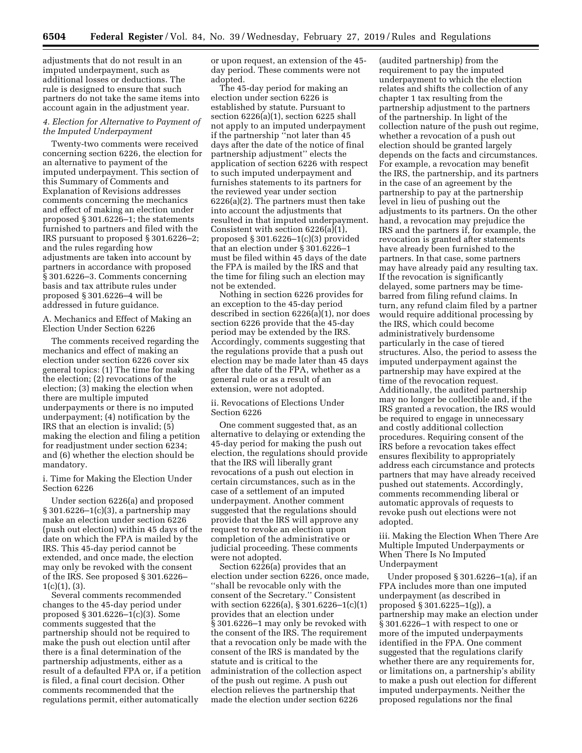adjustments that do not result in an imputed underpayment, such as additional losses or deductions. The rule is designed to ensure that such partners do not take the same items into account again in the adjustment year.

# *4. Election for Alternative to Payment of the Imputed Underpayment*

Twenty-two comments were received concerning section 6226, the election for an alternative to payment of the imputed underpayment. This section of this Summary of Comments and Explanation of Revisions addresses comments concerning the mechanics and effect of making an election under proposed § 301.6226–1; the statements furnished to partners and filed with the IRS pursuant to proposed § 301.6226–2; and the rules regarding how adjustments are taken into account by partners in accordance with proposed § 301.6226–3. Comments concerning basis and tax attribute rules under proposed § 301.6226–4 will be addressed in future guidance.

A. Mechanics and Effect of Making an Election Under Section 6226

The comments received regarding the mechanics and effect of making an election under section 6226 cover six general topics: (1) The time for making the election; (2) revocations of the election; (3) making the election when there are multiple imputed underpayments or there is no imputed underpayment; (4) notification by the IRS that an election is invalid; (5) making the election and filing a petition for readjustment under section 6234; and (6) whether the election should be mandatory.

i. Time for Making the Election Under Section 6226

Under section 6226(a) and proposed § 301.6226–1(c)(3), a partnership may make an election under section 6226 (push out election) within 45 days of the date on which the FPA is mailed by the IRS. This 45-day period cannot be extended, and once made, the election may only be revoked with the consent of the IRS. See proposed § 301.6226–  $1(c)(1), (3).$ 

Several comments recommended changes to the 45-day period under proposed § 301.6226–1(c)(3). Some comments suggested that the partnership should not be required to make the push out election until after there is a final determination of the partnership adjustments, either as a result of a defaulted FPA or, if a petition is filed, a final court decision. Other comments recommended that the regulations permit, either automatically

or upon request, an extension of the 45 day period. These comments were not adopted.

The 45-day period for making an election under section 6226 is established by statute. Pursuant to section 6226(a)(1), section 6225 shall not apply to an imputed underpayment if the partnership ''not later than 45 days after the date of the notice of final partnership adjustment'' elects the application of section 6226 with respect to such imputed underpayment and furnishes statements to its partners for the reviewed year under section 6226(a)(2). The partners must then take into account the adjustments that resulted in that imputed underpayment. Consistent with section 6226(a)(1), proposed § 301.6226–1(c)(3) provided that an election under § 301.6226–1 must be filed within 45 days of the date the FPA is mailed by the IRS and that the time for filing such an election may not be extended.

Nothing in section 6226 provides for an exception to the 45-day period described in section 6226(a)(1), nor does section 6226 provide that the 45-day period may be extended by the IRS. Accordingly, comments suggesting that the regulations provide that a push out election may be made later than 45 days after the date of the FPA, whether as a general rule or as a result of an extension, were not adopted.

ii. Revocations of Elections Under Section 6226

One comment suggested that, as an alternative to delaying or extending the 45-day period for making the push out election, the regulations should provide that the IRS will liberally grant revocations of a push out election in certain circumstances, such as in the case of a settlement of an imputed underpayment. Another comment suggested that the regulations should provide that the IRS will approve any request to revoke an election upon completion of the administrative or judicial proceeding. These comments were not adopted.

Section 6226(a) provides that an election under section 6226, once made, ''shall be revocable only with the consent of the Secretary.'' Consistent with section 6226(a), § 301.6226–1(c)(1) provides that an election under § 301.6226–1 may only be revoked with the consent of the IRS. The requirement that a revocation only be made with the consent of the IRS is mandated by the statute and is critical to the administration of the collection aspect of the push out regime. A push out election relieves the partnership that made the election under section 6226

(audited partnership) from the requirement to pay the imputed underpayment to which the election relates and shifts the collection of any chapter 1 tax resulting from the partnership adjustment to the partners of the partnership. In light of the collection nature of the push out regime, whether a revocation of a push out election should be granted largely depends on the facts and circumstances. For example, a revocation may benefit the IRS, the partnership, and its partners in the case of an agreement by the partnership to pay at the partnership level in lieu of pushing out the adjustments to its partners. On the other hand, a revocation may prejudice the IRS and the partners if, for example, the revocation is granted after statements have already been furnished to the partners. In that case, some partners may have already paid any resulting tax. If the revocation is significantly delayed, some partners may be timebarred from filing refund claims. In turn, any refund claim filed by a partner would require additional processing by the IRS, which could become administratively burdensome particularly in the case of tiered structures. Also, the period to assess the imputed underpayment against the partnership may have expired at the time of the revocation request. Additionally, the audited partnership may no longer be collectible and, if the IRS granted a revocation, the IRS would be required to engage in unnecessary and costly additional collection procedures. Requiring consent of the IRS before a revocation takes effect ensures flexibility to appropriately address each circumstance and protects partners that may have already received pushed out statements. Accordingly, comments recommending liberal or automatic approvals of requests to revoke push out elections were not adopted.

iii. Making the Election When There Are Multiple Imputed Underpayments or When There Is No Imputed Underpayment

Under proposed § 301.6226–1(a), if an FPA includes more than one imputed underpayment (as described in proposed § 301.6225–1(g)), a partnership may make an election under § 301.6226–1 with respect to one or more of the imputed underpayments identified in the FPA. One comment suggested that the regulations clarify whether there are any requirements for, or limitations on, a partnership's ability to make a push out election for different imputed underpayments. Neither the proposed regulations nor the final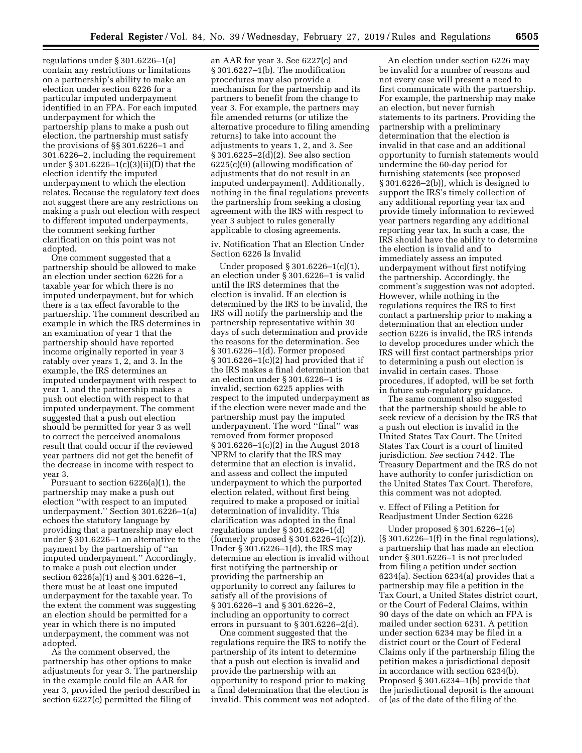regulations under § 301.6226–1(a) contain any restrictions or limitations on a partnership's ability to make an election under section 6226 for a particular imputed underpayment identified in an FPA. For each imputed underpayment for which the partnership plans to make a push out election, the partnership must satisfy the provisions of §§ 301.6226–1 and 301.6226–2, including the requirement under § 301.6226–1(c)(3)(ii)(D) that the election identify the imputed underpayment to which the election relates. Because the regulatory text does not suggest there are any restrictions on making a push out election with respect to different imputed underpayments, the comment seeking further clarification on this point was not adopted.

One comment suggested that a partnership should be allowed to make an election under section 6226 for a taxable year for which there is no imputed underpayment, but for which there is a tax effect favorable to the partnership. The comment described an example in which the IRS determines in an examination of year 1 that the partnership should have reported income originally reported in year 3 ratably over years 1, 2, and 3. In the example, the IRS determines an imputed underpayment with respect to year 1, and the partnership makes a push out election with respect to that imputed underpayment. The comment suggested that a push out election should be permitted for year 3 as well to correct the perceived anomalous result that could occur if the reviewed year partners did not get the benefit of the decrease in income with respect to year 3.

Pursuant to section 6226(a)(1), the partnership may make a push out election ''with respect to an imputed underpayment.'' Section 301.6226–1(a) echoes the statutory language by providing that a partnership may elect under § 301.6226–1 an alternative to the payment by the partnership of ''an imputed underpayment.'' Accordingly, to make a push out election under section 6226(a)(1) and § 301.6226–1, there must be at least one imputed underpayment for the taxable year. To the extent the comment was suggesting an election should be permitted for a year in which there is no imputed underpayment, the comment was not adopted.

As the comment observed, the partnership has other options to make adjustments for year 3. The partnership in the example could file an AAR for year 3, provided the period described in section 6227(c) permitted the filing of

an AAR for year 3. See 6227(c) and § 301.6227–1(b). The modification procedures may also provide a mechanism for the partnership and its partners to benefit from the change to year 3. For example, the partners may file amended returns (or utilize the alternative procedure to filing amending returns) to take into account the adjustments to years 1, 2, and 3. See § 301.6225–2(d)(2). See also section 6225(c)(9) (allowing modification of adjustments that do not result in an imputed underpayment). Additionally, nothing in the final regulations prevents the partnership from seeking a closing agreement with the IRS with respect to year 3 subject to rules generally applicable to closing agreements.

iv. Notification That an Election Under Section 6226 Is Invalid

Under proposed § 301.6226–1(c)(1), an election under § 301.6226–1 is valid until the IRS determines that the election is invalid. If an election is determined by the IRS to be invalid, the IRS will notify the partnership and the partnership representative within 30 days of such determination and provide the reasons for the determination. See § 301.6226–1(d). Former proposed § 301.6226–1(c)(2) had provided that if the IRS makes a final determination that an election under § 301.6226–1 is invalid, section 6225 applies with respect to the imputed underpayment as if the election were never made and the partnership must pay the imputed underpayment. The word ''final'' was removed from former proposed § 301.6226–1(c)(2) in the August 2018 NPRM to clarify that the IRS may determine that an election is invalid, and assess and collect the imputed underpayment to which the purported election related, without first being required to make a proposed or initial determination of invalidity. This clarification was adopted in the final regulations under § 301.6226–1(d) (formerly proposed § 301.6226–1(c)(2)). Under § 301.6226–1(d), the IRS may determine an election is invalid without first notifying the partnership or providing the partnership an opportunity to correct any failures to satisfy all of the provisions of § 301.6226–1 and § 301.6226–2, including an opportunity to correct errors in pursuant to § 301.6226–2(d).

One comment suggested that the regulations require the IRS to notify the partnership of its intent to determine that a push out election is invalid and provide the partnership with an opportunity to respond prior to making a final determination that the election is invalid. This comment was not adopted.

An election under section 6226 may be invalid for a number of reasons and not every case will present a need to first communicate with the partnership. For example, the partnership may make an election, but never furnish statements to its partners. Providing the partnership with a preliminary determination that the election is invalid in that case and an additional opportunity to furnish statements would undermine the 60-day period for furnishing statements (see proposed § 301.6226–2(b)), which is designed to support the IRS's timely collection of any additional reporting year tax and provide timely information to reviewed year partners regarding any additional reporting year tax. In such a case, the IRS should have the ability to determine the election is invalid and to immediately assess an imputed underpayment without first notifying the partnership. Accordingly, the comment's suggestion was not adopted. However, while nothing in the regulations requires the IRS to first contact a partnership prior to making a determination that an election under section 6226 is invalid, the IRS intends to develop procedures under which the IRS will first contact partnerships prior to determining a push out election is invalid in certain cases. Those procedures, if adopted, will be set forth in future sub-regulatory guidance.

The same comment also suggested that the partnership should be able to seek review of a decision by the IRS that a push out election is invalid in the United States Tax Court. The United States Tax Court is a court of limited jurisdiction. *See* section 7442. The Treasury Department and the IRS do not have authority to confer jurisdiction on the United States Tax Court. Therefore, this comment was not adopted.

#### v. Effect of Filing a Petition for Readjustment Under Section 6226

Under proposed § 301.6226–1(e)  $(S301.6226-1(f)$  in the final regulations), a partnership that has made an election under § 301.6226–1 is not precluded from filing a petition under section 6234(a). Section 6234(a) provides that a partnership may file a petition in the Tax Court, a United States district court, or the Court of Federal Claims, within 90 days of the date on which an FPA is mailed under section 6231. A petition under section 6234 may be filed in a district court or the Court of Federal Claims only if the partnership filing the petition makes a jurisdictional deposit in accordance with section 6234(b). Proposed § 301.6234–1(b) provide that the jurisdictional deposit is the amount of (as of the date of the filing of the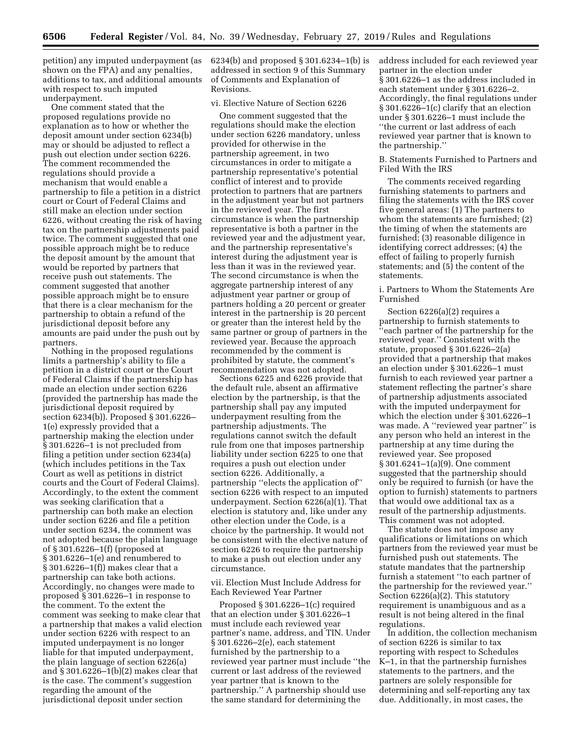petition) any imputed underpayment (as shown on the FPA) and any penalties, additions to tax, and additional amounts with respect to such imputed underpayment.

One comment stated that the proposed regulations provide no explanation as to how or whether the deposit amount under section 6234(b) may or should be adjusted to reflect a push out election under section 6226. The comment recommended the regulations should provide a mechanism that would enable a partnership to file a petition in a district court or Court of Federal Claims and still make an election under section 6226, without creating the risk of having tax on the partnership adjustments paid twice. The comment suggested that one possible approach might be to reduce the deposit amount by the amount that would be reported by partners that receive push out statements. The comment suggested that another possible approach might be to ensure that there is a clear mechanism for the partnership to obtain a refund of the jurisdictional deposit before any amounts are paid under the push out by partners.

Nothing in the proposed regulations limits a partnership's ability to file a petition in a district court or the Court of Federal Claims if the partnership has made an election under section 6226 (provided the partnership has made the jurisdictional deposit required by section 6234(b)). Proposed § 301.6226– 1(e) expressly provided that a partnership making the election under § 301.6226–1 is not precluded from filing a petition under section 6234(a) (which includes petitions in the Tax Court as well as petitions in district courts and the Court of Federal Claims). Accordingly, to the extent the comment was seeking clarification that a partnership can both make an election under section 6226 and file a petition under section 6234, the comment was not adopted because the plain language of § 301.6226–1(f) (proposed at § 301.6226–1(e) and renumbered to § 301.6226–1(f)) makes clear that a partnership can take both actions. Accordingly, no changes were made to proposed § 301.6226–1 in response to the comment. To the extent the comment was seeking to make clear that a partnership that makes a valid election under section 6226 with respect to an imputed underpayment is no longer liable for that imputed underpayment, the plain language of section 6226(a) and § 301.6226–1(b)(2) makes clear that is the case. The comment's suggestion regarding the amount of the jurisdictional deposit under section

6234(b) and proposed § 301.6234–1(b) is addressed in section 9 of this Summary of Comments and Explanation of Revisions.

vi. Elective Nature of Section 6226

One comment suggested that the regulations should make the election under section 6226 mandatory, unless provided for otherwise in the partnership agreement, in two circumstances in order to mitigate a partnership representative's potential conflict of interest and to provide protection to partners that are partners in the adjustment year but not partners in the reviewed year. The first circumstance is when the partnership representative is both a partner in the reviewed year and the adjustment year, and the partnership representative's interest during the adjustment year is less than it was in the reviewed year. The second circumstance is when the aggregate partnership interest of any adjustment year partner or group of partners holding a 20 percent or greater interest in the partnership is 20 percent or greater than the interest held by the same partner or group of partners in the reviewed year. Because the approach recommended by the comment is prohibited by statute, the comment's recommendation was not adopted.

Sections 6225 and 6226 provide that the default rule, absent an affirmative election by the partnership, is that the partnership shall pay any imputed underpayment resulting from the partnership adjustments. The regulations cannot switch the default rule from one that imposes partnership liability under section 6225 to one that requires a push out election under section 6226. Additionally, a partnership ''elects the application of'' section 6226 with respect to an imputed underpayment. Section 6226(a)(1). That election is statutory and, like under any other election under the Code, is a choice by the partnership. It would not be consistent with the elective nature of section 6226 to require the partnership to make a push out election under any circumstance.

vii. Election Must Include Address for Each Reviewed Year Partner

Proposed § 301.6226–1(c) required that an election under § 301.6226–1 must include each reviewed year partner's name, address, and TIN. Under § 301.6226–2(e), each statement furnished by the partnership to a reviewed year partner must include ''the current or last address of the reviewed year partner that is known to the partnership.'' A partnership should use the same standard for determining the

address included for each reviewed year partner in the election under § 301.6226–1 as the address included in each statement under § 301.6226–2. Accordingly, the final regulations under § 301.6226–1(c) clarify that an election under § 301.6226–1 must include the ''the current or last address of each reviewed year partner that is known to the partnership.''

B. Statements Furnished to Partners and Filed With the IRS

The comments received regarding furnishing statements to partners and filing the statements with the IRS cover five general areas: (1) The partners to whom the statements are furnished; (2) the timing of when the statements are furnished; (3) reasonable diligence in identifying correct addresses; (4) the effect of failing to properly furnish statements; and (5) the content of the statements.

i. Partners to Whom the Statements Are Furnished

Section 6226(a)(2) requires a partnership to furnish statements to ''each partner of the partnership for the reviewed year.'' Consistent with the statute, proposed § 301.6226–2(a) provided that a partnership that makes an election under § 301.6226–1 must furnish to each reviewed year partner a statement reflecting the partner's share of partnership adjustments associated with the imputed underpayment for which the election under § 301.6226–1 was made. A ''reviewed year partner'' is any person who held an interest in the partnership at any time during the reviewed year. See proposed § 301.6241–1(a)(9). One comment suggested that the partnership should only be required to furnish (or have the option to furnish) statements to partners that would owe additional tax as a result of the partnership adjustments. This comment was not adopted.

The statute does not impose any qualifications or limitations on which partners from the reviewed year must be furnished push out statements. The statute mandates that the partnership furnish a statement ''to each partner of the partnership for the reviewed year.'' Section 6226(a)(2). This statutory requirement is unambiguous and as a result is not being altered in the final regulations.

In addition, the collection mechanism of section 6226 is similar to tax reporting with respect to Schedules K–1, in that the partnership furnishes statements to the partners, and the partners are solely responsible for determining and self-reporting any tax due. Additionally, in most cases, the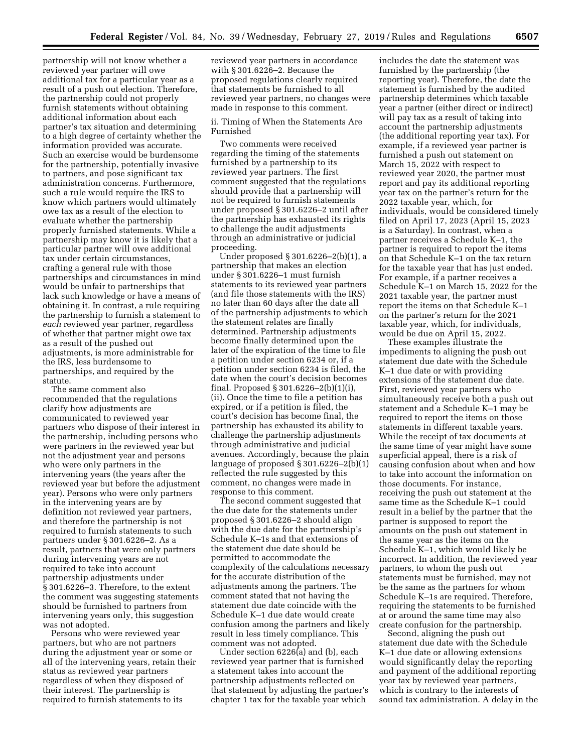partnership will not know whether a reviewed year partner will owe additional tax for a particular year as a result of a push out election. Therefore, the partnership could not properly furnish statements without obtaining additional information about each partner's tax situation and determining to a high degree of certainty whether the information provided was accurate. Such an exercise would be burdensome for the partnership, potentially invasive to partners, and pose significant tax administration concerns. Furthermore, such a rule would require the IRS to know which partners would ultimately owe tax as a result of the election to evaluate whether the partnership properly furnished statements. While a partnership may know it is likely that a particular partner will owe additional tax under certain circumstances, crafting a general rule with those partnerships and circumstances in mind would be unfair to partnerships that lack such knowledge or have a means of obtaining it. In contrast, a rule requiring the partnership to furnish a statement to *each* reviewed year partner, regardless of whether that partner might owe tax as a result of the pushed out adjustments, is more administrable for the IRS, less burdensome to partnerships, and required by the statute.

The same comment also recommended that the regulations clarify how adjustments are communicated to reviewed year partners who dispose of their interest in the partnership, including persons who were partners in the reviewed year but not the adjustment year and persons who were only partners in the intervening years (the years after the reviewed year but before the adjustment year). Persons who were only partners in the intervening years are by definition not reviewed year partners, and therefore the partnership is not required to furnish statements to such partners under § 301.6226–2. As a result, partners that were only partners during intervening years are not required to take into account partnership adjustments under § 301.6226–3. Therefore, to the extent the comment was suggesting statements should be furnished to partners from intervening years only, this suggestion was not adopted.

Persons who were reviewed year partners, but who are not partners during the adjustment year or some or all of the intervening years, retain their status as reviewed year partners regardless of when they disposed of their interest. The partnership is required to furnish statements to its

reviewed year partners in accordance with § 301.6226–2. Because the proposed regulations clearly required that statements be furnished to all reviewed year partners, no changes were made in response to this comment.

ii. Timing of When the Statements Are Furnished

Two comments were received regarding the timing of the statements furnished by a partnership to its reviewed year partners. The first comment suggested that the regulations should provide that a partnership will not be required to furnish statements under proposed § 301.6226–2 until after the partnership has exhausted its rights to challenge the audit adjustments through an administrative or judicial proceeding.

Under proposed § 301.6226–2(b)(1), a partnership that makes an election under § 301.6226–1 must furnish statements to its reviewed year partners (and file those statements with the IRS) no later than 60 days after the date all of the partnership adjustments to which the statement relates are finally determined. Partnership adjustments become finally determined upon the later of the expiration of the time to file a petition under section 6234 or, if a petition under section 6234 is filed, the date when the court's decision becomes final. Proposed § 301.6226–2(b)(1)(i), (ii). Once the time to file a petition has expired, or if a petition is filed, the court's decision has become final, the partnership has exhausted its ability to challenge the partnership adjustments through administrative and judicial avenues. Accordingly, because the plain language of proposed § 301.6226–2(b)(1) reflected the rule suggested by this comment, no changes were made in response to this comment.

The second comment suggested that the due date for the statements under proposed § 301.6226–2 should align with the due date for the partnership's Schedule K–1s and that extensions of the statement due date should be permitted to accommodate the complexity of the calculations necessary for the accurate distribution of the adjustments among the partners. The comment stated that not having the statement due date coincide with the Schedule K–1 due date would create confusion among the partners and likely result in less timely compliance. This comment was not adopted.

Under section 6226(a) and (b), each reviewed year partner that is furnished a statement takes into account the partnership adjustments reflected on that statement by adjusting the partner's chapter 1 tax for the taxable year which

includes the date the statement was furnished by the partnership (the reporting year). Therefore, the date the statement is furnished by the audited partnership determines which taxable year a partner (either direct or indirect) will pay tax as a result of taking into account the partnership adjustments (the additional reporting year tax). For example, if a reviewed year partner is furnished a push out statement on March 15, 2022 with respect to reviewed year 2020, the partner must report and pay its additional reporting year tax on the partner's return for the 2022 taxable year, which, for individuals, would be considered timely filed on April 17, 2023 (April 15, 2023 is a Saturday). In contrast, when a partner receives a Schedule K–1, the partner is required to report the items on that Schedule K–1 on the tax return for the taxable year that has just ended. For example, if a partner receives a Schedule K–1 on March 15, 2022 for the 2021 taxable year, the partner must report the items on that Schedule K–1 on the partner's return for the 2021 taxable year, which, for individuals, would be due on April 15, 2022.

These examples illustrate the impediments to aligning the push out statement due date with the Schedule K–1 due date or with providing extensions of the statement due date. First, reviewed year partners who simultaneously receive both a push out statement and a Schedule K–1 may be required to report the items on those statements in different taxable years. While the receipt of tax documents at the same time of year might have some superficial appeal, there is a risk of causing confusion about when and how to take into account the information on those documents. For instance, receiving the push out statement at the same time as the Schedule K–1 could result in a belief by the partner that the partner is supposed to report the amounts on the push out statement in the same year as the items on the Schedule K–1, which would likely be incorrect. In addition, the reviewed year partners, to whom the push out statements must be furnished, may not be the same as the partners for whom Schedule K–1s are required. Therefore, requiring the statements to be furnished at or around the same time may also create confusion for the partnership.

Second, aligning the push out statement due date with the Schedule K–1 due date or allowing extensions would significantly delay the reporting and payment of the additional reporting year tax by reviewed year partners, which is contrary to the interests of sound tax administration. A delay in the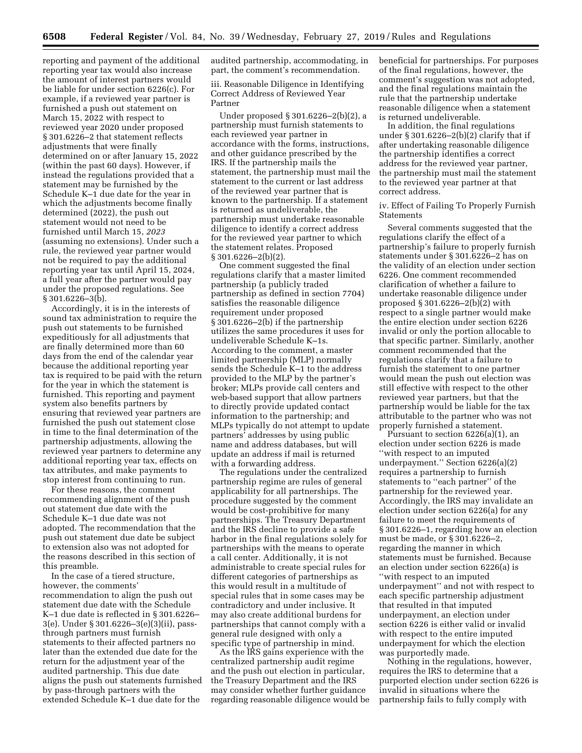reporting and payment of the additional reporting year tax would also increase the amount of interest partners would be liable for under section 6226(c). For example, if a reviewed year partner is furnished a push out statement on March 15, 2022 with respect to reviewed year 2020 under proposed § 301.6226–2 that statement reflects adjustments that were finally determined on or after January 15, 2022 (within the past 60 days). However, if instead the regulations provided that a statement may be furnished by the Schedule K–1 due date for the year in which the adjustments become finally determined (2022), the push out statement would not need to be furnished until March 15, *2023*  (assuming no extensions). Under such a rule, the reviewed year partner would not be required to pay the additional reporting year tax until April 15, 2024, a full year after the partner would pay under the proposed regulations. See  $§ 301.6226 - 3(b).$ 

Accordingly, it is in the interests of sound tax administration to require the push out statements to be furnished expeditiously for all adjustments that are finally determined more than 60 days from the end of the calendar year because the additional reporting year tax is required to be paid with the return for the year in which the statement is furnished. This reporting and payment system also benefits partners by ensuring that reviewed year partners are furnished the push out statement close in time to the final determination of the partnership adjustments, allowing the reviewed year partners to determine any additional reporting year tax, effects on tax attributes, and make payments to stop interest from continuing to run.

For these reasons, the comment recommending alignment of the push out statement due date with the Schedule K–1 due date was not adopted. The recommendation that the push out statement due date be subject to extension also was not adopted for the reasons described in this section of this preamble.

In the case of a tiered structure, however, the comments' recommendation to align the push out statement due date with the Schedule K–1 due date is reflected in § 301.6226– 3(e). Under § 301.6226–3(e)(3)(ii), passthrough partners must furnish statements to their affected partners no later than the extended due date for the return for the adjustment year of the audited partnership. This due date aligns the push out statements furnished by pass-through partners with the extended Schedule K–1 due date for the

audited partnership, accommodating, in part, the comment's recommendation.

iii. Reasonable Diligence in Identifying Correct Address of Reviewed Year Partner

Under proposed § 301.6226–2(b)(2), a partnership must furnish statements to each reviewed year partner in accordance with the forms, instructions, and other guidance prescribed by the IRS. If the partnership mails the statement, the partnership must mail the statement to the current or last address of the reviewed year partner that is known to the partnership. If a statement is returned as undeliverable, the partnership must undertake reasonable diligence to identify a correct address for the reviewed year partner to which the statement relates. Proposed § 301.6226–2(b)(2).

One comment suggested the final regulations clarify that a master limited partnership (a publicly traded partnership as defined in section 7704) satisfies the reasonable diligence requirement under proposed § 301.6226–2(b) if the partnership utilizes the same procedures it uses for undeliverable Schedule K–1s. According to the comment, a master limited partnership (MLP) normally sends the Schedule K–1 to the address provided to the MLP by the partner's broker; MLPs provide call centers and web-based support that allow partners to directly provide updated contact information to the partnership; and MLPs typically do not attempt to update partners' addresses by using public name and address databases, but will update an address if mail is returned with a forwarding address.

The regulations under the centralized partnership regime are rules of general applicability for all partnerships. The procedure suggested by the comment would be cost-prohibitive for many partnerships. The Treasury Department and the IRS decline to provide a safe harbor in the final regulations solely for partnerships with the means to operate a call center. Additionally, it is not administrable to create special rules for different categories of partnerships as this would result in a multitude of special rules that in some cases may be contradictory and under inclusive. It may also create additional burdens for partnerships that cannot comply with a general rule designed with only a specific type of partnership in mind.

As the IRS gains experience with the centralized partnership audit regime and the push out election in particular, the Treasury Department and the IRS may consider whether further guidance regarding reasonable diligence would be beneficial for partnerships. For purposes of the final regulations, however, the comment's suggestion was not adopted, and the final regulations maintain the rule that the partnership undertake reasonable diligence when a statement is returned undeliverable.

In addition, the final regulations under § 301.6226–2(b)(2) clarify that if after undertaking reasonable diligence the partnership identifies a correct address for the reviewed year partner, the partnership must mail the statement to the reviewed year partner at that correct address.

iv. Effect of Failing To Properly Furnish Statements

Several comments suggested that the regulations clarify the effect of a partnership's failure to properly furnish statements under § 301.6226–2 has on the validity of an election under section 6226. One comment recommended clarification of whether a failure to undertake reasonable diligence under proposed § 301.6226–2(b)(2) with respect to a single partner would make the entire election under section 6226 invalid or only the portion allocable to that specific partner. Similarly, another comment recommended that the regulations clarify that a failure to furnish the statement to one partner would mean the push out election was still effective with respect to the other reviewed year partners, but that the partnership would be liable for the tax attributable to the partner who was not properly furnished a statement.

Pursuant to section 6226(a)(1), an election under section 6226 is made ''with respect to an imputed underpayment.'' Section 6226(a)(2) requires a partnership to furnish statements to ''each partner'' of the partnership for the reviewed year. Accordingly, the IRS may invalidate an election under section 6226(a) for any failure to meet the requirements of § 301.6226–1, regarding how an election must be made, or § 301.6226–2, regarding the manner in which statements must be furnished. Because an election under section 6226(a) is ''with respect to an imputed underpayment'' and not with respect to each specific partnership adjustment that resulted in that imputed underpayment, an election under section 6226 is either valid or invalid with respect to the entire imputed underpayment for which the election was purportedly made.

Nothing in the regulations, however, requires the IRS to determine that a purported election under section 6226 is invalid in situations where the partnership fails to fully comply with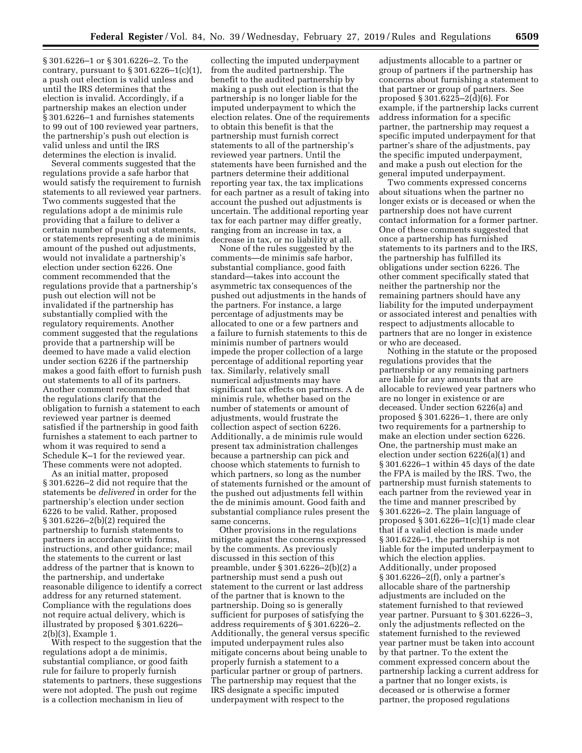§ 301.6226–1 or § 301.6226–2. To the contrary, pursuant to  $\S 301.6226 - 1(c)(1)$ , a push out election is valid unless and until the IRS determines that the election is invalid. Accordingly, if a partnership makes an election under § 301.6226–1 and furnishes statements to 99 out of 100 reviewed year partners, the partnership's push out election is valid unless and until the IRS determines the election is invalid.

Several comments suggested that the regulations provide a safe harbor that would satisfy the requirement to furnish statements to all reviewed year partners. Two comments suggested that the regulations adopt a de minimis rule providing that a failure to deliver a certain number of push out statements, or statements representing a de minimis amount of the pushed out adjustments, would not invalidate a partnership's election under section 6226. One comment recommended that the regulations provide that a partnership's push out election will not be invalidated if the partnership has substantially complied with the regulatory requirements. Another comment suggested that the regulations provide that a partnership will be deemed to have made a valid election under section 6226 if the partnership makes a good faith effort to furnish push out statements to all of its partners. Another comment recommended that the regulations clarify that the obligation to furnish a statement to each reviewed year partner is deemed satisfied if the partnership in good faith furnishes a statement to each partner to whom it was required to send a Schedule K–1 for the reviewed year. These comments were not adopted.

As an initial matter, proposed § 301.6226–2 did not require that the statements be *delivered* in order for the partnership's election under section 6226 to be valid. Rather, proposed § 301.6226–2(b)(2) required the partnership to furnish statements to partners in accordance with forms, instructions, and other guidance; mail the statements to the current or last address of the partner that is known to the partnership, and undertake reasonable diligence to identify a correct address for any returned statement. Compliance with the regulations does not require actual delivery, which is illustrated by proposed § 301.6226– 2(b)(3), Example 1.

With respect to the suggestion that the regulations adopt a de minimis, substantial compliance, or good faith rule for failure to properly furnish statements to partners, these suggestions were not adopted. The push out regime is a collection mechanism in lieu of

collecting the imputed underpayment from the audited partnership. The benefit to the audited partnership by making a push out election is that the partnership is no longer liable for the imputed underpayment to which the election relates. One of the requirements to obtain this benefit is that the partnership must furnish correct statements to all of the partnership's reviewed year partners. Until the statements have been furnished and the partners determine their additional reporting year tax, the tax implications for each partner as a result of taking into account the pushed out adjustments is uncertain. The additional reporting year tax for each partner may differ greatly, ranging from an increase in tax, a decrease in tax, or no liability at all.

None of the rules suggested by the comments—de minimis safe harbor, substantial compliance, good faith standard—takes into account the asymmetric tax consequences of the pushed out adjustments in the hands of the partners. For instance, a large percentage of adjustments may be allocated to one or a few partners and a failure to furnish statements to this de minimis number of partners would impede the proper collection of a large percentage of additional reporting year tax. Similarly, relatively small numerical adjustments may have significant tax effects on partners. A de minimis rule, whether based on the number of statements or amount of adjustments, would frustrate the collection aspect of section 6226. Additionally, a de minimis rule would present tax administration challenges because a partnership can pick and choose which statements to furnish to which partners, so long as the number of statements furnished or the amount of the pushed out adjustments fell within the de minimis amount. Good faith and substantial compliance rules present the same concerns.

Other provisions in the regulations mitigate against the concerns expressed by the comments. As previously discussed in this section of this preamble, under § 301.6226–2(b)(2) a partnership must send a push out statement to the current or last address of the partner that is known to the partnership. Doing so is generally sufficient for purposes of satisfying the address requirements of § 301.6226–2. Additionally, the general versus specific imputed underpayment rules also mitigate concerns about being unable to properly furnish a statement to a particular partner or group of partners. The partnership may request that the IRS designate a specific imputed underpayment with respect to the

adjustments allocable to a partner or group of partners if the partnership has concerns about furnishing a statement to that partner or group of partners. See proposed  $$301.6225 - 2(d)(6)$ . For example, if the partnership lacks current address information for a specific partner, the partnership may request a specific imputed underpayment for that partner's share of the adjustments, pay the specific imputed underpayment, and make a push out election for the general imputed underpayment.

Two comments expressed concerns about situations when the partner no longer exists or is deceased or when the partnership does not have current contact information for a former partner. One of these comments suggested that once a partnership has furnished statements to its partners and to the IRS, the partnership has fulfilled its obligations under section 6226. The other comment specifically stated that neither the partnership nor the remaining partners should have any liability for the imputed underpayment or associated interest and penalties with respect to adjustments allocable to partners that are no longer in existence or who are deceased.

Nothing in the statute or the proposed regulations provides that the partnership or any remaining partners are liable for any amounts that are allocable to reviewed year partners who are no longer in existence or are deceased. Under section 6226(a) and proposed § 301.6226–1, there are only two requirements for a partnership to make an election under section 6226. One, the partnership must make an election under section 6226(a)(1) and § 301.6226–1 within 45 days of the date the FPA is mailed by the IRS. Two, the partnership must furnish statements to each partner from the reviewed year in the time and manner prescribed by § 301.6226–2. The plain language of proposed § 301.6226–1(c)(1) made clear that if a valid election is made under § 301.6226–1, the partnership is not liable for the imputed underpayment to which the election applies. Additionally, under proposed § 301.6226–2(f), only a partner's allocable share of the partnership adjustments are included on the statement furnished to that reviewed year partner. Pursuant to § 301.6226–3, only the adjustments reflected on the statement furnished to the reviewed year partner must be taken into account by that partner. To the extent the comment expressed concern about the partnership lacking a current address for a partner that no longer exists, is deceased or is otherwise a former partner, the proposed regulations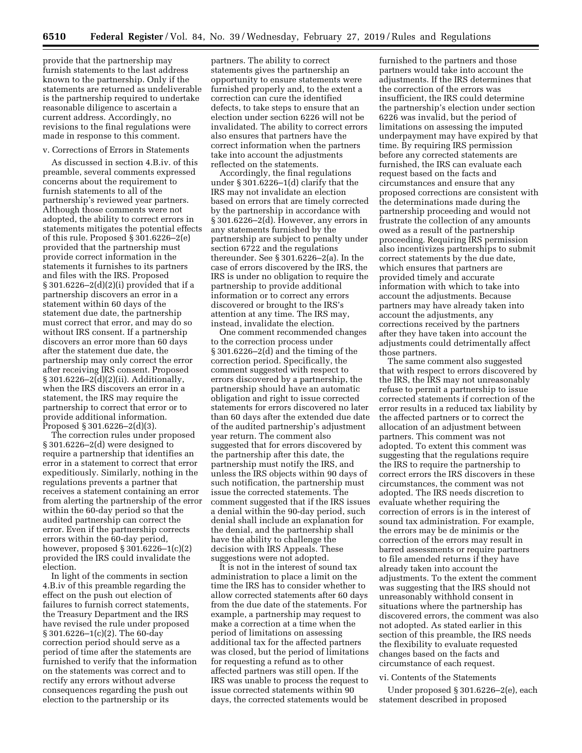provide that the partnership may furnish statements to the last address known to the partnership. Only if the statements are returned as undeliverable is the partnership required to undertake reasonable diligence to ascertain a current address. Accordingly, no revisions to the final regulations were made in response to this comment.

# v. Corrections of Errors in Statements

As discussed in section 4.B.iv. of this preamble, several comments expressed concerns about the requirement to furnish statements to all of the partnership's reviewed year partners. Although those comments were not adopted, the ability to correct errors in statements mitigates the potential effects of this rule. Proposed § 301.6226–2(e) provided that the partnership must provide correct information in the statements it furnishes to its partners and files with the IRS. Proposed § 301.6226–2(d)(2)(i) provided that if a partnership discovers an error in a statement within 60 days of the statement due date, the partnership must correct that error, and may do so without IRS consent. If a partnership discovers an error more than 60 days after the statement due date, the partnership may only correct the error after receiving IRS consent. Proposed § 301.6226–2(d)(2)(ii). Additionally, when the IRS discovers an error in a statement, the IRS may require the partnership to correct that error or to provide additional information. Proposed § 301.6226–2(d)(3).

The correction rules under proposed § 301.6226–2(d) were designed to require a partnership that identifies an error in a statement to correct that error expeditiously. Similarly, nothing in the regulations prevents a partner that receives a statement containing an error from alerting the partnership of the error within the 60-day period so that the audited partnership can correct the error. Even if the partnership corrects errors within the 60-day period, however, proposed § 301.6226–1(c)(2) provided the IRS could invalidate the election.

In light of the comments in section 4.B.iv of this preamble regarding the effect on the push out election of failures to furnish correct statements, the Treasury Department and the IRS have revised the rule under proposed § 301.6226–1(c)(2). The 60-day correction period should serve as a period of time after the statements are furnished to verify that the information on the statements was correct and to rectify any errors without adverse consequences regarding the push out election to the partnership or its

partners. The ability to correct statements gives the partnership an opportunity to ensure statements were furnished properly and, to the extent a correction can cure the identified defects, to take steps to ensure that an election under section 6226 will not be invalidated. The ability to correct errors also ensures that partners have the correct information when the partners take into account the adjustments reflected on the statements.

Accordingly, the final regulations under § 301.6226–1(d) clarify that the IRS may not invalidate an election based on errors that are timely corrected by the partnership in accordance with § 301.6226–2(d). However, any errors in any statements furnished by the partnership are subject to penalty under section 6722 and the regulations thereunder. See § 301.6226–2(a). In the case of errors discovered by the IRS, the IRS is under no obligation to require the partnership to provide additional information or to correct any errors discovered or brought to the IRS's attention at any time. The IRS may, instead, invalidate the election.

One comment recommended changes to the correction process under § 301.6226–2(d) and the timing of the correction period. Specifically, the comment suggested with respect to errors discovered by a partnership, the partnership should have an automatic obligation and right to issue corrected statements for errors discovered no later than 60 days after the extended due date of the audited partnership's adjustment year return. The comment also suggested that for errors discovered by the partnership after this date, the partnership must notify the IRS, and unless the IRS objects within 90 days of such notification, the partnership must issue the corrected statements. The comment suggested that if the IRS issues a denial within the 90-day period, such denial shall include an explanation for the denial, and the partnership shall have the ability to challenge the decision with IRS Appeals. These suggestions were not adopted.

It is not in the interest of sound tax administration to place a limit on the time the IRS has to consider whether to allow corrected statements after 60 days from the due date of the statements. For example, a partnership may request to make a correction at a time when the period of limitations on assessing additional tax for the affected partners was closed, but the period of limitations for requesting a refund as to other affected partners was still open. If the IRS was unable to process the request to issue corrected statements within 90 days, the corrected statements would be

furnished to the partners and those partners would take into account the adjustments. If the IRS determines that the correction of the errors was insufficient, the IRS could determine the partnership's election under section 6226 was invalid, but the period of limitations on assessing the imputed underpayment may have expired by that time. By requiring IRS permission before any corrected statements are furnished, the IRS can evaluate each request based on the facts and circumstances and ensure that any proposed corrections are consistent with the determinations made during the partnership proceeding and would not frustrate the collection of any amounts owed as a result of the partnership proceeding. Requiring IRS permission also incentivizes partnerships to submit correct statements by the due date, which ensures that partners are provided timely and accurate information with which to take into account the adjustments. Because partners may have already taken into account the adjustments, any corrections received by the partners after they have taken into account the adjustments could detrimentally affect those partners.

The same comment also suggested that with respect to errors discovered by the IRS, the IRS may not unreasonably refuse to permit a partnership to issue corrected statements if correction of the error results in a reduced tax liability by the affected partners or to correct the allocation of an adjustment between partners. This comment was not adopted. To extent this comment was suggesting that the regulations require the IRS to require the partnership to correct errors the IRS discovers in these circumstances, the comment was not adopted. The IRS needs discretion to evaluate whether requiring the correction of errors is in the interest of sound tax administration. For example, the errors may be de minimis or the correction of the errors may result in barred assessments or require partners to file amended returns if they have already taken into account the adjustments. To the extent the comment was suggesting that the IRS should not unreasonably withhold consent in situations where the partnership has discovered errors, the comment was also not adopted. As stated earlier in this section of this preamble, the IRS needs the flexibility to evaluate requested changes based on the facts and circumstance of each request.

#### vi. Contents of the Statements

Under proposed § 301.6226–2(e), each statement described in proposed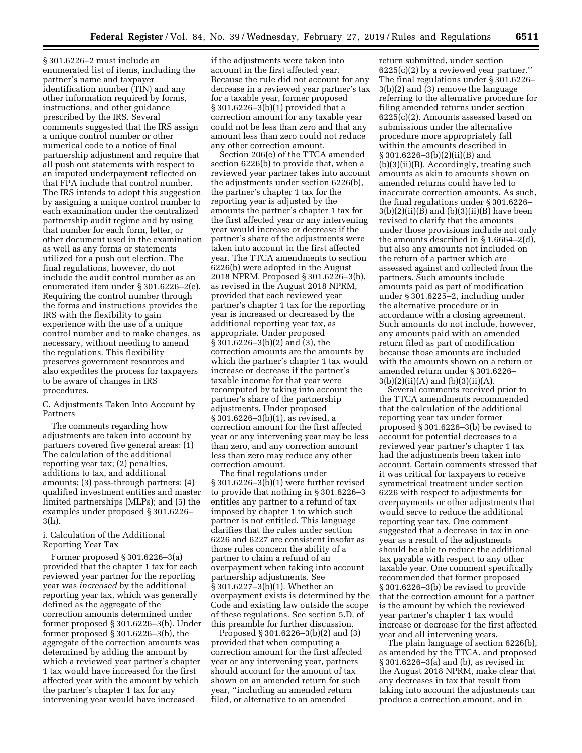§ 301.6226–2 must include an enumerated list of items, including the partner's name and taxpayer identification number (TIN) and any other information required by forms, instructions, and other guidance prescribed by the IRS. Several comments suggested that the IRS assign a unique control number or other numerical code to a notice of final partnership adjustment and require that all push out statements with respect to an imputed underpayment reflected on that FPA include that control number. The IRS intends to adopt this suggestion by assigning a unique control number to each examination under the centralized partnership audit regime and by using that number for each form, letter, or other document used in the examination as well as any forms or statements utilized for a push out election. The final regulations, however, do not include the audit control number as an enumerated item under § 301.6226–2(e). Requiring the control number through the forms and instructions provides the IRS with the flexibility to gain experience with the use of a unique control number and to make changes, as necessary, without needing to amend the regulations. This flexibility preserves government resources and also expedites the process for taxpayers to be aware of changes in IRS procedures.

C. Adjustments Taken Into Account by Partners

The comments regarding how adjustments are taken into account by partners covered five general areas: (1) The calculation of the additional reporting year tax; (2) penalties, additions to tax, and additional amounts; (3) pass-through partners; (4) qualified investment entities and master limited partnerships (MLPs); and (5) the examples under proposed § 301.6226– 3(h).

# i. Calculation of the Additional Reporting Year Tax

Former proposed § 301.6226–3(a) provided that the chapter 1 tax for each reviewed year partner for the reporting year was *increased* by the additional reporting year tax, which was generally defined as the aggregate of the correction amounts determined under former proposed § 301.6226–3(b). Under former proposed § 301.6226–3(b), the aggregate of the correction amounts was determined by adding the amount by which a reviewed year partner's chapter 1 tax would have increased for the first affected year with the amount by which the partner's chapter 1 tax for any intervening year would have increased

if the adjustments were taken into account in the first affected year. Because the rule did not account for any decrease in a reviewed year partner's tax for a taxable year, former proposed § 301.6226–3(b)(1) provided that a correction amount for any taxable year could not be less than zero and that any amount less than zero could not reduce any other correction amount.

Section 206(e) of the TTCA amended section 6226(b) to provide that, when a reviewed year partner takes into account the adjustments under section 6226(b), the partner's chapter 1 tax for the reporting year is adjusted by the amounts the partner's chapter 1 tax for the first affected year or any intervening year would increase or decrease if the partner's share of the adjustments were taken into account in the first affected year. The TTCA amendments to section 6226(b) were adopted in the August 2018 NPRM. Proposed § 301.6226–3(b), as revised in the August 2018 NPRM, provided that each reviewed year partner's chapter 1 tax for the reporting year is increased or decreased by the additional reporting year tax, as appropriate. Under proposed § 301.6226–3(b)(2) and (3), the correction amounts are the amounts by which the partner's chapter 1 tax would increase or decrease if the partner's taxable income for that year were recomputed by taking into account the partner's share of the partnership adjustments. Under proposed § 301.6226–3(b)(1), as revised, a correction amount for the first affected year or any intervening year may be less than zero, and any correction amount less than zero may reduce any other correction amount.

The final regulations under § 301.6226–3(b)(1) were further revised to provide that nothing in § 301.6226–3 entitles any partner to a refund of tax imposed by chapter 1 to which such partner is not entitled. This language clarifies that the rules under section 6226 and 6227 are consistent insofar as those rules concern the ability of a partner to claim a refund of an overpayment when taking into account partnership adjustments. See § 301.6227–3(b)(1). Whether an overpayment exists is determined by the Code and existing law outside the scope of these regulations. See section 5.D. of this preamble for further discussion.

Proposed § 301.6226–3(b)(2) and (3) provided that when computing a correction amount for the first affected year or any intervening year, partners should account for the amount of tax shown on an amended return for such year, ''including an amended return filed, or alternative to an amended

return submitted, under section 6225(c)(2) by a reviewed year partner.'' The final regulations under § 301.6226– 3(b)(2) and (3) remove the language referring to the alternative procedure for filing amended returns under section 6225(c)(2). Amounts assessed based on submissions under the alternative procedure more appropriately fall within the amounts described in § 301.6226–3(b)(2)(ii)(B) and (b)(3)(ii)(B). Accordingly, treating such amounts as akin to amounts shown on amended returns could have led to inaccurate correction amounts. As such, the final regulations under § 301.6226–  $3(b)(2)(ii)(\overline{B})$  and  $(b)(3)(ii)(\overline{B})$  have been revised to clarify that the amounts under those provisions include not only the amounts described in § 1.6664–2(d), but also any amounts not included on the return of a partner which are assessed against and collected from the partners. Such amounts include amounts paid as part of modification under § 301.6225–2, including under the alternative procedure or in accordance with a closing agreement. Such amounts do not include, however, any amounts paid with an amended return filed as part of modification because those amounts are included with the amounts shown on a return or amended return under § 301.6226–  $3(b)(2)(ii)(A)$  and  $(b)(3)(ii)(A)$ .

Several comments received prior to the TTCA amendments recommended that the calculation of the additional reporting year tax under former proposed § 301.6226–3(b) be revised to account for potential decreases to a reviewed year partner's chapter 1 tax had the adjustments been taken into account. Certain comments stressed that it was critical for taxpayers to receive symmetrical treatment under section 6226 with respect to adjustments for overpayments or other adjustments that would serve to reduce the additional reporting year tax. One comment suggested that a decrease in tax in one year as a result of the adjustments should be able to reduce the additional tax payable with respect to any other taxable year. One comment specifically recommended that former proposed § 301.6226–3(b) be revised to provide that the correction amount for a partner is the amount by which the reviewed year partner's chapter 1 tax would increase or decrease for the first affected year and all intervening years.

The plain language of section 6226(b), as amended by the TTCA, and proposed § 301.6226–3(a) and (b), as revised in the August 2018 NPRM, make clear that any decreases in tax that result from taking into account the adjustments can produce a correction amount, and in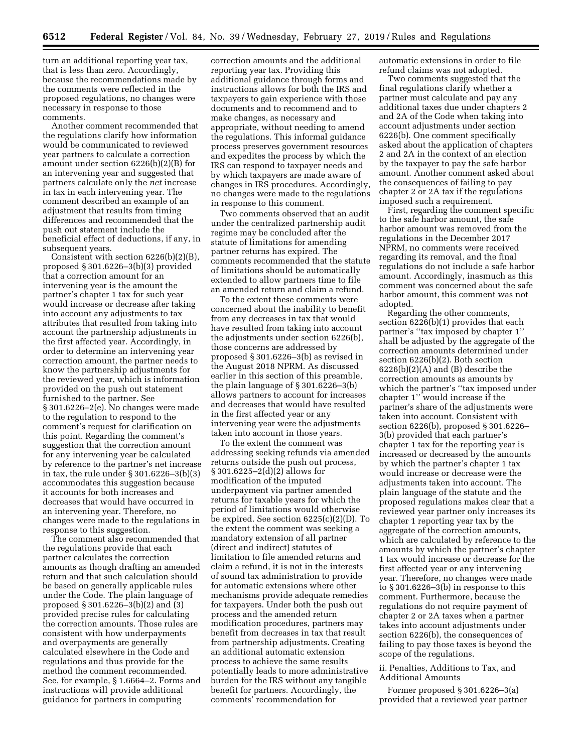turn an additional reporting year tax, that is less than zero. Accordingly, because the recommendations made by the comments were reflected in the proposed regulations, no changes were necessary in response to those comments.

Another comment recommended that the regulations clarify how information would be communicated to reviewed year partners to calculate a correction amount under section 6226(b)(2)(B) for an intervening year and suggested that partners calculate only the *net* increase in tax in each intervening year. The comment described an example of an adjustment that results from timing differences and recommended that the push out statement include the beneficial effect of deductions, if any, in subsequent years.

Consistent with section 6226(b)(2)(B), proposed § 301.6226–3(b)(3) provided that a correction amount for an intervening year is the amount the partner's chapter 1 tax for such year would increase or decrease after taking into account any adjustments to tax attributes that resulted from taking into account the partnership adjustments in the first affected year. Accordingly, in order to determine an intervening year correction amount, the partner needs to know the partnership adjustments for the reviewed year, which is information provided on the push out statement furnished to the partner. See § 301.6226–2(e). No changes were made to the regulation to respond to the comment's request for clarification on this point. Regarding the comment's suggestion that the correction amount for any intervening year be calculated by reference to the partner's net increase in tax, the rule under § 301.6226–3(b)(3) accommodates this suggestion because it accounts for both increases and decreases that would have occurred in an intervening year. Therefore, no changes were made to the regulations in response to this suggestion.

The comment also recommended that the regulations provide that each partner calculates the correction amounts as though drafting an amended return and that such calculation should be based on generally applicable rules under the Code. The plain language of proposed § 301.6226–3(b)(2) and (3) provided precise rules for calculating the correction amounts. Those rules are consistent with how underpayments and overpayments are generally calculated elsewhere in the Code and regulations and thus provide for the method the comment recommended. See, for example, § 1.6664–2. Forms and instructions will provide additional guidance for partners in computing

correction amounts and the additional reporting year tax. Providing this additional guidance through forms and instructions allows for both the IRS and taxpayers to gain experience with those documents and to recommend and to make changes, as necessary and appropriate, without needing to amend the regulations. This informal guidance process preserves government resources and expedites the process by which the IRS can respond to taxpayer needs and by which taxpayers are made aware of changes in IRS procedures. Accordingly, no changes were made to the regulations in response to this comment.

Two comments observed that an audit under the centralized partnership audit regime may be concluded after the statute of limitations for amending partner returns has expired. The comments recommended that the statute of limitations should be automatically extended to allow partners time to file an amended return and claim a refund.

To the extent these comments were concerned about the inability to benefit from any decreases in tax that would have resulted from taking into account the adjustments under section 6226(b), those concerns are addressed by proposed § 301.6226–3(b) as revised in the August 2018 NPRM. As discussed earlier in this section of this preamble, the plain language of § 301.6226–3(b) allows partners to account for increases and decreases that would have resulted in the first affected year or any intervening year were the adjustments taken into account in those years.

To the extent the comment was addressing seeking refunds via amended returns outside the push out process, § 301.6225–2(d)(2) allows for modification of the imputed underpayment via partner amended returns for taxable years for which the period of limitations would otherwise be expired. See section 6225(c)(2)(D). To the extent the comment was seeking a mandatory extension of all partner (direct and indirect) statutes of limitation to file amended returns and claim a refund, it is not in the interests of sound tax administration to provide for automatic extensions where other mechanisms provide adequate remedies for taxpayers. Under both the push out process and the amended return modification procedures, partners may benefit from decreases in tax that result from partnership adjustments. Creating an additional automatic extension process to achieve the same results potentially leads to more administrative burden for the IRS without any tangible benefit for partners. Accordingly, the comments' recommendation for

automatic extensions in order to file refund claims was not adopted.

Two comments suggested that the final regulations clarify whether a partner must calculate and pay any additional taxes due under chapters 2 and 2A of the Code when taking into account adjustments under section 6226(b). One comment specifically asked about the application of chapters 2 and 2A in the context of an election by the taxpayer to pay the safe harbor amount. Another comment asked about the consequences of failing to pay chapter 2 or 2A tax if the regulations imposed such a requirement.

First, regarding the comment specific to the safe harbor amount, the safe harbor amount was removed from the regulations in the December 2017 NPRM, no comments were received regarding its removal, and the final regulations do not include a safe harbor amount. Accordingly, inasmuch as this comment was concerned about the safe harbor amount, this comment was not adopted.

Regarding the other comments, section 6226(b)(1) provides that each partner's ''tax imposed by chapter 1'' shall be adjusted by the aggregate of the correction amounts determined under section 6226(b)(2). Both section  $6226(b)(2)(A)$  and  $(B)$  describe the correction amounts as amounts by which the partner's "tax imposed under chapter 1'' would increase if the partner's share of the adjustments were taken into account. Consistent with section 6226(b), proposed § 301.6226– 3(b) provided that each partner's chapter 1 tax for the reporting year is increased or decreased by the amounts by which the partner's chapter 1 tax would increase or decrease were the adjustments taken into account. The plain language of the statute and the proposed regulations makes clear that a reviewed year partner only increases its chapter 1 reporting year tax by the aggregate of the correction amounts, which are calculated by reference to the amounts by which the partner's chapter 1 tax would increase or decrease for the first affected year or any intervening year. Therefore, no changes were made to § 301.6226–3(b) in response to this comment. Furthermore, because the regulations do not require payment of chapter 2 or 2A taxes when a partner takes into account adjustments under section 6226(b), the consequences of failing to pay those taxes is beyond the scope of the regulations.

# ii. Penalties, Additions to Tax, and Additional Amounts

Former proposed § 301.6226–3(a) provided that a reviewed year partner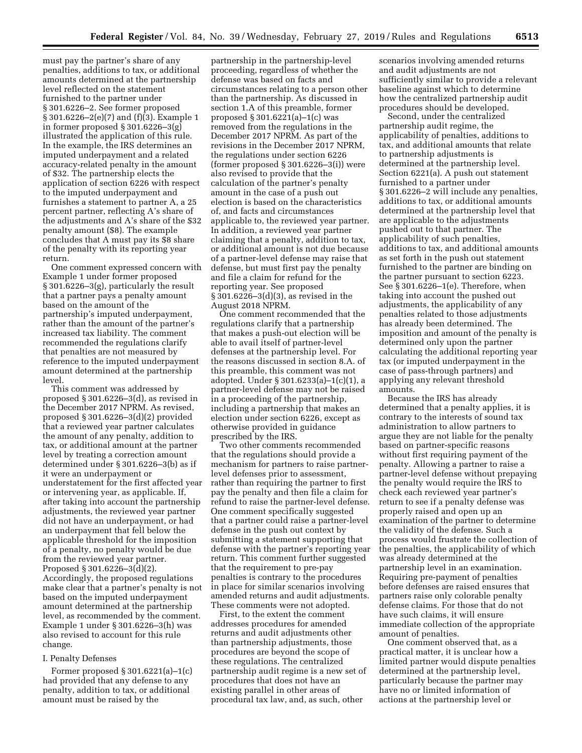must pay the partner's share of any penalties, additions to tax, or additional amounts determined at the partnership level reflected on the statement furnished to the partner under § 301.6226–2. See former proposed § 301.6226–2(e)(7) and (f)(3). Example 1 in former proposed § 301.6226–3(g) illustrated the application of this rule. In the example, the IRS determines an imputed underpayment and a related accuracy-related penalty in the amount of \$32. The partnership elects the application of section 6226 with respect to the imputed underpayment and furnishes a statement to partner A, a 25 percent partner, reflecting A's share of the adjustments and A's share of the \$32 penalty amount (\$8). The example concludes that A must pay its \$8 share of the penalty with its reporting year return.

One comment expressed concern with Example 1 under former proposed § 301.6226–3(g), particularly the result that a partner pays a penalty amount based on the amount of the partnership's imputed underpayment, rather than the amount of the partner's increased tax liability. The comment recommended the regulations clarify that penalties are not measured by reference to the imputed underpayment amount determined at the partnership level.

This comment was addressed by proposed § 301.6226–3(d), as revised in the December 2017 NPRM. As revised, proposed § 301.6226–3(d)(2) provided that a reviewed year partner calculates the amount of any penalty, addition to tax, or additional amount at the partner level by treating a correction amount determined under § 301.6226–3(b) as if it were an underpayment or understatement for the first affected year or intervening year, as applicable. If, after taking into account the partnership adjustments, the reviewed year partner did not have an underpayment, or had an underpayment that fell below the applicable threshold for the imposition of a penalty, no penalty would be due from the reviewed year partner. Proposed § 301.6226–3(d)(2). Accordingly, the proposed regulations make clear that a partner's penalty is not based on the imputed underpayment amount determined at the partnership level, as recommended by the comment. Example 1 under § 301.6226–3(h) was also revised to account for this rule change.

#### I. Penalty Defenses

Former proposed § 301.6221(a)–1(c) had provided that any defense to any penalty, addition to tax, or additional amount must be raised by the

partnership in the partnership-level proceeding, regardless of whether the defense was based on facts and circumstances relating to a person other than the partnership. As discussed in section 1.A of this preamble, former proposed § 301.6221(a)–1(c) was removed from the regulations in the December 2017 NPRM. As part of the revisions in the December 2017 NPRM, the regulations under section 6226 (former proposed  $\S 301.6226 - 3(i)$ ) were also revised to provide that the calculation of the partner's penalty amount in the case of a push out election is based on the characteristics of, and facts and circumstances applicable to, the reviewed year partner. In addition, a reviewed year partner claiming that a penalty, addition to tax, or additional amount is not due because of a partner-level defense may raise that defense, but must first pay the penalty and file a claim for refund for the reporting year. See proposed § 301.6226–3(d)(3), as revised in the August 2018 NPRM.

One comment recommended that the regulations clarify that a partnership that makes a push-out election will be able to avail itself of partner-level defenses at the partnership level. For the reasons discussed in section 8.A. of this preamble, this comment was not adopted. Under § 301.6233(a)–1(c)(1), a partner-level defense may not be raised in a proceeding of the partnership, including a partnership that makes an election under section 6226, except as otherwise provided in guidance prescribed by the IRS.

Two other comments recommended that the regulations should provide a mechanism for partners to raise partnerlevel defenses prior to assessment, rather than requiring the partner to first pay the penalty and then file a claim for refund to raise the partner-level defense. One comment specifically suggested that a partner could raise a partner-level defense in the push out context by submitting a statement supporting that defense with the partner's reporting year return. This comment further suggested that the requirement to pre-pay penalties is contrary to the procedures in place for similar scenarios involving amended returns and audit adjustments. These comments were not adopted.

First, to the extent the comment addresses procedures for amended returns and audit adjustments other than partnership adjustments, those procedures are beyond the scope of these regulations. The centralized partnership audit regime is a new set of procedures that does not have an existing parallel in other areas of procedural tax law, and, as such, other

scenarios involving amended returns and audit adjustments are not sufficiently similar to provide a relevant baseline against which to determine how the centralized partnership audit procedures should be developed.

Second, under the centralized partnership audit regime, the applicability of penalties, additions to tax, and additional amounts that relate to partnership adjustments is determined at the partnership level. Section 6221(a). A push out statement furnished to a partner under § 301.6226–2 will include any penalties, additions to tax, or additional amounts determined at the partnership level that are applicable to the adjustments pushed out to that partner. The applicability of such penalties, additions to tax, and additional amounts as set forth in the push out statement furnished to the partner are binding on the partner pursuant to section 6223. See § 301.6226–1(e). Therefore, when taking into account the pushed out adjustments, the applicability of any penalties related to those adjustments has already been determined. The imposition and amount of the penalty is determined only upon the partner calculating the additional reporting year tax (or imputed underpayment in the case of pass-through partners) and applying any relevant threshold amounts.

Because the IRS has already determined that a penalty applies, it is contrary to the interests of sound tax administration to allow partners to argue they are not liable for the penalty based on partner-specific reasons without first requiring payment of the penalty. Allowing a partner to raise a partner-level defense without prepaying the penalty would require the IRS to check each reviewed year partner's return to see if a penalty defense was properly raised and open up an examination of the partner to determine the validity of the defense. Such a process would frustrate the collection of the penalties, the applicability of which was already determined at the partnership level in an examination. Requiring pre-payment of penalties before defenses are raised ensures that partners raise only colorable penalty defense claims. For those that do not have such claims, it will ensure immediate collection of the appropriate amount of penalties.

One comment observed that, as a practical matter, it is unclear how a limited partner would dispute penalties determined at the partnership level, particularly because the partner may have no or limited information of actions at the partnership level or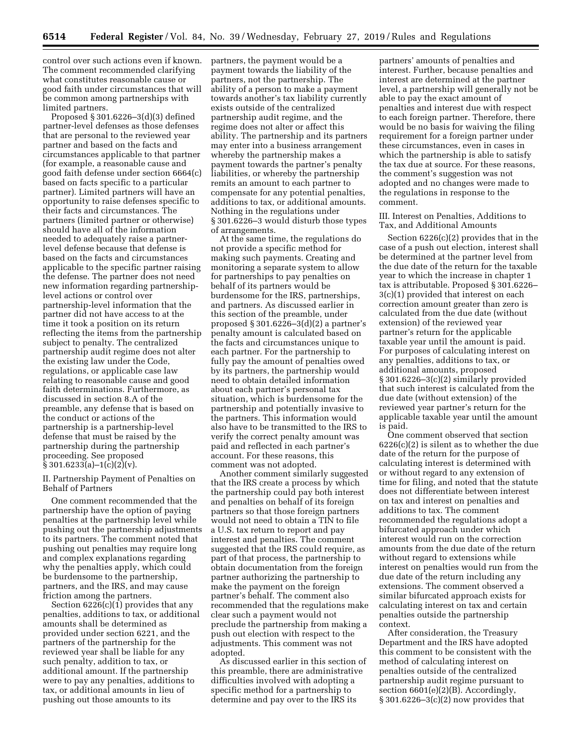control over such actions even if known. The comment recommended clarifying what constitutes reasonable cause or good faith under circumstances that will be common among partnerships with limited partners.

Proposed § 301.6226–3(d)(3) defined partner-level defenses as those defenses that are personal to the reviewed year partner and based on the facts and circumstances applicable to that partner (for example, a reasonable cause and good faith defense under section 6664(c) based on facts specific to a particular partner). Limited partners will have an opportunity to raise defenses specific to their facts and circumstances. The partners (limited partner or otherwise) should have all of the information needed to adequately raise a partnerlevel defense because that defense is based on the facts and circumstances applicable to the specific partner raising the defense. The partner does not need new information regarding partnershiplevel actions or control over partnership-level information that the partner did not have access to at the time it took a position on its return reflecting the items from the partnership subject to penalty. The centralized partnership audit regime does not alter the existing law under the Code, regulations, or applicable case law relating to reasonable cause and good faith determinations. Furthermore, as discussed in section 8.A of the preamble, any defense that is based on the conduct or actions of the partnership is a partnership-level defense that must be raised by the partnership during the partnership proceeding. See proposed  $§ 301.6233(a)-1(c)(2)(v).$ 

II. Partnership Payment of Penalties on Behalf of Partners

One comment recommended that the partnership have the option of paying penalties at the partnership level while pushing out the partnership adjustments to its partners. The comment noted that pushing out penalties may require long and complex explanations regarding why the penalties apply, which could be burdensome to the partnership, partners, and the IRS, and may cause friction among the partners.

Section  $6226(c)(1)$  provides that any penalties, additions to tax, or additional amounts shall be determined as provided under section 6221, and the partners of the partnership for the reviewed year shall be liable for any such penalty, addition to tax, or additional amount. If the partnership were to pay any penalties, additions to tax, or additional amounts in lieu of pushing out those amounts to its

partners, the payment would be a payment towards the liability of the partners, not the partnership. The ability of a person to make a payment towards another's tax liability currently exists outside of the centralized partnership audit regime, and the regime does not alter or affect this ability. The partnership and its partners may enter into a business arrangement whereby the partnership makes a payment towards the partner's penalty liabilities, or whereby the partnership remits an amount to each partner to compensate for any potential penalties, additions to tax, or additional amounts. Nothing in the regulations under § 301.6226–3 would disturb those types of arrangements.

At the same time, the regulations do not provide a specific method for making such payments. Creating and monitoring a separate system to allow for partnerships to pay penalties on behalf of its partners would be burdensome for the IRS, partnerships, and partners. As discussed earlier in this section of the preamble, under proposed § 301.6226–3(d)(2) a partner's penalty amount is calculated based on the facts and circumstances unique to each partner. For the partnership to fully pay the amount of penalties owed by its partners, the partnership would need to obtain detailed information about each partner's personal tax situation, which is burdensome for the partnership and potentially invasive to the partners. This information would also have to be transmitted to the IRS to verify the correct penalty amount was paid and reflected in each partner's account. For these reasons, this comment was not adopted.

Another comment similarly suggested that the IRS create a process by which the partnership could pay both interest and penalties on behalf of its foreign partners so that those foreign partners would not need to obtain a TIN to file a U.S. tax return to report and pay interest and penalties. The comment suggested that the IRS could require, as part of that process, the partnership to obtain documentation from the foreign partner authorizing the partnership to make the payment on the foreign partner's behalf. The comment also recommended that the regulations make clear such a payment would not preclude the partnership from making a push out election with respect to the adjustments. This comment was not adopted.

As discussed earlier in this section of this preamble, there are administrative difficulties involved with adopting a specific method for a partnership to determine and pay over to the IRS its

partners' amounts of penalties and interest. Further, because penalties and interest are determined at the partner level, a partnership will generally not be able to pay the exact amount of penalties and interest due with respect to each foreign partner. Therefore, there would be no basis for waiving the filing requirement for a foreign partner under these circumstances, even in cases in which the partnership is able to satisfy the tax due at source. For these reasons, the comment's suggestion was not adopted and no changes were made to the regulations in response to the comment.

III. Interest on Penalties, Additions to Tax, and Additional Amounts

Section 6226(c)(2) provides that in the case of a push out election, interest shall be determined at the partner level from the due date of the return for the taxable year to which the increase in chapter 1 tax is attributable. Proposed § 301.6226– 3(c)(1) provided that interest on each correction amount greater than zero is calculated from the due date (without extension) of the reviewed year partner's return for the applicable taxable year until the amount is paid. For purposes of calculating interest on any penalties, additions to tax, or additional amounts, proposed § 301.6226–3(c)(2) similarly provided that such interest is calculated from the due date (without extension) of the reviewed year partner's return for the applicable taxable year until the amount is paid.

One comment observed that section  $6226(c)(2)$  is silent as to whether the due date of the return for the purpose of calculating interest is determined with or without regard to any extension of time for filing, and noted that the statute does not differentiate between interest on tax and interest on penalties and additions to tax. The comment recommended the regulations adopt a bifurcated approach under which interest would run on the correction amounts from the due date of the return without regard to extensions while interest on penalties would run from the due date of the return including any extensions. The comment observed a similar bifurcated approach exists for calculating interest on tax and certain penalties outside the partnership context.

After consideration, the Treasury Department and the IRS have adopted this comment to be consistent with the method of calculating interest on penalties outside of the centralized partnership audit regime pursuant to section 6601(e)(2)(B). Accordingly, § 301.6226–3(c)(2) now provides that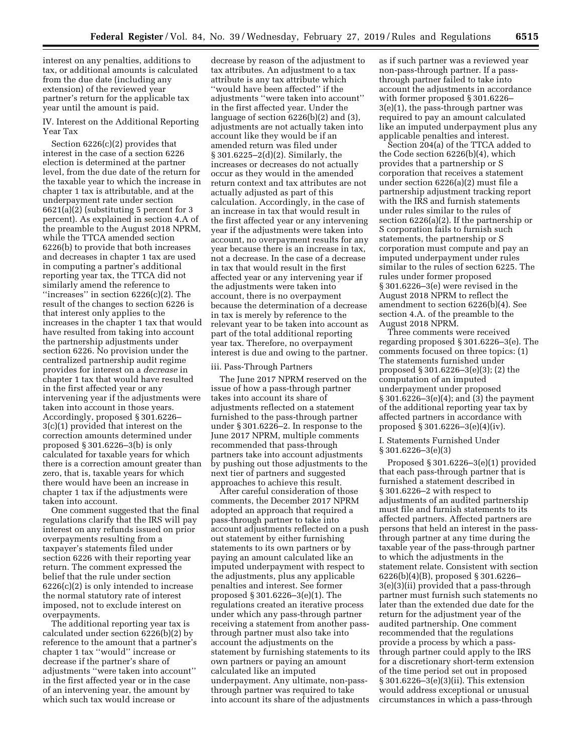interest on any penalties, additions to tax, or additional amounts is calculated from the due date (including any extension) of the reviewed year partner's return for the applicable tax year until the amount is paid.

IV. Interest on the Additional Reporting Year Tax

Section 6226(c)(2) provides that interest in the case of a section 6226 election is determined at the partner level, from the due date of the return for the taxable year to which the increase in chapter 1 tax is attributable, and at the underpayment rate under section 6621(a)(2) (substituting 5 percent for 3 percent). As explained in section 4.A of the preamble to the August 2018 NPRM, while the TTCA amended section 6226(b) to provide that both increases and decreases in chapter 1 tax are used in computing a partner's additional reporting year tax, the TTCA did not similarly amend the reference to ''increases'' in section 6226(c)(2). The result of the changes to section 6226 is that interest only applies to the increases in the chapter 1 tax that would have resulted from taking into account the partnership adjustments under section 6226. No provision under the centralized partnership audit regime provides for interest on a *decrease* in chapter 1 tax that would have resulted in the first affected year or any intervening year if the adjustments were taken into account in those years. Accordingly, proposed § 301.6226– 3(c)(1) provided that interest on the correction amounts determined under proposed § 301.6226–3(b) is only calculated for taxable years for which there is a correction amount greater than zero, that is, taxable years for which there would have been an increase in chapter 1 tax if the adjustments were taken into account.

One comment suggested that the final regulations clarify that the IRS will pay interest on any refunds issued on prior overpayments resulting from a taxpayer's statements filed under section 6226 with their reporting year return. The comment expressed the belief that the rule under section 6226(c)(2) is only intended to increase the normal statutory rate of interest imposed, not to exclude interest on overpayments.

The additional reporting year tax is calculated under section 6226(b)(2) by reference to the amount that a partner's chapter 1 tax ''would'' increase or decrease if the partner's share of adjustments ''were taken into account'' in the first affected year or in the case of an intervening year, the amount by which such tax would increase or

decrease by reason of the adjustment to tax attributes. An adjustment to a tax attribute is any tax attribute which ''would have been affected'' if the adjustments ''were taken into account'' in the first affected year. Under the language of section 6226(b)(2) and (3), adjustments are not actually taken into account like they would be if an amended return was filed under § 301.6225–2(d)(2). Similarly, the increases or decreases do not actually occur as they would in the amended return context and tax attributes are not actually adjusted as part of this calculation. Accordingly, in the case of an increase in tax that would result in the first affected year or any intervening year if the adjustments were taken into account, no overpayment results for any year because there is an increase in tax, not a decrease. In the case of a decrease in tax that would result in the first affected year or any intervening year if the adjustments were taken into account, there is no overpayment because the determination of a decrease in tax is merely by reference to the relevant year to be taken into account as part of the total additional reporting year tax. Therefore, no overpayment interest is due and owing to the partner.

#### iii. Pass-Through Partners

The June 2017 NPRM reserved on the issue of how a pass-through partner takes into account its share of adjustments reflected on a statement furnished to the pass-through partner under § 301.6226–2. In response to the June 2017 NPRM, multiple comments recommended that pass-through partners take into account adjustments by pushing out those adjustments to the next tier of partners and suggested approaches to achieve this result.

After careful consideration of those comments, the December 2017 NPRM adopted an approach that required a pass-through partner to take into account adjustments reflected on a push out statement by either furnishing statements to its own partners or by paying an amount calculated like an imputed underpayment with respect to the adjustments, plus any applicable penalties and interest. See former proposed § 301.6226–3(e)(1). The regulations created an iterative process under which any pass-through partner receiving a statement from another passthrough partner must also take into account the adjustments on the statement by furnishing statements to its own partners or paying an amount calculated like an imputed underpayment. Any ultimate, non-passthrough partner was required to take into account its share of the adjustments

as if such partner was a reviewed year non-pass-through partner. If a passthrough partner failed to take into account the adjustments in accordance with former proposed § 301.6226– 3(e)(1), the pass-through partner was required to pay an amount calculated like an imputed underpayment plus any applicable penalties and interest.

Section 204(a) of the TTCA added to the Code section 6226(b)(4), which provides that a partnership or S corporation that receives a statement under section 6226(a)(2) must file a partnership adjustment tracking report with the IRS and furnish statements under rules similar to the rules of section 6226(a)(2). If the partnership or S corporation fails to furnish such statements, the partnership or S corporation must compute and pay an imputed underpayment under rules similar to the rules of section 6225. The rules under former proposed § 301.6226–3(e) were revised in the August 2018 NPRM to reflect the amendment to section 6226(b)(4). See section 4.A. of the preamble to the August 2018 NPRM.

Three comments were received regarding proposed § 301.6226–3(e). The comments focused on three topics: (1) The statements furnished under proposed § 301.6226–3(e)(3); (2) the computation of an imputed underpayment under proposed § 301.6226–3(e)(4); and (3) the payment of the additional reporting year tax by affected partners in accordance with proposed § 301.6226–3(e)(4)(iv).

I. Statements Furnished Under § 301.6226–3(e)(3)

Proposed § 301.6226–3(e)(1) provided that each pass-through partner that is furnished a statement described in § 301.6226–2 with respect to adjustments of an audited partnership must file and furnish statements to its affected partners. Affected partners are persons that held an interest in the passthrough partner at any time during the taxable year of the pass-through partner to which the adjustments in the statement relate. Consistent with section 6226(b)(4)(B), proposed § 301.6226– 3(e)(3)(ii) provided that a pass-through partner must furnish such statements no later than the extended due date for the return for the adjustment year of the audited partnership. One comment recommended that the regulations provide a process by which a passthrough partner could apply to the IRS for a discretionary short-term extension of the time period set out in proposed § 301.6226–3(e)(3)(ii). This extension would address exceptional or unusual circumstances in which a pass-through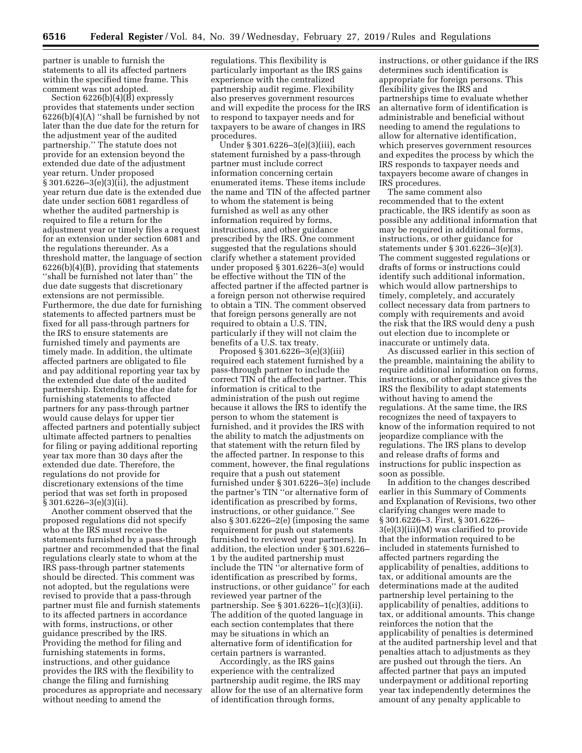partner is unable to furnish the statements to all its affected partners within the specified time frame. This comment was not adopted.

Section 6226(b)(4)(B) expressly provides that statements under section  $6226(b)(4)(A)$  "shall be furnished by not later than the due date for the return for the adjustment year of the audited partnership.'' The statute does not provide for an extension beyond the extended due date of the adjustment year return. Under proposed § 301.6226–3(e)(3)(ii), the adjustment year return due date is the extended due date under section 6081 regardless of whether the audited partnership is required to file a return for the adjustment year or timely files a request for an extension under section 6081 and the regulations thereunder. As a threshold matter, the language of section 6226(b)(4)(B), providing that statements ''shall be furnished not later than'' the due date suggests that discretionary extensions are not permissible. Furthermore, the due date for furnishing statements to affected partners must be fixed for all pass-through partners for the IRS to ensure statements are furnished timely and payments are timely made. In addition, the ultimate affected partners are obligated to file and pay additional reporting year tax by the extended due date of the audited partnership. Extending the due date for furnishing statements to affected partners for any pass-through partner would cause delays for upper tier affected partners and potentially subject ultimate affected partners to penalties for filing or paying additional reporting year tax more than 30 days after the extended due date. Therefore, the regulations do not provide for discretionary extensions of the time period that was set forth in proposed § 301.6226–3(e)(3)(ii).

Another comment observed that the proposed regulations did not specify who at the IRS must receive the statements furnished by a pass-through partner and recommended that the final regulations clearly state to whom at the IRS pass-through partner statements should be directed. This comment was not adopted, but the regulations were revised to provide that a pass-through partner must file and furnish statements to its affected partners in accordance with forms, instructions, or other guidance prescribed by the IRS. Providing the method for filing and furnishing statements in forms, instructions, and other guidance provides the IRS with the flexibility to change the filing and furnishing procedures as appropriate and necessary without needing to amend the

regulations. This flexibility is particularly important as the IRS gains experience with the centralized partnership audit regime. Flexibility also preserves government resources and will expedite the process for the IRS to respond to taxpayer needs and for taxpayers to be aware of changes in IRS procedures.

Under § 301.6226–3(e)(3)(iii), each statement furnished by a pass-through partner must include correct information concerning certain enumerated items. These items include the name and TIN of the affected partner to whom the statement is being furnished as well as any other information required by forms, instructions, and other guidance prescribed by the IRS. One comment suggested that the regulations should clarify whether a statement provided under proposed § 301.6226–3(e) would be effective without the TIN of the affected partner if the affected partner is a foreign person not otherwise required to obtain a TIN. The comment observed that foreign persons generally are not required to obtain a U.S. TIN, particularly if they will not claim the benefits of a U.S. tax treaty.

Proposed § 301.6226–3(e)(3)(iii) required each statement furnished by a pass-through partner to include the correct TIN of the affected partner. This information is critical to the administration of the push out regime because it allows the IRS to identify the person to whom the statement is furnished, and it provides the IRS with the ability to match the adjustments on that statement with the return filed by the affected partner. In response to this comment, however, the final regulations require that a push out statement furnished under § 301.6226–3(e) include the partner's TIN ''or alternative form of identification as prescribed by forms, instructions, or other guidance.'' See also § 301.6226–2(e) (imposing the same requirement for push out statements furnished to reviewed year partners). In addition, the election under § 301.6226– 1 by the audited partnership must include the TIN ''or alternative form of identification as prescribed by forms, instructions, or other guidance'' for each reviewed year partner of the partnership. See § 301.6226–1(c)(3)(ii). The addition of the quoted language in each section contemplates that there may be situations in which an alternative form of identification for certain partners is warranted.

Accordingly, as the IRS gains experience with the centralized partnership audit regime, the IRS may allow for the use of an alternative form of identification through forms,

instructions, or other guidance if the IRS determines such identification is appropriate for foreign persons. This flexibility gives the IRS and partnerships time to evaluate whether an alternative form of identification is administrable and beneficial without needing to amend the regulations to allow for alternative identification, which preserves government resources and expedites the process by which the IRS responds to taxpayer needs and taxpayers become aware of changes in IRS procedures.

The same comment also recommended that to the extent practicable, the IRS identify as soon as possible any additional information that may be required in additional forms, instructions, or other guidance for statements under § 301.6226–3(e)(3). The comment suggested regulations or drafts of forms or instructions could identify such additional information, which would allow partnerships to timely, completely, and accurately collect necessary data from partners to comply with requirements and avoid the risk that the IRS would deny a push out election due to incomplete or inaccurate or untimely data.

As discussed earlier in this section of the preamble, maintaining the ability to require additional information on forms, instructions, or other guidance gives the IRS the flexibility to adapt statements without having to amend the regulations. At the same time, the IRS recognizes the need of taxpayers to know of the information required to not jeopardize compliance with the regulations. The IRS plans to develop and release drafts of forms and instructions for public inspection as soon as possible.

In addition to the changes described earlier in this Summary of Comments and Explanation of Revisions, two other clarifying changes were made to § 301.6226–3. First, § 301.6226– 3(e)(3)(iii)(M) was clarified to provide that the information required to be included in statements furnished to affected partners regarding the applicability of penalties, additions to tax, or additional amounts are the determinations made at the audited partnership level pertaining to the applicability of penalties, additions to tax, or additional amounts. This change reinforces the notion that the applicability of penalties is determined at the audited partnership level and that penalties attach to adjustments as they are pushed out through the tiers. An affected partner that pays an imputed underpayment or additional reporting year tax independently determines the amount of any penalty applicable to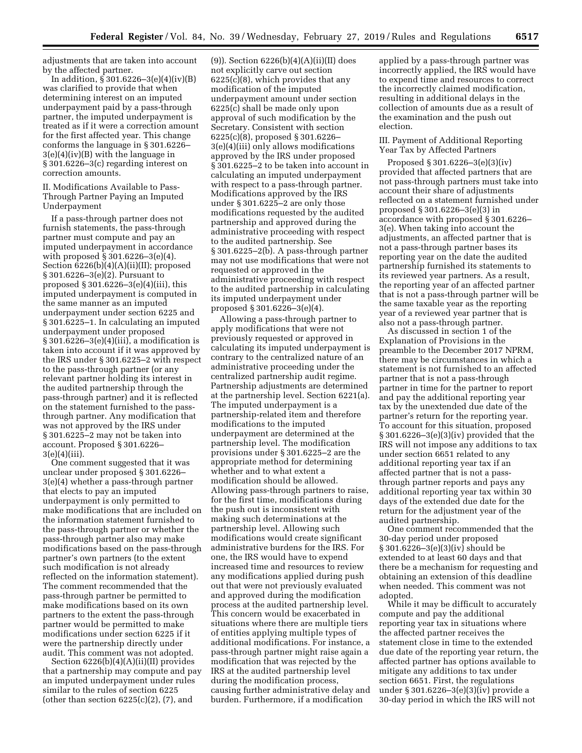adjustments that are taken into account by the affected partner.

In addition, § 301.6226–3(e)(4)(iv)(B) was clarified to provide that when determining interest on an imputed underpayment paid by a pass-through partner, the imputed underpayment is treated as if it were a correction amount for the first affected year. This change conforms the language in § 301.6226– 3(e)(4)(iv)(B) with the language in § 301.6226–3(c) regarding interest on correction amounts.

II. Modifications Available to Pass-Through Partner Paying an Imputed Underpayment

If a pass-through partner does not furnish statements, the pass-through partner must compute and pay an imputed underpayment in accordance with proposed § 301.6226–3(e)(4). Section 6226(b)(4)(A)(ii)(II); proposed § 301.6226–3(e)(2). Pursuant to proposed § 301.6226–3(e)(4)(iii), this imputed underpayment is computed in the same manner as an imputed underpayment under section 6225 and § 301.6225–1. In calculating an imputed underpayment under proposed  $§ 301.6226 - 3(e)(4)(iii)$ , a modification is taken into account if it was approved by the IRS under § 301.6225–2 with respect to the pass-through partner (or any relevant partner holding its interest in the audited partnership through the pass-through partner) and it is reflected on the statement furnished to the passthrough partner. Any modification that was not approved by the IRS under § 301.6225–2 may not be taken into account. Proposed § 301.6226–  $3(e)(4)(iii)$ .

One comment suggested that it was unclear under proposed § 301.6226– 3(e)(4) whether a pass-through partner that elects to pay an imputed underpayment is only permitted to make modifications that are included on the information statement furnished to the pass-through partner or whether the pass-through partner also may make modifications based on the pass-through partner's own partners (to the extent such modification is not already reflected on the information statement). The comment recommended that the pass-through partner be permitted to make modifications based on its own partners to the extent the pass-through partner would be permitted to make modifications under section 6225 if it were the partnership directly under audit. This comment was not adopted.

Section 6226(b)(4)(A)(ii)(II) provides that a partnership may compute and pay an imputed underpayment under rules similar to the rules of section 6225 (other than section  $6225(c)(2)$ ,  $(7)$ , and

(9)). Section  $6226(b)(4)(A)(ii)(II)$  does not explicitly carve out section 6225(c)(8), which provides that any modification of the imputed underpayment amount under section 6225(c) shall be made only upon approval of such modification by the Secretary. Consistent with section 6225(c)(8), proposed § 301.6226– 3(e)(4)(iii) only allows modifications approved by the IRS under proposed § 301.6225–2 to be taken into account in calculating an imputed underpayment with respect to a pass-through partner. Modifications approved by the IRS under § 301.6225–2 are only those modifications requested by the audited partnership and approved during the administrative proceeding with respect to the audited partnership. See § 301.6225–2(b). A pass-through partner may not use modifications that were not requested or approved in the administrative proceeding with respect to the audited partnership in calculating its imputed underpayment under proposed § 301.6226–3(e)(4).

Allowing a pass-through partner to apply modifications that were not previously requested or approved in calculating its imputed underpayment is contrary to the centralized nature of an administrative proceeding under the centralized partnership audit regime. Partnership adjustments are determined at the partnership level. Section 6221(a). The imputed underpayment is a partnership-related item and therefore modifications to the imputed underpayment are determined at the partnership level. The modification provisions under § 301.6225–2 are the appropriate method for determining whether and to what extent a modification should be allowed. Allowing pass-through partners to raise, for the first time, modifications during the push out is inconsistent with making such determinations at the partnership level. Allowing such modifications would create significant administrative burdens for the IRS. For one, the IRS would have to expend increased time and resources to review any modifications applied during push out that were not previously evaluated and approved during the modification process at the audited partnership level. This concern would be exacerbated in situations where there are multiple tiers of entities applying multiple types of additional modifications. For instance, a pass-through partner might raise again a modification that was rejected by the IRS at the audited partnership level during the modification process, causing further administrative delay and burden. Furthermore, if a modification

applied by a pass-through partner was incorrectly applied, the IRS would have to expend time and resources to correct the incorrectly claimed modification, resulting in additional delays in the collection of amounts due as a result of the examination and the push out election.

III. Payment of Additional Reporting Year Tax by Affected Partners

Proposed § 301.6226–3(e)(3)(iv) provided that affected partners that are not pass-through partners must take into account their share of adjustments reflected on a statement furnished under proposed § 301.6226–3(e)(3) in accordance with proposed § 301.6226– 3(e). When taking into account the adjustments, an affected partner that is not a pass-through partner bases its reporting year on the date the audited partnership furnished its statements to its reviewed year partners. As a result, the reporting year of an affected partner that is not a pass-through partner will be the same taxable year as the reporting year of a reviewed year partner that is also not a pass-through partner.

As discussed in section 1 of the Explanation of Provisions in the preamble to the December 2017 NPRM, there may be circumstances in which a statement is not furnished to an affected partner that is not a pass-through partner in time for the partner to report and pay the additional reporting year tax by the unextended due date of the partner's return for the reporting year. To account for this situation, proposed § 301.6226–3(e)(3)(iv) provided that the IRS will not impose any additions to tax under section 6651 related to any additional reporting year tax if an affected partner that is not a passthrough partner reports and pays any additional reporting year tax within 30 days of the extended due date for the return for the adjustment year of the audited partnership.

One comment recommended that the 30-day period under proposed § 301.6226–3(e)(3)(iv) should be extended to at least 60 days and that there be a mechanism for requesting and obtaining an extension of this deadline when needed. This comment was not adopted.

While it may be difficult to accurately compute and pay the additional reporting year tax in situations where the affected partner receives the statement close in time to the extended due date of the reporting year return, the affected partner has options available to mitigate any additions to tax under section 6651. First, the regulations under § 301.6226–3(e)(3)(iv) provide a 30-day period in which the IRS will not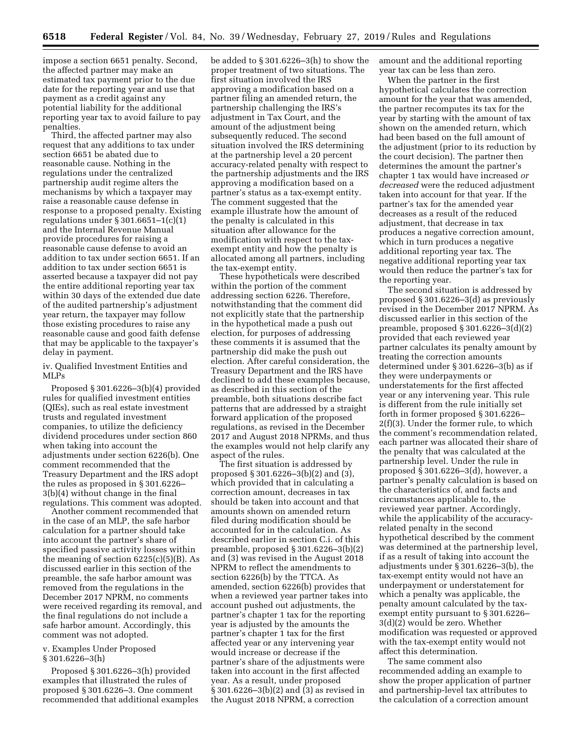impose a section 6651 penalty. Second, the affected partner may make an estimated tax payment prior to the due date for the reporting year and use that payment as a credit against any potential liability for the additional reporting year tax to avoid failure to pay penalties.

Third, the affected partner may also request that any additions to tax under section 6651 be abated due to reasonable cause. Nothing in the regulations under the centralized partnership audit regime alters the mechanisms by which a taxpayer may raise a reasonable cause defense in response to a proposed penalty. Existing regulations under  $\S 301.6651 - 1(c)(1)$ and the Internal Revenue Manual provide procedures for raising a reasonable cause defense to avoid an addition to tax under section 6651. If an addition to tax under section 6651 is asserted because a taxpayer did not pay the entire additional reporting year tax within 30 days of the extended due date of the audited partnership's adjustment year return, the taxpayer may follow those existing procedures to raise any reasonable cause and good faith defense that may be applicable to the taxpayer's delay in payment.

iv. Qualified Investment Entities and MLPs

Proposed § 301.6226–3(b)(4) provided rules for qualified investment entities (QIEs), such as real estate investment trusts and regulated investment companies, to utilize the deficiency dividend procedures under section 860 when taking into account the adjustments under section 6226(b). One comment recommended that the Treasury Department and the IRS adopt the rules as proposed in § 301.6226– 3(b)(4) without change in the final regulations. This comment was adopted.

Another comment recommended that in the case of an MLP, the safe harbor calculation for a partner should take into account the partner's share of specified passive activity losses within the meaning of section  $6225(c)(5)(B)$ . As discussed earlier in this section of the preamble, the safe harbor amount was removed from the regulations in the December 2017 NPRM, no comments were received regarding its removal, and the final regulations do not include a safe harbor amount. Accordingly, this comment was not adopted.

v. Examples Under Proposed § 301.6226–3(h)

Proposed § 301.6226–3(h) provided examples that illustrated the rules of proposed § 301.6226–3. One comment recommended that additional examples be added to § 301.6226–3(h) to show the proper treatment of two situations. The first situation involved the IRS approving a modification based on a partner filing an amended return, the partnership challenging the IRS's adjustment in Tax Court, and the amount of the adjustment being subsequently reduced. The second situation involved the IRS determining at the partnership level a 20 percent accuracy-related penalty with respect to the partnership adjustments and the IRS approving a modification based on a partner's status as a tax-exempt entity. The comment suggested that the example illustrate how the amount of the penalty is calculated in this situation after allowance for the modification with respect to the taxexempt entity and how the penalty is allocated among all partners, including the tax-exempt entity.

These hypotheticals were described within the portion of the comment addressing section 6226. Therefore, notwithstanding that the comment did not explicitly state that the partnership in the hypothetical made a push out election, for purposes of addressing these comments it is assumed that the partnership did make the push out election. After careful consideration, the Treasury Department and the IRS have declined to add these examples because, as described in this section of the preamble, both situations describe fact patterns that are addressed by a straight forward application of the proposed regulations, as revised in the December 2017 and August 2018 NPRMs, and thus the examples would not help clarify any aspect of the rules.

The first situation is addressed by proposed § 301.6226–3(b)(2) and (3), which provided that in calculating a correction amount, decreases in tax should be taken into account and that amounts shown on amended return filed during modification should be accounted for in the calculation. As described earlier in section C.i. of this preamble, proposed § 301.6226–3(b)(2) and (3) was revised in the August 2018 NPRM to reflect the amendments to section 6226(b) by the TTCA. As amended, section 6226(b) provides that when a reviewed year partner takes into account pushed out adjustments, the partner's chapter 1 tax for the reporting year is adjusted by the amounts the partner's chapter 1 tax for the first affected year or any intervening year would increase or decrease if the partner's share of the adjustments were taken into account in the first affected year. As a result, under proposed § 301.6226–3(b)(2) and (3) as revised in the August 2018 NPRM, a correction

amount and the additional reporting year tax can be less than zero.

When the partner in the first hypothetical calculates the correction amount for the year that was amended, the partner recomputes its tax for the year by starting with the amount of tax shown on the amended return, which had been based on the full amount of the adjustment (prior to its reduction by the court decision). The partner then determines the amount the partner's chapter 1 tax would have increased *or decreased* were the reduced adjustment taken into account for that year. If the partner's tax for the amended year decreases as a result of the reduced adjustment, that decrease in tax produces a negative correction amount, which in turn produces a negative additional reporting year tax. The negative additional reporting year tax would then reduce the partner's tax for the reporting year.

The second situation is addressed by proposed § 301.6226–3(d) as previously revised in the December 2017 NPRM. As discussed earlier in this section of the preamble, proposed § 301.6226–3(d)(2) provided that each reviewed year partner calculates its penalty amount by treating the correction amounts determined under § 301.6226–3(b) as if they were underpayments or understatements for the first affected year or any intervening year. This rule is different from the rule initially set forth in former proposed § 301.6226– 2(f)(3). Under the former rule, to which the comment's recommendation related, each partner was allocated their share of the penalty that was calculated at the partnership level. Under the rule in proposed § 301.6226–3(d), however, a partner's penalty calculation is based on the characteristics of, and facts and circumstances applicable to, the reviewed year partner. Accordingly, while the applicability of the accuracyrelated penalty in the second hypothetical described by the comment was determined at the partnership level, if as a result of taking into account the adjustments under § 301.6226–3(b), the tax-exempt entity would not have an underpayment or understatement for which a penalty was applicable, the penalty amount calculated by the taxexempt entity pursuant to § 301.6226– 3(d)(2) would be zero. Whether modification was requested or approved with the tax-exempt entity would not affect this determination.

The same comment also recommended adding an example to show the proper application of partner and partnership-level tax attributes to the calculation of a correction amount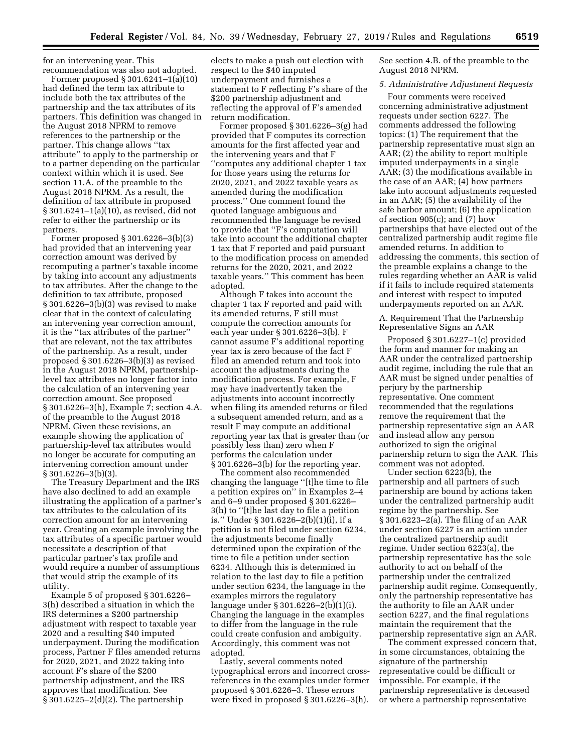for an intervening year. This recommendation was also not adopted.

Former proposed § 301.6241–1(a)(10) had defined the term tax attribute to include both the tax attributes of the partnership and the tax attributes of its partners. This definition was changed in the August 2018 NPRM to remove references to the partnership or the partner. This change allows ''tax attribute'' to apply to the partnership or to a partner depending on the particular context within which it is used. See section 11.A. of the preamble to the August 2018 NPRM. As a result, the definition of tax attribute in proposed § 301.6241–1(a)(10), as revised, did not refer to either the partnership or its partners.

Former proposed § 301.6226–3(b)(3) had provided that an intervening year correction amount was derived by recomputing a partner's taxable income by taking into account any adjustments to tax attributes. After the change to the definition to tax attribute, proposed § 301.6226–3(b)(3) was revised to make clear that in the context of calculating an intervening year correction amount, it is the ''tax attributes of the partner'' that are relevant, not the tax attributes of the partnership. As a result, under proposed § 301.6226–3(b)(3) as revised in the August 2018 NPRM, partnershiplevel tax attributes no longer factor into the calculation of an intervening year correction amount. See proposed § 301.6226–3(h), Example 7; section 4.A. of the preamble to the August 2018 NPRM. Given these revisions, an example showing the application of partnership-level tax attributes would no longer be accurate for computing an intervening correction amount under § 301.6226–3(b)(3).

The Treasury Department and the IRS have also declined to add an example illustrating the application of a partner's tax attributes to the calculation of its correction amount for an intervening year. Creating an example involving the tax attributes of a specific partner would necessitate a description of that particular partner's tax profile and would require a number of assumptions that would strip the example of its utility.

Example 5 of proposed § 301.6226– 3(h) described a situation in which the IRS determines a \$200 partnership adjustment with respect to taxable year 2020 and a resulting \$40 imputed underpayment. During the modification process, Partner F files amended returns for 2020, 2021, and 2022 taking into account F's share of the \$200 partnership adjustment, and the IRS approves that modification. See § 301.6225–2(d)(2). The partnership

elects to make a push out election with respect to the \$40 imputed underpayment and furnishes a statement to F reflecting F's share of the \$200 partnership adjustment and reflecting the approval of F's amended return modification.

Former proposed § 301.6226–3(g) had provided that F computes its correction amounts for the first affected year and the intervening years and that F ''computes any additional chapter 1 tax for those years using the returns for 2020, 2021, and 2022 taxable years as amended during the modification process.'' One comment found the quoted language ambiguous and recommended the language be revised to provide that ''F's computation will take into account the additional chapter 1 tax that F reported and paid pursuant to the modification process on amended returns for the 2020, 2021, and 2022 taxable years.'' This comment has been adopted.

Although F takes into account the chapter 1 tax F reported and paid with its amended returns, F still must compute the correction amounts for each year under § 301.6226–3(b). F cannot assume F's additional reporting year tax is zero because of the fact F filed an amended return and took into account the adjustments during the modification process. For example, F may have inadvertently taken the adjustments into account incorrectly when filing its amended returns or filed a subsequent amended return, and as a result F may compute an additional reporting year tax that is greater than (or possibly less than) zero when F performs the calculation under § 301.6226–3(b) for the reporting year.

The comment also recommended changing the language ''[t]he time to file a petition expires on'' in Examples 2–4 and 6–9 under proposed § 301.6226– 3(h) to ''[t]he last day to file a petition is.'' Under § 301.6226–2(b)(1)(i), if a petition is not filed under section 6234, the adjustments become finally determined upon the expiration of the time to file a petition under section 6234. Although this is determined in relation to the last day to file a petition under section 6234, the language in the examples mirrors the regulatory language under § 301.6226–2(b)(1)(i). Changing the language in the examples to differ from the language in the rule could create confusion and ambiguity. Accordingly, this comment was not adopted.

Lastly, several comments noted typographical errors and incorrect crossreferences in the examples under former proposed § 301.6226–3. These errors were fixed in proposed § 301.6226–3(h).

See section 4.B. of the preamble to the August 2018 NPRM.

#### *5. Administrative Adjustment Requests*

Four comments were received concerning administrative adjustment requests under section 6227. The comments addressed the following topics: (1) The requirement that the partnership representative must sign an AAR; (2) the ability to report multiple imputed underpayments in a single AAR; (3) the modifications available in the case of an AAR; (4) how partners take into account adjustments requested in an AAR; (5) the availability of the safe harbor amount; (6) the application of section 905(c); and (7) how partnerships that have elected out of the centralized partnership audit regime file amended returns. In addition to addressing the comments, this section of the preamble explains a change to the rules regarding whether an AAR is valid if it fails to include required statements and interest with respect to imputed underpayments reported on an AAR.

A. Requirement That the Partnership Representative Signs an AAR

Proposed § 301.6227–1(c) provided the form and manner for making an AAR under the centralized partnership audit regime, including the rule that an AAR must be signed under penalties of perjury by the partnership representative. One comment recommended that the regulations remove the requirement that the partnership representative sign an AAR and instead allow any person authorized to sign the original partnership return to sign the AAR. This comment was not adopted.

Under section 6223(b), the partnership and all partners of such partnership are bound by actions taken under the centralized partnership audit regime by the partnership. See § 301.6223–2(a). The filing of an AAR under section 6227 is an action under the centralized partnership audit regime. Under section 6223(a), the partnership representative has the sole authority to act on behalf of the partnership under the centralized partnership audit regime. Consequently, only the partnership representative has the authority to file an AAR under section 6227, and the final regulations maintain the requirement that the partnership representative sign an AAR.

The comment expressed concern that, in some circumstances, obtaining the signature of the partnership representative could be difficult or impossible. For example, if the partnership representative is deceased or where a partnership representative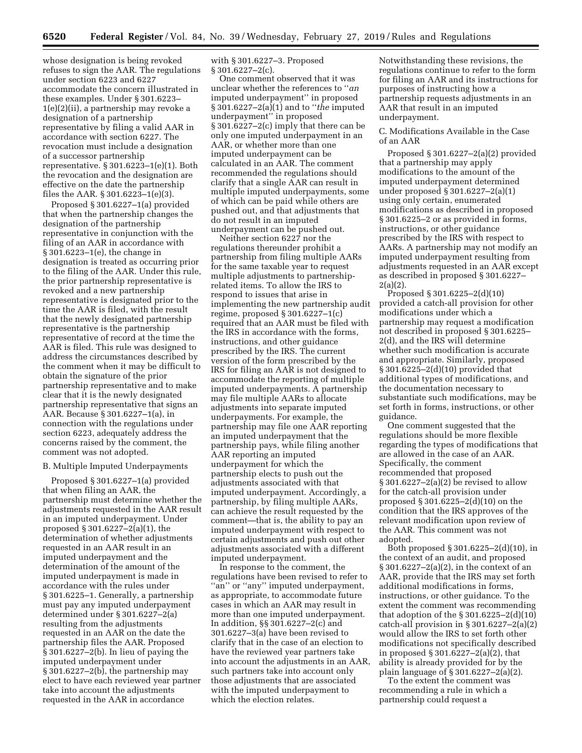whose designation is being revoked refuses to sign the AAR. The regulations under section 6223 and 6227 accommodate the concern illustrated in these examples. Under § 301.6223– 1(e)(2)(ii), a partnership may revoke a designation of a partnership representative by filing a valid AAR in accordance with section 6227. The revocation must include a designation of a successor partnership representative. § 301.6223–1(e)(1). Both the revocation and the designation are effective on the date the partnership files the AAR. § 301.6223–1(e)(3).

Proposed § 301.6227–1(a) provided that when the partnership changes the designation of the partnership representative in conjunction with the filing of an AAR in accordance with § 301.6223–1(e), the change in designation is treated as occurring prior to the filing of the AAR. Under this rule, the prior partnership representative is revoked and a new partnership representative is designated prior to the time the AAR is filed, with the result that the newly designated partnership representative is the partnership representative of record at the time the AAR is filed. This rule was designed to address the circumstances described by the comment when it may be difficult to obtain the signature of the prior partnership representative and to make clear that it is the newly designated partnership representative that signs an AAR. Because § 301.6227–1(a), in connection with the regulations under section 6223, adequately address the concerns raised by the comment, the comment was not adopted.

#### B. Multiple Imputed Underpayments

Proposed § 301.6227–1(a) provided that when filing an AAR, the partnership must determine whether the adjustments requested in the AAR result in an imputed underpayment. Under proposed § 301.6227–2(a)(1), the determination of whether adjustments requested in an AAR result in an imputed underpayment and the determination of the amount of the imputed underpayment is made in accordance with the rules under § 301.6225–1. Generally, a partnership must pay any imputed underpayment determined under § 301.6227–2(a) resulting from the adjustments requested in an AAR on the date the partnership files the AAR. Proposed  $\S 301.6227 - 2(b)$ . In lieu of paying the imputed underpayment under § 301.6227–2(b), the partnership may elect to have each reviewed year partner take into account the adjustments requested in the AAR in accordance

with § 301.6227–3. Proposed § 301.6227–2(c).

One comment observed that it was unclear whether the references to ''*an*  imputed underpayment'' in proposed § 301.6227–2(a)(1) and to ''*the* imputed underpayment'' in proposed § 301.6227–2(c) imply that there can be only one imputed underpayment in an AAR, or whether more than one imputed underpayment can be calculated in an AAR. The comment recommended the regulations should clarify that a single AAR can result in multiple imputed underpayments, some of which can be paid while others are pushed out, and that adjustments that do not result in an imputed underpayment can be pushed out.

Neither section 6227 nor the regulations thereunder prohibit a partnership from filing multiple AARs for the same taxable year to request multiple adjustments to partnershiprelated items. To allow the IRS to respond to issues that arise in implementing the new partnership audit regime, proposed § 301.6227–1(c) required that an AAR must be filed with the IRS in accordance with the forms, instructions, and other guidance prescribed by the IRS. The current version of the form prescribed by the IRS for filing an AAR is not designed to accommodate the reporting of multiple imputed underpayments. A partnership may file multiple AARs to allocate adjustments into separate imputed underpayments. For example, the partnership may file one AAR reporting an imputed underpayment that the partnership pays, while filing another AAR reporting an imputed underpayment for which the partnership elects to push out the adjustments associated with that imputed underpayment. Accordingly, a partnership, by filing multiple AARs, can achieve the result requested by the comment—that is, the ability to pay an imputed underpayment with respect to certain adjustments and push out other adjustments associated with a different imputed underpayment.

In response to the comment, the regulations have been revised to refer to ''an'' or ''any'' imputed underpayment, as appropriate, to accommodate future cases in which an AAR may result in more than one imputed underpayment. In addition, §§ 301.6227–2(c) and 301.6227–3(a) have been revised to clarify that in the case of an election to have the reviewed year partners take into account the adjustments in an AAR, such partners take into account only those adjustments that are associated with the imputed underpayment to which the election relates.

Notwithstanding these revisions, the regulations continue to refer to the form for filing an AAR and its instructions for purposes of instructing how a partnership requests adjustments in an AAR that result in an imputed underpayment.

#### C. Modifications Available in the Case of an AAR

Proposed § 301.6227–2(a)(2) provided that a partnership may apply modifications to the amount of the imputed underpayment determined under proposed § 301.6227–2(a)(1) using only certain, enumerated modifications as described in proposed § 301.6225–2 or as provided in forms, instructions, or other guidance prescribed by the IRS with respect to AARs. A partnership may not modify an imputed underpayment resulting from adjustments requested in an AAR except as described in proposed § 301.6227– 2(a)(2).

Proposed § 301.6225–2(d)(10) provided a catch-all provision for other modifications under which a partnership may request a modification not described in proposed § 301.6225– 2(d), and the IRS will determine whether such modification is accurate and appropriate. Similarly, proposed § 301.6225–2(d)(10) provided that additional types of modifications, and the documentation necessary to substantiate such modifications, may be set forth in forms, instructions, or other guidance.

One comment suggested that the regulations should be more flexible regarding the types of modifications that are allowed in the case of an AAR. Specifically, the comment recommended that proposed  $§ 301.6227 - 2(a)(2)$  be revised to allow for the catch-all provision under proposed § 301.6225–2(d)(10) on the condition that the IRS approves of the relevant modification upon review of the AAR. This comment was not adopted.

Both proposed § 301.6225–2(d)(10), in the context of an audit, and proposed § 301.6227–2(a)(2), in the context of an AAR, provide that the IRS may set forth additional modifications in forms, instructions, or other guidance. To the extent the comment was recommending that adoption of the  $\S 301.6225 - 2(d)(10)$ catch-all provision in § 301.6227–2(a)(2) would allow the IRS to set forth other modifications not specifically described in proposed § 301.6227–2(a)(2), that ability is already provided for by the plain language of § 301.6227–2(a)(2).

To the extent the comment was recommending a rule in which a partnership could request a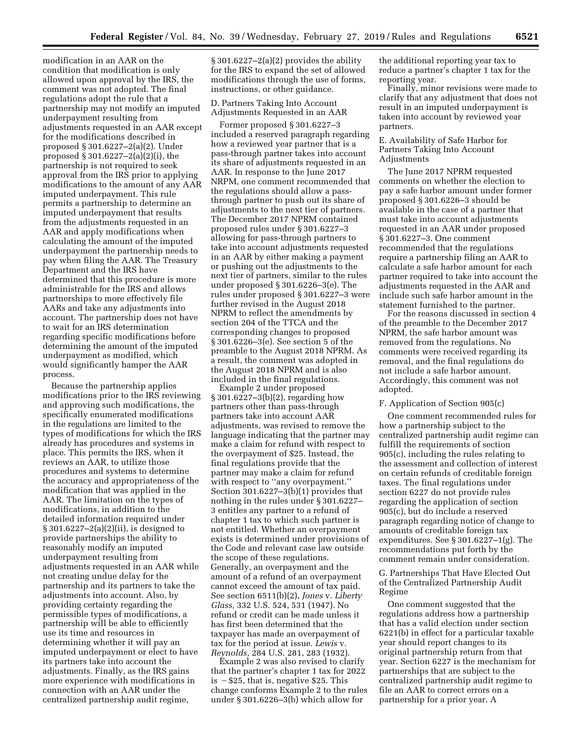modification in an AAR on the condition that modification is only allowed upon approval by the IRS, the comment was not adopted. The final regulations adopt the rule that a partnership may not modify an imputed underpayment resulting from adjustments requested in an AAR except for the modifications described in proposed § 301.6227–2(a)(2). Under proposed § 301.6227–2(a)(2)(i), the partnership is not required to seek approval from the IRS prior to applying modifications to the amount of any AAR imputed underpayment. This rule permits a partnership to determine an imputed underpayment that results from the adjustments requested in an AAR and apply modifications when calculating the amount of the imputed underpayment the partnership needs to pay when filing the AAR. The Treasury Department and the IRS have determined that this procedure is more administrable for the IRS and allows partnerships to more effectively file AARs and take any adjustments into account. The partnership does not have to wait for an IRS determination regarding specific modifications before determining the amount of the imputed underpayment as modified, which would significantly hamper the AAR process.

Because the partnership applies modifications prior to the IRS reviewing and approving such modifications, the specifically enumerated modifications in the regulations are limited to the types of modifications for which the IRS already has procedures and systems in place. This permits the IRS, when it reviews an AAR, to utilize those procedures and systems to determine the accuracy and appropriateness of the modification that was applied in the AAR. The limitation on the types of modifications, in addition to the detailed information required under § 301.6227–2(a)(2)(ii), is designed to provide partnerships the ability to reasonably modify an imputed underpayment resulting from adjustments requested in an AAR while not creating undue delay for the partnership and its partners to take the adjustments into account. Also, by providing certainty regarding the permissible types of modifications, a partnership will be able to efficiently use its time and resources in determining whether it will pay an imputed underpayment or elect to have its partners take into account the adjustments. Finally, as the IRS gains more experience with modifications in connection with an AAR under the centralized partnership audit regime,

§ 301.6227–2(a)(2) provides the ability for the IRS to expand the set of allowed modifications through the use of forms, instructions, or other guidance.

D. Partners Taking Into Account Adjustments Requested in an AAR

Former proposed § 301.6227–3 included a reserved paragraph regarding how a reviewed year partner that is a pass-through partner takes into account its share of adjustments requested in an AAR. In response to the June 2017 NRPM, one comment recommended that the regulations should allow a passthrough partner to push out its share of adjustments to the next tier of partners. The December 2017 NPRM contained proposed rules under § 301.6227–3 allowing for pass-through partners to take into account adjustments requested in an AAR by either making a payment or pushing out the adjustments to the next tier of partners, similar to the rules under proposed § 301.6226–3(e). The rules under proposed § 301.6227–3 were further revised in the August 2018 NPRM to reflect the amendments by section 204 of the TTCA and the corresponding changes to proposed § 301.6226–3(e). See section 5 of the preamble to the August 2018 NPRM. As a result, the comment was adopted in the August 2018 NPRM and is also included in the final regulations.

Example 2 under proposed § 301.6227–3(b)(2), regarding how partners other than pass-through partners take into account AAR adjustments, was revised to remove the language indicating that the partner may make a claim for refund with respect to the overpayment of \$25. Instead, the final regulations provide that the partner may make a claim for refund with respect to ''any overpayment.'' Section 301.6227–3(b)(1) provides that nothing in the rules under § 301.6227– 3 entitles any partner to a refund of chapter 1 tax to which such partner is not entitled. Whether an overpayment exists is determined under provisions of the Code and relevant case law outside the scope of these regulations. Generally, an overpayment and the amount of a refund of an overpayment cannot exceed the amount of tax paid. See section 6511(b)(2), *Jones* v. *Liberty Glass,* 332 U.S. 524, 531 (1947). No refund or credit can be made unless it has first been determined that the taxpayer has made an overpayment of tax for the period at issue. *Lewis* v. *Reynolds,* 284 U.S. 281, 283 (1932).

Example 2 was also revised to clarify that the partner's chapter 1 tax for 2022 is  $-$  \$25, that is, negative \$25. This change conforms Example 2 to the rules under § 301.6226–3(b) which allow for

the additional reporting year tax to reduce a partner's chapter 1 tax for the reporting year.

Finally, minor revisions were made to clarify that any adjustment that does not result in an imputed underpayment is taken into account by reviewed year partners.

E. Availability of Safe Harbor for Partners Taking Into Account Adjustments

The June 2017 NPRM requested comments on whether the election to pay a safe harbor amount under former proposed § 301.6226–3 should be available in the case of a partner that must take into account adjustments requested in an AAR under proposed § 301.6227–3. One comment recommended that the regulations require a partnership filing an AAR to calculate a safe harbor amount for each partner required to take into account the adjustments requested in the AAR and include such safe harbor amount in the statement furnished to the partner.

For the reasons discussed in section 4 of the preamble to the December 2017 NPRM, the safe harbor amount was removed from the regulations. No comments were received regarding its removal, and the final regulations do not include a safe harbor amount. Accordingly, this comment was not adopted.

## F. Application of Section 905(c)

One comment recommended rules for how a partnership subject to the centralized partnership audit regime can fulfill the requirements of section 905(c), including the rules relating to the assessment and collection of interest on certain refunds of creditable foreign taxes. The final regulations under section 6227 do not provide rules regarding the application of section 905(c), but do include a reserved paragraph regarding notice of change to amounts of creditable foreign tax expenditures. See § 301.6227–1(g). The recommendations put forth by the comment remain under consideration.

G. Partnerships That Have Elected Out of the Centralized Partnership Audit Regime

One comment suggested that the regulations address how a partnership that has a valid election under section 6221(b) in effect for a particular taxable year should report changes to its original partnership return from that year. Section 6227 is the mechanism for partnerships that are subject to the centralized partnership audit regime to file an AAR to correct errors on a partnership for a prior year. A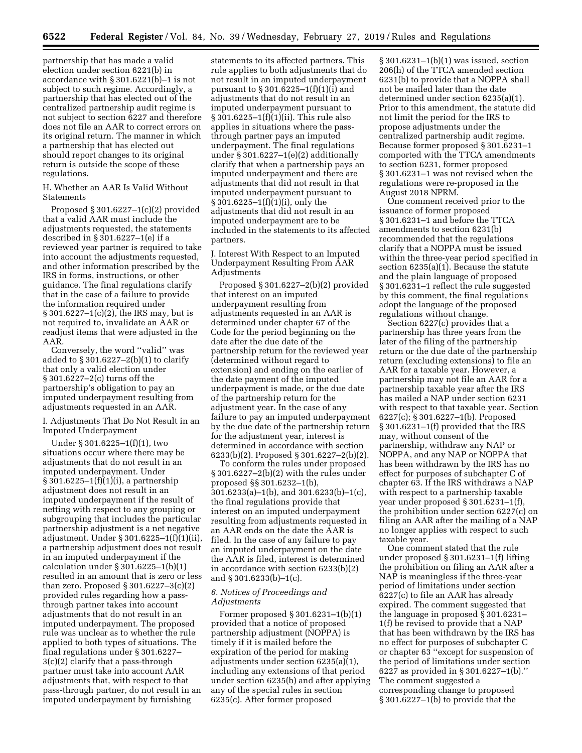partnership that has made a valid election under section 6221(b) in accordance with § 301.6221(b)–1 is not subject to such regime. Accordingly, a partnership that has elected out of the centralized partnership audit regime is not subject to section 6227 and therefore does not file an AAR to correct errors on its original return. The manner in which a partnership that has elected out should report changes to its original return is outside the scope of these regulations.

# H. Whether an AAR Is Valid Without Statements

Proposed § 301.6227–1(c)(2) provided that a valid AAR must include the adjustments requested, the statements described in § 301.6227–1(e) if a reviewed year partner is required to take into account the adjustments requested, and other information prescribed by the IRS in forms, instructions, or other guidance. The final regulations clarify that in the case of a failure to provide the information required under § 301.6227–1(c)(2), the IRS may, but is not required to, invalidate an AAR or readjust items that were adjusted in the AAR.

Conversely, the word ''valid'' was added to § 301.6227–2(b)(1) to clarify that only a valid election under § 301.6227–2(c) turns off the partnership's obligation to pay an imputed underpayment resulting from adjustments requested in an AAR.

I. Adjustments That Do Not Result in an Imputed Underpayment

Under § 301.6225–1(f)(1), two situations occur where there may be adjustments that do not result in an imputed underpayment. Under § 301.6225–1(f)(1)(i), a partnership adjustment does not result in an imputed underpayment if the result of netting with respect to any grouping or subgrouping that includes the particular partnership adjustment is a net negative adjustment. Under § 301.6225–1(f)(1)(ii), a partnership adjustment does not result in an imputed underpayment if the calculation under § 301.6225–1(b)(1) resulted in an amount that is zero or less than zero. Proposed § 301.6227–3(c)(2) provided rules regarding how a passthrough partner takes into account adjustments that do not result in an imputed underpayment. The proposed rule was unclear as to whether the rule applied to both types of situations. The final regulations under § 301.6227– 3(c)(2) clarify that a pass-through partner must take into account AAR adjustments that, with respect to that pass-through partner, do not result in an imputed underpayment by furnishing

statements to its affected partners. This rule applies to both adjustments that do not result in an imputed underpayment pursuant to § 301.6225–1(f)(1)(i) and adjustments that do not result in an imputed underpayment pursuant to § 301.6225–1(f)(1)(ii). This rule also applies in situations where the passthrough partner pays an imputed underpayment. The final regulations under § 301.6227–1(e)(2) additionally clarify that when a partnership pays an imputed underpayment and there are adjustments that did not result in that imputed underpayment pursuant to § 301.6225–1(f)(1)(i), only the adjustments that did not result in an imputed underpayment are to be included in the statements to its affected partners.

J. Interest With Respect to an Imputed Underpayment Resulting From AAR Adjustments

Proposed § 301.6227–2(b)(2) provided that interest on an imputed underpayment resulting from adjustments requested in an AAR is determined under chapter 67 of the Code for the period beginning on the date after the due date of the partnership return for the reviewed year (determined without regard to extension) and ending on the earlier of the date payment of the imputed underpayment is made, or the due date of the partnership return for the adjustment year. In the case of any failure to pay an imputed underpayment by the due date of the partnership return for the adjustment year, interest is determined in accordance with section 6233(b)(2). Proposed § 301.6227–2(b)(2).

To conform the rules under proposed § 301.6227–2(b)(2) with the rules under proposed §§ 301.6232–1(b), 301.6233(a)–1(b), and 301.6233(b)–1(c), the final regulations provide that interest on an imputed underpayment resulting from adjustments requested in an AAR ends on the date the AAR is filed. In the case of any failure to pay an imputed underpayment on the date the AAR is filed, interest is determined in accordance with section 6233(b)(2) and § 301.6233(b)–1(c).

# *6. Notices of Proceedings and Adjustments*

Former proposed § 301.6231–1(b)(1) provided that a notice of proposed partnership adjustment (NOPPA) is timely if it is mailed before the expiration of the period for making adjustments under section 6235(a)(1), including any extensions of that period under section 6235(b) and after applying any of the special rules in section 6235(c). After former proposed

§ 301.6231–1(b)(1) was issued, section 206(h) of the TTCA amended section 6231(b) to provide that a NOPPA shall not be mailed later than the date determined under section 6235(a)(1). Prior to this amendment, the statute did not limit the period for the IRS to propose adjustments under the centralized partnership audit regime. Because former proposed § 301.6231–1 comported with the TTCA amendments to section 6231, former proposed § 301.6231–1 was not revised when the regulations were re-proposed in the August 2018 NPRM.

One comment received prior to the issuance of former proposed § 301.6231–1 and before the TTCA amendments to section 6231(b) recommended that the regulations clarify that a NOPPA must be issued within the three-year period specified in section 6235(a)(1). Because the statute and the plain language of proposed § 301.6231–1 reflect the rule suggested by this comment, the final regulations adopt the language of the proposed regulations without change.

Section 6227(c) provides that a partnership has three years from the later of the filing of the partnership return or the due date of the partnership return (excluding extensions) to file an AAR for a taxable year. However, a partnership may not file an AAR for a partnership taxable year after the IRS has mailed a NAP under section 6231 with respect to that taxable year. Section 6227(c); § 301.6227–1(b). Proposed § 301.6231–1(f) provided that the IRS may, without consent of the partnership, withdraw any NAP or NOPPA, and any NAP or NOPPA that has been withdrawn by the IRS has no effect for purposes of subchapter C of chapter 63. If the IRS withdraws a NAP with respect to a partnership taxable year under proposed § 301.6231–1(f), the prohibition under section 6227(c) on filing an AAR after the mailing of a NAP no longer applies with respect to such taxable year.

One comment stated that the rule under proposed § 301.6231–1(f) lifting the prohibition on filing an AAR after a NAP is meaningless if the three-year period of limitations under section 6227(c) to file an AAR has already expired. The comment suggested that the language in proposed § 301.6231– 1(f) be revised to provide that a NAP that has been withdrawn by the IRS has no effect for purposes of subchapter C or chapter 63 ''except for suspension of the period of limitations under section 6227 as provided in § 301.6227–1(b).'' The comment suggested a corresponding change to proposed § 301.6227–1(b) to provide that the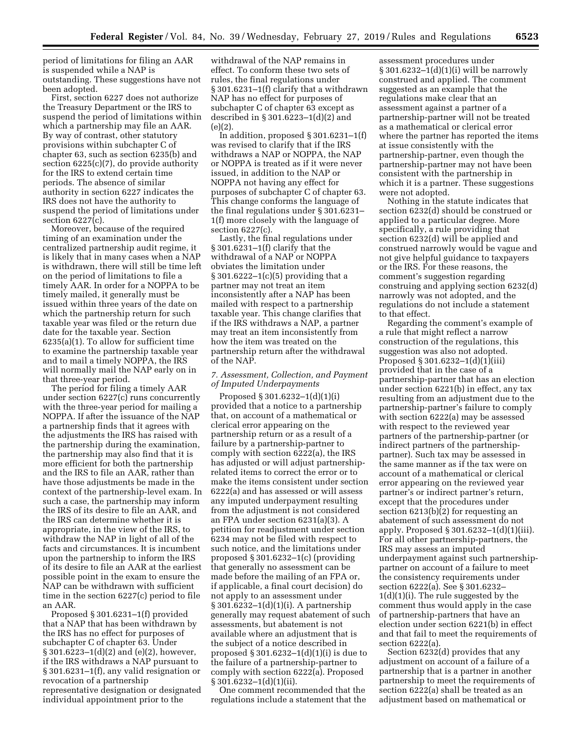period of limitations for filing an AAR is suspended while a NAP is outstanding. These suggestions have not been adopted.

First, section 6227 does not authorize the Treasury Department or the IRS to suspend the period of limitations within which a partnership may file an AAR. By way of contrast, other statutory provisions within subchapter C of chapter 63, such as section 6235(b) and section 6225(c)(7), do provide authority for the IRS to extend certain time periods. The absence of similar authority in section 6227 indicates the IRS does not have the authority to suspend the period of limitations under section 6227(c).

Moreover, because of the required timing of an examination under the centralized partnership audit regime, it is likely that in many cases when a NAP is withdrawn, there will still be time left on the period of limitations to file a timely AAR. In order for a NOPPA to be timely mailed, it generally must be issued within three years of the date on which the partnership return for such taxable year was filed or the return due date for the taxable year. Section 6235(a)(1). To allow for sufficient time to examine the partnership taxable year and to mail a timely NOPPA, the IRS will normally mail the NAP early on in that three-year period.

The period for filing a timely AAR under section 6227(c) runs concurrently with the three-year period for mailing a NOPPA. If after the issuance of the NAP a partnership finds that it agrees with the adjustments the IRS has raised with the partnership during the examination, the partnership may also find that it is more efficient for both the partnership and the IRS to file an AAR, rather than have those adjustments be made in the context of the partnership-level exam. In such a case, the partnership may inform the IRS of its desire to file an AAR, and the IRS can determine whether it is appropriate, in the view of the IRS, to withdraw the NAP in light of all of the facts and circumstances. It is incumbent upon the partnership to inform the IRS of its desire to file an AAR at the earliest possible point in the exam to ensure the NAP can be withdrawn with sufficient time in the section 6227(c) period to file an AAR.

Proposed § 301.6231–1(f) provided that a NAP that has been withdrawn by the IRS has no effect for purposes of subchapter C of chapter 63. Under § 301.6223–1(d)(2) and (e)(2), however, if the IRS withdraws a NAP pursuant to § 301.6231–1(f), any valid resignation or revocation of a partnership representative designation or designated individual appointment prior to the

withdrawal of the NAP remains in effect. To conform these two sets of rules, the final regulations under § 301.6231–1(f) clarify that a withdrawn NAP has no effect for purposes of subchapter C of chapter 63 except as described in § 301.6223–1(d)(2) and (e)(2).

In addition, proposed § 301.6231–1(f) was revised to clarify that if the IRS withdraws a NAP or NOPPA, the NAP or NOPPA is treated as if it were never issued, in addition to the NAP or NOPPA not having any effect for purposes of subchapter C of chapter 63. This change conforms the language of the final regulations under § 301.6231– 1(f) more closely with the language of section 6227(c).

Lastly, the final regulations under § 301.6231–1(f) clarify that the withdrawal of a NAP or NOPPA obviates the limitation under § 301.6222–1(c)(5) providing that a partner may not treat an item inconsistently after a NAP has been mailed with respect to a partnership taxable year. This change clarifies that if the IRS withdraws a NAP, a partner may treat an item inconsistently from how the item was treated on the partnership return after the withdrawal of the NAP.

#### *7. Assessment, Collection, and Payment of Imputed Underpayments*

Proposed § 301.6232–1(d)(1)(i) provided that a notice to a partnership that, on account of a mathematical or clerical error appearing on the partnership return or as a result of a failure by a partnership-partner to comply with section 6222(a), the IRS has adjusted or will adjust partnershiprelated items to correct the error or to make the items consistent under section 6222(a) and has assessed or will assess any imputed underpayment resulting from the adjustment is not considered an FPA under section 6231(a)(3). A petition for readjustment under section 6234 may not be filed with respect to such notice, and the limitations under proposed § 301.6232–1(c) (providing that generally no assessment can be made before the mailing of an FPA or, if applicable, a final court decision) do not apply to an assessment under § 301.6232–1(d)(1)(i). A partnership generally may request abatement of such assessments, but abatement is not available where an adjustment that is the subject of a notice described in proposed § 301.6232–1(d)(1)(i) is due to the failure of a partnership-partner to comply with section 6222(a). Proposed § 301.6232–1(d)(1)(ii).

One comment recommended that the regulations include a statement that the

assessment procedures under § 301.6232–1(d)(1)(i) will be narrowly construed and applied. The comment suggested as an example that the regulations make clear that an assessment against a partner of a partnership-partner will not be treated as a mathematical or clerical error where the partner has reported the items at issue consistently with the partnership-partner, even though the partnership-partner may not have been consistent with the partnership in which it is a partner. These suggestions were not adopted.

Nothing in the statute indicates that section 6232(d) should be construed or applied to a particular degree. More specifically, a rule providing that section 6232(d) will be applied and construed narrowly would be vague and not give helpful guidance to taxpayers or the IRS. For these reasons, the comment's suggestion regarding construing and applying section 6232(d) narrowly was not adopted, and the regulations do not include a statement to that effect.

Regarding the comment's example of a rule that might reflect a narrow construction of the regulations, this suggestion was also not adopted. Proposed § 301.6232–1(d)(1)(iii) provided that in the case of a partnership-partner that has an election under section 6221(b) in effect, any tax resulting from an adjustment due to the partnership-partner's failure to comply with section 6222(a) may be assessed with respect to the reviewed year partners of the partnership-partner (or indirect partners of the partnershippartner). Such tax may be assessed in the same manner as if the tax were on account of a mathematical or clerical error appearing on the reviewed year partner's or indirect partner's return, except that the procedures under section 6213(b)(2) for requesting an abatement of such assessment do not apply. Proposed § 301.6232–1(d)(1)(iii). For all other partnership-partners, the IRS may assess an imputed underpayment against such partnershippartner on account of a failure to meet the consistency requirements under section 6222(a). See § 301.6232– 1(d)(1)(i). The rule suggested by the comment thus would apply in the case of partnership-partners that have an election under section 6221(b) in effect and that fail to meet the requirements of section 6222(a).

Section 6232(d) provides that any adjustment on account of a failure of a partnership that is a partner in another partnership to meet the requirements of section 6222(a) shall be treated as an adjustment based on mathematical or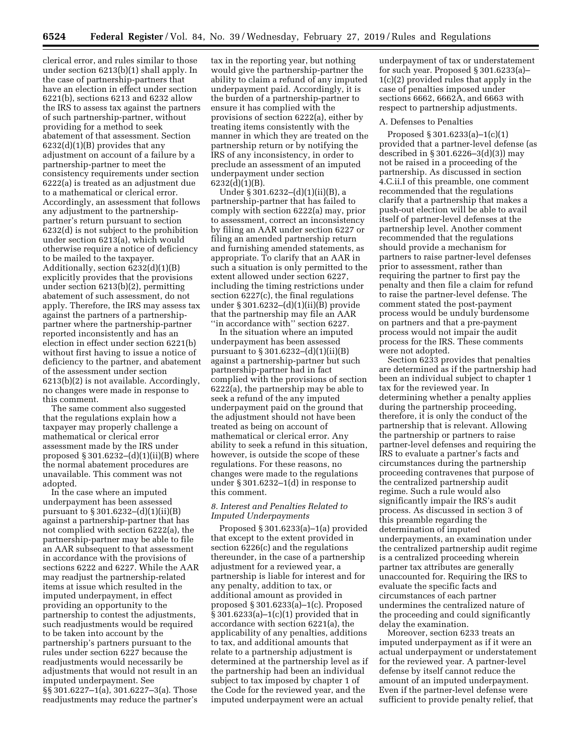clerical error, and rules similar to those under section 6213(b)(1) shall apply. In the case of partnership-partners that have an election in effect under section 6221(b), sections 6213 and 6232 allow the IRS to assess tax against the partners of such partnership-partner, without providing for a method to seek abatement of that assessment. Section  $6232(d)(1)(B)$  provides that any adjustment on account of a failure by a partnership-partner to meet the consistency requirements under section 6222(a) is treated as an adjustment due to a mathematical or clerical error. Accordingly, an assessment that follows any adjustment to the partnershippartner's return pursuant to section 6232(d) is not subject to the prohibition under section 6213(a), which would otherwise require a notice of deficiency to be mailed to the taxpayer. Additionally, section 6232(d)(1)(B) explicitly provides that the provisions under section 6213(b)(2), permitting abatement of such assessment, do not apply. Therefore, the IRS may assess tax against the partners of a partnershippartner where the partnership-partner reported inconsistently and has an election in effect under section 6221(b) without first having to issue a notice of deficiency to the partner, and abatement of the assessment under section 6213(b)(2) is not available. Accordingly, no changes were made in response to this comment.

The same comment also suggested that the regulations explain how a taxpayer may properly challenge a mathematical or clerical error assessment made by the IRS under proposed  $\S 301.6232-(d)(1)(ii)(B)$  where the normal abatement procedures are unavailable. This comment was not adopted.

In the case where an imputed underpayment has been assessed pursuant to § 301.6232–(d)(1)(ii)(B) against a partnership-partner that has not complied with section 6222(a), the partnership-partner may be able to file an AAR subsequent to that assessment in accordance with the provisions of sections 6222 and 6227. While the AAR may readjust the partnership-related items at issue which resulted in the imputed underpayment, in effect providing an opportunity to the partnership to contest the adjustments, such readjustments would be required to be taken into account by the partnership's partners pursuant to the rules under section 6227 because the readjustments would necessarily be adjustments that would not result in an imputed underpayment. See §§ 301.6227–1(a), 301.6227–3(a). Those readjustments may reduce the partner's

tax in the reporting year, but nothing would give the partnership-partner the ability to claim a refund of any imputed underpayment paid. Accordingly, it is the burden of a partnership-partner to ensure it has complied with the provisions of section 6222(a), either by treating items consistently with the manner in which they are treated on the partnership return or by notifying the IRS of any inconsistency, in order to preclude an assessment of an imputed underpayment under section 6232(d)(1)(B).

Under § 301.6232–(d)(1)(ii)(B), a partnership-partner that has failed to comply with section 6222(a) may, prior to assessment, correct an inconsistency by filing an AAR under section 6227 or filing an amended partnership return and furnishing amended statements, as appropriate. To clarify that an AAR in such a situation is only permitted to the extent allowed under section 6227, including the timing restrictions under section 6227(c), the final regulations under § 301.6232–(d)(1)(ii)(B) provide that the partnership may file an AAR ''in accordance with'' section 6227.

In the situation where an imputed underpayment has been assessed pursuant to § 301.6232–(d)(1)(ii)(B) against a partnership-partner but such partnership-partner had in fact complied with the provisions of section 6222(a), the partnership may be able to seek a refund of the any imputed underpayment paid on the ground that the adjustment should not have been treated as being on account of mathematical or clerical error. Any ability to seek a refund in this situation, however, is outside the scope of these regulations. For these reasons, no changes were made to the regulations under § 301.6232–1(d) in response to this comment.

# *8. Interest and Penalties Related to Imputed Underpayments*

Proposed § 301.6233(a)–1(a) provided that except to the extent provided in section 6226(c) and the regulations thereunder, in the case of a partnership adjustment for a reviewed year, a partnership is liable for interest and for any penalty, addition to tax, or additional amount as provided in proposed § 301.6233(a)–1(c). Proposed § 301.6233(a)–1(c)(1) provided that in accordance with section 6221(a), the applicability of any penalties, additions to tax, and additional amounts that relate to a partnership adjustment is determined at the partnership level as if the partnership had been an individual subject to tax imposed by chapter 1 of the Code for the reviewed year, and the imputed underpayment were an actual

underpayment of tax or understatement for such year. Proposed § 301.6233(a)– 1(c)(2) provided rules that apply in the case of penalties imposed under sections 6662, 6662A, and 6663 with respect to partnership adjustments.

#### A. Defenses to Penalties

Proposed § 301.6233(a)–1(c)(1) provided that a partner-level defense (as described in § 301.6226–3(d)(3)) may not be raised in a proceeding of the partnership. As discussed in section 4.C.ii.I of this preamble, one comment recommended that the regulations clarify that a partnership that makes a push-out election will be able to avail itself of partner-level defenses at the partnership level. Another comment recommended that the regulations should provide a mechanism for partners to raise partner-level defenses prior to assessment, rather than requiring the partner to first pay the penalty and then file a claim for refund to raise the partner-level defense. The comment stated the post-payment process would be unduly burdensome on partners and that a pre-payment process would not impair the audit process for the IRS. These comments were not adopted.

Section 6233 provides that penalties are determined as if the partnership had been an individual subject to chapter 1 tax for the reviewed year. In determining whether a penalty applies during the partnership proceeding, therefore, it is only the conduct of the partnership that is relevant. Allowing the partnership or partners to raise partner-level defenses and requiring the IRS to evaluate a partner's facts and circumstances during the partnership proceeding contravenes that purpose of the centralized partnership audit regime. Such a rule would also significantly impair the IRS's audit process. As discussed in section 3 of this preamble regarding the determination of imputed underpayments, an examination under the centralized partnership audit regime is a centralized proceeding wherein partner tax attributes are generally unaccounted for. Requiring the IRS to evaluate the specific facts and circumstances of each partner undermines the centralized nature of the proceeding and could significantly delay the examination.

Moreover, section 6233 treats an imputed underpayment as if it were an actual underpayment or understatement for the reviewed year. A partner-level defense by itself cannot reduce the amount of an imputed underpayment. Even if the partner-level defense were sufficient to provide penalty relief, that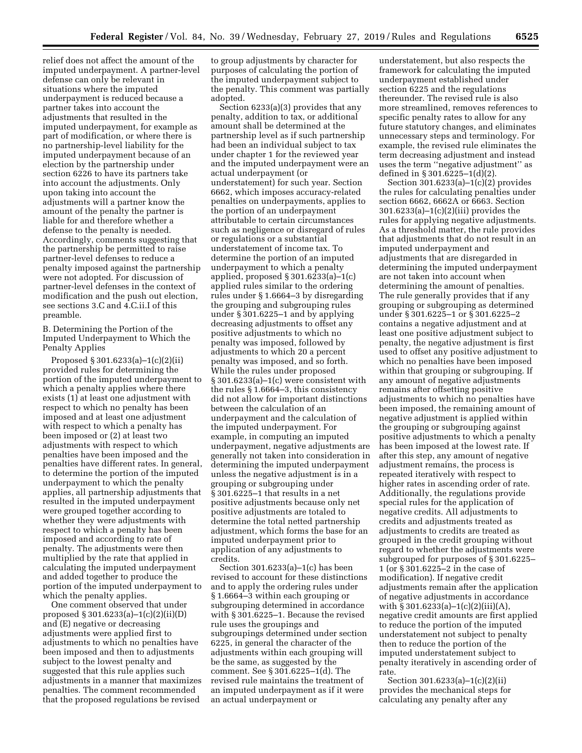relief does not affect the amount of the imputed underpayment. A partner-level defense can only be relevant in situations where the imputed underpayment is reduced because a partner takes into account the adjustments that resulted in the imputed underpayment, for example as part of modification, or where there is no partnership-level liability for the imputed underpayment because of an election by the partnership under section 6226 to have its partners take into account the adjustments. Only upon taking into account the adjustments will a partner know the amount of the penalty the partner is liable for and therefore whether a defense to the penalty is needed. Accordingly, comments suggesting that the partnership be permitted to raise partner-level defenses to reduce a penalty imposed against the partnership were not adopted. For discussion of partner-level defenses in the context of modification and the push out election, see sections 3.C and 4.C.ii.I of this preamble.

B. Determining the Portion of the Imputed Underpayment to Which the Penalty Applies

Proposed § 301.6233(a)–1(c)(2)(ii) provided rules for determining the portion of the imputed underpayment to which a penalty applies where there exists (1) at least one adjustment with respect to which no penalty has been imposed and at least one adjustment with respect to which a penalty has been imposed or (2) at least two adjustments with respect to which penalties have been imposed and the penalties have different rates. In general, to determine the portion of the imputed underpayment to which the penalty applies, all partnership adjustments that resulted in the imputed underpayment were grouped together according to whether they were adjustments with respect to which a penalty has been imposed and according to rate of penalty. The adjustments were then multiplied by the rate that applied in calculating the imputed underpayment and added together to produce the portion of the imputed underpayment to which the penalty applies.

One comment observed that under proposed § 301.6233(a)–1(c)(2)(ii)(D) and (E) negative or decreasing adjustments were applied first to adjustments to which no penalties have been imposed and then to adjustments subject to the lowest penalty and suggested that this rule applies such adjustments in a manner that maximizes penalties. The comment recommended that the proposed regulations be revised

to group adjustments by character for purposes of calculating the portion of the imputed underpayment subject to the penalty. This comment was partially adopted.

Section 6233(a)(3) provides that any penalty, addition to tax, or additional amount shall be determined at the partnership level as if such partnership had been an individual subject to tax under chapter 1 for the reviewed year and the imputed underpayment were an actual underpayment (or understatement) for such year. Section 6662, which imposes accuracy-related penalties on underpayments, applies to the portion of an underpayment attributable to certain circumstances such as negligence or disregard of rules or regulations or a substantial understatement of income tax. To determine the portion of an imputed underpayment to which a penalty applied, proposed § 301.6233(a)–1(c) applied rules similar to the ordering rules under § 1.6664–3 by disregarding the grouping and subgrouping rules under § 301.6225–1 and by applying decreasing adjustments to offset any positive adjustments to which no penalty was imposed, followed by adjustments to which 20 a percent penalty was imposed, and so forth. While the rules under proposed § 301.6233(a)–1(c) were consistent with the rules § 1.6664–3, this consistency did not allow for important distinctions between the calculation of an underpayment and the calculation of the imputed underpayment. For example, in computing an imputed underpayment, negative adjustments are generally not taken into consideration in determining the imputed underpayment unless the negative adjustment is in a grouping or subgrouping under § 301.6225–1 that results in a net positive adjustments because only net positive adjustments are totaled to determine the total netted partnership adjustment, which forms the base for an imputed underpayment prior to application of any adjustments to credits.

Section 301.6233(a)–1(c) has been revised to account for these distinctions and to apply the ordering rules under § 1.6664–3 within each grouping or subgrouping determined in accordance with § 301.6225–1. Because the revised rule uses the groupings and subgroupings determined under section 6225, in general the character of the adjustments within each grouping will be the same, as suggested by the comment. See § 301.6225–1(d). The revised rule maintains the treatment of an imputed underpayment as if it were an actual underpayment or

understatement, but also respects the framework for calculating the imputed underpayment established under section 6225 and the regulations thereunder. The revised rule is also more streamlined, removes references to specific penalty rates to allow for any future statutory changes, and eliminates unnecessary steps and terminology. For example, the revised rule eliminates the term decreasing adjustment and instead uses the term ''negative adjustment'' as defined in § 301.6225–1(d)(2).

Section  $301.6233(a)-1(c)(2)$  provides the rules for calculating penalties under section 6662, 6662A or 6663. Section 301.6233(a)–1(c)(2)(iii) provides the rules for applying negative adjustments. As a threshold matter, the rule provides that adjustments that do not result in an imputed underpayment and adjustments that are disregarded in determining the imputed underpayment are not taken into account when determining the amount of penalties. The rule generally provides that if any grouping or subgrouping as determined under § 301.6225–1 or § 301.6225–2 contains a negative adjustment and at least one positive adjustment subject to penalty, the negative adjustment is first used to offset any positive adjustment to which no penalties have been imposed within that grouping or subgrouping. If any amount of negative adjustments remains after offsetting positive adjustments to which no penalties have been imposed, the remaining amount of negative adjustment is applied within the grouping or subgrouping against positive adjustments to which a penalty has been imposed at the lowest rate. If after this step, any amount of negative adjustment remains, the process is repeated iteratively with respect to higher rates in ascending order of rate. Additionally, the regulations provide special rules for the application of negative credits. All adjustments to credits and adjustments treated as adjustments to credits are treated as grouped in the credit grouping without regard to whether the adjustments were subgrouped for purposes of § 301.6225– 1 (or § 301.6225–2 in the case of modification). If negative credit adjustments remain after the application of negative adjustments in accordance with § 301.6233(a)–1(c)(2)(iii)(A), negative credit amounts are first applied to reduce the portion of the imputed understatement not subject to penalty then to reduce the portion of the imputed understatement subject to penalty iteratively in ascending order of rate.

Section 301.6233(a)–1(c)(2)(ii) provides the mechanical steps for calculating any penalty after any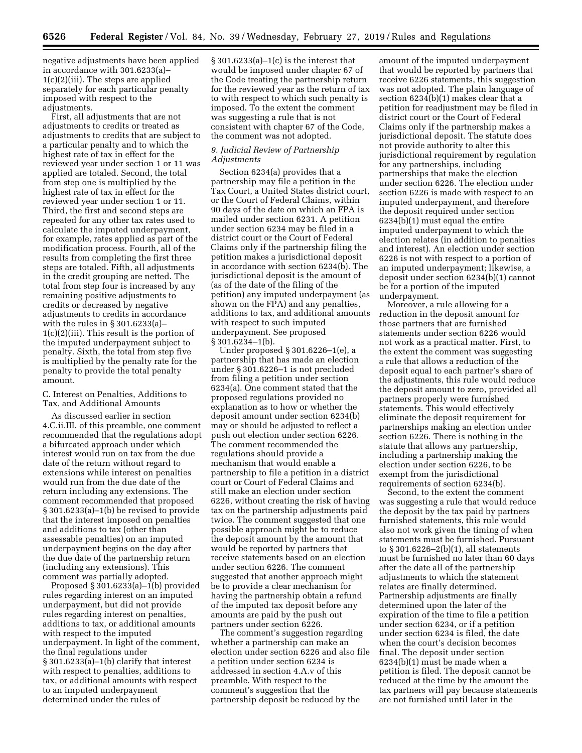negative adjustments have been applied in accordance with 301.6233(a)– 1(c)(2)(iii). The steps are applied separately for each particular penalty imposed with respect to the adjustments.

First, all adjustments that are not adjustments to credits or treated as adjustments to credits that are subject to a particular penalty and to which the highest rate of tax in effect for the reviewed year under section 1 or 11 was applied are totaled. Second, the total from step one is multiplied by the highest rate of tax in effect for the reviewed year under section 1 or 11. Third, the first and second steps are repeated for any other tax rates used to calculate the imputed underpayment, for example, rates applied as part of the modification process. Fourth, all of the results from completing the first three steps are totaled. Fifth, all adjustments in the credit grouping are netted. The total from step four is increased by any remaining positive adjustments to credits or decreased by negative adjustments to credits in accordance with the rules in § 301.6233(a)– 1(c)(2)(iii). This result is the portion of the imputed underpayment subject to penalty. Sixth, the total from step five is multiplied by the penalty rate for the penalty to provide the total penalty amount.

# C. Interest on Penalties, Additions to Tax, and Additional Amounts

As discussed earlier in section 4.C.ii.III. of this preamble, one comment recommended that the regulations adopt a bifurcated approach under which interest would run on tax from the due date of the return without regard to extensions while interest on penalties would run from the due date of the return including any extensions. The comment recommended that proposed § 301.6233(a)–1(b) be revised to provide that the interest imposed on penalties and additions to tax (other than assessable penalties) on an imputed underpayment begins on the day after the due date of the partnership return (including any extensions). This comment was partially adopted.

Proposed  $\S 301.6233(a)-1(b)$  provided rules regarding interest on an imputed underpayment, but did not provide rules regarding interest on penalties, additions to tax, or additional amounts with respect to the imputed underpayment. In light of the comment, the final regulations under § 301.6233(a)–1(b) clarify that interest with respect to penalties, additions to tax, or additional amounts with respect to an imputed underpayment determined under the rules of

§ 301.6233(a)–1(c) is the interest that would be imposed under chapter 67 of the Code treating the partnership return for the reviewed year as the return of tax to with respect to which such penalty is imposed. To the extent the comment was suggesting a rule that is not consistent with chapter 67 of the Code, the comment was not adopted.

# *9. Judicial Review of Partnership Adjustments*

Section 6234(a) provides that a partnership may file a petition in the Tax Court, a United States district court, or the Court of Federal Claims, within 90 days of the date on which an FPA is mailed under section 6231. A petition under section 6234 may be filed in a district court or the Court of Federal Claims only if the partnership filing the petition makes a jurisdictional deposit in accordance with section 6234(b). The jurisdictional deposit is the amount of (as of the date of the filing of the petition) any imputed underpayment (as shown on the FPA) and any penalties, additions to tax, and additional amounts with respect to such imputed underpayment. See proposed § 301.6234–1(b).

Under proposed § 301.6226–1(e), a partnership that has made an election under § 301.6226–1 is not precluded from filing a petition under section 6234(a). One comment stated that the proposed regulations provided no explanation as to how or whether the deposit amount under section 6234(b) may or should be adjusted to reflect a push out election under section 6226. The comment recommended the regulations should provide a mechanism that would enable a partnership to file a petition in a district court or Court of Federal Claims and still make an election under section 6226, without creating the risk of having tax on the partnership adjustments paid twice. The comment suggested that one possible approach might be to reduce the deposit amount by the amount that would be reported by partners that receive statements based on an election under section 6226. The comment suggested that another approach might be to provide a clear mechanism for having the partnership obtain a refund of the imputed tax deposit before any amounts are paid by the push out partners under section 6226.

The comment's suggestion regarding whether a partnership can make an election under section 6226 and also file a petition under section 6234 is addressed in section 4.A.v of this preamble. With respect to the comment's suggestion that the partnership deposit be reduced by the

amount of the imputed underpayment that would be reported by partners that receive 6226 statements, this suggestion was not adopted. The plain language of section 6234(b)(1) makes clear that a petition for readjustment may be filed in district court or the Court of Federal Claims only if the partnership makes a jurisdictional deposit. The statute does not provide authority to alter this jurisdictional requirement by regulation for any partnerships, including partnerships that make the election under section 6226. The election under section 6226 is made with respect to an imputed underpayment, and therefore the deposit required under section 6234(b)(1) must equal the entire imputed underpayment to which the election relates (in addition to penalties and interest). An election under section 6226 is not with respect to a portion of an imputed underpayment; likewise, a deposit under section 6234(b)(1) cannot be for a portion of the imputed underpayment.

Moreover, a rule allowing for a reduction in the deposit amount for those partners that are furnished statements under section 6226 would not work as a practical matter. First, to the extent the comment was suggesting a rule that allows a reduction of the deposit equal to each partner's share of the adjustments, this rule would reduce the deposit amount to zero, provided all partners properly were furnished statements. This would effectively eliminate the deposit requirement for partnerships making an election under section 6226. There is nothing in the statute that allows any partnership, including a partnership making the election under section 6226, to be exempt from the jurisdictional requirements of section 6234(b).

Second, to the extent the comment was suggesting a rule that would reduce the deposit by the tax paid by partners furnished statements, this rule would also not work given the timing of when statements must be furnished. Pursuant to § 301.6226–2(b)(1), all statements must be furnished no later than 60 days after the date all of the partnership adjustments to which the statement relates are finally determined. Partnership adjustments are finally determined upon the later of the expiration of the time to file a petition under section 6234, or if a petition under section 6234 is filed, the date when the court's decision becomes final. The deposit under section 6234(b)(1) must be made when a petition is filed. The deposit cannot be reduced at the time by the amount the tax partners will pay because statements are not furnished until later in the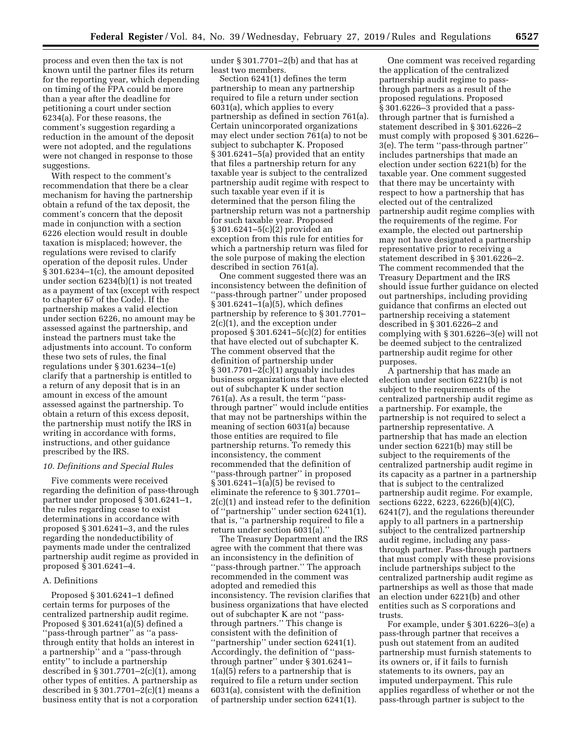process and even then the tax is not known until the partner files its return for the reporting year, which depending on timing of the FPA could be more than a year after the deadline for petitioning a court under section 6234(a). For these reasons, the comment's suggestion regarding a reduction in the amount of the deposit were not adopted, and the regulations were not changed in response to those suggestions.

With respect to the comment's recommendation that there be a clear mechanism for having the partnership obtain a refund of the tax deposit, the comment's concern that the deposit made in conjunction with a section 6226 election would result in double taxation is misplaced; however, the regulations were revised to clarify operation of the deposit rules. Under § 301.6234–1(c), the amount deposited under section 6234(b)(1) is not treated as a payment of tax (except with respect to chapter 67 of the Code). If the partnership makes a valid election under section 6226, no amount may be assessed against the partnership, and instead the partners must take the adjustments into account. To conform these two sets of rules, the final regulations under § 301.6234–1(e) clarify that a partnership is entitled to a return of any deposit that is in an amount in excess of the amount assessed against the partnership. To obtain a return of this excess deposit, the partnership must notify the IRS in writing in accordance with forms, instructions, and other guidance prescribed by the IRS.

#### *10. Definitions and Special Rules*

Five comments were received regarding the definition of pass-through partner under proposed § 301.6241–1, the rules regarding cease to exist determinations in accordance with proposed § 301.6241–3, and the rules regarding the nondeductibility of payments made under the centralized partnership audit regime as provided in proposed § 301.6241–4.

# A. Definitions

Proposed § 301.6241–1 defined certain terms for purposes of the centralized partnership audit regime. Proposed § 301.6241(a)(5) defined a ''pass-through partner'' as ''a passthrough entity that holds an interest in a partnership'' and a ''pass-through entity'' to include a partnership described in § 301.7701–2(c)(1), among other types of entities. A partnership as described in § 301.7701–2(c)(1) means a business entity that is not a corporation

under § 301.7701–2(b) and that has at least two members.

Section 6241(1) defines the term partnership to mean any partnership required to file a return under section 6031(a), which applies to every partnership as defined in section 761(a). Certain unincorporated organizations may elect under section 761(a) to not be subject to subchapter K. Proposed § 301.6241–5(a) provided that an entity that files a partnership return for any taxable year is subject to the centralized partnership audit regime with respect to such taxable year even if it is determined that the person filing the partnership return was not a partnership for such taxable year. Proposed § 301.6241–5(c)(2) provided an exception from this rule for entities for which a partnership return was filed for the sole purpose of making the election described in section 761(a).

One comment suggested there was an inconsistency between the definition of ''pass-through partner'' under proposed § 301.6241–1(a)(5), which defines partnership by reference to § 301.7701– 2(c)(1), and the exception under proposed  $\S 301.6241 - 5(c)(2)$  for entities that have elected out of subchapter K. The comment observed that the definition of partnership under § 301.7701–2(c)(1) arguably includes business organizations that have elected out of subchapter K under section 761(a). As a result, the term ''passthrough partner'' would include entities that may not be partnerships within the meaning of section 6031(a) because those entities are required to file partnership returns. To remedy this inconsistency, the comment recommended that the definition of ''pass-through partner'' in proposed § 301.6241–1(a)(5) be revised to eliminate the reference to § 301.7701– 2(c)(1) and instead refer to the definition of ''partnership'' under section 6241(1), that is, ''a partnership required to file a return under section 6031(a).''

The Treasury Department and the IRS agree with the comment that there was an inconsistency in the definition of ''pass-through partner.'' The approach recommended in the comment was adopted and remedied this inconsistency. The revision clarifies that business organizations that have elected out of subchapter K are not ''passthrough partners.'' This change is consistent with the definition of ''partnership'' under section 6241(1). Accordingly, the definition of ''passthrough partner'' under § 301.6241– 1(a)(5) refers to a partnership that is required to file a return under section 6031(a), consistent with the definition of partnership under section 6241(1).

One comment was received regarding the application of the centralized partnership audit regime to passthrough partners as a result of the proposed regulations. Proposed § 301.6226–3 provided that a passthrough partner that is furnished a statement described in § 301.6226–2 must comply with proposed § 301.6226– 3(e). The term ''pass-through partner'' includes partnerships that made an election under section 6221(b) for the taxable year. One comment suggested that there may be uncertainty with respect to how a partnership that has elected out of the centralized partnership audit regime complies with the requirements of the regime. For example, the elected out partnership may not have designated a partnership representative prior to receiving a statement described in § 301.6226–2. The comment recommended that the Treasury Department and the IRS should issue further guidance on elected out partnerships, including providing guidance that confirms an elected out partnership receiving a statement described in § 301.6226–2 and complying with § 301.6226–3(e) will not be deemed subject to the centralized partnership audit regime for other purposes.

A partnership that has made an election under section 6221(b) is not subject to the requirements of the centralized partnership audit regime as a partnership. For example, the partnership is not required to select a partnership representative. A partnership that has made an election under section 6221(b) may still be subject to the requirements of the centralized partnership audit regime in its capacity as a partner in a partnership that is subject to the centralized partnership audit regime. For example, sections 6222, 6223, 6226(b)(4)(C), 6241(7), and the regulations thereunder apply to all partners in a partnership subject to the centralized partnership audit regime, including any passthrough partner. Pass-through partners that must comply with these provisions include partnerships subject to the centralized partnership audit regime as partnerships as well as those that made an election under 6221(b) and other entities such as S corporations and trusts.

For example, under § 301.6226–3(e) a pass-through partner that receives a push out statement from an audited partnership must furnish statements to its owners or, if it fails to furnish statements to its owners, pay an imputed underpayment. This rule applies regardless of whether or not the pass-through partner is subject to the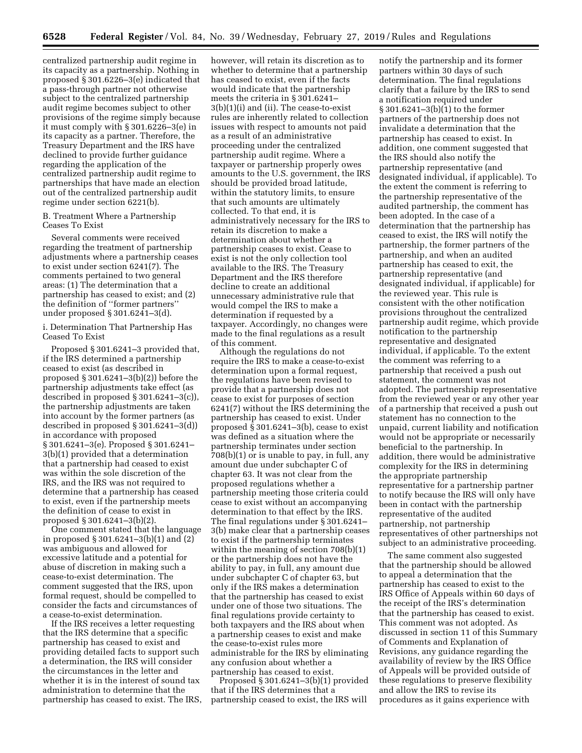centralized partnership audit regime in its capacity as a partnership. Nothing in proposed § 301.6226–3(e) indicated that a pass-through partner not otherwise subject to the centralized partnership audit regime becomes subject to other provisions of the regime simply because it must comply with § 301.6226–3(e) in its capacity as a partner. Therefore, the Treasury Department and the IRS have declined to provide further guidance regarding the application of the centralized partnership audit regime to partnerships that have made an election out of the centralized partnership audit regime under section 6221(b).

B. Treatment Where a Partnership Ceases To Exist

Several comments were received regarding the treatment of partnership adjustments where a partnership ceases to exist under section 6241(7). The comments pertained to two general areas: (1) The determination that a partnership has ceased to exist; and (2) the definition of ''former partners'' under proposed § 301.6241–3(d).

# i. Determination That Partnership Has Ceased To Exist

Proposed § 301.6241–3 provided that, if the IRS determined a partnership ceased to exist (as described in proposed § 301.6241–3(b)(2)) before the partnership adjustments take effect (as described in proposed § 301.6241–3(c)), the partnership adjustments are taken into account by the former partners (as described in proposed § 301.6241–3(d)) in accordance with proposed § 301.6241–3(e). Proposed § 301.6241– 3(b)(1) provided that a determination that a partnership had ceased to exist was within the sole discretion of the IRS, and the IRS was not required to determine that a partnership has ceased to exist, even if the partnership meets the definition of cease to exist in proposed § 301.6241–3(b)(2).

One comment stated that the language in proposed § 301.6241–3(b)(1) and (2) was ambiguous and allowed for excessive latitude and a potential for abuse of discretion in making such a cease-to-exist determination. The comment suggested that the IRS, upon formal request, should be compelled to consider the facts and circumstances of a cease-to-exist determination.

If the IRS receives a letter requesting that the IRS determine that a specific partnership has ceased to exist and providing detailed facts to support such a determination, the IRS will consider the circumstances in the letter and whether it is in the interest of sound tax administration to determine that the partnership has ceased to exist. The IRS,

however, will retain its discretion as to whether to determine that a partnership has ceased to exist, even if the facts would indicate that the partnership meets the criteria in § 301.6241– 3(b)(1)(i) and (ii). The cease-to-exist rules are inherently related to collection issues with respect to amounts not paid as a result of an administrative proceeding under the centralized partnership audit regime. Where a taxpayer or partnership properly owes amounts to the U.S. government, the IRS should be provided broad latitude, within the statutory limits, to ensure that such amounts are ultimately collected. To that end, it is administratively necessary for the IRS to retain its discretion to make a determination about whether a partnership ceases to exist. Cease to exist is not the only collection tool available to the IRS. The Treasury Department and the IRS therefore decline to create an additional unnecessary administrative rule that would compel the IRS to make a determination if requested by a taxpayer. Accordingly, no changes were made to the final regulations as a result of this comment.

Although the regulations do not require the IRS to make a cease-to-exist determination upon a formal request, the regulations have been revised to provide that a partnership does not cease to exist for purposes of section 6241(7) without the IRS determining the partnership has ceased to exist. Under proposed § 301.6241–3(b), cease to exist was defined as a situation where the partnership terminates under section 708(b)(1) or is unable to pay, in full, any amount due under subchapter C of chapter 63. It was not clear from the proposed regulations whether a partnership meeting those criteria could cease to exist without an accompanying determination to that effect by the IRS. The final regulations under § 301.6241– 3(b) make clear that a partnership ceases to exist if the partnership terminates within the meaning of section 708(b)(1) or the partnership does not have the ability to pay, in full, any amount due under subchapter C of chapter 63, but only if the IRS makes a determination that the partnership has ceased to exist under one of those two situations. The final regulations provide certainty to both taxpayers and the IRS about when a partnership ceases to exist and make the cease-to-exist rules more administrable for the IRS by eliminating any confusion about whether a partnership has ceased to exist.

Proposed § 301.6241–3(b)(1) provided that if the IRS determines that a partnership ceased to exist, the IRS will

notify the partnership and its former partners within 30 days of such determination. The final regulations clarify that a failure by the IRS to send a notification required under § 301.6241–3(b)(1) to the former partners of the partnership does not invalidate a determination that the partnership has ceased to exist. In addition, one comment suggested that the IRS should also notify the partnership representative (and designated individual, if applicable). To the extent the comment is referring to the partnership representative of the audited partnership, the comment has been adopted. In the case of a determination that the partnership has ceased to exist, the IRS will notify the partnership, the former partners of the partnership, and when an audited partnership has ceased to exit, the partnership representative (and designated individual, if applicable) for the reviewed year. This rule is consistent with the other notification provisions throughout the centralized partnership audit regime, which provide notification to the partnership representative and designated individual, if applicable. To the extent the comment was referring to a partnership that received a push out statement, the comment was not adopted. The partnership representative from the reviewed year or any other year of a partnership that received a push out statement has no connection to the unpaid, current liability and notification would not be appropriate or necessarily beneficial to the partnership. In addition, there would be administrative complexity for the IRS in determining the appropriate partnership representative for a partnership partner to notify because the IRS will only have been in contact with the partnership representative of the audited partnership, not partnership representatives of other partnerships not subject to an administrative proceeding.

The same comment also suggested that the partnership should be allowed to appeal a determination that the partnership has ceased to exist to the IRS Office of Appeals within 60 days of the receipt of the IRS's determination that the partnership has ceased to exist. This comment was not adopted. As discussed in section 11 of this Summary of Comments and Explanation of Revisions, any guidance regarding the availability of review by the IRS Office of Appeals will be provided outside of these regulations to preserve flexibility and allow the IRS to revise its procedures as it gains experience with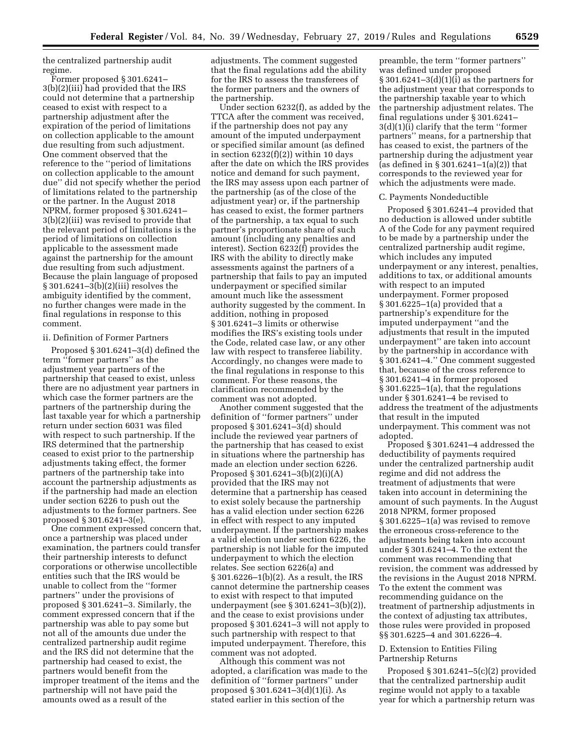the centralized partnership audit regime.

Former proposed § 301.6241– 3(b)(2)(iii) had provided that the IRS could not determine that a partnership ceased to exist with respect to a partnership adjustment after the expiration of the period of limitations on collection applicable to the amount due resulting from such adjustment. One comment observed that the reference to the ''period of limitations on collection applicable to the amount due'' did not specify whether the period of limitations related to the partnership or the partner. In the August 2018 NPRM, former proposed § 301.6241– 3(b)(2)(iii) was revised to provide that the relevant period of limitations is the period of limitations on collection applicable to the assessment made against the partnership for the amount due resulting from such adjustment. Because the plain language of proposed § 301.6241–3(b)(2)(iii) resolves the ambiguity identified by the comment, no further changes were made in the final regulations in response to this comment.

#### ii. Definition of Former Partners

Proposed § 301.6241–3(d) defined the term "former partners" as the adjustment year partners of the partnership that ceased to exist, unless there are no adjustment year partners in which case the former partners are the partners of the partnership during the last taxable year for which a partnership return under section 6031 was filed with respect to such partnership. If the IRS determined that the partnership ceased to exist prior to the partnership adjustments taking effect, the former partners of the partnership take into account the partnership adjustments as if the partnership had made an election under section 6226 to push out the adjustments to the former partners. See proposed § 301.6241–3(e).

One comment expressed concern that, once a partnership was placed under examination, the partners could transfer their partnership interests to defunct corporations or otherwise uncollectible entities such that the IRS would be unable to collect from the ''former partners'' under the provisions of proposed § 301.6241–3. Similarly, the comment expressed concern that if the partnership was able to pay some but not all of the amounts due under the centralized partnership audit regime and the IRS did not determine that the partnership had ceased to exist, the partners would benefit from the improper treatment of the items and the partnership will not have paid the amounts owed as a result of the

adjustments. The comment suggested that the final regulations add the ability for the IRS to assess the transferees of the former partners and the owners of the partnership.

Under section 6232(f), as added by the TTCA after the comment was received, if the partnership does not pay any amount of the imputed underpayment or specified similar amount (as defined in section  $6232(f)(2)$ ) within 10 days after the date on which the IRS provides notice and demand for such payment, the IRS may assess upon each partner of the partnership (as of the close of the adjustment year) or, if the partnership has ceased to exist, the former partners of the partnership, a tax equal to such partner's proportionate share of such amount (including any penalties and interest). Section 6232(f) provides the IRS with the ability to directly make assessments against the partners of a partnership that fails to pay an imputed underpayment or specified similar amount much like the assessment authority suggested by the comment. In addition, nothing in proposed § 301.6241–3 limits or otherwise modifies the IRS's existing tools under the Code, related case law, or any other law with respect to transferee liability. Accordingly, no changes were made to the final regulations in response to this comment. For these reasons, the clarification recommended by the comment was not adopted.

Another comment suggested that the definition of ''former partners'' under proposed § 301.6241–3(d) should include the reviewed year partners of the partnership that has ceased to exist in situations where the partnership has made an election under section 6226. Proposed § 301.6241–3(b)(2)(i)(A) provided that the IRS may not determine that a partnership has ceased to exist solely because the partnership has a valid election under section 6226 in effect with respect to any imputed underpayment. If the partnership makes a valid election under section 6226, the partnership is not liable for the imputed underpayment to which the election relates. See section 6226(a) and § 301.6226–1(b)(2). As a result, the IRS cannot determine the partnership ceases to exist with respect to that imputed underpayment (see § 301.6241–3(b)(2)), and the cease to exist provisions under proposed § 301.6241–3 will not apply to such partnership with respect to that imputed underpayment. Therefore, this comment was not adopted.

Although this comment was not adopted, a clarification was made to the definition of ''former partners'' under proposed § 301.6241–3(d)(1)(i). As stated earlier in this section of the

preamble, the term ''former partners'' was defined under proposed § 301.6241–3(d)(1)(i) as the partners for the adjustment year that corresponds to the partnership taxable year to which the partnership adjustment relates. The final regulations under § 301.6241– 3(d)(1)(i) clarify that the term ''former partners'' means, for a partnership that has ceased to exist, the partners of the partnership during the adjustment year (as defined in § 301.6241–1(a)(2)) that corresponds to the reviewed year for which the adjustments were made.

#### C. Payments Nondeductible

Proposed § 301.6241–4 provided that no deduction is allowed under subtitle A of the Code for any payment required to be made by a partnership under the centralized partnership audit regime, which includes any imputed underpayment or any interest, penalties, additions to tax, or additional amounts with respect to an imputed underpayment. Former proposed § 301.6225–1(a) provided that a partnership's expenditure for the imputed underpayment ''and the adjustments that result in the imputed underpayment'' are taken into account by the partnership in accordance with § 301.6241–4.'' One comment suggested that, because of the cross reference to § 301.6241–4 in former proposed § 301.6225–1(a), that the regulations under § 301.6241–4 be revised to address the treatment of the adjustments that result in the imputed underpayment. This comment was not adopted.

Proposed § 301.6241–4 addressed the deductibility of payments required under the centralized partnership audit regime and did not address the treatment of adjustments that were taken into account in determining the amount of such payments. In the August 2018 NPRM, former proposed § 301.6225–1(a) was revised to remove the erroneous cross-reference to the adjustments being taken into account under § 301.6241–4. To the extent the comment was recommending that revision, the comment was addressed by the revisions in the August 2018 NPRM. To the extent the comment was recommending guidance on the treatment of partnership adjustments in the context of adjusting tax attributes, those rules were provided in proposed §§ 301.6225–4 and 301.6226–4.

## D. Extension to Entities Filing Partnership Returns

Proposed § 301.6241–5(c)(2) provided that the centralized partnership audit regime would not apply to a taxable year for which a partnership return was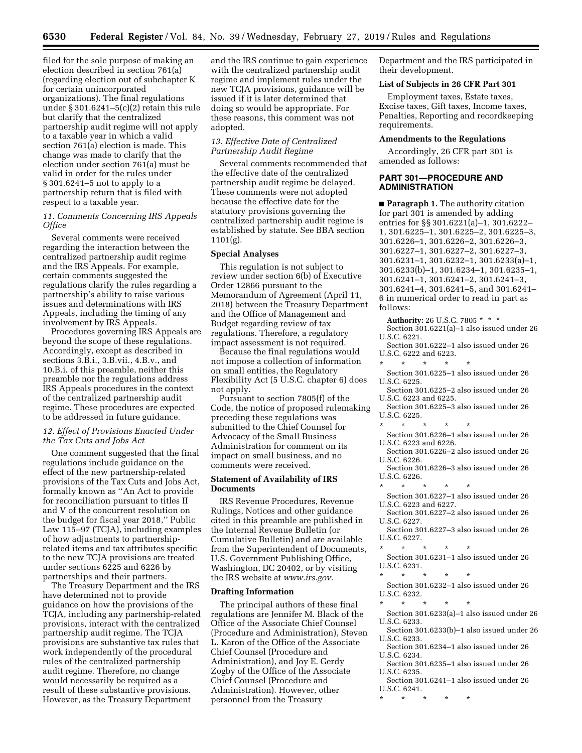filed for the sole purpose of making an election described in section 761(a) (regarding election out of subchapter K for certain unincorporated organizations). The final regulations under § 301.6241–5(c)(2) retain this rule but clarify that the centralized partnership audit regime will not apply to a taxable year in which a valid section 761(a) election is made. This change was made to clarify that the election under section 761(a) must be valid in order for the rules under § 301.6241–5 not to apply to a partnership return that is filed with respect to a taxable year.

# *11. Comments Concerning IRS Appeals Office*

Several comments were received regarding the interaction between the centralized partnership audit regime and the IRS Appeals. For example, certain comments suggested the regulations clarify the rules regarding a partnership's ability to raise various issues and determinations with IRS Appeals, including the timing of any involvement by IRS Appeals.

Procedures governing IRS Appeals are beyond the scope of these regulations. Accordingly, except as described in sections 3.B.i., 3.B.vii., 4.B.v., and 10.B.i. of this preamble, neither this preamble nor the regulations address IRS Appeals procedures in the context of the centralized partnership audit regime. These procedures are expected to be addressed in future guidance.

# *12. Effect of Provisions Enacted Under the Tax Cuts and Jobs Act*

One comment suggested that the final regulations include guidance on the effect of the new partnership-related provisions of the Tax Cuts and Jobs Act, formally known as ''An Act to provide for reconciliation pursuant to titles II and V of the concurrent resolution on the budget for fiscal year 2018,'' Public Law 115–97 (TCJA), including examples of how adjustments to partnershiprelated items and tax attributes specific to the new TCJA provisions are treated under sections 6225 and 6226 by partnerships and their partners.

The Treasury Department and the IRS have determined not to provide guidance on how the provisions of the TCJA, including any partnership-related provisions, interact with the centralized partnership audit regime. The TCJA provisions are substantive tax rules that work independently of the procedural rules of the centralized partnership audit regime. Therefore, no change would necessarily be required as a result of these substantive provisions. However, as the Treasury Department

and the IRS continue to gain experience with the centralized partnership audit regime and implement rules under the new TCJA provisions, guidance will be issued if it is later determined that doing so would be appropriate. For these reasons, this comment was not adopted.

# *13. Effective Date of Centralized Partnership Audit Regime*

Several comments recommended that the effective date of the centralized partnership audit regime be delayed. These comments were not adopted because the effective date for the statutory provisions governing the centralized partnership audit regime is established by statute. See BBA section 1101(g).

# **Special Analyses**

This regulation is not subject to review under section 6(b) of Executive Order 12866 pursuant to the Memorandum of Agreement (April 11, 2018) between the Treasury Department and the Office of Management and Budget regarding review of tax regulations. Therefore, a regulatory impact assessment is not required.

Because the final regulations would not impose a collection of information on small entities, the Regulatory Flexibility Act (5 U.S.C. chapter 6) does not apply.

Pursuant to section 7805(f) of the Code, the notice of proposed rulemaking preceding these regulations was submitted to the Chief Counsel for Advocacy of the Small Business Administration for comment on its impact on small business, and no comments were received.

### **Statement of Availability of IRS Documents**

IRS Revenue Procedures, Revenue Rulings, Notices and other guidance cited in this preamble are published in the Internal Revenue Bulletin (or Cumulative Bulletin) and are available from the Superintendent of Documents, U.S. Government Publishing Office, Washington, DC 20402, or by visiting the IRS website at *[www.irs.gov.](http://www.irs.gov)* 

#### **Drafting Information**

The principal authors of these final regulations are Jennifer M. Black of the Office of the Associate Chief Counsel (Procedure and Administration), Steven L. Karon of the Office of the Associate Chief Counsel (Procedure and Administration), and Joy E. Gerdy Zogby of the Office of the Associate Chief Counsel (Procedure and Administration). However, other personnel from the Treasury

Department and the IRS participated in their development.

#### **List of Subjects in 26 CFR Part 301**

Employment taxes, Estate taxes, Excise taxes, Gift taxes, Income taxes, Penalties, Reporting and recordkeeping requirements.

# **Amendments to the Regulations**

Accordingly, 26 CFR part 301 is amended as follows:

# **PART 301—PROCEDURE AND ADMINISTRATION**

■ **Paragraph 1.** The authority citation for part 301 is amended by adding entries for §§ 301.6221(a)–1, 301.6222– 1, 301.6225–1, 301.6225–2, 301.6225–3, 301.6226–1, 301.6226–2, 301.6226–3, 301.6227–1, 301.6227–2, 301.6227–3, 301.6231–1, 301.6232–1, 301.6233(a)–1, 301.6233(b)–1, 301.6234–1, 301.6235–1, 301.6241–1, 301.6241–2, 301.6241–3, 301.6241–4, 301.6241–5, and 301.6241– 6 in numerical order to read in part as follows:

**Authority:** 26 U.S.C. 7805 \* \* \* Section 301.6221(a)–1 also issued under 26 U.S.C. 6221.

Section 301.6222–1 also issued under 26 U.S.C. 6222 and 6223. \* \* \* \* \*

Section 301.6225–1 also issued under 26 U.S.C. 6225.

- Section 301.6225–2 also issued under 26 U.S.C. 6223 and 6225.
- Section 301.6225–3 also issued under 26 U.S.C. 6225.
- \* \* \* \* \*

Section 301.6226–1 also issued under 26 U.S.C. 6223 and 6226.

Section 301.6226–2 also issued under 26 U.S.C. 6226.

- Section 301.6226–3 also issued under 26 U.S.C. 6226.
- \* \* \* \* \*

- Section 301.6227–2 also issued under 26 U.S.C. 6227.
- Section 301.6227–3 also issued under 26 U.S.C. 6227.
- \* \* \* \* \*
- Section 301.6231–1 also issued under 26 U.S.C. 6231.
- \* \* \* \* \*

Section 301.6232–1 also issued under 26 U.S.C. 6232.

\* \* \* \* \*

Section 301.6233(a)–1 also issued under 26 U.S.C. 6233.

- Section 301.6233(b)–1 also issued under 26 U.S.C. 6233.
- Section 301.6234–1 also issued under 26 U.S.C. 6234.
- Section 301.6235–1 also issued under 26 U.S.C. 6235.
- Section 301.6241–1 also issued under 26 U.S.C. 6241.
- \* \* \* \* \*

Section 301.6227–1 also issued under 26 U.S.C. 6223 and 6227.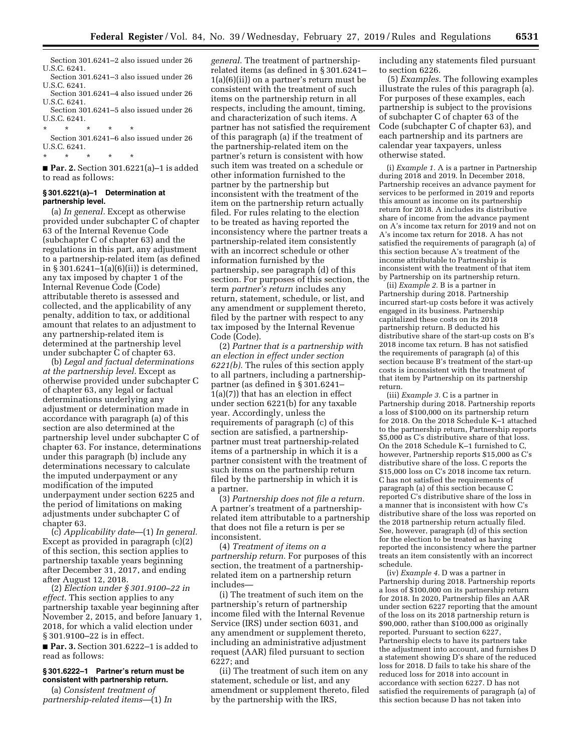Section 301.6241–2 also issued under 26 U.S.C. 6241.

Section 301.6241–3 also issued under 26 U.S.C. 6241.

Section 301.6241–4 also issued under 26 U.S.C. 6241.

Section 301.6241–5 also issued under 26 U.S.C. 6241.

\* \* \* \* \* Section 301.6241–6 also issued under 26 U.S.C. 6241.

\* \* \* \* \*

■ **Par. 2.** Section 301.6221(a)–1 is added to read as follows:

#### **§ 301.6221(a)–1 Determination at partnership level.**

(a) *In general.* Except as otherwise provided under subchapter C of chapter 63 of the Internal Revenue Code (subchapter C of chapter 63) and the regulations in this part, any adjustment to a partnership-related item (as defined in § 301.6241–1(a)(6)(ii)) is determined, any tax imposed by chapter 1 of the Internal Revenue Code (Code) attributable thereto is assessed and collected, and the applicability of any penalty, addition to tax, or additional amount that relates to an adjustment to any partnership-related item is determined at the partnership level under subchapter C of chapter 63.

(b) *Legal and factual determinations at the partnership level.* Except as otherwise provided under subchapter C of chapter 63, any legal or factual determinations underlying any adjustment or determination made in accordance with paragraph (a) of this section are also determined at the partnership level under subchapter C of chapter 63. For instance, determinations under this paragraph (b) include any determinations necessary to calculate the imputed underpayment or any modification of the imputed underpayment under section 6225 and the period of limitations on making adjustments under subchapter C of chapter 63.

(c) *Applicability date*—(1) *In general.*  Except as provided in paragraph (c)(2) of this section, this section applies to partnership taxable years beginning after December 31, 2017, and ending after August 12, 2018.

(2) *Election under § 301.9100–22 in effect.* This section applies to any partnership taxable year beginning after November 2, 2015, and before January 1, 2018, for which a valid election under § 301.9100–22 is in effect.

■ **Par. 3.** Section 301.6222–1 is added to read as follows:

#### **§ 301.6222–1 Partner's return must be consistent with partnership return.**

(a) *Consistent treatment of partnership-related items*—(1) *In* 

*general.* The treatment of partnershiprelated items (as defined in § 301.6241– 1(a)(6)(ii)) on a partner's return must be consistent with the treatment of such items on the partnership return in all respects, including the amount, timing, and characterization of such items. A partner has not satisfied the requirement of this paragraph (a) if the treatment of the partnership-related item on the partner's return is consistent with how such item was treated on a schedule or other information furnished to the partner by the partnership but inconsistent with the treatment of the item on the partnership return actually filed. For rules relating to the election to be treated as having reported the inconsistency where the partner treats a partnership-related item consistently with an incorrect schedule or other information furnished by the partnership, see paragraph (d) of this section. For purposes of this section, the term *partner's return* includes any return, statement, schedule, or list, and any amendment or supplement thereto, filed by the partner with respect to any tax imposed by the Internal Revenue Code (Code).

(2) *Partner that is a partnership with an election in effect under section 6221(b).* The rules of this section apply to all partners, including a partnershippartner (as defined in § 301.6241– 1(a)(7)) that has an election in effect under section 6221(b) for any taxable year. Accordingly, unless the requirements of paragraph (c) of this section are satisfied, a partnershippartner must treat partnership-related items of a partnership in which it is a partner consistent with the treatment of such items on the partnership return filed by the partnership in which it is a partner.

(3) *Partnership does not file a return.*  A partner's treatment of a partnershiprelated item attributable to a partnership that does not file a return is per se inconsistent.

(4) *Treatment of items on a partnership return.* For purposes of this section, the treatment of a partnershiprelated item on a partnership return includes—

(i) The treatment of such item on the partnership's return of partnership income filed with the Internal Revenue Service (IRS) under section 6031, and any amendment or supplement thereto, including an administrative adjustment request (AAR) filed pursuant to section 6227; and

(ii) The treatment of such item on any statement, schedule or list, and any amendment or supplement thereto, filed by the partnership with the IRS,

including any statements filed pursuant to section 6226.

(5) *Examples.* The following examples illustrate the rules of this paragraph (a). For purposes of these examples, each partnership is subject to the provisions of subchapter C of chapter 63 of the Code (subchapter C of chapter 63), and each partnership and its partners are calendar year taxpayers, unless otherwise stated.

(i) *Example 1.* A is a partner in Partnership during 2018 and 2019. In December 2018, Partnership receives an advance payment for services to be performed in 2019 and reports this amount as income on its partnership return for 2018. A includes its distributive share of income from the advance payment on A's income tax return for 2019 and not on A's income tax return for 2018. A has not satisfied the requirements of paragraph (a) of this section because A's treatment of the income attributable to Partnership is inconsistent with the treatment of that item by Partnership on its partnership return.

(ii) *Example 2.* B is a partner in Partnership during 2018. Partnership incurred start-up costs before it was actively engaged in its business. Partnership capitalized these costs on its 2018 partnership return. B deducted his distributive share of the start-up costs on B's 2018 income tax return. B has not satisfied the requirements of paragraph (a) of this section because B's treatment of the start-up costs is inconsistent with the treatment of that item by Partnership on its partnership return.

(iii) *Example 3.* C is a partner in Partnership during 2018. Partnership reports a loss of \$100,000 on its partnership return for 2018. On the 2018 Schedule K–1 attached to the partnership return, Partnership reports \$5,000 as C's distributive share of that loss. On the 2018 Schedule K–1 furnished to C, however, Partnership reports \$15,000 as C's distributive share of the loss. C reports the \$15,000 loss on C's 2018 income tax return. C has not satisfied the requirements of paragraph (a) of this section because C reported C's distributive share of the loss in a manner that is inconsistent with how C's distributive share of the loss was reported on the 2018 partnership return actually filed. See, however, paragraph (d) of this section for the election to be treated as having reported the inconsistency where the partner treats an item consistently with an incorrect schedule.

(iv) *Example 4.* D was a partner in Partnership during 2018. Partnership reports a loss of \$100,000 on its partnership return for 2018. In 2020, Partnership files an AAR under section 6227 reporting that the amount of the loss on its 2018 partnership return is \$90,000, rather than \$100,000 as originally reported. Pursuant to section 6227, Partnership elects to have its partners take the adjustment into account, and furnishes D a statement showing D's share of the reduced loss for 2018. D fails to take his share of the reduced loss for 2018 into account in accordance with section 6227. D has not satisfied the requirements of paragraph (a) of this section because D has not taken into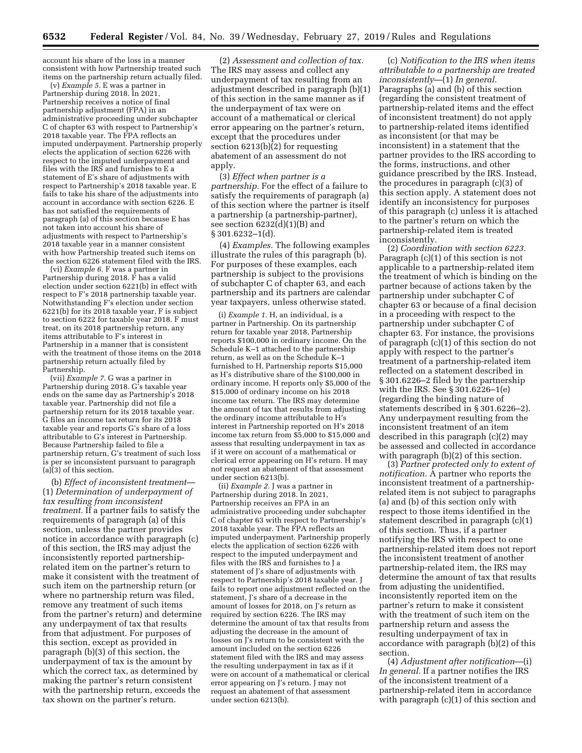account his share of the loss in a manner consistent with how Partnership treated such items on the partnership return actually filed.

(v) *Example 5.* E was a partner in Partnership during 2018. In 2021, Partnership receives a notice of final partnership adjustment (FPA) in an administrative proceeding under subchapter C of chapter 63 with respect to Partnership's 2018 taxable year. The FPA reflects an imputed underpayment. Partnership properly elects the application of section 6226 with respect to the imputed underpayment and files with the IRS and furnishes to E a statement of E's share of adjustments with respect to Partnership's 2018 taxable year. E fails to take his share of the adjustments into account in accordance with section 6226. E has not satisfied the requirements of paragraph (a) of this section because E has not taken into account his share of adjustments with respect to Partnership's 2018 taxable year in a manner consistent with how Partnership treated such items on the section 6226 statement filed with the IRS.

(vi) *Example 6.* F was a partner in Partnership during 2018. F has a valid election under section 6221(b) in effect with respect to F's 2018 partnership taxable year. Notwithstanding F's election under section 6221(b) for its 2018 taxable year, F is subject to section 6222 for taxable year 2018. F must treat, on its 2018 partnership return, any items attributable to F's interest in Partnership in a manner that is consistent with the treatment of those items on the 2018 partnership return actually filed by Partnership.

(vii) *Example 7.* G was a partner in Partnership during 2018. G's taxable year ends on the same day as Partnership's 2018 taxable year. Partnership did not file a partnership return for its 2018 taxable year. G files an income tax return for its 2018 taxable year and reports G's share of a loss attributable to G's interest in Partnership. Because Partnership failed to file a partnership return, G's treatment of such loss is per se inconsistent pursuant to paragraph (a)(3) of this section.

(b) *Effect of inconsistent treatment*— (1) *Determination of underpayment of tax resulting from inconsistent treatment.* If a partner fails to satisfy the requirements of paragraph (a) of this section, unless the partner provides notice in accordance with paragraph (c) of this section, the IRS may adjust the inconsistently reported partnershiprelated item on the partner's return to make it consistent with the treatment of such item on the partnership return (or where no partnership return was filed, remove any treatment of such items from the partner's return) and determine any underpayment of tax that results from that adjustment. For purposes of this section, except as provided in paragraph (b)(3) of this section, the underpayment of tax is the amount by which the correct tax, as determined by making the partner's return consistent with the partnership return, exceeds the tax shown on the partner's return.

(2) *Assessment and collection of tax.*  The IRS may assess and collect any underpayment of tax resulting from an adjustment described in paragraph (b)(1) of this section in the same manner as if the underpayment of tax were on account of a mathematical or clerical error appearing on the partner's return, except that the procedures under section 6213(b)(2) for requesting abatement of an assessment do not apply.

(3) *Effect when partner is a partnership.* For the effect of a failure to satisfy the requirements of paragraph (a) of this section where the partner is itself a partnership (a partnership-partner), see section 6232(d)(1)(B) and § 301.6232–1(d).

(4) *Examples.* The following examples illustrate the rules of this paragraph (b). For purposes of these examples, each partnership is subject to the provisions of subchapter C of chapter 63, and each partnership and its partners are calendar year taxpayers, unless otherwise stated.

(i) *Example 1.* H, an individual, is a partner in Partnership. On its partnership return for taxable year 2018, Partnership reports \$100,000 in ordinary income. On the Schedule K–1 attached to the partnership return, as well as on the Schedule K–1 furnished to H, Partnership reports \$15,000 as H's distributive share of the \$100,000 in ordinary income. H reports only \$5,000 of the \$15,000 of ordinary income on his 2018 income tax return. The IRS may determine the amount of tax that results from adjusting the ordinary income attributable to H's interest in Partnership reported on H's 2018 income tax return from \$5,000 to \$15,000 and assess that resulting underpayment in tax as if it were on account of a mathematical or clerical error appearing on H's return. H may not request an abatement of that assessment under section 6213(b).

(ii) *Example 2.* J was a partner in Partnership during 2018. In 2021, Partnership receives an FPA in an administrative proceeding under subchapter C of chapter 63 with respect to Partnership's 2018 taxable year. The FPA reflects an imputed underpayment. Partnership properly elects the application of section 6226 with respect to the imputed underpayment and files with the IRS and furnishes to J a statement of J's share of adjustments with respect to Partnership's 2018 taxable year. J fails to report one adjustment reflected on the statement, J's share of a decrease in the amount of losses for 2018, on J's return as required by section 6226. The IRS may determine the amount of tax that results from adjusting the decrease in the amount of losses on J's return to be consistent with the amount included on the section 6226 statement filed with the IRS and may assess the resulting underpayment in tax as if it were on account of a mathematical or clerical error appearing on J's return. J may not request an abatement of that assessment under section 6213(b).

(c) *Notification to the IRS when items attributable to a partnership are treated inconsistently*—(1) *In general.*  Paragraphs (a) and (b) of this section (regarding the consistent treatment of partnership-related items and the effect of inconsistent treatment) do not apply to partnership-related items identified as inconsistent (or that may be inconsistent) in a statement that the partner provides to the IRS according to the forms, instructions, and other guidance prescribed by the IRS. Instead, the procedures in paragraph (c)(3) of this section apply. A statement does not identify an inconsistency for purposes of this paragraph (c) unless it is attached to the partner's return on which the partnership-related item is treated inconsistently.

(2) *Coordination with section 6223.*  Paragraph (c)(1) of this section is not applicable to a partnership-related item the treatment of which is binding on the partner because of actions taken by the partnership under subchapter C of chapter 63 or because of a final decision in a proceeding with respect to the partnership under subchapter C of chapter 63. For instance, the provisions of paragraph (c)(1) of this section do not apply with respect to the partner's treatment of a partnership-related item reflected on a statement described in § 301.6226–2 filed by the partnership with the IRS. See § 301.6226–1(e) (regarding the binding nature of statements described in § 301.6226–2). Any underpayment resulting from the inconsistent treatment of an item described in this paragraph (c)(2) may be assessed and collected in accordance with paragraph (b)(2) of this section.

(3) *Partner protected only to extent of notification.* A partner who reports the inconsistent treatment of a partnershiprelated item is not subject to paragraphs (a) and (b) of this section only with respect to those items identified in the statement described in paragraph (c)(1) of this section. Thus, if a partner notifying the IRS with respect to one partnership-related item does not report the inconsistent treatment of another partnership-related item, the IRS may determine the amount of tax that results from adjusting the unidentified, inconsistently reported item on the partner's return to make it consistent with the treatment of such item on the partnership return and assess the resulting underpayment of tax in accordance with paragraph (b)(2) of this section.

(4) *Adjustment after notification*—(i) *In general.* If a partner notifies the IRS of the inconsistent treatment of a partnership-related item in accordance with paragraph  $(c)(1)$  of this section and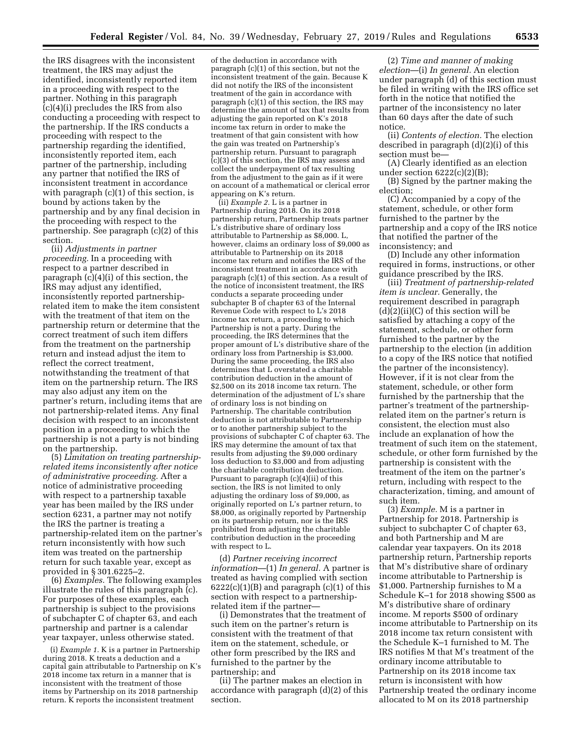the IRS disagrees with the inconsistent treatment, the IRS may adjust the identified, inconsistently reported item in a proceeding with respect to the partner. Nothing in this paragraph (c)(4)(i) precludes the IRS from also conducting a proceeding with respect to the partnership. If the IRS conducts a proceeding with respect to the partnership regarding the identified, inconsistently reported item, each partner of the partnership, including any partner that notified the IRS of inconsistent treatment in accordance with paragraph  $(c)(1)$  of this section, is bound by actions taken by the partnership and by any final decision in the proceeding with respect to the partnership. See paragraph (c)(2) of this section.

(ii) *Adjustments in partner proceeding.* In a proceeding with respect to a partner described in paragraph (c)(4)(i) of this section, the IRS may adjust any identified, inconsistently reported partnershiprelated item to make the item consistent with the treatment of that item on the partnership return or determine that the correct treatment of such item differs from the treatment on the partnership return and instead adjust the item to reflect the correct treatment, notwithstanding the treatment of that item on the partnership return. The IRS may also adjust any item on the partner's return, including items that are not partnership-related items. Any final decision with respect to an inconsistent position in a proceeding to which the partnership is not a party is not binding on the partnership.

(5) *Limitation on treating partnershiprelated items inconsistently after notice of administrative proceeding.* After a notice of administrative proceeding with respect to a partnership taxable year has been mailed by the IRS under section 6231, a partner may not notify the IRS the partner is treating a partnership-related item on the partner's return inconsistently with how such item was treated on the partnership return for such taxable year, except as provided in § 301.6225–2.

(6) *Examples.* The following examples illustrate the rules of this paragraph (c). For purposes of these examples, each partnership is subject to the provisions of subchapter C of chapter 63, and each partnership and partner is a calendar year taxpayer, unless otherwise stated.

(i) *Example 1.* K is a partner in Partnership during 2018. K treats a deduction and a capital gain attributable to Partnership on K's 2018 income tax return in a manner that is inconsistent with the treatment of those items by Partnership on its 2018 partnership return. K reports the inconsistent treatment

of the deduction in accordance with paragraph (c)(1) of this section, but not the inconsistent treatment of the gain. Because K did not notify the IRS of the inconsistent treatment of the gain in accordance with paragraph (c)(1) of this section, the IRS may determine the amount of tax that results from adjusting the gain reported on K's 2018 income tax return in order to make the treatment of that gain consistent with how the gain was treated on Partnership's partnership return. Pursuant to paragraph  $(c)(3)$  of this section, the IRS may assess and collect the underpayment of tax resulting from the adjustment to the gain as if it were on account of a mathematical or clerical error appearing on K's return.

(ii) *Example 2.* L is a partner in Partnership during 2018. On its 2018 partnership return, Partnership treats partner L's distributive share of ordinary loss attributable to Partnership as \$8,000. L, however, claims an ordinary loss of \$9,000 as attributable to Partnership on its 2018 income tax return and notifies the IRS of the inconsistent treatment in accordance with paragraph (c)(1) of this section. As a result of the notice of inconsistent treatment, the IRS conducts a separate proceeding under subchapter B of chapter 63 of the Internal Revenue Code with respect to L's 2018 income tax return, a proceeding to which Partnership is not a party. During the proceeding, the IRS determines that the proper amount of L's distributive share of the ordinary loss from Partnership is \$3,000. During the same proceeding, the IRS also determines that L overstated a charitable contribution deduction in the amount of \$2,500 on its 2018 income tax return. The determination of the adjustment of L's share of ordinary loss is not binding on Partnership. The charitable contribution deduction is not attributable to Partnership or to another partnership subject to the provisions of subchapter C of chapter 63. The IRS may determine the amount of tax that results from adjusting the \$9,000 ordinary loss deduction to \$3,000 and from adjusting the charitable contribution deduction. Pursuant to paragraph (c)(4)(ii) of this section, the IRS is not limited to only adjusting the ordinary loss of \$9,000, as originally reported on L's partner return, to \$8,000, as originally reported by Partnership on its partnership return, nor is the IRS prohibited from adjusting the charitable contribution deduction in the proceeding with respect to L.

(d) *Partner receiving incorrect information*—(1) *In general.* A partner is treated as having complied with section  $6222(c)(1)(B)$  and paragraph  $(c)(1)$  of this section with respect to a partnershiprelated item if the partner—

(i) Demonstrates that the treatment of such item on the partner's return is consistent with the treatment of that item on the statement, schedule, or other form prescribed by the IRS and furnished to the partner by the partnership; and

(ii) The partner makes an election in accordance with paragraph (d)(2) of this section.

(2) *Time and manner of making election*—(i) *In general.* An election under paragraph (d) of this section must be filed in writing with the IRS office set forth in the notice that notified the partner of the inconsistency no later than 60 days after the date of such notice.

(ii) *Contents of election.* The election described in paragraph (d)(2)(i) of this section must be—

(A) Clearly identified as an election under section  $6222(c)(2)(B);$ 

(B) Signed by the partner making the election;

(C) Accompanied by a copy of the statement, schedule, or other form furnished to the partner by the partnership and a copy of the IRS notice that notified the partner of the inconsistency; and

(D) Include any other information required in forms, instructions, or other guidance prescribed by the IRS.

(iii) *Treatment of partnership-related item is unclear.* Generally, the requirement described in paragraph  $(d)(2)(ii)(C)$  of this section will be satisfied by attaching a copy of the statement, schedule, or other form furnished to the partner by the partnership to the election (in addition to a copy of the IRS notice that notified the partner of the inconsistency). However, if it is not clear from the statement, schedule, or other form furnished by the partnership that the partner's treatment of the partnershiprelated item on the partner's return is consistent, the election must also include an explanation of how the treatment of such item on the statement, schedule, or other form furnished by the partnership is consistent with the treatment of the item on the partner's return, including with respect to the characterization, timing, and amount of such item.

(3) *Example.* M is a partner in Partnership for 2018. Partnership is subject to subchapter C of chapter 63, and both Partnership and M are calendar year taxpayers. On its 2018 partnership return, Partnership reports that M's distributive share of ordinary income attributable to Partnership is \$1,000. Partnership furnishes to M a Schedule K–1 for 2018 showing \$500 as M's distributive share of ordinary income. M reports \$500 of ordinary income attributable to Partnership on its 2018 income tax return consistent with the Schedule K–1 furnished to M. The IRS notifies M that M's treatment of the ordinary income attributable to Partnership on its 2018 income tax return is inconsistent with how Partnership treated the ordinary income allocated to M on its 2018 partnership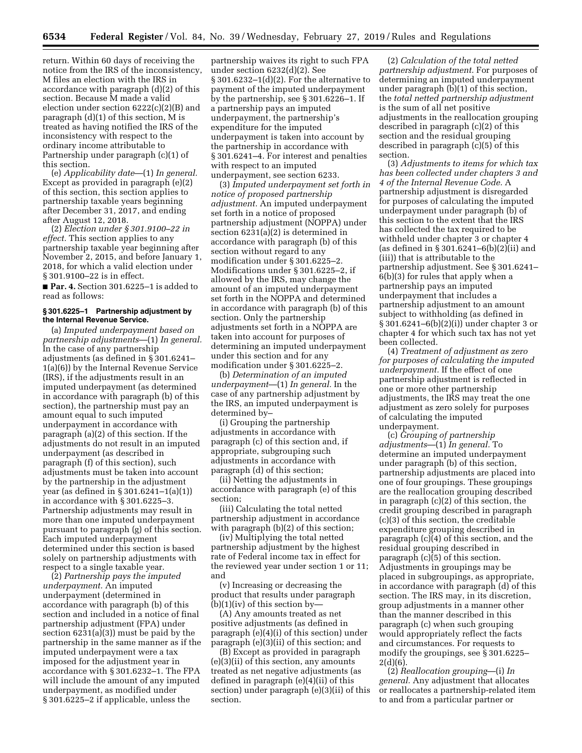return. Within 60 days of receiving the notice from the IRS of the inconsistency, M files an election with the IRS in accordance with paragraph (d)(2) of this section. Because M made a valid election under section 6222(c)(2)(B) and paragraph (d)(1) of this section, M is treated as having notified the IRS of the inconsistency with respect to the ordinary income attributable to Partnership under paragraph (c)(1) of this section.

(e) *Applicability date*—(1) *In general.*  Except as provided in paragraph (e)(2) of this section, this section applies to partnership taxable years beginning after December 31, 2017, and ending after August 12, 2018.

(2) *Election under § 301.9100–22 in effect.* This section applies to any partnership taxable year beginning after November 2, 2015, and before January 1, 2018, for which a valid election under § 301.9100–22 is in effect.

■ **Par. 4.** Section 301.6225–1 is added to read as follows:

#### **§ 301.6225–1 Partnership adjustment by the Internal Revenue Service.**

(a) *Imputed underpayment based on partnership adjustments*—(1) *In general.*  In the case of any partnership adjustments (as defined in § 301.6241– 1(a)(6)) by the Internal Revenue Service (IRS), if the adjustments result in an imputed underpayment (as determined in accordance with paragraph (b) of this section), the partnership must pay an amount equal to such imputed underpayment in accordance with paragraph (a)(2) of this section. If the adjustments do not result in an imputed underpayment (as described in paragraph (f) of this section), such adjustments must be taken into account by the partnership in the adjustment year (as defined in § 301.6241–1(a)(1)) in accordance with § 301.6225–3. Partnership adjustments may result in more than one imputed underpayment pursuant to paragraph (g) of this section. Each imputed underpayment determined under this section is based solely on partnership adjustments with respect to a single taxable year.

(2) *Partnership pays the imputed underpayment.* An imputed underpayment (determined in accordance with paragraph (b) of this section and included in a notice of final partnership adjustment (FPA) under section 6231(a)(3)) must be paid by the partnership in the same manner as if the imputed underpayment were a tax imposed for the adjustment year in accordance with § 301.6232–1. The FPA will include the amount of any imputed underpayment, as modified under § 301.6225–2 if applicable, unless the

partnership waives its right to such FPA under section 6232(d)(2). See § 301.6232–1(d)(2). For the alternative to payment of the imputed underpayment by the partnership, see § 301.6226–1. If a partnership pays an imputed underpayment, the partnership's expenditure for the imputed underpayment is taken into account by the partnership in accordance with § 301.6241–4. For interest and penalties with respect to an imputed underpayment, see section 6233.

(3) *Imputed underpayment set forth in notice of proposed partnership adjustment.* An imputed underpayment set forth in a notice of proposed partnership adjustment (NOPPA) under section 6231(a)(2) is determined in accordance with paragraph (b) of this section without regard to any modification under § 301.6225–2. Modifications under § 301.6225–2, if allowed by the IRS, may change the amount of an imputed underpayment set forth in the NOPPA and determined in accordance with paragraph (b) of this section. Only the partnership adjustments set forth in a NOPPA are taken into account for purposes of determining an imputed underpayment under this section and for any modification under § 301.6225–2.

(b) *Determination of an imputed underpayment*—(1) *In general.* In the case of any partnership adjustment by the IRS, an imputed underpayment is determined by–

(i) Grouping the partnership adjustments in accordance with paragraph (c) of this section and, if appropriate, subgrouping such adjustments in accordance with paragraph (d) of this section;

(ii) Netting the adjustments in accordance with paragraph (e) of this section;

(iii) Calculating the total netted partnership adjustment in accordance with paragraph (b)(2) of this section;

(iv) Multiplying the total netted partnership adjustment by the highest rate of Federal income tax in effect for the reviewed year under section 1 or 11; and

(v) Increasing or decreasing the product that results under paragraph  $(b)(1)(iv)$  of this section by-

(A) Any amounts treated as net positive adjustments (as defined in paragraph (e)(4)(i) of this section) under paragraph (e)(3)(ii) of this section; and

(B) Except as provided in paragraph (e)(3)(ii) of this section, any amounts treated as net negative adjustments (as defined in paragraph (e)(4)(ii) of this section) under paragraph (e)(3)(ii) of this section.

(2) *Calculation of the total netted partnership adjustment.* For purposes of determining an imputed underpayment under paragraph (b)(1) of this section, the *total netted partnership adjustment*  is the sum of all net positive adjustments in the reallocation grouping described in paragraph (c)(2) of this section and the residual grouping described in paragraph (c)(5) of this section.

(3) *Adjustments to items for which tax has been collected under chapters 3 and 4 of the Internal Revenue Code.* A partnership adjustment is disregarded for purposes of calculating the imputed underpayment under paragraph (b) of this section to the extent that the IRS has collected the tax required to be withheld under chapter 3 or chapter 4 (as defined in § 301.6241–6(b)(2)(ii) and (iii)) that is attributable to the partnership adjustment. See § 301.6241– 6(b)(3) for rules that apply when a partnership pays an imputed underpayment that includes a partnership adjustment to an amount subject to withholding (as defined in § 301.6241–6(b)(2)(i)) under chapter 3 or chapter 4 for which such tax has not yet been collected.

(4) *Treatment of adjustment as zero for purposes of calculating the imputed underpayment.* If the effect of one partnership adjustment is reflected in one or more other partnership adjustments, the IRS may treat the one adjustment as zero solely for purposes of calculating the imputed underpayment.

(c) *Grouping of partnership adjustments*—(1) *In general.* To determine an imputed underpayment under paragraph (b) of this section, partnership adjustments are placed into one of four groupings. These groupings are the reallocation grouping described in paragraph (c)(2) of this section, the credit grouping described in paragraph (c)(3) of this section, the creditable expenditure grouping described in paragraph (c)(4) of this section, and the residual grouping described in paragraph  $(c)(5)$  of this section. Adjustments in groupings may be placed in subgroupings, as appropriate, in accordance with paragraph (d) of this section. The IRS may, in its discretion, group adjustments in a manner other than the manner described in this paragraph (c) when such grouping would appropriately reflect the facts and circumstances. For requests to modify the groupings, see § 301.6225–  $2(d)(6)$ .

(2) *Reallocation grouping*—(i) *In general.* Any adjustment that allocates or reallocates a partnership-related item to and from a particular partner or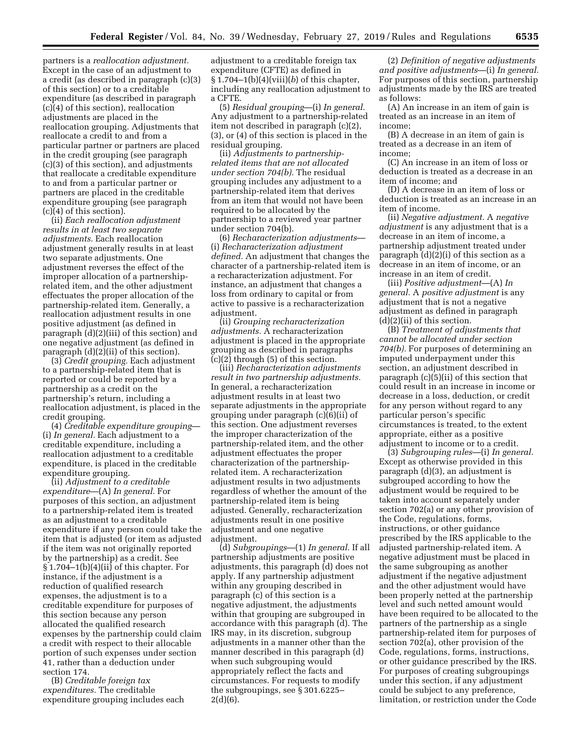partners is a *reallocation adjustment.*  Except in the case of an adjustment to a credit (as described in paragraph (c)(3) of this section) or to a creditable expenditure (as described in paragraph (c)(4) of this section), reallocation adjustments are placed in the reallocation grouping. Adjustments that reallocate a credit to and from a particular partner or partners are placed in the credit grouping (see paragraph (c)(3) of this section), and adjustments that reallocate a creditable expenditure to and from a particular partner or partners are placed in the creditable expenditure grouping (see paragraph (c)(4) of this section).

(ii) *Each reallocation adjustment results in at least two separate adjustments.* Each reallocation adjustment generally results in at least two separate adjustments. One adjustment reverses the effect of the improper allocation of a partnershiprelated item, and the other adjustment effectuates the proper allocation of the partnership-related item. Generally, a reallocation adjustment results in one positive adjustment (as defined in paragraph (d)(2)(iii) of this section) and one negative adjustment (as defined in paragraph (d)(2)(ii) of this section).

(3) *Credit grouping.* Each adjustment to a partnership-related item that is reported or could be reported by a partnership as a credit on the partnership's return, including a reallocation adjustment, is placed in the credit grouping.

(4) *Creditable expenditure grouping*— (i) *In general.* Each adjustment to a creditable expenditure, including a reallocation adjustment to a creditable expenditure, is placed in the creditable expenditure grouping.

(ii) *Adjustment to a creditable expenditure*—(A) *In general.* For purposes of this section, an adjustment to a partnership-related item is treated as an adjustment to a creditable expenditure if any person could take the item that is adjusted (or item as adjusted if the item was not originally reported by the partnership) as a credit. See  $§ 1.704-1(b)(4)(ii)$  of this chapter. For instance, if the adjustment is a reduction of qualified research expenses, the adjustment is to a creditable expenditure for purposes of this section because any person allocated the qualified research expenses by the partnership could claim a credit with respect to their allocable portion of such expenses under section 41, rather than a deduction under section 174.

(B) *Creditable foreign tax expenditures.* The creditable expenditure grouping includes each

adjustment to a creditable foreign tax expenditure (CFTE) as defined in § 1.704–1(b)(4)(viii)(*b*) of this chapter, including any reallocation adjustment to a CFTE.

(5) *Residual grouping*—(i) *In general.*  Any adjustment to a partnership-related item not described in paragraph (c)(2), (3), or (4) of this section is placed in the residual grouping.

(ii) *Adjustments to partnershiprelated items that are not allocated under section 704(b).* The residual grouping includes any adjustment to a partnership-related item that derives from an item that would not have been required to be allocated by the partnership to a reviewed year partner under section 704(b).

(6) *Recharacterization adjustments*— (i) *Recharacterization adjustment defined.* An adjustment that changes the character of a partnership-related item is a recharacterization adjustment. For instance, an adjustment that changes a loss from ordinary to capital or from active to passive is a recharacterization adjustment.

(ii) *Grouping recharacterization adjustments.* A recharacterization adjustment is placed in the appropriate grouping as described in paragraphs  $(c)(2)$  through (5) of this section.

(iii) *Recharacterization adjustments result in two partnership adjustments.*  In general, a recharacterization adjustment results in at least two separate adjustments in the appropriate grouping under paragraph (c)(6)(ii) of this section. One adjustment reverses the improper characterization of the partnership-related item, and the other adjustment effectuates the proper characterization of the partnershiprelated item. A recharacterization adjustment results in two adjustments regardless of whether the amount of the partnership-related item is being adjusted. Generally, recharacterization adjustments result in one positive adjustment and one negative adjustment.

(d) *Subgroupings*—(1) *In general.* If all partnership adjustments are positive adjustments, this paragraph (d) does not apply. If any partnership adjustment within any grouping described in paragraph (c) of this section is a negative adjustment, the adjustments within that grouping are subgrouped in accordance with this paragraph (d). The IRS may, in its discretion, subgroup adjustments in a manner other than the manner described in this paragraph (d) when such subgrouping would appropriately reflect the facts and circumstances. For requests to modify the subgroupings, see § 301.6225–  $2(d)(6)$ .

(2) *Definition of negative adjustments and positive adjustments*—(i) *In general.*  For purposes of this section, partnership adjustments made by the IRS are treated as follows:

(A) An increase in an item of gain is treated as an increase in an item of income;

(B) A decrease in an item of gain is treated as a decrease in an item of income;

(C) An increase in an item of loss or deduction is treated as a decrease in an item of income; and

(D) A decrease in an item of loss or deduction is treated as an increase in an item of income.

(ii) *Negative adjustment.* A *negative adjustment* is any adjustment that is a decrease in an item of income, a partnership adjustment treated under paragraph (d)(2)(i) of this section as a decrease in an item of income, or an increase in an item of credit.

(iii) *Positive adjustment*—(A) *In general.* A *positive adjustment* is any adjustment that is not a negative adjustment as defined in paragraph  $(d)(2)(ii)$  of this section.

(B) *Treatment of adjustments that cannot be allocated under section 704(b).* For purposes of determining an imputed underpayment under this section, an adjustment described in paragraph (c)(5)(ii) of this section that could result in an increase in income or decrease in a loss, deduction, or credit for any person without regard to any particular person's specific circumstances is treated, to the extent appropriate, either as a positive adjustment to income or to a credit.

(3) *Subgrouping rules*—(i) *In general.*  Except as otherwise provided in this paragraph (d)(3), an adjustment is subgrouped according to how the adjustment would be required to be taken into account separately under section 702(a) or any other provision of the Code, regulations, forms, instructions, or other guidance prescribed by the IRS applicable to the adjusted partnership-related item. A negative adjustment must be placed in the same subgrouping as another adjustment if the negative adjustment and the other adjustment would have been properly netted at the partnership level and such netted amount would have been required to be allocated to the partners of the partnership as a single partnership-related item for purposes of section 702(a), other provision of the Code, regulations, forms, instructions, or other guidance prescribed by the IRS. For purposes of creating subgroupings under this section, if any adjustment could be subject to any preference, limitation, or restriction under the Code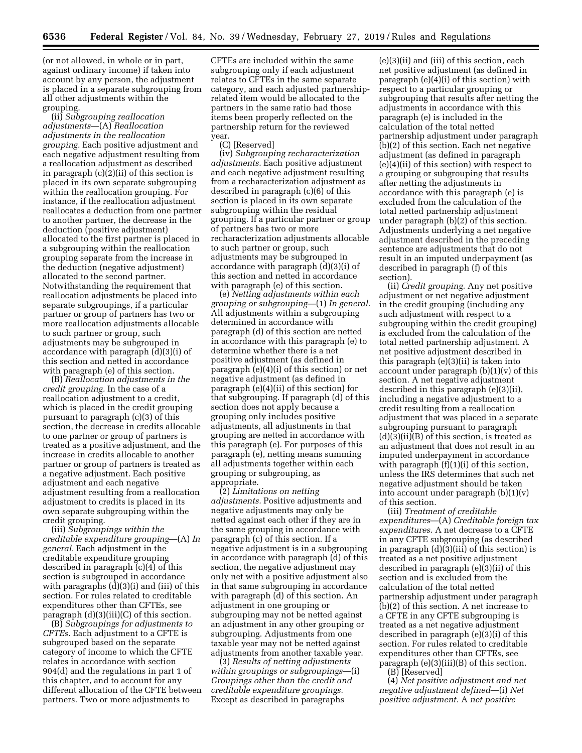(or not allowed, in whole or in part, against ordinary income) if taken into account by any person, the adjustment is placed in a separate subgrouping from all other adjustments within the grouping.

(ii) *Subgrouping reallocation adjustments*—(A) *Reallocation adjustments in the reallocation grouping.* Each positive adjustment and each negative adjustment resulting from a reallocation adjustment as described in paragraph (c)(2)(ii) of this section is placed in its own separate subgrouping within the reallocation grouping. For instance, if the reallocation adjustment reallocates a deduction from one partner to another partner, the decrease in the deduction (positive adjustment) allocated to the first partner is placed in a subgrouping within the reallocation grouping separate from the increase in the deduction (negative adjustment) allocated to the second partner. Notwithstanding the requirement that reallocation adjustments be placed into separate subgroupings, if a particular partner or group of partners has two or more reallocation adjustments allocable to such partner or group, such adjustments may be subgrouped in accordance with paragraph (d)(3)(i) of this section and netted in accordance with paragraph (e) of this section.

(B) *Reallocation adjustments in the credit grouping.* In the case of a reallocation adjustment to a credit, which is placed in the credit grouping pursuant to paragraph (c)(3) of this section, the decrease in credits allocable to one partner or group of partners is treated as a positive adjustment, and the increase in credits allocable to another partner or group of partners is treated as a negative adjustment. Each positive adjustment and each negative adjustment resulting from a reallocation adjustment to credits is placed in its own separate subgrouping within the credit grouping.

(iii) *Subgroupings within the creditable expenditure grouping*—(A) *In general.* Each adjustment in the creditable expenditure grouping described in paragraph (c)(4) of this section is subgrouped in accordance with paragraphs (d)(3)(i) and (iii) of this section. For rules related to creditable expenditures other than CFTEs, see paragraph  $(d)(3)(iii)(C)$  of this section.

(B) *Subgroupings for adjustments to CFTEs.* Each adjustment to a CFTE is subgrouped based on the separate category of income to which the CFTE relates in accordance with section 904(d) and the regulations in part 1 of this chapter, and to account for any different allocation of the CFTE between partners. Two or more adjustments to

CFTEs are included within the same subgrouping only if each adjustment relates to CFTEs in the same separate category, and each adjusted partnershiprelated item would be allocated to the partners in the same ratio had those items been properly reflected on the partnership return for the reviewed year.

#### (C) [Reserved]

(iv) *Subgrouping recharacterization adjustments.* Each positive adjustment and each negative adjustment resulting from a recharacterization adjustment as described in paragraph (c)(6) of this section is placed in its own separate subgrouping within the residual grouping. If a particular partner or group of partners has two or more recharacterization adjustments allocable to such partner or group, such adjustments may be subgrouped in accordance with paragraph (d)(3)(i) of this section and netted in accordance with paragraph (e) of this section.

(e) *Netting adjustments within each grouping or subgrouping*—(1) *In general.*  All adjustments within a subgrouping determined in accordance with paragraph (d) of this section are netted in accordance with this paragraph (e) to determine whether there is a net positive adjustment (as defined in paragraph (e)(4)(i) of this section) or net negative adjustment (as defined in paragraph (e)(4)(ii) of this section) for that subgrouping. If paragraph (d) of this section does not apply because a grouping only includes positive adjustments, all adjustments in that grouping are netted in accordance with this paragraph (e). For purposes of this paragraph (e), netting means summing all adjustments together within each grouping or subgrouping, as appropriate.

(2) *Limitations on netting adjustments.* Positive adjustments and negative adjustments may only be netted against each other if they are in the same grouping in accordance with paragraph (c) of this section. If a negative adjustment is in a subgrouping in accordance with paragraph (d) of this section, the negative adjustment may only net with a positive adjustment also in that same subgrouping in accordance with paragraph (d) of this section. An adjustment in one grouping or subgrouping may not be netted against an adjustment in any other grouping or subgrouping. Adjustments from one taxable year may not be netted against adjustments from another taxable year.

(3) *Results of netting adjustments within groupings or subgroupings*—(i) *Groupings other than the credit and creditable expenditure groupings.*  Except as described in paragraphs

(e)(3)(ii) and (iii) of this section, each net positive adjustment (as defined in paragraph (e)(4)(i) of this section) with respect to a particular grouping or subgrouping that results after netting the adjustments in accordance with this paragraph (e) is included in the calculation of the total netted partnership adjustment under paragraph (b)(2) of this section. Each net negative adjustment (as defined in paragraph (e)(4)(ii) of this section) with respect to a grouping or subgrouping that results after netting the adjustments in accordance with this paragraph (e) is excluded from the calculation of the total netted partnership adjustment under paragraph (b)(2) of this section. Adjustments underlying a net negative adjustment described in the preceding sentence are adjustments that do not result in an imputed underpayment (as described in paragraph (f) of this section).

(ii) *Credit grouping.* Any net positive adjustment or net negative adjustment in the credit grouping (including any such adjustment with respect to a subgrouping within the credit grouping) is excluded from the calculation of the total netted partnership adjustment. A net positive adjustment described in this paragraph (e)(3)(ii) is taken into account under paragraph  $(b)(1)(v)$  of this section. A net negative adjustment described in this paragraph (e)(3)(ii), including a negative adjustment to a credit resulting from a reallocation adjustment that was placed in a separate subgrouping pursuant to paragraph (d)(3)(ii)(B) of this section, is treated as an adjustment that does not result in an imputed underpayment in accordance with paragraph  $(f)(1)(i)$  of this section, unless the IRS determines that such net negative adjustment should be taken into account under paragraph (b)(1)(v) of this section.

(iii) *Treatment of creditable expenditures*—(A) *Creditable foreign tax expenditures.* A net decrease to a CFTE in any CFTE subgrouping (as described in paragraph (d)(3)(iii) of this section) is treated as a net positive adjustment described in paragraph (e)(3)(ii) of this section and is excluded from the calculation of the total netted partnership adjustment under paragraph (b)(2) of this section. A net increase to a CFTE in any CFTE subgrouping is treated as a net negative adjustment described in paragraph (e)(3)(i) of this section. For rules related to creditable expenditures other than CFTEs, see paragraph (e)(3)(iii)(B) of this section. (B) [Reserved]

(4) *Net positive adjustment and net negative adjustment defined*—(i) *Net positive adjustment.* A *net positive*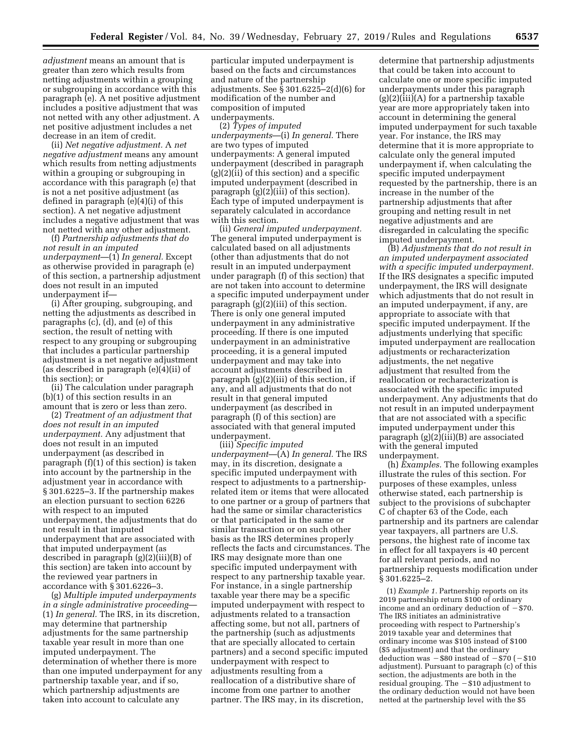*adjustment* means an amount that is greater than zero which results from netting adjustments within a grouping or subgrouping in accordance with this paragraph (e). A net positive adjustment includes a positive adjustment that was not netted with any other adjustment. A net positive adjustment includes a net decrease in an item of credit.

(ii) *Net negative adjustment.* A *net negative adjustment* means any amount which results from netting adjustments within a grouping or subgrouping in accordance with this paragraph (e) that is not a net positive adjustment (as defined in paragraph (e)(4)(i) of this section). A net negative adjustment includes a negative adjustment that was not netted with any other adjustment.

(f) *Partnership adjustments that do not result in an imputed underpayment*—(1) *In general.* Except as otherwise provided in paragraph (e) of this section, a partnership adjustment does not result in an imputed underpayment if—

(i) After grouping, subgrouping, and netting the adjustments as described in paragraphs (c), (d), and (e) of this section, the result of netting with respect to any grouping or subgrouping that includes a particular partnership adjustment is a net negative adjustment (as described in paragraph (e)(4)(ii) of this section); or

(ii) The calculation under paragraph (b)(1) of this section results in an amount that is zero or less than zero.

(2) *Treatment of an adjustment that does not result in an imputed underpayment.* Any adjustment that does not result in an imputed underpayment (as described in paragraph (f)(1) of this section) is taken into account by the partnership in the adjustment year in accordance with § 301.6225–3. If the partnership makes an election pursuant to section 6226 with respect to an imputed underpayment, the adjustments that do not result in that imputed underpayment that are associated with that imputed underpayment (as described in paragraph (g)(2)(iii)(B) of this section) are taken into account by the reviewed year partners in accordance with § 301.6226–3.

(g) *Multiple imputed underpayments in a single administrative proceeding*— (1) *In general.* The IRS, in its discretion, may determine that partnership adjustments for the same partnership taxable year result in more than one imputed underpayment. The determination of whether there is more than one imputed underpayment for any partnership taxable year, and if so, which partnership adjustments are taken into account to calculate any

particular imputed underpayment is based on the facts and circumstances and nature of the partnership adjustments. See § 301.6225–2(d)(6) for modification of the number and composition of imputed underpayments.

(2) *Types of imputed underpayments*—(i) *In general.* There are two types of imputed underpayments: A general imputed underpayment (described in paragraph  $(g)(2)(ii)$  of this section) and a specific imputed underpayment (described in paragraph (g)(2)(iii) of this section). Each type of imputed underpayment is separately calculated in accordance with this section.

(ii) *General imputed underpayment.*  The general imputed underpayment is calculated based on all adjustments (other than adjustments that do not result in an imputed underpayment under paragraph (f) of this section) that are not taken into account to determine a specific imputed underpayment under paragraph (g)(2)(iii) of this section. There is only one general imputed underpayment in any administrative proceeding. If there is one imputed underpayment in an administrative proceeding, it is a general imputed underpayment and may take into account adjustments described in paragraph (g)(2)(iii) of this section, if any, and all adjustments that do not result in that general imputed underpayment (as described in paragraph (f) of this section) are associated with that general imputed underpayment.

(iii) *Specific imputed underpayment*—(A) *In general.* The IRS may, in its discretion, designate a specific imputed underpayment with respect to adjustments to a partnershiprelated item or items that were allocated to one partner or a group of partners that had the same or similar characteristics or that participated in the same or similar transaction or on such other basis as the IRS determines properly reflects the facts and circumstances. The IRS may designate more than one specific imputed underpayment with respect to any partnership taxable year. For instance, in a single partnership taxable year there may be a specific imputed underpayment with respect to adjustments related to a transaction affecting some, but not all, partners of the partnership (such as adjustments that are specially allocated to certain partners) and a second specific imputed underpayment with respect to adjustments resulting from a reallocation of a distributive share of income from one partner to another partner. The IRS may, in its discretion,

determine that partnership adjustments that could be taken into account to calculate one or more specific imputed underpayments under this paragraph (g)(2)(iii)(A) for a partnership taxable year are more appropriately taken into account in determining the general imputed underpayment for such taxable year. For instance, the IRS may determine that it is more appropriate to calculate only the general imputed underpayment if, when calculating the specific imputed underpayment requested by the partnership, there is an increase in the number of the partnership adjustments that after grouping and netting result in net negative adjustments and are disregarded in calculating the specific imputed underpayment.

(B) *Adjustments that do not result in an imputed underpayment associated with a specific imputed underpayment.*  If the IRS designates a specific imputed underpayment, the IRS will designate which adjustments that do not result in an imputed underpayment, if any, are appropriate to associate with that specific imputed underpayment. If the adjustments underlying that specific imputed underpayment are reallocation adjustments or recharacterization adjustments, the net negative adjustment that resulted from the reallocation or recharacterization is associated with the specific imputed underpayment. Any adjustments that do not result in an imputed underpayment that are not associated with a specific imputed underpayment under this paragraph (g)(2)(iii)(B) are associated with the general imputed underpayment.

(h) *Examples.* The following examples illustrate the rules of this section. For purposes of these examples, unless otherwise stated, each partnership is subject to the provisions of subchapter C of chapter 63 of the Code, each partnership and its partners are calendar year taxpayers, all partners are U.S. persons, the highest rate of income tax in effect for all taxpayers is 40 percent for all relevant periods, and no partnership requests modification under § 301.6225–2.

(1) *Example 1.* Partnership reports on its 2019 partnership return \$100 of ordinary income and an ordinary deduction of  $-$  \$70. The IRS initiates an administrative proceeding with respect to Partnership's 2019 taxable year and determines that ordinary income was \$105 instead of \$100 (\$5 adjustment) and that the ordinary deduction was  $-$ \$80 instead of  $-$ \$70 ( $-$ \$10 adjustment). Pursuant to paragraph (c) of this section, the adjustments are both in the residual grouping. The  $- $10$  adjustment to the ordinary deduction would not have been netted at the partnership level with the \$5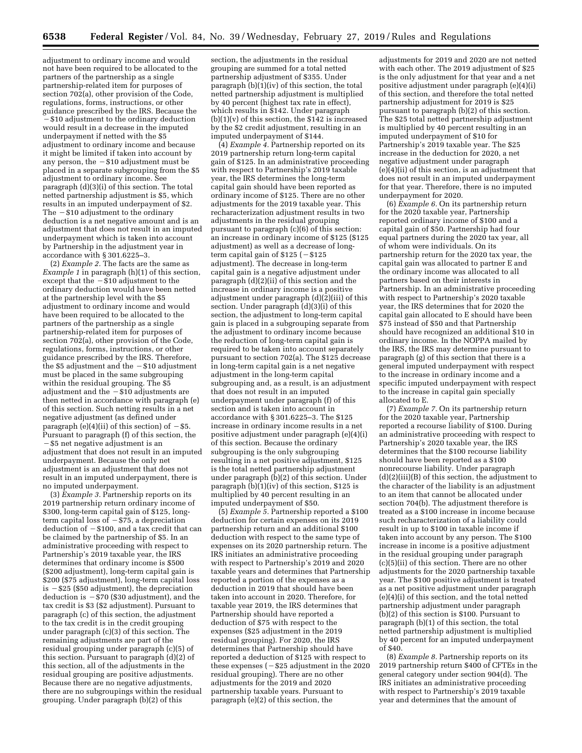adjustment to ordinary income and would not have been required to be allocated to the partners of the partnership as a single partnership-related item for purposes of section 702(a), other provision of the Code, regulations, forms, instructions, or other guidance prescribed by the IRS. Because the ¥\$10 adjustment to the ordinary deduction would result in a decrease in the imputed underpayment if netted with the \$5 adjustment to ordinary income and because it might be limited if taken into account by any person, the  $- $10$  adjustment must be placed in a separate subgrouping from the \$5 adjustment to ordinary income. See paragraph (d)(3)(i) of this section. The total netted partnership adjustment is \$5, which results in an imputed underpayment of \$2. The  $- $10$  adjustment to the ordinary deduction is a net negative amount and is an adjustment that does not result in an imputed underpayment which is taken into account by Partnership in the adjustment year in accordance with § 301.6225–3.

(2) *Example 2.* The facts are the same as *Example 1* in paragraph (h)(1) of this section, except that the  $- $10$  adjustment to the ordinary deduction would have been netted at the partnership level with the \$5 adjustment to ordinary income and would have been required to be allocated to the partners of the partnership as a single partnership-related item for purposes of section 702(a), other provision of the Code, regulations, forms, instructions, or other guidance prescribed by the IRS. Therefore, the  $$5$  adjustment and the  $-\$10$  adjustment must be placed in the same subgrouping within the residual grouping. The \$5 adjustment and the  $- $10$  adjustments are then netted in accordance with paragraph (e) of this section. Such netting results in a net negative adjustment (as defined under paragraph (e)(4)(ii) of this section) of  $-$  \$5. Pursuant to paragraph (f) of this section, the ¥\$5 net negative adjustment is an adjustment that does not result in an imputed underpayment. Because the only net adjustment is an adjustment that does not result in an imputed underpayment, there is no imputed underpayment.

(3) *Example 3.* Partnership reports on its 2019 partnership return ordinary income of \$300, long-term capital gain of \$125, longterm capital loss of  $-$  \$75, a depreciation deduction of  $- $100$ , and a tax credit that can be claimed by the partnership of \$5. In an administrative proceeding with respect to Partnership's 2019 taxable year, the IRS determines that ordinary income is \$500 (\$200 adjustment), long-term capital gain is \$200 (\$75 adjustment), long-term capital loss is  $-$  \$25 (\$50 adjustment), the depreciation deduction is  $-\frac{1}{2}70$  (\$30 adjustment), and the tax credit is \$3 (\$2 adjustment). Pursuant to paragraph (c) of this section, the adjustment to the tax credit is in the credit grouping under paragraph (c)(3) of this section. The remaining adjustments are part of the residual grouping under paragraph (c)(5) of this section. Pursuant to paragraph (d)(2) of this section, all of the adjustments in the residual grouping are positive adjustments. Because there are no negative adjustments, there are no subgroupings within the residual grouping. Under paragraph (b)(2) of this

section, the adjustments in the residual grouping are summed for a total netted partnership adjustment of \$355. Under paragraph (b)(1)(iv) of this section, the total netted partnership adjustment is multiplied by 40 percent (highest tax rate in effect), which results in \$142. Under paragraph  $(b)(1)(v)$  of this section, the \$142 is increased by the \$2 credit adjustment, resulting in an imputed underpayment of \$144.

(4) *Example 4.* Partnership reported on its 2019 partnership return long-term capital gain of \$125. In an administrative proceeding with respect to Partnership's 2019 taxable year, the IRS determines the long-term capital gain should have been reported as ordinary income of \$125. There are no other adjustments for the 2019 taxable year. This recharacterization adjustment results in two adjustments in the residual grouping pursuant to paragraph (c)(6) of this section: an increase in ordinary income of \$125 (\$125 adjustment) as well as a decrease of longterm capital gain of  $$125 (-\$125$ adjustment). The decrease in long-term capital gain is a negative adjustment under paragraph (d)(2)(ii) of this section and the increase in ordinary income is a positive adjustment under paragraph (d)(2)(iii) of this section. Under paragraph (d)(3)(i) of this section, the adjustment to long-term capital gain is placed in a subgrouping separate from the adjustment to ordinary income because the reduction of long-term capital gain is required to be taken into account separately pursuant to section 702(a). The \$125 decrease in long-term capital gain is a net negative adjustment in the long-term capital subgrouping and, as a result, is an adjustment that does not result in an imputed underpayment under paragraph (f) of this section and is taken into account in accordance with § 301.6225–3. The \$125 increase in ordinary income results in a net positive adjustment under paragraph (e)(4)(i) of this section. Because the ordinary subgrouping is the only subgrouping resulting in a net positive adjustment, \$125 is the total netted partnership adjustment under paragraph  $(b)(2)$  of this section. Under paragraph (b)(1)(iv) of this section, \$125 is multiplied by 40 percent resulting in an imputed underpayment of \$50.

(5) *Example 5.* Partnership reported a \$100 deduction for certain expenses on its 2019 partnership return and an additional \$100 deduction with respect to the same type of expenses on its 2020 partnership return. The IRS initiates an administrative proceeding with respect to Partnership's 2019 and 2020 taxable years and determines that Partnership reported a portion of the expenses as a deduction in 2019 that should have been taken into account in 2020. Therefore, for taxable year 2019, the IRS determines that Partnership should have reported a deduction of \$75 with respect to the expenses (\$25 adjustment in the 2019 residual grouping). For 2020, the IRS determines that Partnership should have reported a deduction of \$125 with respect to these expenses  $(-\$25$  adjustment in the 2020 residual grouping). There are no other adjustments for the 2019 and 2020 partnership taxable years. Pursuant to paragraph (e)(2) of this section, the

adjustments for 2019 and 2020 are not netted with each other. The 2019 adjustment of \$25 is the only adjustment for that year and a net positive adjustment under paragraph (e)(4)(i) of this section, and therefore the total netted partnership adjustment for 2019 is \$25 pursuant to paragraph (b)(2) of this section. The \$25 total netted partnership adjustment is multiplied by 40 percent resulting in an imputed underpayment of \$10 for Partnership's 2019 taxable year. The \$25 increase in the deduction for 2020, a net negative adjustment under paragraph (e)(4)(ii) of this section, is an adjustment that does not result in an imputed underpayment for that year. Therefore, there is no imputed underpayment for 2020.

(6) *Example 6.* On its partnership return for the 2020 taxable year, Partnership reported ordinary income of \$100 and a capital gain of \$50. Partnership had four equal partners during the 2020 tax year, all of whom were individuals. On its partnership return for the 2020 tax year, the capital gain was allocated to partner E and the ordinary income was allocated to all partners based on their interests in Partnership. In an administrative proceeding with respect to Partnership's 2020 taxable year, the IRS determines that for 2020 the capital gain allocated to E should have been \$75 instead of \$50 and that Partnership should have recognized an additional \$10 in ordinary income. In the NOPPA mailed by the IRS, the IRS may determine pursuant to paragraph (g) of this section that there is a general imputed underpayment with respect to the increase in ordinary income and a specific imputed underpayment with respect to the increase in capital gain specially allocated to E.

(7) *Example 7.* On its partnership return for the 2020 taxable year, Partnership reported a recourse liability of \$100. During an administrative proceeding with respect to Partnership's 2020 taxable year, the IRS determines that the \$100 recourse liability should have been reported as a \$100 nonrecourse liability. Under paragraph (d)(2)(iii)(B) of this section, the adjustment to the character of the liability is an adjustment to an item that cannot be allocated under section 704(b). The adjustment therefore is treated as a \$100 increase in income because such recharacterization of a liability could result in up to \$100 in taxable income if taken into account by any person. The \$100 increase in income is a positive adjustment in the residual grouping under paragraph (c)(5)(ii) of this section. There are no other adjustments for the 2020 partnership taxable year. The \$100 positive adjustment is treated as a net positive adjustment under paragraph (e)(4)(i) of this section, and the total netted partnership adjustment under paragraph (b)(2) of this section is \$100. Pursuant to paragraph (b)(1) of this section, the total netted partnership adjustment is multiplied by 40 percent for an imputed underpayment of \$40.

(8) *Example 8.* Partnership reports on its 2019 partnership return \$400 of CFTEs in the general category under section 904(d). The IRS initiates an administrative proceeding with respect to Partnership's 2019 taxable year and determines that the amount of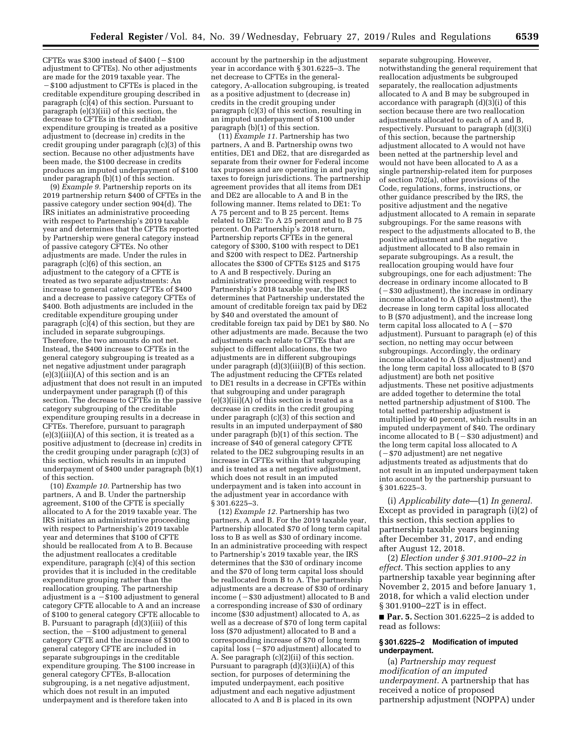CFTEs was  $$300$  instead of  $$400$  ( $-$100$ adjustment to CFTEs). No other adjustments are made for the 2019 taxable year. The  $-$  \$100 adjustment to CFTEs is placed in the creditable expenditure grouping described in paragraph (c)(4) of this section. Pursuant to paragraph (e)(3)(iii) of this section, the decrease to CFTEs in the creditable expenditure grouping is treated as a positive adjustment to (decrease in) credits in the credit grouping under paragraph (c)(3) of this section. Because no other adjustments have been made, the \$100 decrease in credits produces an imputed underpayment of \$100 under paragraph (b)(1) of this section.

(9) *Example 9.* Partnership reports on its 2019 partnership return \$400 of CFTEs in the passive category under section 904(d). The IRS initiates an administrative proceeding with respect to Partnership's 2019 taxable year and determines that the CFTEs reported by Partnership were general category instead of passive category CFTEs. No other adjustments are made. Under the rules in paragraph (c)(6) of this section, an adjustment to the category of a CFTE is treated as two separate adjustments: An increase to general category CFTEs of \$400 and a decrease to passive category CFTEs of \$400. Both adjustments are included in the creditable expenditure grouping under paragraph  $(c)(4)$  of this section, but they are included in separate subgroupings. Therefore, the two amounts do not net. Instead, the \$400 increase to CFTEs in the general category subgrouping is treated as a net negative adjustment under paragraph  $(e)(3)(iii)(A)$  of this section and is an adjustment that does not result in an imputed underpayment under paragraph (f) of this section. The decrease to CFTEs in the passive category subgrouping of the creditable expenditure grouping results in a decrease in CFTEs. Therefore, pursuant to paragraph  $(e)(3)(iii)(A)$  of this section, it is treated as a positive adjustment to (decrease in) credits in the credit grouping under paragraph (c)(3) of this section, which results in an imputed underpayment of \$400 under paragraph (b)(1) of this section.

(10) *Example 10.* Partnership has two partners, A and B. Under the partnership agreement, \$100 of the CFTE is specially allocated to A for the 2019 taxable year. The IRS initiates an administrative proceeding with respect to Partnership's 2019 taxable year and determines that \$100 of CFTE should be reallocated from A to B. Because the adjustment reallocates a creditable expenditure, paragraph (c)(4) of this section provides that it is included in the creditable expenditure grouping rather than the reallocation grouping. The partnership adjustment is a  $-$  \$100 adjustment to general category CFTE allocable to A and an increase of \$100 to general category CFTE allocable to B. Pursuant to paragraph (d)(3)(iii) of this section, the  $- $100$  adjustment to general category CFTE and the increase of \$100 to general category CFTE are included in separate subgroupings in the creditable expenditure grouping. The \$100 increase in general category CFTEs, B-allocation subgrouping, is a net negative adjustment, which does not result in an imputed underpayment and is therefore taken into

account by the partnership in the adjustment year in accordance with § 301.6225–3. The net decrease to CFTEs in the generalcategory, A-allocation subgrouping, is treated as a positive adjustment to (decrease in) credits in the credit grouping under paragraph (c)(3) of this section, resulting in an imputed underpayment of \$100 under paragraph (b)(1) of this section.

(11) *Example 11.* Partnership has two partners, A and B. Partnership owns two entities, DE1 and DE2, that are disregarded as separate from their owner for Federal income tax purposes and are operating in and paying taxes to foreign jurisdictions. The partnership agreement provides that all items from DE1 and DE2 are allocable to A and B in the following manner. Items related to DE1: To A 75 percent and to B 25 percent. Items related to DE2: To A 25 percent and to B 75 percent. On Partnership's 2018 return, Partnership reports CFTEs in the general category of \$300, \$100 with respect to DE1 and \$200 with respect to DE2. Partnership allocates the \$300 of CFTEs \$125 and \$175 to A and B respectively. During an administrative proceeding with respect to Partnership's 2018 taxable year, the IRS determines that Partnership understated the amount of creditable foreign tax paid by DE2 by \$40 and overstated the amount of creditable foreign tax paid by DE1 by \$80. No other adjustments are made. Because the two adjustments each relate to CFTEs that are subject to different allocations, the two adjustments are in different subgroupings under paragraph (d)(3)(iii)(B) of this section. The adjustment reducing the CFTEs related to DE1 results in a decrease in CFTEs within that subgrouping and under paragraph (e)(3)(iii)(A) of this section is treated as a decrease in credits in the credit grouping under paragraph (c)(3) of this section and results in an imputed underpayment of \$80 under paragraph (b)(1) of this section. The increase of \$40 of general category CFTE related to the DE2 subgrouping results in an increase in CFTEs within that subgrouping and is treated as a net negative adjustment, which does not result in an imputed underpayment and is taken into account in the adjustment year in accordance with § 301.6225–3.

(12) *Example 12.* Partnership has two partners, A and B. For the 2019 taxable year, Partnership allocated \$70 of long term capital loss to B as well as \$30 of ordinary income. In an administrative proceeding with respect to Partnership's 2019 taxable year, the IRS determines that the \$30 of ordinary income and the \$70 of long term capital loss should be reallocated from B to A. The partnership adjustments are a decrease of \$30 of ordinary income  $(-\$30$  adjustment) allocated to B and a corresponding increase of \$30 of ordinary income (\$30 adjustment) allocated to A, as well as a decrease of \$70 of long term capital loss (\$70 adjustment) allocated to B and a corresponding increase of \$70 of long term capital loss  $(-\$70$  adjustment) allocated to A. See paragraph  $(c)(2)(ii)$  of this section. Pursuant to paragraph (d)(3)(ii)(A) of this section, for purposes of determining the imputed underpayment, each positive adjustment and each negative adjustment allocated to A and B is placed in its own

separate subgrouping. However, notwithstanding the general requirement that reallocation adjustments be subgrouped separately, the reallocation adjustments allocated to A and B may be subgrouped in accordance with paragraph  $(d)(3)(i)$  of this section because there are two reallocation adjustments allocated to each of A and B, respectively. Pursuant to paragraph (d)(3)(i) of this section, because the partnership adjustment allocated to A would not have been netted at the partnership level and would not have been allocated to A as a single partnership-related item for purposes of section 702(a), other provisions of the Code, regulations, forms, instructions, or other guidance prescribed by the IRS, the positive adjustment and the negative adjustment allocated to A remain in separate subgroupings. For the same reasons with respect to the adjustments allocated to B, the positive adjustment and the negative adjustment allocated to B also remain in separate subgroupings. As a result, the reallocation grouping would have four subgroupings, one for each adjustment: The decrease in ordinary income allocated to B  $(-\$30$  adjustment), the increase in ordinary income allocated to A (\$30 adjustment), the decrease in long term capital loss allocated to B (\$70 adjustment), and the increase long term capital loss allocated to  $A (-\$70$ adjustment). Pursuant to paragraph (e) of this section, no netting may occur between subgroupings. Accordingly, the ordinary income allocated to A (\$30 adjustment) and the long term capital loss allocated to B (\$70 adjustment) are both net positive adjustments. These net positive adjustments are added together to determine the total netted partnership adjustment of \$100. The total netted partnership adjustment is multiplied by 40 percent, which results in an imputed underpayment of \$40. The ordinary income allocated to  $B$  ( $-$ \$30 adjustment) and the long term capital loss allocated to A  $(-\$70$  adjustment) are net negative adjustments treated as adjustments that do not result in an imputed underpayment taken into account by the partnership pursuant to § 301.6225–3.

(i) *Applicability date*—(1) *In general.*  Except as provided in paragraph (i)(2) of this section, this section applies to partnership taxable years beginning after December 31, 2017, and ending after August 12, 2018.

(2) *Election under § 301.9100–22 in effect.* This section applies to any partnership taxable year beginning after November 2, 2015 and before January 1, 2018, for which a valid election under § 301.9100–22T is in effect.

■ **Par. 5.** Section 301.6225-2 is added to read as follows:

#### **§ 301.6225–2 Modification of imputed underpayment.**

(a) *Partnership may request modification of an imputed underpayment.* A partnership that has received a notice of proposed partnership adjustment (NOPPA) under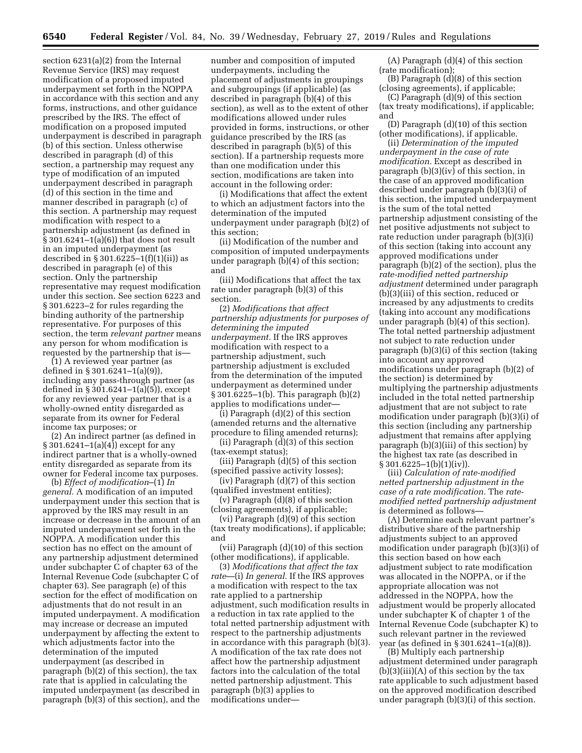section 6231(a)(2) from the Internal Revenue Service (IRS) may request modification of a proposed imputed underpayment set forth in the NOPPA in accordance with this section and any forms, instructions, and other guidance prescribed by the IRS. The effect of modification on a proposed imputed underpayment is described in paragraph (b) of this section. Unless otherwise described in paragraph (d) of this section, a partnership may request any type of modification of an imputed underpayment described in paragraph (d) of this section in the time and manner described in paragraph (c) of this section. A partnership may request modification with respect to a partnership adjustment (as defined in § 301.6241–1(a)(6)) that does not result in an imputed underpayment (as described in  $\S 301.6225 - 1(f)(1)(ii)$  as described in paragraph (e) of this section. Only the partnership representative may request modification under this section. See section 6223 and § 301.6223–2 for rules regarding the binding authority of the partnership representative. For purposes of this section, the term *relevant partner* means any person for whom modification is requested by the partnership that is—

(1) A reviewed year partner (as defined in § 301.6241–1(a)(9)), including any pass-through partner (as defined in §  $301.6241 - 1(a)(5)$ , except for any reviewed year partner that is a wholly-owned entity disregarded as separate from its owner for Federal income tax purposes; or

(2) An indirect partner (as defined in § 301.6241–1(a)(4)) except for any indirect partner that is a wholly-owned entity disregarded as separate from its owner for Federal income tax purposes.

(b) *Effect of modification*–(1) *In general.* A modification of an imputed underpayment under this section that is approved by the IRS may result in an increase or decrease in the amount of an imputed underpayment set forth in the NOPPA. A modification under this section has no effect on the amount of any partnership adjustment determined under subchapter C of chapter 63 of the Internal Revenue Code (subchapter C of chapter 63). See paragraph (e) of this section for the effect of modification on adjustments that do not result in an imputed underpayment. A modification may increase or decrease an imputed underpayment by affecting the extent to which adjustments factor into the determination of the imputed underpayment (as described in paragraph (b)(2) of this section), the tax rate that is applied in calculating the imputed underpayment (as described in paragraph (b)(3) of this section), and the

number and composition of imputed underpayments, including the placement of adjustments in groupings and subgroupings (if applicable) (as described in paragraph (b)(4) of this section), as well as to the extent of other modifications allowed under rules provided in forms, instructions, or other guidance prescribed by the IRS (as described in paragraph (b)(5) of this section). If a partnership requests more than one modification under this section, modifications are taken into account in the following order:

(i) Modifications that affect the extent to which an adjustment factors into the determination of the imputed underpayment under paragraph (b)(2) of this section;

(ii) Modification of the number and composition of imputed underpayments under paragraph (b)(4) of this section; and

(iii) Modifications that affect the tax rate under paragraph (b)(3) of this section.

(2) *Modifications that affect partnership adjustments for purposes of determining the imputed underpayment.* If the IRS approves modification with respect to a partnership adjustment, such partnership adjustment is excluded from the determination of the imputed underpayment as determined under § 301.6225–1(b). This paragraph (b)(2) applies to modifications under—

(i) Paragraph (d)(2) of this section (amended returns and the alternative procedure to filing amended returns);

(ii) Paragraph (d)(3) of this section (tax-exempt status);

(iii) Paragraph (d)(5) of this section (specified passive activity losses);

(iv) Paragraph (d)(7) of this section (qualified investment entities);

(v) Paragraph (d)(8) of this section (closing agreements), if applicable;

(vi) Paragraph (d)(9) of this section (tax treaty modifications), if applicable; and

(vii) Paragraph (d)(10) of this section (other modifications), if applicable.

(3) *Modifications that affect the tax rate*—(i) *In general.* If the IRS approves a modification with respect to the tax rate applied to a partnership adjustment, such modification results in a reduction in tax rate applied to the total netted partnership adjustment with respect to the partnership adjustments in accordance with this paragraph (b)(3). A modification of the tax rate does not affect how the partnership adjustment factors into the calculation of the total netted partnership adjustment. This paragraph (b)(3) applies to modifications under—

(A) Paragraph (d)(4) of this section (rate modification);

(B) Paragraph (d)(8) of this section (closing agreements), if applicable;

(C) Paragraph (d)(9) of this section (tax treaty modifications), if applicable; and

(D) Paragraph (d)(10) of this section (other modifications), if applicable.

(ii) *Determination of the imputed underpayment in the case of rate modification.* Except as described in paragraph  $(b)(3)(iv)$  of this section, in the case of an approved modification described under paragraph (b)(3)(i) of this section, the imputed underpayment is the sum of the total netted partnership adjustment consisting of the net positive adjustments not subject to rate reduction under paragraph (b)(3)(i) of this section (taking into account any approved modifications under paragraph (b)(2) of the section), plus the *rate-modified netted partnership adjustment* determined under paragraph (b)(3)(iii) of this section, reduced or increased by any adjustments to credits (taking into account any modifications under paragraph (b)(4) of this section). The total netted partnership adjustment not subject to rate reduction under paragraph (b)(3)(i) of this section (taking into account any approved modifications under paragraph (b)(2) of the section) is determined by multiplying the partnership adjustments included in the total netted partnership adjustment that are not subject to rate modification under paragraph (b)(3)(i) of this section (including any partnership adjustment that remains after applying paragraph (b)(3)(iii) of this section) by the highest tax rate (as described in  $§ 301.6225 - 1(b)(1)(iv)).$ 

(iii) *Calculation of rate-modified netted partnership adjustment in the case of a rate modification.* The *ratemodified netted partnership adjustment*  is determined as follows—

(A) Determine each relevant partner's distributive share of the partnership adjustments subject to an approved modification under paragraph (b)(3)(i) of this section based on how each adjustment subject to rate modification was allocated in the NOPPA, or if the appropriate allocation was not addressed in the NOPPA, how the adjustment would be properly allocated under subchapter K of chapter 1 of the Internal Revenue Code (subchapter K) to such relevant partner in the reviewed year (as defined in § 301.6241–1(a)(8)).

(B) Multiply each partnership adjustment determined under paragraph  $(b)(3)(iii)(A)$  of this section by the tax rate applicable to such adjustment based on the approved modification described under paragraph (b)(3)(i) of this section.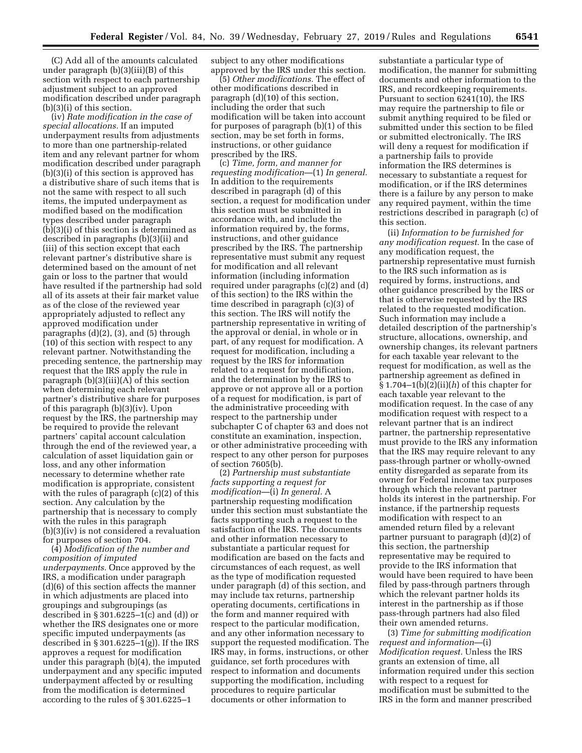(C) Add all of the amounts calculated under paragraph (b)(3)(iii)(B) of this section with respect to each partnership adjustment subject to an approved modification described under paragraph (b)(3)(i) of this section.

(iv) *Rate modification in the case of special allocations.* If an imputed underpayment results from adjustments to more than one partnership-related item and any relevant partner for whom modification described under paragraph (b)(3)(i) of this section is approved has a distributive share of such items that is not the same with respect to all such items, the imputed underpayment as modified based on the modification types described under paragraph (b)(3)(i) of this section is determined as described in paragraphs (b)(3)(ii) and (iii) of this section except that each relevant partner's distributive share is determined based on the amount of net gain or loss to the partner that would have resulted if the partnership had sold all of its assets at their fair market value as of the close of the reviewed year appropriately adjusted to reflect any approved modification under paragraphs (d)(2), (3), and (5) through (10) of this section with respect to any relevant partner. Notwithstanding the preceding sentence, the partnership may request that the IRS apply the rule in paragraph  $(b)(3)(iii)(A)$  of this section when determining each relevant partner's distributive share for purposes of this paragraph (b)(3)(iv). Upon request by the IRS, the partnership may be required to provide the relevant partners' capital account calculation through the end of the reviewed year, a calculation of asset liquidation gain or loss, and any other information necessary to determine whether rate modification is appropriate, consistent with the rules of paragraph (c)(2) of this section. Any calculation by the partnership that is necessary to comply with the rules in this paragraph (b)(3)(iv) is not considered a revaluation for purposes of section 704.

(4) *Modification of the number and composition of imputed underpayments.* Once approved by the IRS, a modification under paragraph (d)(6) of this section affects the manner in which adjustments are placed into groupings and subgroupings (as described in  $\S 301.6225 - 1(c)$  and (d)) or whether the IRS designates one or more specific imputed underpayments (as described in § 301.6225–1(g)). If the IRS approves a request for modification under this paragraph (b)(4), the imputed underpayment and any specific imputed underpayment affected by or resulting from the modification is determined according to the rules of § 301.6225–1

subject to any other modifications approved by the IRS under this section.

(5) *Other modifications.* The effect of other modifications described in paragraph (d)(10) of this section, including the order that such modification will be taken into account for purposes of paragraph (b)(1) of this section, may be set forth in forms, instructions, or other guidance prescribed by the IRS.

(c) *Time, form, and manner for requesting modification*—(1) *In general.*  In addition to the requirements described in paragraph (d) of this section, a request for modification under this section must be submitted in accordance with, and include the information required by, the forms, instructions, and other guidance prescribed by the IRS. The partnership representative must submit any request for modification and all relevant information (including information required under paragraphs (c)(2) and (d) of this section) to the IRS within the time described in paragraph (c)(3) of this section. The IRS will notify the partnership representative in writing of the approval or denial, in whole or in part, of any request for modification. A request for modification, including a request by the IRS for information related to a request for modification, and the determination by the IRS to approve or not approve all or a portion of a request for modification, is part of the administrative proceeding with respect to the partnership under subchapter C of chapter 63 and does not constitute an examination, inspection, or other administrative proceeding with respect to any other person for purposes of section 7605(b).

(2) *Partnership must substantiate facts supporting a request for modification*—(i) *In general.* A partnership requesting modification under this section must substantiate the facts supporting such a request to the satisfaction of the IRS. The documents and other information necessary to substantiate a particular request for modification are based on the facts and circumstances of each request, as well as the type of modification requested under paragraph (d) of this section, and may include tax returns, partnership operating documents, certifications in the form and manner required with respect to the particular modification, and any other information necessary to support the requested modification. The IRS may, in forms, instructions, or other guidance, set forth procedures with respect to information and documents supporting the modification, including procedures to require particular documents or other information to

substantiate a particular type of modification, the manner for submitting documents and other information to the IRS, and recordkeeping requirements. Pursuant to section 6241(10), the IRS may require the partnership to file or submit anything required to be filed or submitted under this section to be filed or submitted electronically. The IRS will deny a request for modification if a partnership fails to provide information the IRS determines is necessary to substantiate a request for modification, or if the IRS determines there is a failure by any person to make any required payment, within the time restrictions described in paragraph (c) of this section.

(ii) *Information to be furnished for any modification request.* In the case of any modification request, the partnership representative must furnish to the IRS such information as is required by forms, instructions, and other guidance prescribed by the IRS or that is otherwise requested by the IRS related to the requested modification. Such information may include a detailed description of the partnership's structure, allocations, ownership, and ownership changes, its relevant partners for each taxable year relevant to the request for modification, as well as the partnership agreement as defined in § 1.704–1(b)(2)(ii)(*h*) of this chapter for each taxable year relevant to the modification request. In the case of any modification request with respect to a relevant partner that is an indirect partner, the partnership representative must provide to the IRS any information that the IRS may require relevant to any pass-through partner or wholly-owned entity disregarded as separate from its owner for Federal income tax purposes through which the relevant partner holds its interest in the partnership. For instance, if the partnership requests modification with respect to an amended return filed by a relevant partner pursuant to paragraph (d)(2) of this section, the partnership representative may be required to provide to the IRS information that would have been required to have been filed by pass-through partners through which the relevant partner holds its interest in the partnership as if those pass-through partners had also filed their own amended returns.

(3) *Time for submitting modification request and information*—(i) *Modification request.* Unless the IRS grants an extension of time, all information required under this section with respect to a request for modification must be submitted to the IRS in the form and manner prescribed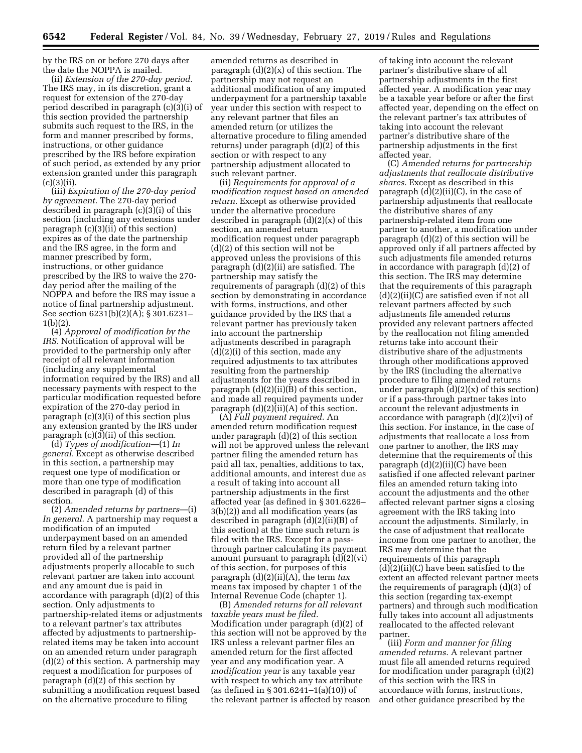by the IRS on or before 270 days after the date the NOPPA is mailed.

(ii) *Extension of the 270-day period.*  The IRS may, in its discretion, grant a request for extension of the 270-day period described in paragraph (c)(3)(i) of this section provided the partnership submits such request to the IRS, in the form and manner prescribed by forms, instructions, or other guidance prescribed by the IRS before expiration of such period, as extended by any prior extension granted under this paragraph  $(c)(3)(ii)$ .

(iii) *Expiration of the 270-day period by agreement.* The 270-day period described in paragraph (c)(3)(i) of this section (including any extensions under paragraph (c)(3)(ii) of this section) expires as of the date the partnership and the IRS agree, in the form and manner prescribed by form, instructions, or other guidance prescribed by the IRS to waive the 270 day period after the mailing of the NOPPA and before the IRS may issue a notice of final partnership adjustment. See section 6231(b)(2)(A); § 301.6231– 1(b)(2).

(4) *Approval of modification by the IRS.* Notification of approval will be provided to the partnership only after receipt of all relevant information (including any supplemental information required by the IRS) and all necessary payments with respect to the particular modification requested before expiration of the 270-day period in paragraph (c)(3)(i) of this section plus any extension granted by the IRS under paragraph (c)(3)(ii) of this section.

(d) *Types of modification*—(1) *In general.* Except as otherwise described in this section, a partnership may request one type of modification or more than one type of modification described in paragraph (d) of this section.

(2) *Amended returns by partners*—(i) *In general.* A partnership may request a modification of an imputed underpayment based on an amended return filed by a relevant partner provided all of the partnership adjustments properly allocable to such relevant partner are taken into account and any amount due is paid in accordance with paragraph (d)(2) of this section. Only adjustments to partnership-related items or adjustments to a relevant partner's tax attributes affected by adjustments to partnershiprelated items may be taken into account on an amended return under paragraph (d)(2) of this section. A partnership may request a modification for purposes of paragraph (d)(2) of this section by submitting a modification request based on the alternative procedure to filing

amended returns as described in paragraph (d)(2)(x) of this section. The partnership may not request an additional modification of any imputed underpayment for a partnership taxable year under this section with respect to any relevant partner that files an amended return (or utilizes the alternative procedure to filing amended returns) under paragraph (d)(2) of this section or with respect to any partnership adjustment allocated to such relevant partner.

(ii) *Requirements for approval of a modification request based on amended return.* Except as otherwise provided under the alternative procedure described in paragraph (d)(2)(x) of this section, an amended return modification request under paragraph (d)(2) of this section will not be approved unless the provisions of this paragraph (d)(2)(ii) are satisfied. The partnership may satisfy the requirements of paragraph (d)(2) of this section by demonstrating in accordance with forms, instructions, and other guidance provided by the IRS that a relevant partner has previously taken into account the partnership adjustments described in paragraph  $(d)(2)(i)$  of this section, made any required adjustments to tax attributes resulting from the partnership adjustments for the years described in paragraph  $(d)(2)(ii)(B)$  of this section, and made all required payments under paragraph (d)(2)(ii)(A) of this section.

(A) *Full payment required.* An amended return modification request under paragraph (d)(2) of this section will not be approved unless the relevant partner filing the amended return has paid all tax, penalties, additions to tax, additional amounts, and interest due as a result of taking into account all partnership adjustments in the first affected year (as defined in § 301.6226– 3(b)(2)) and all modification years (as described in paragraph (d)(2)(ii)(B) of this section) at the time such return is filed with the IRS. Except for a passthrough partner calculating its payment amount pursuant to paragraph (d)(2)(vi) of this section, for purposes of this paragraph (d)(2)(ii)(A), the term *tax*  means tax imposed by chapter 1 of the Internal Revenue Code (chapter 1).

(B) *Amended returns for all relevant taxable years must be filed.*  Modification under paragraph (d)(2) of this section will not be approved by the IRS unless a relevant partner files an amended return for the first affected year and any modification year. A *modification year* is any taxable year with respect to which any tax attribute (as defined in § 301.6241–1(a)(10)) of the relevant partner is affected by reason

of taking into account the relevant partner's distributive share of all partnership adjustments in the first affected year. A modification year may be a taxable year before or after the first affected year, depending on the effect on the relevant partner's tax attributes of taking into account the relevant partner's distributive share of the partnership adjustments in the first affected year.

(C) *Amended returns for partnership adjustments that reallocate distributive shares.* Except as described in this paragraph  $(d)(2)(ii)(C)$ , in the case of partnership adjustments that reallocate the distributive shares of any partnership-related item from one partner to another, a modification under paragraph (d)(2) of this section will be approved only if all partners affected by such adjustments file amended returns in accordance with paragraph (d)(2) of this section. The IRS may determine that the requirements of this paragraph (d)(2)(ii)(C) are satisfied even if not all relevant partners affected by such adjustments file amended returns provided any relevant partners affected by the reallocation not filing amended returns take into account their distributive share of the adjustments through other modifications approved by the IRS (including the alternative procedure to filing amended returns under paragraph  $(d)(2)(x)$  of this section) or if a pass-through partner takes into account the relevant adjustments in accordance with paragraph (d)(2)(vi) of this section. For instance, in the case of adjustments that reallocate a loss from one partner to another, the IRS may determine that the requirements of this paragraph (d)(2)(ii)(C) have been satisfied if one affected relevant partner files an amended return taking into account the adjustments and the other affected relevant partner signs a closing agreement with the IRS taking into account the adjustments. Similarly, in the case of adjustment that reallocate income from one partner to another, the IRS may determine that the requirements of this paragraph (d)(2)(ii)(C) have been satisfied to the extent an affected relevant partner meets the requirements of paragraph (d)(3) of this section (regarding tax-exempt partners) and through such modification fully takes into account all adjustments reallocated to the affected relevant partner.

(iii) *Form and manner for filing amended returns.* A relevant partner must file all amended returns required for modification under paragraph (d)(2) of this section with the IRS in accordance with forms, instructions, and other guidance prescribed by the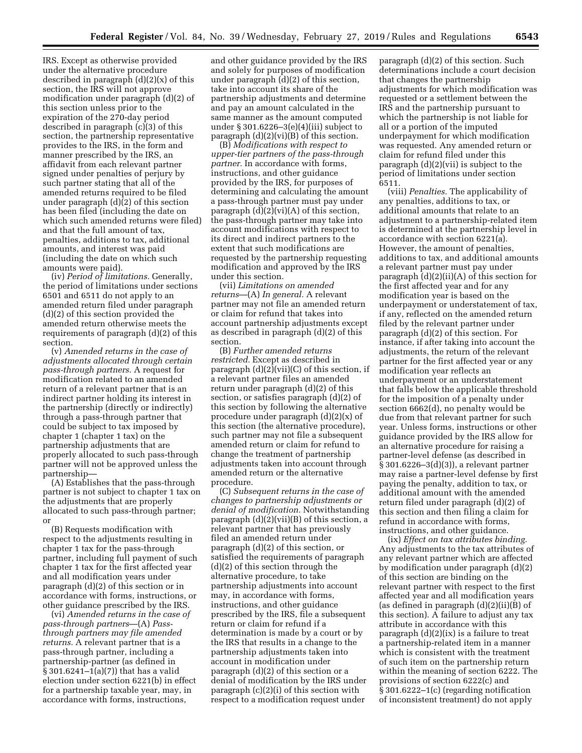IRS. Except as otherwise provided under the alternative procedure described in paragraph (d)(2)(x) of this section, the IRS will not approve modification under paragraph (d)(2) of this section unless prior to the expiration of the 270-day period described in paragraph (c)(3) of this section, the partnership representative provides to the IRS, in the form and manner prescribed by the IRS, an affidavit from each relevant partner signed under penalties of perjury by such partner stating that all of the amended returns required to be filed under paragraph (d)(2) of this section has been filed (including the date on which such amended returns were filed) and that the full amount of tax, penalties, additions to tax, additional amounts, and interest was paid (including the date on which such amounts were paid).

(iv) *Period of limitations.* Generally, the period of limitations under sections 6501 and 6511 do not apply to an amended return filed under paragraph (d)(2) of this section provided the amended return otherwise meets the requirements of paragraph (d)(2) of this section.

(v) *Amended returns in the case of adjustments allocated through certain pass-through partners.* A request for modification related to an amended return of a relevant partner that is an indirect partner holding its interest in the partnership (directly or indirectly) through a pass-through partner that could be subject to tax imposed by chapter 1 (chapter 1 tax) on the partnership adjustments that are properly allocated to such pass-through partner will not be approved unless the partnership—

(A) Establishes that the pass-through partner is not subject to chapter 1 tax on the adjustments that are properly allocated to such pass-through partner; or

(B) Requests modification with respect to the adjustments resulting in chapter 1 tax for the pass-through partner, including full payment of such chapter 1 tax for the first affected year and all modification years under paragraph (d)(2) of this section or in accordance with forms, instructions, or other guidance prescribed by the IRS.

(vi) *Amended returns in the case of pass-through partners*—(A) *Passthrough partners may file amended returns.* A relevant partner that is a pass-through partner, including a partnership-partner (as defined in  $\frac{1}{8}$  301.6241-1(a)(7)) that has a valid election under section 6221(b) in effect for a partnership taxable year, may, in accordance with forms, instructions,

and other guidance provided by the IRS and solely for purposes of modification under paragraph (d)(2) of this section, take into account its share of the partnership adjustments and determine and pay an amount calculated in the same manner as the amount computed under § 301.6226–3(e)(4)(iii) subject to paragraph  $(d)(2)(vi)(B)$  of this section.

(B) *Modifications with respect to upper-tier partners of the pass-through partner.* In accordance with forms, instructions, and other guidance provided by the IRS, for purposes of determining and calculating the amount a pass-through partner must pay under paragraph (d)(2)(vi)(A) of this section, the pass-through partner may take into account modifications with respect to its direct and indirect partners to the extent that such modifications are requested by the partnership requesting modification and approved by the IRS under this section.

(vii) *Limitations on amended returns*—(A) *In general.* A relevant partner may not file an amended return or claim for refund that takes into account partnership adjustments except as described in paragraph (d)(2) of this section.

(B) *Further amended returns restricted.* Except as described in paragraph (d)(2)(vii)(C) of this section, if a relevant partner files an amended return under paragraph (d)(2) of this section, or satisfies paragraph (d)(2) of this section by following the alternative procedure under paragraph (d)(2)(x) of this section (the alternative procedure), such partner may not file a subsequent amended return or claim for refund to change the treatment of partnership adjustments taken into account through amended return or the alternative procedure.

(C) *Subsequent returns in the case of changes to partnership adjustments or denial of modification.* Notwithstanding paragraph (d)(2)(vii)(B) of this section, a relevant partner that has previously filed an amended return under paragraph (d)(2) of this section, or satisfied the requirements of paragraph (d)(2) of this section through the alternative procedure, to take partnership adjustments into account may, in accordance with forms, instructions, and other guidance prescribed by the IRS, file a subsequent return or claim for refund if a determination is made by a court or by the IRS that results in a change to the partnership adjustments taken into account in modification under paragraph (d)(2) of this section or a denial of modification by the IRS under paragraph (c)(2)(i) of this section with respect to a modification request under

paragraph (d)(2) of this section. Such determinations include a court decision that changes the partnership adjustments for which modification was requested or a settlement between the IRS and the partnership pursuant to which the partnership is not liable for all or a portion of the imputed underpayment for which modification was requested. Any amended return or claim for refund filed under this paragraph (d)(2)(vii) is subject to the period of limitations under section 6511.

(viii) *Penalties.* The applicability of any penalties, additions to tax, or additional amounts that relate to an adjustment to a partnership-related item is determined at the partnership level in accordance with section 6221(a). However, the amount of penalties, additions to tax, and additional amounts a relevant partner must pay under paragraph (d)(2)(ii)(A) of this section for the first affected year and for any modification year is based on the underpayment or understatement of tax, if any, reflected on the amended return filed by the relevant partner under paragraph (d)(2) of this section. For instance, if after taking into account the adjustments, the return of the relevant partner for the first affected year or any modification year reflects an underpayment or an understatement that falls below the applicable threshold for the imposition of a penalty under section 6662(d), no penalty would be due from that relevant partner for such year. Unless forms, instructions or other guidance provided by the IRS allow for an alternative procedure for raising a partner-level defense (as described in § 301.6226–3(d)(3)), a relevant partner may raise a partner-level defense by first paying the penalty, addition to tax, or additional amount with the amended return filed under paragraph (d)(2) of this section and then filing a claim for refund in accordance with forms, instructions, and other guidance.

(ix) *Effect on tax attributes binding.*  Any adjustments to the tax attributes of any relevant partner which are affected by modification under paragraph (d)(2) of this section are binding on the relevant partner with respect to the first affected year and all modification years (as defined in paragraph (d)(2)(ii)(B) of this section). A failure to adjust any tax attribute in accordance with this paragraph (d)(2)(ix) is a failure to treat a partnership-related item in a manner which is consistent with the treatment of such item on the partnership return within the meaning of section 6222. The provisions of section 6222(c) and § 301.6222–1(c) (regarding notification of inconsistent treatment) do not apply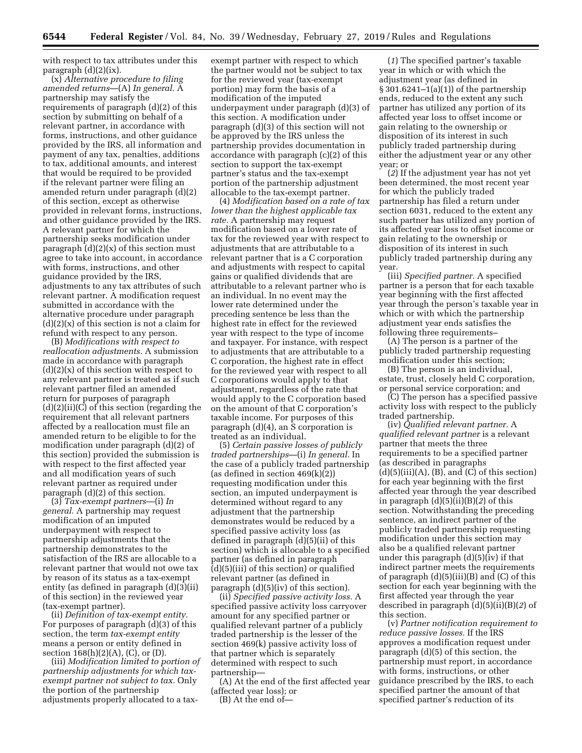with respect to tax attributes under this paragraph (d)(2)(ix).

(x) *Alternative procedure to filing amended returns*—(A) *In general.* A partnership may satisfy the requirements of paragraph (d)(2) of this section by submitting on behalf of a relevant partner, in accordance with forms, instructions, and other guidance provided by the IRS, all information and payment of any tax, penalties, additions to tax, additional amounts, and interest that would be required to be provided if the relevant partner were filing an amended return under paragraph (d)(2) of this section, except as otherwise provided in relevant forms, instructions, and other guidance provided by the IRS. A relevant partner for which the partnership seeks modification under paragraph  $(d)(2)(x)$  of this section must agree to take into account, in accordance with forms, instructions, and other guidance provided by the IRS, adjustments to any tax attributes of such relevant partner. A modification request submitted in accordance with the alternative procedure under paragraph  $(d)(2)(x)$  of this section is not a claim for refund with respect to any person.

(B) *Modifications with respect to reallocation adjustments.* A submission made in accordance with paragraph  $(d)(2)(x)$  of this section with respect to any relevant partner is treated as if such relevant partner filed an amended return for purposes of paragraph (d)(2)(ii)(C) of this section (regarding the requirement that all relevant partners affected by a reallocation must file an amended return to be eligible to for the modification under paragraph (d)(2) of this section) provided the submission is with respect to the first affected year and all modification years of such relevant partner as required under paragraph (d)(2) of this section.

(3) *Tax-exempt partners*—(i) *In general.* A partnership may request modification of an imputed underpayment with respect to partnership adjustments that the partnership demonstrates to the satisfaction of the IRS are allocable to a relevant partner that would not owe tax by reason of its status as a tax-exempt entity (as defined in paragraph (d)(3)(ii) of this section) in the reviewed year (tax-exempt partner).

(ii) *Definition of tax-exempt entity.*  For purposes of paragraph (d)(3) of this section, the term *tax-exempt entity*  means a person or entity defined in section  $168(h)(2)(A)$ , (C), or (D).

(iii) *Modification limited to portion of partnership adjustments for which taxexempt partner not subject to tax.* Only the portion of the partnership adjustments properly allocated to a tax-

exempt partner with respect to which the partner would not be subject to tax for the reviewed year (tax-exempt portion) may form the basis of a modification of the imputed underpayment under paragraph (d)(3) of this section. A modification under paragraph (d)(3) of this section will not be approved by the IRS unless the partnership provides documentation in accordance with paragraph (c)(2) of this section to support the tax-exempt partner's status and the tax-exempt portion of the partnership adjustment allocable to the tax-exempt partner.

(4) *Modification based on a rate of tax lower than the highest applicable tax rate.* A partnership may request modification based on a lower rate of tax for the reviewed year with respect to adjustments that are attributable to a relevant partner that is a C corporation and adjustments with respect to capital gains or qualified dividends that are attributable to a relevant partner who is an individual. In no event may the lower rate determined under the preceding sentence be less than the highest rate in effect for the reviewed year with respect to the type of income and taxpayer. For instance, with respect to adjustments that are attributable to a C corporation, the highest rate in effect for the reviewed year with respect to all C corporations would apply to that adjustment, regardless of the rate that would apply to the C corporation based on the amount of that C corporation's taxable income. For purposes of this paragraph (d)(4), an S corporation is treated as an individual.

(5) *Certain passive losses of publicly traded partnerships*—(i) *In general.* In the case of a publicly traded partnership (as defined in section 469(k)(2)) requesting modification under this section, an imputed underpayment is determined without regard to any adjustment that the partnership demonstrates would be reduced by a specified passive activity loss (as defined in paragraph (d)(5)(ii) of this section) which is allocable to a specified partner (as defined in paragraph (d)(5)(iii) of this section) or qualified relevant partner (as defined in paragraph (d)(5)(iv) of this section).

(ii) *Specified passive activity loss.* A specified passive activity loss carryover amount for any specified partner or qualified relevant partner of a publicly traded partnership is the lesser of the section 469(k) passive activity loss of that partner which is separately determined with respect to such partnership—

(A) At the end of the first affected year (affected year loss); or

(B) At the end of—

(*1*) The specified partner's taxable year in which or with which the adjustment year (as defined in § 301.6241–1(a)(1)) of the partnership ends, reduced to the extent any such partner has utilized any portion of its affected year loss to offset income or gain relating to the ownership or disposition of its interest in such publicly traded partnership during either the adjustment year or any other year; or

(*2*) If the adjustment year has not yet been determined, the most recent year for which the publicly traded partnership has filed a return under section 6031, reduced to the extent any such partner has utilized any portion of its affected year loss to offset income or gain relating to the ownership or disposition of its interest in such publicly traded partnership during any year.

(iii) *Specified partner.* A specified partner is a person that for each taxable year beginning with the first affected year through the person's taxable year in which or with which the partnership adjustment year ends satisfies the following three requirements–

(A) The person is a partner of the publicly traded partnership requesting modification under this section;

(B) The person is an individual, estate, trust, closely held C corporation, or personal service corporation; and

(C) The person has a specified passive activity loss with respect to the publicly traded partnership.

(iv) *Qualified relevant partner.* A *qualified relevant partner* is a relevant partner that meets the three requirements to be a specified partner (as described in paragraphs  $(d)(5)(iii)(A), (B), and (C) of this section)$ for each year beginning with the first affected year through the year described in paragraph (d)(5)(ii)(B)(*2*) of this section. Notwithstanding the preceding sentence, an indirect partner of the publicly traded partnership requesting modification under this section may also be a qualified relevant partner under this paragraph (d)(5)(iv) if that indirect partner meets the requirements of paragraph  $(d)(5)(iii)(B)$  and  $(C)$  of this section for each year beginning with the first affected year through the year described in paragraph (d)(5)(ii)(B)(*2*) of this section.

(v) *Partner notification requirement to reduce passive losses.* If the IRS approves a modification request under paragraph (d)(5) of this section, the partnership must report, in accordance with forms, instructions, or other guidance prescribed by the IRS, to each specified partner the amount of that specified partner's reduction of its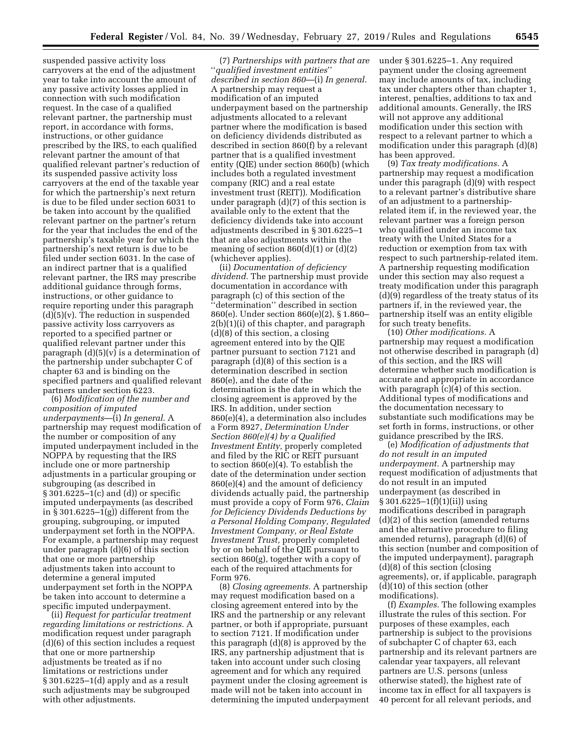suspended passive activity loss carryovers at the end of the adjustment year to take into account the amount of any passive activity losses applied in connection with such modification request. In the case of a qualified relevant partner, the partnership must report, in accordance with forms, instructions, or other guidance prescribed by the IRS, to each qualified relevant partner the amount of that qualified relevant partner's reduction of its suspended passive activity loss carryovers at the end of the taxable year for which the partnership's next return is due to be filed under section 6031 to be taken into account by the qualified relevant partner on the partner's return for the year that includes the end of the partnership's taxable year for which the partnership's next return is due to be filed under section 6031. In the case of an indirect partner that is a qualified relevant partner, the IRS may prescribe additional guidance through forms, instructions, or other guidance to require reporting under this paragraph (d)(5)(v). The reduction in suspended passive activity loss carryovers as reported to a specified partner or qualified relevant partner under this paragraph (d)(5)(v) is a determination of the partnership under subchapter C of chapter 63 and is binding on the specified partners and qualified relevant partners under section 6223.

(6) *Modification of the number and composition of imputed underpayments*—(i) *In general.* A partnership may request modification of the number or composition of any imputed underpayment included in the NOPPA by requesting that the IRS include one or more partnership adjustments in a particular grouping or subgrouping (as described in § 301.6225–1(c) and (d)) or specific imputed underpayments (as described in  $\S 301.6225 - 1(g)$  different from the grouping, subgrouping, or imputed underpayment set forth in the NOPPA. For example, a partnership may request under paragraph (d)(6) of this section that one or more partnership adjustments taken into account to determine a general imputed underpayment set forth in the NOPPA be taken into account to determine a specific imputed underpayment.

(ii) *Request for particular treatment regarding limitations or restrictions.* A modification request under paragraph (d)(6) of this section includes a request that one or more partnership adjustments be treated as if no limitations or restrictions under § 301.6225–1(d) apply and as a result such adjustments may be subgrouped with other adjustments.

(7) *Partnerships with partners that are*  ''*qualified investment entities*'' *described in section 860*—(i) *In general.*  A partnership may request a modification of an imputed underpayment based on the partnership adjustments allocated to a relevant partner where the modification is based on deficiency dividends distributed as described in section 860(f) by a relevant partner that is a qualified investment entity (QIE) under section 860(b) (which includes both a regulated investment company (RIC) and a real estate investment trust (REIT)). Modification under paragraph (d)(7) of this section is available only to the extent that the deficiency dividends take into account adjustments described in § 301.6225–1 that are also adjustments within the meaning of section  $860(d)(1)$  or  $(d)(2)$ (whichever applies).

(ii) *Documentation of deficiency dividend.* The partnership must provide documentation in accordance with paragraph (c) of this section of the ''determination'' described in section 860(e). Under section 860(e)(2), § 1.860– 2(b)(1)(i) of this chapter, and paragraph (d)(8) of this section, a closing agreement entered into by the QIE partner pursuant to section 7121 and paragraph (d)(8) of this section is a determination described in section 860(e), and the date of the determination is the date in which the closing agreement is approved by the IRS. In addition, under section 860(e)(4), a determination also includes a Form 8927, *Determination Under Section 860(e)(4) by a Qualified Investment Entity,* properly completed and filed by the RIC or REIT pursuant to section  $860(e)(4)$ . To establish the date of the determination under section 860(e)(4) and the amount of deficiency dividends actually paid, the partnership must provide a copy of Form 976, *Claim for Deficiency Dividends Deductions by a Personal Holding Company, Regulated Investment Company, or Real Estate Investment Trust,* properly completed by or on behalf of the QIE pursuant to section 860(g), together with a copy of each of the required attachments for Form 976.

(8) *Closing agreements.* A partnership may request modification based on a closing agreement entered into by the IRS and the partnership or any relevant partner, or both if appropriate, pursuant to section 7121. If modification under this paragraph (d)(8) is approved by the IRS, any partnership adjustment that is taken into account under such closing agreement and for which any required payment under the closing agreement is made will not be taken into account in determining the imputed underpayment under § 301.6225–1. Any required payment under the closing agreement may include amounts of tax, including tax under chapters other than chapter 1, interest, penalties, additions to tax and additional amounts. Generally, the IRS will not approve any additional modification under this section with respect to a relevant partner to which a modification under this paragraph (d)(8) has been approved.

(9) *Tax treaty modifications.* A partnership may request a modification under this paragraph (d)(9) with respect to a relevant partner's distributive share of an adjustment to a partnershiprelated item if, in the reviewed year, the relevant partner was a foreign person who qualified under an income tax treaty with the United States for a reduction or exemption from tax with respect to such partnership-related item. A partnership requesting modification under this section may also request a treaty modification under this paragraph (d)(9) regardless of the treaty status of its partners if, in the reviewed year, the partnership itself was an entity eligible for such treaty benefits.

(10) *Other modifications.* A partnership may request a modification not otherwise described in paragraph (d) of this section, and the IRS will determine whether such modification is accurate and appropriate in accordance with paragraph (c)(4) of this section. Additional types of modifications and the documentation necessary to substantiate such modifications may be set forth in forms, instructions, or other guidance prescribed by the IRS.

(e) *Modification of adjustments that do not result in an imputed underpayment.* A partnership may request modification of adjustments that do not result in an imputed underpayment (as described in § 301.6225–1(f)(1)(ii)) using modifications described in paragraph (d)(2) of this section (amended returns and the alternative procedure to filing amended returns), paragraph (d)(6) of this section (number and composition of the imputed underpayment), paragraph (d)(8) of this section (closing agreements), or, if applicable, paragraph (d)(10) of this section (other modifications).

(f) *Examples.* The following examples illustrate the rules of this section. For purposes of these examples, each partnership is subject to the provisions of subchapter C of chapter 63, each partnership and its relevant partners are calendar year taxpayers, all relevant partners are U.S. persons (unless otherwise stated), the highest rate of income tax in effect for all taxpayers is 40 percent for all relevant periods, and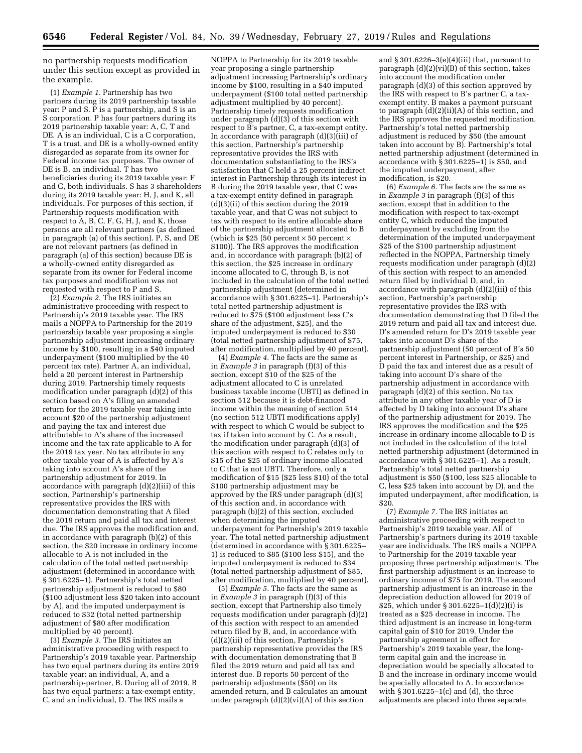no partnership requests modification under this section except as provided in the example.

(1) *Example 1.* Partnership has two partners during its 2019 partnership taxable year: P and S. P is a partnership, and S is an S corporation. P has four partners during its 2019 partnership taxable year: A, C, T and DE.  $\overrightarrow{A}$  is an individual,  $\overrightarrow{C}$  is a C corporation, T is a trust, and DE is a wholly-owned entity disregarded as separate from its owner for Federal income tax purposes. The owner of DE is B, an individual. T has two beneficiaries during its 2019 taxable year: F and G, both individuals. S has 3 shareholders during its 2019 taxable year: H, J, and K, all individuals. For purposes of this section, if Partnership requests modification with respect to  $A$ ,  $B$ ,  $C$ ,  $F$ ,  $G$ ,  $H$ ,  $J$ , and  $K$ , those persons are all relevant partners (as defined in paragraph (a) of this section). P, S, and DE are not relevant partners (as defined in paragraph (a) of this section) because DE is a wholly-owned entity disregarded as separate from its owner for Federal income tax purposes and modification was not requested with respect to P and S.

(2) *Example 2.* The IRS initiates an administrative proceeding with respect to Partnership's 2019 taxable year. The IRS mails a NOPPA to Partnership for the 2019 partnership taxable year proposing a single partnership adjustment increasing ordinary income by \$100, resulting in a \$40 imputed underpayment (\$100 multiplied by the 40 percent tax rate). Partner A, an individual, held a 20 percent interest in Partnership during 2019. Partnership timely requests modification under paragraph (d)(2) of this section based on A's filing an amended return for the 2019 taxable year taking into account \$20 of the partnership adjustment and paying the tax and interest due attributable to A's share of the increased income and the tax rate applicable to A for the 2019 tax year. No tax attribute in any other taxable year of A is affected by A's taking into account A's share of the partnership adjustment for 2019. In accordance with paragraph (d)(2)(iii) of this section, Partnership's partnership representative provides the IRS with documentation demonstrating that A filed the 2019 return and paid all tax and interest due. The IRS approves the modification and, in accordance with paragraph (b)(2) of this section, the \$20 increase in ordinary income allocable to A is not included in the calculation of the total netted partnership adjustment (determined in accordance with § 301.6225–1). Partnership's total netted partnership adjustment is reduced to \$80 (\$100 adjustment less \$20 taken into account by A), and the imputed underpayment is reduced to \$32 (total netted partnership adjustment of \$80 after modification multiplied by 40 percent).

(3) *Example 3.* The IRS initiates an administrative proceeding with respect to Partnership's 2019 taxable year. Partnership has two equal partners during its entire 2019 taxable year: an individual, A, and a partnership-partner, B. During all of 2019, B has two equal partners: a tax-exempt entity, C, and an individual, D. The IRS mails a

NOPPA to Partnership for its 2019 taxable year proposing a single partnership adjustment increasing Partnership's ordinary income by \$100, resulting in a \$40 imputed underpayment (\$100 total netted partnership adjustment multiplied by 40 percent). Partnership timely requests modification under paragraph (d)(3) of this section with respect to B's partner, C, a tax-exempt entity. In accordance with paragraph (d)(3)(iii) of this section, Partnership's partnership representative provides the IRS with documentation substantiating to the IRS's satisfaction that C held a 25 percent indirect interest in Partnership through its interest in B during the 2019 taxable year, that C was a tax-exempt entity defined in paragraph (d)(3)(ii) of this section during the 2019 taxable year, and that C was not subject to tax with respect to its entire allocable share of the partnership adjustment allocated to B (which is \$25 (50 percent  $\times$  50 percent  $\times$ \$100)). The IRS approves the modification and, in accordance with paragraph (b)(2) of this section, the \$25 increase in ordinary income allocated to C, through B, is not included in the calculation of the total netted partnership adjustment (determined in accordance with § 301.6225–1). Partnership's total netted partnership adjustment is reduced to \$75 (\$100 adjustment less C's share of the adjustment, \$25), and the imputed underpayment is reduced to \$30 (total netted partnership adjustment of \$75, after modification, multiplied by 40 percent).

(4) *Example 4.* The facts are the same as in *Example 3* in paragraph (f)(3) of this section, except \$10 of the \$25 of the adjustment allocated to C is unrelated business taxable income (UBTI) as defined in section 512 because it is debt-financed income within the meaning of section 514 (no section 512 UBTI modifications apply) with respect to which C would be subject to tax if taken into account by C. As a result, the modification under paragraph (d)(3) of this section with respect to C relates only to \$15 of the \$25 of ordinary income allocated to C that is not UBTI. Therefore, only a modification of \$15 (\$25 less \$10) of the total \$100 partnership adjustment may be approved by the IRS under paragraph (d)(3) of this section and, in accordance with paragraph (b)(2) of this section, excluded when determining the imputed underpayment for Partnership's 2019 taxable year. The total netted partnership adjustment (determined in accordance with § 301.6225– 1) is reduced to \$85 (\$100 less \$15), and the imputed underpayment is reduced to \$34 (total netted partnership adjustment of \$85, after modification, multiplied by 40 percent).

(5) *Example 5.* The facts are the same as in *Example 3* in paragraph (f)(3) of this section, except that Partnership also timely requests modification under paragraph (d)(2) of this section with respect to an amended return filed by B, and, in accordance with (d)(2)(iii) of this section, Partnership's partnership representative provides the IRS with documentation demonstrating that B filed the 2019 return and paid all tax and interest due. B reports 50 percent of the partnership adjustments (\$50) on its amended return, and B calculates an amount under paragraph (d)(2)(vi)(A) of this section

and  $\S 301.6226 - 3(e)(4)(iii)$  that, pursuant to paragraph (d)(2)(vi)(B) of this section, takes into account the modification under paragraph (d)(3) of this section approved by the IRS with respect to B's partner C, a taxexempt entity. B makes a payment pursuant to paragraph (d)(2)(ii)(A) of this section, and the IRS approves the requested modification. Partnership's total netted partnership adjustment is reduced by \$50 (the amount taken into account by B). Partnership's total netted partnership adjustment (determined in accordance with  $\S 301.6225-1$ ) is \$50, and the imputed underpayment, after modification, is \$20.

(6) *Example 6.* The facts are the same as in *Example 3* in paragraph (f)(3) of this section, except that in addition to the modification with respect to tax-exempt entity C, which reduced the imputed underpayment by excluding from the determination of the imputed underpayment \$25 of the \$100 partnership adjustment reflected in the NOPPA, Partnership timely requests modification under paragraph (d)(2) of this section with respect to an amended return filed by individual D, and, in accordance with paragraph (d)(2)(iii) of this section, Partnership's partnership representative provides the IRS with documentation demonstrating that D filed the 2019 return and paid all tax and interest due. D's amended return for D's 2019 taxable year takes into account D's share of the partnership adjustment (50 percent of B's 50 percent interest in Partnership, or \$25) and D paid the tax and interest due as a result of taking into account D's share of the partnership adjustment in accordance with paragraph  $(d)(2)$  of this section. No tax attribute in any other taxable year of D is affected by D taking into account D's share of the partnership adjustment for 2019. The IRS approves the modification and the \$25 increase in ordinary income allocable to D is not included in the calculation of the total netted partnership adjustment (determined in accordance with § 301.6225–1). As a result, Partnership's total netted partnership adjustment is \$50 (\$100, less \$25 allocable to C, less \$25 taken into account by D), and the imputed underpayment, after modification, is \$20.

(7) *Example 7.* The IRS initiates an administrative proceeding with respect to Partnership's 2019 taxable year. All of Partnership's partners during its 2019 taxable year are individuals. The IRS mails a NOPPA to Partnership for the 2019 taxable year proposing three partnership adjustments. The first partnership adjustment is an increase to ordinary income of \$75 for 2019. The second partnership adjustment is an increase in the depreciation deduction allowed for 2019 of \$25, which under § 301.6225–1(d)(2)(i) is treated as a \$25 decrease in income. The third adjustment is an increase in long-term capital gain of \$10 for 2019. Under the partnership agreement in effect for Partnership's 2019 taxable year, the longterm capital gain and the increase in depreciation would be specially allocated to B and the increase in ordinary income would be specially allocated to A. In accordance with § 301.6225–1(c) and (d), the three adjustments are placed into three separate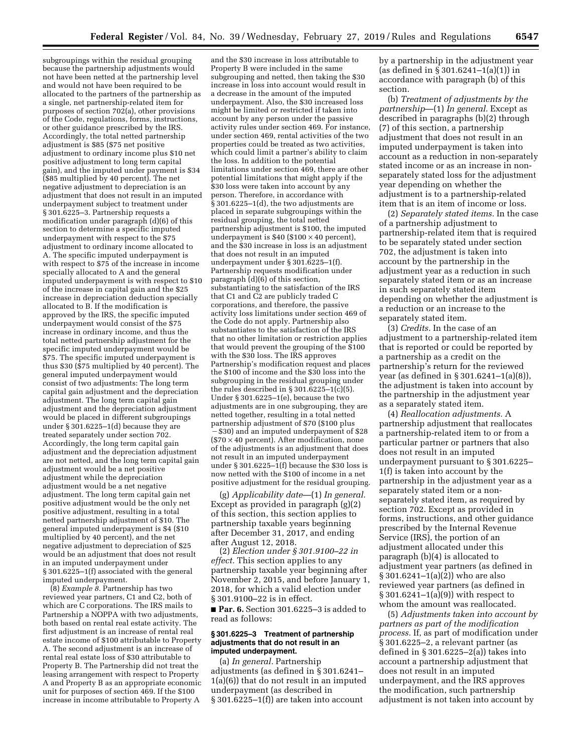subgroupings within the residual grouping because the partnership adjustments would not have been netted at the partnership level and would not have been required to be allocated to the partners of the partnership as a single, net partnership-related item for purposes of section 702(a), other provisions of the Code, regulations, forms, instructions, or other guidance prescribed by the IRS. Accordingly, the total netted partnership adjustment is \$85 (\$75 net positive adjustment to ordinary income plus \$10 net positive adjustment to long term capital gain), and the imputed under payment is \$34 (\$85 multiplied by 40 percent). The net negative adjustment to depreciation is an adjustment that does not result in an imputed underpayment subject to treatment under § 301.6225–3. Partnership requests a modification under paragraph (d)(6) of this section to determine a specific imputed underpayment with respect to the \$75 adjustment to ordinary income allocated to A. The specific imputed underpayment is with respect to \$75 of the increase in income specially allocated to A and the general imputed underpayment is with respect to \$10 of the increase in capital gain and the \$25 increase in depreciation deduction specially allocated to B. If the modification is approved by the IRS, the specific imputed underpayment would consist of the \$75 increase in ordinary income, and thus the total netted partnership adjustment for the specific imputed underpayment would be \$75. The specific imputed underpayment is thus \$30 (\$75 multiplied by 40 percent). The general imputed underpayment would consist of two adjustments: The long term capital gain adjustment and the depreciation adjustment. The long term capital gain adjustment and the depreciation adjustment would be placed in different subgroupings under § 301.6225–1(d) because they are treated separately under section 702. Accordingly, the long term capital gain adjustment and the depreciation adjustment are not netted, and the long term capital gain adjustment would be a net positive adjustment while the depreciation adjustment would be a net negative adjustment. The long term capital gain net positive adjustment would be the only net positive adjustment, resulting in a total netted partnership adjustment of \$10. The general imputed underpayment is \$4 (\$10 multiplied by 40 percent), and the net negative adjustment to depreciation of \$25 would be an adjustment that does not result in an imputed underpayment under § 301.6225–1(f) associated with the general imputed underpayment.

(8) *Example 8.* Partnership has two reviewed year partners, C1 and C2, both of which are C corporations. The IRS mails to Partnership a NOPPA with two adjustments, both based on rental real estate activity. The first adjustment is an increase of rental real estate income of \$100 attributable to Property A. The second adjustment is an increase of rental real estate loss of \$30 attributable to Property B. The Partnership did not treat the leasing arrangement with respect to Property A and Property B as an appropriate economic unit for purposes of section 469. If the \$100 increase in income attributable to Property A

and the \$30 increase in loss attributable to Property B were included in the same subgrouping and netted, then taking the \$30 increase in loss into account would result in a decrease in the amount of the imputed underpayment. Also, the \$30 increased loss might be limited or restricted if taken into account by any person under the passive activity rules under section 469. For instance, under section 469, rental activities of the two properties could be treated as two activities, which could limit a partner's ability to claim the loss. In addition to the potential limitations under section 469, there are other potential limitations that might apply if the \$30 loss were taken into account by any person. Therefore, in accordance with  $\S 301.6225 - 1$ (d), the two adjustments are placed in separate subgroupings within the residual grouping, the total netted partnership adjustment is \$100, the imputed underpayment is  $$40$  ( $$100 \times 40$  percent), and the \$30 increase in loss is an adjustment that does not result in an imputed underpayment under § 301.6225–1(f). Partnership requests modification under paragraph  $(d)(6)$  of this section, substantiating to the satisfaction of the IRS that  $C_1$  and  $C_2$  are publicly traded  $C$ corporations, and therefore, the passive activity loss limitations under section 469 of the Code do not apply. Partnership also substantiates to the satisfaction of the IRS that no other limitation or restriction applies that would prevent the grouping of the \$100 with the \$30 loss. The IRS approves Partnership's modification request and places the \$100 of income and the \$30 loss into the subgrouping in the residual grouping under the rules described in § 301.6225-1(c)(5). Under § 301.6225–1(e), because the two adjustments are in one subgrouping, they are netted together, resulting in a total netted partnership adjustment of \$70 (\$100 plus ¥\$30) and an imputed underpayment of \$28  $($70 \times 40$  percent). After modification, none of the adjustments is an adjustment that does not result in an imputed underpayment under § 301.6225–1(f) because the \$30 loss is now netted with the \$100 of income in a net positive adjustment for the residual grouping.

(g) *Applicability date*—(1) *In general.*  Except as provided in paragraph (g)(2) of this section, this section applies to partnership taxable years beginning after December 31, 2017, and ending after August 12, 2018.

(2) *Election under § 301.9100–22 in effect.* This section applies to any partnership taxable year beginning after November 2, 2015, and before January 1, 2018, for which a valid election under § 301.9100–22 is in effect.

■ **Par. 6.** Section 301.6225–3 is added to read as follows:

### **§ 301.6225–3 Treatment of partnership adjustments that do not result in an imputed underpayment.**

(a) *In general.* Partnership adjustments (as defined in § 301.6241– 1(a)(6)) that do not result in an imputed underpayment (as described in § 301.6225–1(f)) are taken into account

by a partnership in the adjustment year (as defined in § 301.6241–1(a)(1)) in accordance with paragraph (b) of this section.

(b) *Treatment of adjustments by the partnership*—(1) *In general.* Except as described in paragraphs (b)(2) through (7) of this section, a partnership adjustment that does not result in an imputed underpayment is taken into account as a reduction in non-separately stated income or as an increase in nonseparately stated loss for the adjustment year depending on whether the adjustment is to a partnership-related item that is an item of income or loss.

(2) *Separately stated items.* In the case of a partnership adjustment to partnership-related item that is required to be separately stated under section 702, the adjustment is taken into account by the partnership in the adjustment year as a reduction in such separately stated item or as an increase in such separately stated item depending on whether the adjustment is a reduction or an increase to the separately stated item.

(3) *Credits.* In the case of an adjustment to a partnership-related item that is reported or could be reported by a partnership as a credit on the partnership's return for the reviewed year (as defined in § 301.6241–1(a)(8)), the adjustment is taken into account by the partnership in the adjustment year as a separately stated item.

(4) *Reallocation adjustments.* A partnership adjustment that reallocates a partnership-related item to or from a particular partner or partners that also does not result in an imputed underpayment pursuant to § 301.6225– 1(f) is taken into account by the partnership in the adjustment year as a separately stated item or a nonseparately stated item, as required by section 702. Except as provided in forms, instructions, and other guidance prescribed by the Internal Revenue Service (IRS), the portion of an adjustment allocated under this paragraph (b)(4) is allocated to adjustment year partners (as defined in § 301.6241–1(a)(2)) who are also reviewed year partners (as defined in § 301.6241–1(a)(9)) with respect to whom the amount was reallocated.

(5) *Adjustments taken into account by partners as part of the modification process.* If, as part of modification under § 301.6225–2, a relevant partner (as defined in  $\S 301.6225 - 2(a)$  takes into account a partnership adjustment that does not result in an imputed underpayment, and the IRS approves the modification, such partnership adjustment is not taken into account by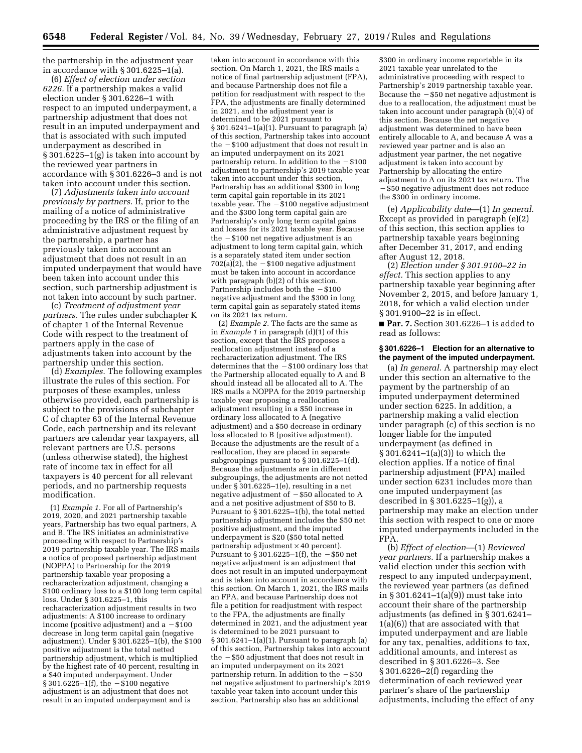the partnership in the adjustment year in accordance with § 301.6225–1(a).

(6) *Effect of election under section 6226.* If a partnership makes a valid election under § 301.6226–1 with respect to an imputed underpayment, a partnership adjustment that does not result in an imputed underpayment and that is associated with such imputed underpayment as described in § 301.6225–1(g) is taken into account by the reviewed year partners in accordance with § 301.6226–3 and is not taken into account under this section.

(7) *Adjustments taken into account previously by partners.* If, prior to the mailing of a notice of administrative proceeding by the IRS or the filing of an administrative adjustment request by the partnership, a partner has previously taken into account an adjustment that does not result in an imputed underpayment that would have been taken into account under this section, such partnership adjustment is not taken into account by such partner.

(c) *Treatment of adjustment year partners.* The rules under subchapter K of chapter 1 of the Internal Revenue Code with respect to the treatment of partners apply in the case of adjustments taken into account by the partnership under this section.

(d) *Examples.* The following examples illustrate the rules of this section. For purposes of these examples, unless otherwise provided, each partnership is subject to the provisions of subchapter C of chapter 63 of the Internal Revenue Code, each partnership and its relevant partners are calendar year taxpayers, all relevant partners are U.S. persons (unless otherwise stated), the highest rate of income tax in effect for all taxpayers is 40 percent for all relevant periods, and no partnership requests modification.

(1) *Example 1.* For all of Partnership's 2019, 2020, and 2021 partnership taxable years, Partnership has two equal partners, A and B. The IRS initiates an administrative proceeding with respect to Partnership's 2019 partnership taxable year. The IRS mails a notice of proposed partnership adjustment (NOPPA) to Partnership for the 2019 partnership taxable year proposing a recharacterization adjustment, changing a \$100 ordinary loss to a \$100 long term capital loss. Under § 301.6225–1, this recharacterization adjustment results in two adjustments: A \$100 increase to ordinary income (positive adjustment) and  $a - $100$ decrease in long term capital gain (negative adjustment). Under § 301.6225–1(b), the \$100 positive adjustment is the total netted partnership adjustment, which is multiplied by the highest rate of 40 percent, resulting in a \$40 imputed underpayment. Under § 301.6225-1(f), the  $-$ \$100 negative adjustment is an adjustment that does not result in an imputed underpayment and is

taken into account in accordance with this section. On March 1, 2021, the IRS mails a notice of final partnership adjustment (FPA), and because Partnership does not file a petition for readjustment with respect to the FPA, the adjustments are finally determined in 2021, and the adjustment year is determined to be 2021 pursuant to  $\S 301.6241-1(a)(1)$ . Pursuant to paragraph  $(a)$ of this section, Partnership takes into account the  $-$  \$100 adjustment that does not result in an imputed underpayment on its 2021 partnership return. In addition to the  $-\$100$ adjustment to partnership's 2019 taxable year taken into account under this section, Partnership has an additional \$300 in long term capital gain reportable in its 2021 taxable year. The  $-\$100$  negative adjustment and the \$300 long term capital gain are Partnership's only long term capital gains and losses for its 2021 taxable year. Because the  $-$  \$100 net negative adjustment is an adjustment to long term capital gain, which is a separately stated item under section  $702(a)(2)$ , the  $- $100$  negative adjustment must be taken into account in accordance with paragraph (b)(2) of this section. Partnership includes both the  $-$  \$100 negative adjustment and the \$300 in long term capital gain as separately stated items on its 2021 tax return.

(2) *Example 2.* The facts are the same as in *Example 1* in paragraph (d)(1) of this section, except that the IRS proposes a reallocation adjustment instead of a recharacterization adjustment. The IRS determines that the  $-$  \$100 ordinary loss that the Partnership allocated equally to A and B should instead all be allocated all to A. The IRS mails a NOPPA for the 2019 partnership taxable year proposing a reallocation adjustment resulting in a \$50 increase in ordinary loss allocated to A (negative adjustment) and a \$50 decrease in ordinary loss allocated to B (positive adjustment). Because the adjustments are the result of a reallocation, they are placed in separate subgroupings pursuant to § 301.6225–1(d). Because the adjustments are in different subgroupings, the adjustments are not netted under § 301.6225–1(e), resulting in a net negative adjustment of  $-$ \$50 allocated to A and a net positive adjustment of \$50 to B. Pursuant to § 301.6225-1(b), the total netted partnership adjustment includes the \$50 net positive adjustment, and the imputed underpayment is \$20 (\$50 total netted  $partnership adjustment × 40 percent$ . Pursuant to  $\S 301.6225 - 1(f)$ , the  $-\$50$  net negative adjustment is an adjustment that does not result in an imputed underpayment and is taken into account in accordance with this section. On March 1, 2021, the IRS mails an FPA, and because Partnership does not file a petition for readjustment with respect to the FPA, the adjustments are finally determined in 2021, and the adjustment year is determined to be 2021 pursuant to § 301.6241–1(a)(1). Pursuant to paragraph (a) of this section, Partnership takes into account the  $-$  \$50 adjustment that does not result in an imputed underpayment on its 2021 partnership return. In addition to the  $-$ \$50 net negative adjustment to partnership's 2019 taxable year taken into account under this section, Partnership also has an additional

\$300 in ordinary income reportable in its 2021 taxable year unrelated to the administrative proceeding with respect to Partnership's 2019 partnership taxable year. Because the  $-$  \$50 net negative adjustment is due to a reallocation, the adjustment must be taken into account under paragraph (b)(4) of this section. Because the net negative adjustment was determined to have been entirely allocable to A, and because A was a reviewed year partner and is also an adjustment year partner, the net negative adjustment is taken into account by Partnership by allocating the entire adjustment to A on its 2021 tax return. The  $-$  \$50 negative adjustment does not reduce the \$300 in ordinary income.

(e) *Applicability date*—(1) *In general.*  Except as provided in paragraph (e)(2) of this section, this section applies to partnership taxable years beginning after December 31, 2017, and ending after August 12, 2018.

(2) *Election under § 301.9100–22 in effect.* This section applies to any partnership taxable year beginning after November 2, 2015, and before January 1, 2018, for which a valid election under § 301.9100–22 is in effect.

■ **Par. 7.** Section 301.6226–1 is added to read as follows:

### **§ 301.6226–1 Election for an alternative to the payment of the imputed underpayment.**

(a) *In general.* A partnership may elect under this section an alternative to the payment by the partnership of an imputed underpayment determined under section 6225. In addition, a partnership making a valid election under paragraph (c) of this section is no longer liable for the imputed underpayment (as defined in § 301.6241–1(a)(3)) to which the election applies. If a notice of final partnership adjustment (FPA) mailed under section 6231 includes more than one imputed underpayment (as described in § 301.6225–1(g)), a partnership may make an election under this section with respect to one or more imputed underpayments included in the FPA.

(b) *Effect of election*—(1) *Reviewed year partners.* If a partnership makes a valid election under this section with respect to any imputed underpayment, the reviewed year partners (as defined in § 301.6241–1(a) $\overline{9}$ ) must take into account their share of the partnership adjustments (as defined in § 301.6241– 1(a)(6)) that are associated with that imputed underpayment and are liable for any tax, penalties, additions to tax, additional amounts, and interest as described in § 301.6226–3. See § 301.6226–2(f) regarding the determination of each reviewed year partner's share of the partnership adjustments, including the effect of any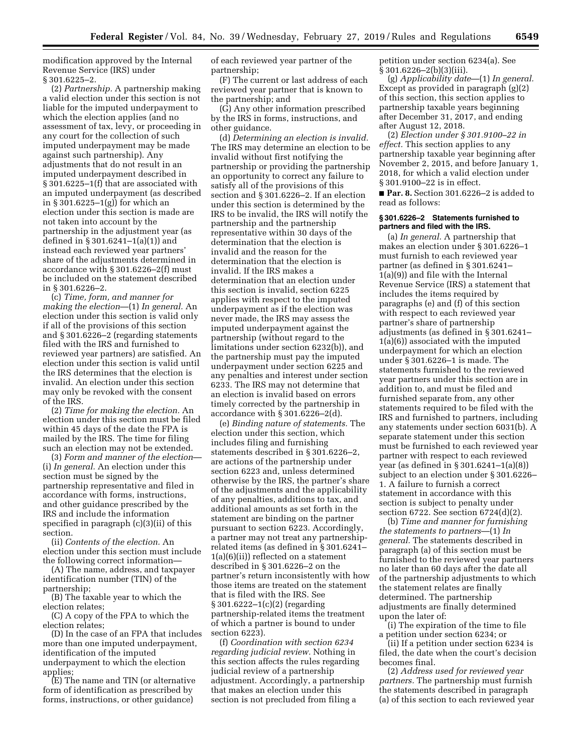modification approved by the Internal Revenue Service (IRS) under § 301.6225–2.

(2) *Partnership.* A partnership making a valid election under this section is not liable for the imputed underpayment to which the election applies (and no assessment of tax, levy, or proceeding in any court for the collection of such imputed underpayment may be made against such partnership). Any adjustments that do not result in an imputed underpayment described in § 301.6225–1(f) that are associated with an imputed underpayment (as described in § 301.6225–1(g)) for which an election under this section is made are not taken into account by the partnership in the adjustment year (as defined in § 301.6241–1(a)(1)) and instead each reviewed year partners' share of the adjustments determined in accordance with § 301.6226–2(f) must be included on the statement described in § 301.6226–2.

(c) *Time, form, and manner for making the election*—(1) *In general.* An election under this section is valid only if all of the provisions of this section and § 301.6226–2 (regarding statements filed with the IRS and furnished to reviewed year partners) are satisfied. An election under this section is valid until the IRS determines that the election is invalid. An election under this section may only be revoked with the consent of the IRS.

(2) *Time for making the election.* An election under this section must be filed within 45 days of the date the FPA is mailed by the IRS. The time for filing such an election may not be extended.

(3) *Form and manner of the election*— (i) *In general.* An election under this section must be signed by the partnership representative and filed in accordance with forms, instructions, and other guidance prescribed by the IRS and include the information specified in paragraph (c)(3)(ii) of this section.

(ii) *Contents of the election.* An election under this section must include the following correct information—

(A) The name, address, and taxpayer identification number (TIN) of the partnership;

(B) The taxable year to which the election relates;

(C) A copy of the FPA to which the election relates;

(D) In the case of an FPA that includes more than one imputed underpayment, identification of the imputed underpayment to which the election applies;

(E) The name and TIN (or alternative form of identification as prescribed by forms, instructions, or other guidance)

of each reviewed year partner of the partnership;

(F) The current or last address of each reviewed year partner that is known to the partnership; and

(G) Any other information prescribed by the IRS in forms, instructions, and other guidance.

(d) *Determining an election is invalid.*  The IRS may determine an election to be invalid without first notifying the partnership or providing the partnership an opportunity to correct any failure to satisfy all of the provisions of this section and § 301.6226–2. If an election under this section is determined by the IRS to be invalid, the IRS will notify the partnership and the partnership representative within 30 days of the determination that the election is invalid and the reason for the determination that the election is invalid. If the IRS makes a determination that an election under this section is invalid, section 6225 applies with respect to the imputed underpayment as if the election was never made, the IRS may assess the imputed underpayment against the partnership (without regard to the limitations under section 6232(b)), and the partnership must pay the imputed underpayment under section 6225 and any penalties and interest under section 6233. The IRS may not determine that an election is invalid based on errors timely corrected by the partnership in accordance with § 301.6226–2(d).

(e) *Binding nature of statements.* The election under this section, which includes filing and furnishing statements described in § 301.6226–2, are actions of the partnership under section 6223 and, unless determined otherwise by the IRS, the partner's share of the adjustments and the applicability of any penalties, additions to tax, and additional amounts as set forth in the statement are binding on the partner pursuant to section 6223. Accordingly, a partner may not treat any partnershiprelated items (as defined in § 301.6241– 1(a)(6)(ii)) reflected on a statement described in § 301.6226–2 on the partner's return inconsistently with how those items are treated on the statement that is filed with the IRS. See § 301.6222–1(c)(2) (regarding partnership-related items the treatment of which a partner is bound to under section 6223).

(f) *Coordination with section 6234 regarding judicial review.* Nothing in this section affects the rules regarding judicial review of a partnership adjustment. Accordingly, a partnership that makes an election under this section is not precluded from filing a

petition under section 6234(a). See § 301.6226–2(b)(3)(iii).

(g) *Applicability date*—(1) *In general.*  Except as provided in paragraph (g)(2) of this section, this section applies to partnership taxable years beginning after December 31, 2017, and ending after August 12, 2018.

(2) *Election under § 301.9100–22 in effect.* This section applies to any partnership taxable year beginning after November 2, 2015, and before January 1, 2018, for which a valid election under § 301.9100–22 is in effect.

■ **Par. 8.** Section 301.6226–2 is added to read as follows:

#### **§ 301.6226–2 Statements furnished to partners and filed with the IRS.**

(a) *In general.* A partnership that makes an election under § 301.6226–1 must furnish to each reviewed year partner (as defined in § 301.6241– 1(a)(9)) and file with the Internal Revenue Service (IRS) a statement that includes the items required by paragraphs (e) and (f) of this section with respect to each reviewed year partner's share of partnership adjustments (as defined in § 301.6241– 1(a)(6)) associated with the imputed underpayment for which an election under § 301.6226–1 is made. The statements furnished to the reviewed year partners under this section are in addition to, and must be filed and furnished separate from, any other statements required to be filed with the IRS and furnished to partners, including any statements under section 6031(b). A separate statement under this section must be furnished to each reviewed year partner with respect to each reviewed year (as defined in § 301.6241–1(a)(8)) subject to an election under § 301.6226– 1. A failure to furnish a correct statement in accordance with this section is subject to penalty under section 6722. See section 6724(d)(2).

(b) *Time and manner for furnishing the statements to partners*—(1) *In general.* The statements described in paragraph (a) of this section must be furnished to the reviewed year partners no later than 60 days after the date all of the partnership adjustments to which the statement relates are finally determined. The partnership adjustments are finally determined upon the later of:

(i) The expiration of the time to file a petition under section 6234; or

(ii) If a petition under section 6234 is filed, the date when the court's decision becomes final.

(2) *Address used for reviewed year partners.* The partnership must furnish the statements described in paragraph (a) of this section to each reviewed year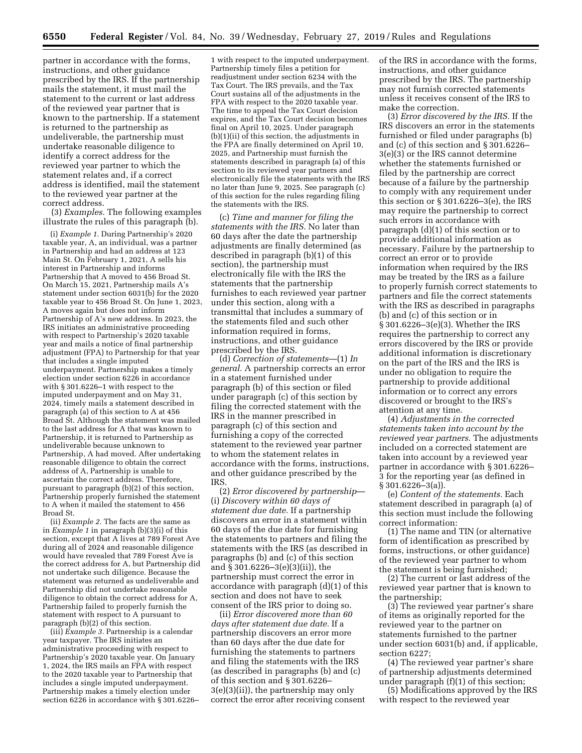partner in accordance with the forms, instructions, and other guidance prescribed by the IRS. If the partnership mails the statement, it must mail the statement to the current or last address of the reviewed year partner that is known to the partnership. If a statement is returned to the partnership as undeliverable, the partnership must undertake reasonable diligence to identify a correct address for the reviewed year partner to which the statement relates and, if a correct address is identified, mail the statement to the reviewed year partner at the correct address.

(3) *Examples.* The following examples illustrate the rules of this paragraph (b).

(i) *Example 1.* During Partnership's 2020 taxable year, A, an individual, was a partner in Partnership and had an address at 123 Main St. On February 1, 2021, A sells his interest in Partnership and informs Partnership that A moved to 456 Broad St. On March 15, 2021, Partnership mails A's statement under section  $6031(b)$  for the 2020 taxable year to 456 Broad St. On June 1, 2023, A moves again but does not inform Partnership of A's new address. In 2023, the IRS initiates an administrative proceeding with respect to Partnership's 2020 taxable year and mails a notice of final partnership adjustment (FPA) to Partnership for that year that includes a single imputed underpayment. Partnership makes a timely election under section 6226 in accordance with § 301.6226–1 with respect to the imputed underpayment and on May 31, 2024, timely mails a statement described in paragraph (a) of this section to A at 456 Broad St. Although the statement was mailed to the last address for A that was known to Partnership, it is returned to Partnership as undeliverable because unknown to Partnership, A had moved. After undertaking reasonable diligence to obtain the correct address of A, Partnership is unable to ascertain the correct address. Therefore, pursuant to paragraph (b)(2) of this section, Partnership properly furnished the statement to A when it mailed the statement to 456 Broad St.

(ii) *Example 2.* The facts are the same as in *Example 1* in paragraph (b)(3)(i) of this section, except that A lives at 789 Forest Ave during all of 2024 and reasonable diligence would have revealed that 789 Forest Ave is the correct address for A, but Partnership did not undertake such diligence. Because the statement was returned as undeliverable and Partnership did not undertake reasonable diligence to obtain the correct address for A, Partnership failed to properly furnish the statement with respect to A pursuant to paragraph (b)(2) of this section.

(iii) *Example 3.* Partnership is a calendar year taxpayer. The IRS initiates an administrative proceeding with respect to Partnership's 2020 taxable year. On January 1, 2024, the IRS mails an FPA with respect to the 2020 taxable year to Partnership that includes a single imputed underpayment. Partnership makes a timely election under section 6226 in accordance with § 301.6226–

1 with respect to the imputed underpayment. Partnership timely files a petition for readjustment under section 6234 with the Tax Court. The IRS prevails, and the Tax Court sustains all of the adjustments in the FPA with respect to the 2020 taxable year. The time to appeal the Tax Court decision expires, and the Tax Court decision becomes final on April 10, 2025. Under paragraph (b)(1)(ii) of this section, the adjustments in the FPA are finally determined on April 10, 2025, and Partnership must furnish the statements described in paragraph (a) of this section to its reviewed year partners and electronically file the statements with the IRS no later than June 9, 2025. See paragraph (c) of this section for the rules regarding filing the statements with the IRS.

(c) *Time and manner for filing the statements with the IRS.* No later than 60 days after the date the partnership adjustments are finally determined (as described in paragraph (b)(1) of this section), the partnership must electronically file with the IRS the statements that the partnership furnishes to each reviewed year partner under this section, along with a transmittal that includes a summary of the statements filed and such other information required in forms, instructions, and other guidance prescribed by the IRS.

(d) *Correction of statements*—(1) *In general.* A partnership corrects an error in a statement furnished under paragraph (b) of this section or filed under paragraph (c) of this section by filing the corrected statement with the IRS in the manner prescribed in paragraph (c) of this section and furnishing a copy of the corrected statement to the reviewed year partner to whom the statement relates in accordance with the forms, instructions, and other guidance prescribed by the **IRS** 

(2) *Error discovered by partnership*— (i) *Discovery within 60 days of statement due date.* If a partnership discovers an error in a statement within 60 days of the due date for furnishing the statements to partners and filing the statements with the IRS (as described in paragraphs (b) and (c) of this section and  $\S 301.6226 - 3(e)(3)(ii)$ , the partnership must correct the error in accordance with paragraph (d)(1) of this section and does not have to seek consent of the IRS prior to doing so.

(ii) *Error discovered more than 60 days after statement due date.* If a partnership discovers an error more than 60 days after the due date for furnishing the statements to partners and filing the statements with the IRS (as described in paragraphs (b) and (c) of this section and § 301.6226– 3(e)(3)(ii)), the partnership may only correct the error after receiving consent of the IRS in accordance with the forms, instructions, and other guidance prescribed by the IRS. The partnership may not furnish corrected statements unless it receives consent of the IRS to make the correction.

(3) *Error discovered by the IRS.* If the IRS discovers an error in the statements furnished or filed under paragraphs (b) and (c) of this section and § 301.6226– 3(e)(3) or the IRS cannot determine whether the statements furnished or filed by the partnership are correct because of a failure by the partnership to comply with any requirement under this section or  $\S 301.6226 - 3(e)$ , the IRS may require the partnership to correct such errors in accordance with paragraph (d)(1) of this section or to provide additional information as necessary. Failure by the partnership to correct an error or to provide information when required by the IRS may be treated by the IRS as a failure to properly furnish correct statements to partners and file the correct statements with the IRS as described in paragraphs (b) and (c) of this section or in § 301.6226–3(e)(3). Whether the IRS requires the partnership to correct any errors discovered by the IRS or provide additional information is discretionary on the part of the IRS and the IRS is under no obligation to require the partnership to provide additional information or to correct any errors discovered or brought to the IRS's attention at any time.

(4) *Adjustments in the corrected statements taken into account by the reviewed year partners.* The adjustments included on a corrected statement are taken into account by a reviewed year partner in accordance with § 301.6226– 3 for the reporting year (as defined in § 301.6226–3(a)).

(e) *Content of the statements.* Each statement described in paragraph (a) of this section must include the following correct information:

(1) The name and TIN (or alternative form of identification as prescribed by forms, instructions, or other guidance) of the reviewed year partner to whom the statement is being furnished;

(2) The current or last address of the reviewed year partner that is known to the partnership;

(3) The reviewed year partner's share of items as originally reported for the reviewed year to the partner on statements furnished to the partner under section 6031(b) and, if applicable, section 6227;

(4) The reviewed year partner's share of partnership adjustments determined under paragraph (f)(1) of this section;

(5) Modifications approved by the IRS with respect to the reviewed year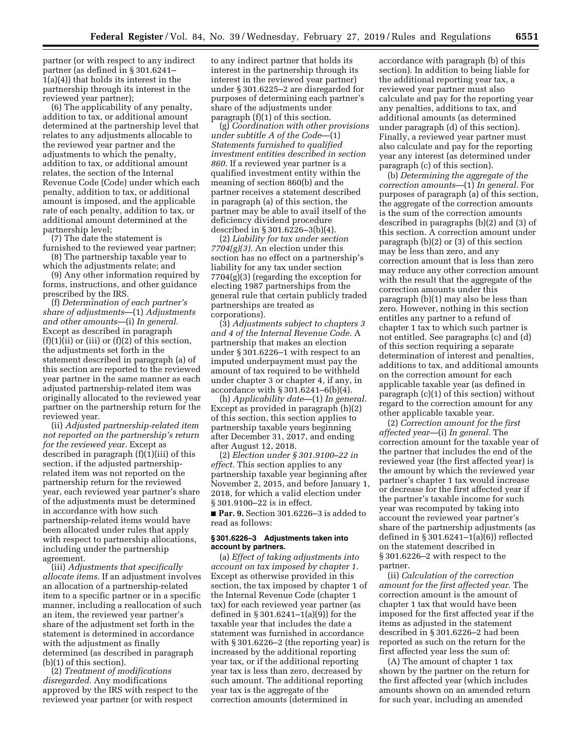partner (or with respect to any indirect partner (as defined in § 301.6241– 1(a)(4)) that holds its interest in the partnership through its interest in the reviewed year partner);

(6) The applicability of any penalty, addition to tax, or additional amount determined at the partnership level that relates to any adjustments allocable to the reviewed year partner and the adjustments to which the penalty, addition to tax, or additional amount relates, the section of the Internal Revenue Code (Code) under which each penalty, addition to tax, or additional amount is imposed, and the applicable rate of each penalty, addition to tax, or additional amount determined at the partnership level;

(7) The date the statement is furnished to the reviewed year partner;

(8) The partnership taxable year to which the adjustments relate; and

(9) Any other information required by forms, instructions, and other guidance prescribed by the IRS.

(f) *Determination of each partner's share of adjustments*—(1) *Adjustments and other amounts*—(i) *In general.*  Except as described in paragraph  $(f)(1)(ii)$  or  $(iii)$  or  $(f)(2)$  of this section, the adjustments set forth in the statement described in paragraph (a) of this section are reported to the reviewed year partner in the same manner as each adjusted partnership-related item was originally allocated to the reviewed year partner on the partnership return for the reviewed year.

(ii) *Adjusted partnership-related item not reported on the partnership's return for the reviewed year.* Except as described in paragraph (f)(1)(iii) of this section, if the adjusted partnershiprelated item was not reported on the partnership return for the reviewed year, each reviewed year partner's share of the adjustments must be determined in accordance with how such partnership-related items would have been allocated under rules that apply with respect to partnership allocations, including under the partnership agreement.

(iii) *Adjustments that specifically allocate items.* If an adjustment involves an allocation of a partnership-related item to a specific partner or in a specific manner, including a reallocation of such an item, the reviewed year partner's share of the adjustment set forth in the statement is determined in accordance with the adjustment as finally determined (as described in paragraph (b)(1) of this section).

(2) *Treatment of modifications disregarded.* Any modifications approved by the IRS with respect to the reviewed year partner (or with respect

to any indirect partner that holds its interest in the partnership through its interest in the reviewed year partner) under § 301.6225–2 are disregarded for purposes of determining each partner's share of the adjustments under paragraph (f)(1) of this section.

(g) *Coordination with other provisions under subtitle A of the Code*—(1) *Statements furnished to qualified investment entities described in section 860.* If a reviewed year partner is a qualified investment entity within the meaning of section 860(b) and the partner receives a statement described in paragraph (a) of this section, the partner may be able to avail itself of the deficiency dividend procedure described in § 301.6226–3(b)(4).

(2) *Liability for tax under section 7704(g)(3).* An election under this section has no effect on a partnership's liability for any tax under section 7704(g)(3) (regarding the exception for electing 1987 partnerships from the general rule that certain publicly traded partnerships are treated as corporations).

(3) *Adjustments subject to chapters 3 and 4 of the Internal Revenue Code.* A partnership that makes an election under § 301.6226–1 with respect to an imputed underpayment must pay the amount of tax required to be withheld under chapter 3 or chapter 4, if any, in accordance with § 301.6241–6(b)(4).

(h) *Applicability date*—(1) *In general.*  Except as provided in paragraph (h)(2) of this section, this section applies to partnership taxable years beginning after December 31, 2017, and ending after August 12, 2018.

(2) *Election under § 301.9100–22 in effect.* This section applies to any partnership taxable year beginning after November 2, 2015, and before January 1, 2018, for which a valid election under § 301.9100–22 is in effect.

■ **Par. 9.** Section 301.6226-3 is added to read as follows:

## **§ 301.6226–3 Adjustments taken into account by partners.**

(a) *Effect of taking adjustments into account on tax imposed by chapter 1.*  Except as otherwise provided in this section, the tax imposed by chapter 1 of the Internal Revenue Code (chapter 1 tax) for each reviewed year partner (as defined in § 301.6241–1(a)(9)) for the taxable year that includes the date a statement was furnished in accordance with § 301.6226–2 (the reporting year) is increased by the additional reporting year tax, or if the additional reporting year tax is less than zero, decreased by such amount. The additional reporting year tax is the aggregate of the correction amounts (determined in

accordance with paragraph (b) of this section). In addition to being liable for the additional reporting year tax, a reviewed year partner must also calculate and pay for the reporting year any penalties, additions to tax, and additional amounts (as determined under paragraph (d) of this section). Finally, a reviewed year partner must also calculate and pay for the reporting year any interest (as determined under paragraph (c) of this section).

(b) *Determining the aggregate of the correction amounts*—(1) *In general.* For purposes of paragraph (a) of this section, the aggregate of the correction amounts is the sum of the correction amounts described in paragraphs (b)(2) and (3) of this section. A correction amount under paragraph (b)(2) or (3) of this section may be less than zero, and any correction amount that is less than zero may reduce any other correction amount with the result that the aggregate of the correction amounts under this paragraph (b)(1) may also be less than zero. However, nothing in this section entitles any partner to a refund of chapter 1 tax to which such partner is not entitled. See paragraphs (c) and (d) of this section requiring a separate determination of interest and penalties, additions to tax, and additional amounts on the correction amount for each applicable taxable year (as defined in paragraph (c)(1) of this section) without regard to the correction amount for any other applicable taxable year.

(2) *Correction amount for the first affected year*—(i) *In general.* The correction amount for the taxable year of the partner that includes the end of the reviewed year (the first affected year) is the amount by which the reviewed year partner's chapter 1 tax would increase or decrease for the first affected year if the partner's taxable income for such year was recomputed by taking into account the reviewed year partner's share of the partnership adjustments (as defined in § 301.6241–1(a)(6)) reflected on the statement described in § 301.6226–2 with respect to the partner.

(ii) *Calculation of the correction amount for the first affected year.* The correction amount is the amount of chapter 1 tax that would have been imposed for the first affected year if the items as adjusted in the statement described in § 301.6226–2 had been reported as such on the return for the first affected year less the sum of:

(A) The amount of chapter 1 tax shown by the partner on the return for the first affected year (which includes amounts shown on an amended return for such year, including an amended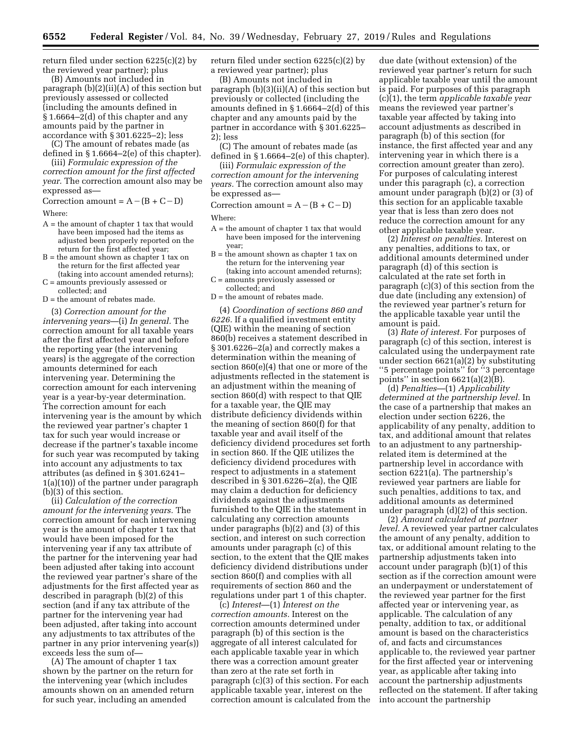return filed under section 6225(c)(2) by the reviewed year partner); plus

(B) Amounts not included in paragraph (b)(2)(ii)(A) of this section but previously assessed or collected (including the amounts defined in § 1.6664–2(d) of this chapter and any amounts paid by the partner in accordance with § 301.6225–2); less

(C) The amount of rebates made (as defined in § 1.6664–2(e) of this chapter).

(iii) *Formulaic expression of the correction amount for the first affected year.* The correction amount also may be expressed as—

Correction amount =  $A - (B + C - D)$ Where:

- A = the amount of chapter 1 tax that would have been imposed had the items as adjusted been properly reported on the return for the first affected year;
- B = the amount shown as chapter 1 tax on the return for the first affected year (taking into account amended returns);
- C = amounts previously assessed or collected; and
- $D =$  the amount of rebates made.

(3) *Correction amount for the intervening years*—(i) *In general.* The correction amount for all taxable years after the first affected year and before the reporting year (the intervening years) is the aggregate of the correction amounts determined for each intervening year. Determining the correction amount for each intervening year is a year-by-year determination. The correction amount for each intervening year is the amount by which the reviewed year partner's chapter 1 tax for such year would increase or decrease if the partner's taxable income for such year was recomputed by taking into account any adjustments to tax attributes (as defined in § 301.6241– 1(a)(10)) of the partner under paragraph (b)(3) of this section.

(ii) *Calculation of the correction amount for the intervening years.* The correction amount for each intervening year is the amount of chapter 1 tax that would have been imposed for the intervening year if any tax attribute of the partner for the intervening year had been adjusted after taking into account the reviewed year partner's share of the adjustments for the first affected year as described in paragraph (b)(2) of this section (and if any tax attribute of the partner for the intervening year had been adjusted, after taking into account any adjustments to tax attributes of the partner in any prior intervening year(s)) exceeds less the sum of—

(A) The amount of chapter 1 tax shown by the partner on the return for the intervening year (which includes amounts shown on an amended return for such year, including an amended

return filed under section 6225(c)(2) by a reviewed year partner); plus

(B) Amounts not included in paragraph (b)(3)(ii)(A) of this section but previously or collected (including the amounts defined in § 1.6664–2(d) of this chapter and any amounts paid by the partner in accordance with § 301.6225– 2); less

(C) The amount of rebates made (as defined in § 1.6664–2(e) of this chapter).

(iii) *Formulaic expression of the correction amount for the intervening years.* The correction amount also may be expressed as—

Correction amount =  $A - (B + C - D)$ Where:

- A = the amount of chapter 1 tax that would have been imposed for the intervening year;
- B = the amount shown as chapter 1 tax on the return for the intervening year (taking into account amended returns);
- C = amounts previously assessed or
- collected; and
- D = the amount of rebates made.

(4) *Coordination of sections 860 and 6226.* If a qualified investment entity (QIE) within the meaning of section 860(b) receives a statement described in § 301.6226–2(a) and correctly makes a determination within the meaning of section 860(e)(4) that one or more of the adjustments reflected in the statement is an adjustment within the meaning of section 860(d) with respect to that QIE for a taxable year, the QIE may distribute deficiency dividends within the meaning of section 860(f) for that taxable year and avail itself of the deficiency dividend procedures set forth in section 860. If the QIE utilizes the deficiency dividend procedures with respect to adjustments in a statement described in § 301.6226–2(a), the QIE may claim a deduction for deficiency dividends against the adjustments furnished to the QIE in the statement in calculating any correction amounts under paragraphs (b)(2) and (3) of this section, and interest on such correction amounts under paragraph (c) of this section, to the extent that the QIE makes deficiency dividend distributions under section 860(f) and complies with all requirements of section 860 and the regulations under part 1 of this chapter.

(c) *Interest*—(1) *Interest on the correction amounts.* Interest on the correction amounts determined under paragraph (b) of this section is the aggregate of all interest calculated for each applicable taxable year in which there was a correction amount greater than zero at the rate set forth in paragraph (c)(3) of this section. For each applicable taxable year, interest on the correction amount is calculated from the

due date (without extension) of the reviewed year partner's return for such applicable taxable year until the amount is paid. For purposes of this paragraph (c)(1), the term *applicable taxable year*  means the reviewed year partner's taxable year affected by taking into account adjustments as described in paragraph (b) of this section (for instance, the first affected year and any intervening year in which there is a correction amount greater than zero). For purposes of calculating interest under this paragraph (c), a correction amount under paragraph (b)(2) or (3) of this section for an applicable taxable year that is less than zero does not reduce the correction amount for any other applicable taxable year.

(2) *Interest on penalties.* Interest on any penalties, additions to tax, or additional amounts determined under paragraph (d) of this section is calculated at the rate set forth in paragraph (c)(3) of this section from the due date (including any extension) of the reviewed year partner's return for the applicable taxable year until the amount is paid.

(3) *Rate of interest.* For purposes of paragraph (c) of this section, interest is calculated using the underpayment rate under section 6621(a)(2) by substituting ''5 percentage points'' for ''3 percentage points" in section  $6621(a)(2)(B)$ .

(d) *Penalties*—(1) *Applicability determined at the partnership level.* In the case of a partnership that makes an election under section 6226, the applicability of any penalty, addition to tax, and additional amount that relates to an adjustment to any partnershiprelated item is determined at the partnership level in accordance with section 6221(a). The partnership's reviewed year partners are liable for such penalties, additions to tax, and additional amounts as determined under paragraph (d)(2) of this section.

(2) *Amount calculated at partner level.* A reviewed year partner calculates the amount of any penalty, addition to tax, or additional amount relating to the partnership adjustments taken into account under paragraph (b)(1) of this section as if the correction amount were an underpayment or understatement of the reviewed year partner for the first affected year or intervening year, as applicable. The calculation of any penalty, addition to tax, or additional amount is based on the characteristics of, and facts and circumstances applicable to, the reviewed year partner for the first affected year or intervening year, as applicable after taking into account the partnership adjustments reflected on the statement. If after taking into account the partnership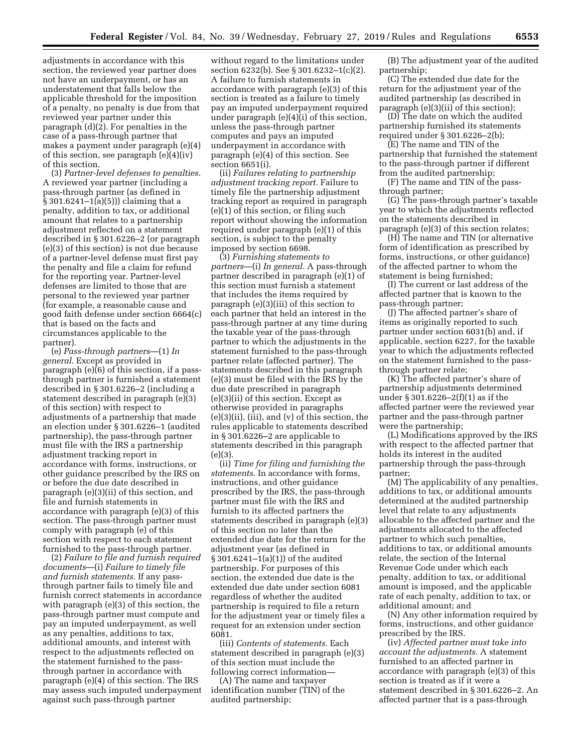adjustments in accordance with this section, the reviewed year partner does not have an underpayment, or has an understatement that falls below the applicable threshold for the imposition of a penalty, no penalty is due from that reviewed year partner under this paragraph (d)(2). For penalties in the case of a pass-through partner that makes a payment under paragraph (e)(4) of this section, see paragraph (e)(4)(iv) of this section.

(3) *Partner-level defenses to penalties.*  A reviewed year partner (including a pass-through partner (as defined in § 301.6241–1(a)(5))) claiming that a penalty, addition to tax, or additional amount that relates to a partnership adjustment reflected on a statement described in § 301.6226–2 (or paragraph (e)(3) of this section) is not due because of a partner-level defense must first pay the penalty and file a claim for refund for the reporting year. Partner-level defenses are limited to those that are personal to the reviewed year partner (for example, a reasonable cause and good faith defense under section 6664(c) that is based on the facts and circumstances applicable to the partner).

(e) *Pass-through partners*—(1) *In general.* Except as provided in paragraph (e)(6) of this section, if a passthrough partner is furnished a statement described in § 301.6226–2 (including a statement described in paragraph (e)(3) of this section) with respect to adjustments of a partnership that made an election under § 301.6226–1 (audited partnership), the pass-through partner must file with the IRS a partnership adjustment tracking report in accordance with forms, instructions, or other guidance prescribed by the IRS on or before the due date described in paragraph (e)(3)(ii) of this section, and file and furnish statements in accordance with paragraph (e)(3) of this section. The pass-through partner must comply with paragraph (e) of this section with respect to each statement furnished to the pass-through partner.

(2) *Failure to file and furnish required documents*—(i) *Failure to timely file and furnish statements.* If any passthrough partner fails to timely file and furnish correct statements in accordance with paragraph (e)(3) of this section, the pass-through partner must compute and pay an imputed underpayment, as well as any penalties, additions to tax, additional amounts, and interest with respect to the adjustments reflected on the statement furnished to the passthrough partner in accordance with paragraph (e)(4) of this section. The IRS may assess such imputed underpayment against such pass-through partner

without regard to the limitations under section 6232(b). See § 301.6232–1(c)(2). A failure to furnish statements in accordance with paragraph (e)(3) of this section is treated as a failure to timely pay an imputed underpayment required under paragraph (e)(4)(i) of this section, unless the pass-through partner computes and pays an imputed underpayment in accordance with paragraph (e)(4) of this section. See section 6651(i).

(ii) *Failures relating to partnership adjustment tracking report.* Failure to timely file the partnership adjustment tracking report as required in paragraph (e)(1) of this section, or filing such report without showing the information required under paragraph (e)(1) of this section, is subject to the penalty imposed by section 6698.

(3) *Furnishing statements to partners*—(i) *In general.* A pass-through partner described in paragraph (e)(1) of this section must furnish a statement that includes the items required by paragraph (e)(3)(iii) of this section to each partner that held an interest in the pass-through partner at any time during the taxable year of the pass-through partner to which the adjustments in the statement furnished to the pass-through partner relate (affected partner). The statements described in this paragraph (e)(3) must be filed with the IRS by the due date prescribed in paragraph (e)(3)(ii) of this section. Except as otherwise provided in paragraphs (e)(3)(ii), (iii), and (v) of this section, the rules applicable to statements described in § 301.6226–2 are applicable to statements described in this paragraph  $(e)(3)$ 

(ii) *Time for filing and furnishing the statements.* In accordance with forms, instructions, and other guidance prescribed by the IRS, the pass-through partner must file with the IRS and furnish to its affected partners the statements described in paragraph (e)(3) of this section no later than the extended due date for the return for the adjustment year (as defined in § 301.6241–1(a)(1)) of the audited partnership. For purposes of this section, the extended due date is the extended due date under section 6081 regardless of whether the audited partnership is required to file a return for the adjustment year or timely files a request for an extension under section 6081.

(iii) *Contents of statements.* Each statement described in paragraph (e)(3) of this section must include the following correct information—

(A) The name and taxpayer identification number (TIN) of the audited partnership;

(B) The adjustment year of the audited partnership;

(C) The extended due date for the return for the adjustment year of the audited partnership (as described in paragraph (e)(3)(ii) of this section);

(D) The date on which the audited partnership furnished its statements required under § 301.6226–2(b);

(E) The name and TIN of the partnership that furnished the statement to the pass-through partner if different from the audited partnership;

(F) The name and TIN of the passthrough partner;

(G) The pass-through partner's taxable year to which the adjustments reflected on the statements described in paragraph (e)(3) of this section relates;

(H) The name and TIN (or alternative form of identification as prescribed by forms, instructions, or other guidance) of the affected partner to whom the statement is being furnished;

(I) The current or last address of the affected partner that is known to the pass-through partner;

(J) The affected partner's share of items as originally reported to such partner under section 6031(b) and, if applicable, section 6227, for the taxable year to which the adjustments reflected on the statement furnished to the passthrough partner relate;

(K) The affected partner's share of partnership adjustments determined under § 301.6226–2(f)(1) as if the affected partner were the reviewed year partner and the pass-through partner were the partnership;

(L) Modifications approved by the IRS with respect to the affected partner that holds its interest in the audited partnership through the pass-through partner;

(M) The applicability of any penalties, additions to tax, or additional amounts determined at the audited partnership level that relate to any adjustments allocable to the affected partner and the adjustments allocated to the affected partner to which such penalties, additions to tax, or additional amounts relate, the section of the Internal Revenue Code under which each penalty, addition to tax, or additional amount is imposed, and the applicable rate of each penalty, addition to tax, or additional amount; and

(N) Any other information required by forms, instructions, and other guidance prescribed by the IRS.

(iv) *Affected partner must take into account the adjustments.* A statement furnished to an affected partner in accordance with paragraph (e)(3) of this section is treated as if it were a statement described in § 301.6226–2. An affected partner that is a pass-through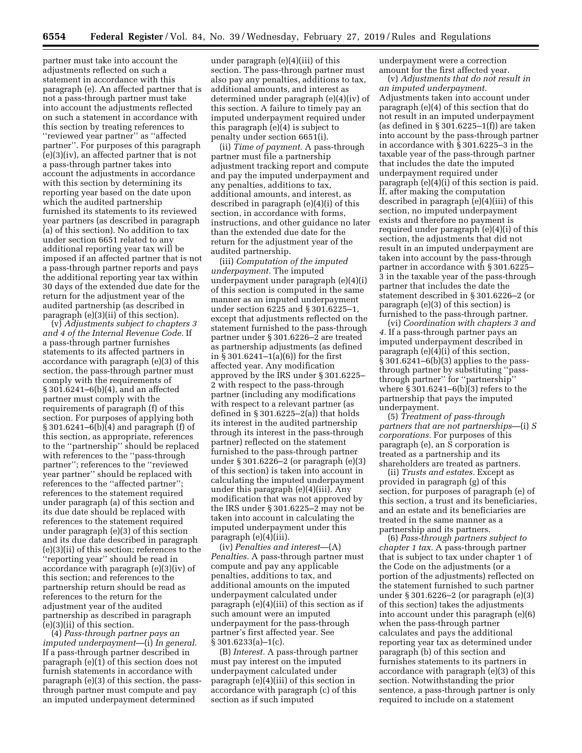partner must take into account the adjustments reflected on such a statement in accordance with this paragraph (e). An affected partner that is not a pass-through partner must take into account the adjustments reflected on such a statement in accordance with this section by treating references to ''reviewed year partner'' as ''affected partner''. For purposes of this paragraph (e)(3)(iv), an affected partner that is not a pass-through partner takes into account the adjustments in accordance with this section by determining its reporting year based on the date upon which the audited partnership furnished its statements to its reviewed year partners (as described in paragraph (a) of this section). No addition to tax under section 6651 related to any additional reporting year tax will be imposed if an affected partner that is not a pass-through partner reports and pays the additional reporting year tax within 30 days of the extended due date for the return for the adjustment year of the audited partnership (as described in paragraph (e)(3)(ii) of this section).

(v) *Adjustments subject to chapters 3 and 4 of the Internal Revenue Code.* If a pass-through partner furnishes statements to its affected partners in accordance with paragraph (e)(3) of this section, the pass-through partner must comply with the requirements of § 301.6241–6(b)(4), and an affected partner must comply with the requirements of paragraph (f) of this section. For purposes of applying both § 301.6241–6(b)(4) and paragraph (f) of this section, as appropriate, references to the ''partnership'' should be replaced with references to the ''pass-through partner''; references to the ''reviewed year partner'' should be replaced with references to the ''affected partner''; references to the statement required under paragraph (a) of this section and its due date should be replaced with references to the statement required under paragraph (e)(3) of this section and its due date described in paragraph (e)(3)(ii) of this section; references to the ''reporting year'' should be read in accordance with paragraph (e)(3)(iv) of this section; and references to the partnership return should be read as references to the return for the adjustment year of the audited partnership as described in paragraph (e)(3)(ii) of this section.

(4) *Pass-through partner pays an imputed underpayment*—(i) *In general.*  If a pass-through partner described in paragraph (e)(1) of this section does not furnish statements in accordance with paragraph (e)(3) of this section, the passthrough partner must compute and pay an imputed underpayment determined

under paragraph (e)(4)(iii) of this section. The pass-through partner must also pay any penalties, additions to tax, additional amounts, and interest as determined under paragraph (e)(4)(iv) of this section. A failure to timely pay an imputed underpayment required under this paragraph (e)(4) is subject to penalty under section 6651(i).

(ii) *Time of payment.* A pass-through partner must file a partnership adjustment tracking report and compute and pay the imputed underpayment and any penalties, additions to tax, additional amounts, and interest, as described in paragraph (e)(4)(i) of this section, in accordance with forms, instructions, and other guidance no later than the extended due date for the return for the adjustment year of the audited partnership.

(iii) *Computation of the imputed underpayment.* The imputed underpayment under paragraph (e)(4)(i) of this section is computed in the same manner as an imputed underpayment under section 6225 and § 301.6225–1, except that adjustments reflected on the statement furnished to the pass-through partner under § 301.6226–2 are treated as partnership adjustments (as defined in § 301.6241–1(a)(6)) for the first affected year. Any modification approved by the IRS under § 301.6225– 2 with respect to the pass-through partner (including any modifications with respect to a relevant partner (as defined in  $\S 301.6225 - 2(a)$ ) that holds its interest in the audited partnership through its interest in the pass-through partner) reflected on the statement furnished to the pass-through partner under § 301.6226–2 (or paragraph (e)(3) of this section) is taken into account in calculating the imputed underpayment under this paragraph (e)(4)(iii). Any modification that was not approved by the IRS under § 301.6225–2 may not be taken into account in calculating the imputed underpayment under this paragraph (e)(4)(iii).

(iv) *Penalties and interest*—(A) *Penalties.* A pass-through partner must compute and pay any applicable penalties, additions to tax, and additional amounts on the imputed underpayment calculated under paragraph (e)(4)(iii) of this section as if such amount were an imputed underpayment for the pass-through partner's first affected year. See  $§ 301.6233(a)-1(c).$ 

(B) *Interest.* A pass-through partner must pay interest on the imputed underpayment calculated under paragraph (e)(4)(iii) of this section in accordance with paragraph (c) of this section as if such imputed

underpayment were a correction amount for the first affected year.

(v) *Adjustments that do not result in an imputed underpayment.*  Adjustments taken into account under paragraph (e)(4) of this section that do not result in an imputed underpayment (as defined in § 301.6225–1(f)) are taken into account by the pass-through partner in accordance with § 301.6225–3 in the taxable year of the pass-through partner that includes the date the imputed underpayment required under paragraph (e)(4)(i) of this section is paid. If, after making the computation described in paragraph (e)(4)(iii) of this section, no imputed underpayment exists and therefore no payment is required under paragraph (e)(4)(i) of this section, the adjustments that did not result in an imputed underpayment are taken into account by the pass-through partner in accordance with § 301.6225– 3 in the taxable year of the pass-through partner that includes the date the statement described in § 301.6226–2 (or paragraph (e)(3) of this section) is furnished to the pass-through partner.

(vi) *Coordination with chapters 3 and 4.* If a pass-through partner pays an imputed underpayment described in paragraph (e)(4)(i) of this section, § 301.6241–6(b)(3) applies to the passthrough partner by substituting ''passthrough partner'' for ''partnership'' where § 301.6241–6(b)(3) refers to the partnership that pays the imputed underpayment.

(5) *Treatment of pass-through partners that are not partnerships*—(i) *S corporations.* For purposes of this paragraph (e), an S corporation is treated as a partnership and its shareholders are treated as partners.

(ii) *Trusts and estates.* Except as provided in paragraph (g) of this section, for purposes of paragraph (e) of this section, a trust and its beneficiaries, and an estate and its beneficiaries are treated in the same manner as a partnership and its partners.

(6) *Pass-through partners subject to chapter 1 tax.* A pass-through partner that is subject to tax under chapter 1 of the Code on the adjustments (or a portion of the adjustments) reflected on the statement furnished to such partner under § 301.6226–2 (or paragraph (e)(3) of this section) takes the adjustments into account under this paragraph (e)(6) when the pass-through partner calculates and pays the additional reporting year tax as determined under paragraph (b) of this section and furnishes statements to its partners in accordance with paragraph (e)(3) of this section. Notwithstanding the prior sentence, a pass-through partner is only required to include on a statement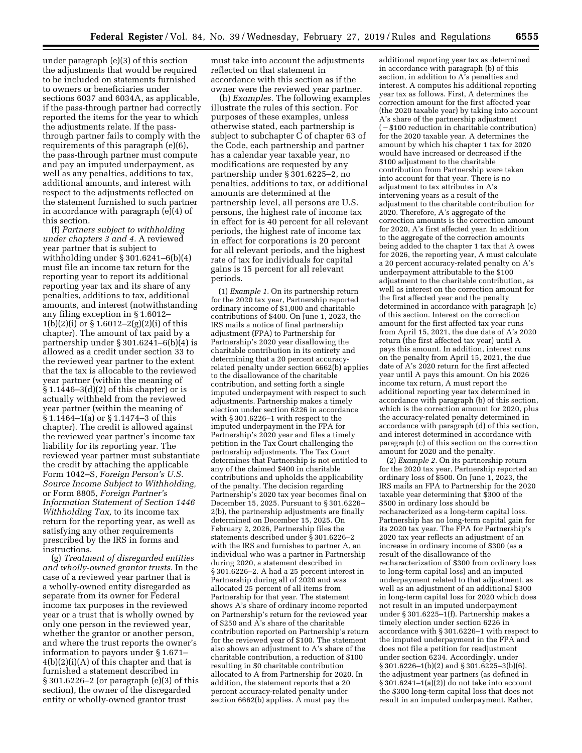under paragraph (e)(3) of this section the adjustments that would be required to be included on statements furnished to owners or beneficiaries under sections 6037 and 6034A, as applicable, if the pass-through partner had correctly reported the items for the year to which the adjustments relate. If the passthrough partner fails to comply with the requirements of this paragraph (e)(6), the pass-through partner must compute and pay an imputed underpayment, as well as any penalties, additions to tax, additional amounts, and interest with respect to the adjustments reflected on the statement furnished to such partner in accordance with paragraph (e)(4) of this section.

(f) *Partners subject to withholding under chapters 3 and 4.* A reviewed year partner that is subject to withholding under § 301.6241–6(b)(4) must file an income tax return for the reporting year to report its additional reporting year tax and its share of any penalties, additions to tax, additional amounts, and interest (notwithstanding any filing exception in § 1.6012– 1(b)(2)(i) or § 1.6012–2(g)(2)(i) of this chapter). The amount of tax paid by a partnership under § 301.6241–6(b)(4) is allowed as a credit under section 33 to the reviewed year partner to the extent that the tax is allocable to the reviewed year partner (within the meaning of  $§ 1.1446-3(d)(2)$  of this chapter) or is actually withheld from the reviewed year partner (within the meaning of § 1.1464–1(a) or § 1.1474–3 of this chapter). The credit is allowed against the reviewed year partner's income tax liability for its reporting year. The reviewed year partner must substantiate the credit by attaching the applicable Form 1042–S, *Foreign Person's U.S. Source Income Subject to Withholding,*  or Form 8805, *Foreign Partner's Information Statement of Section 1446 Withholding Tax,* to its income tax return for the reporting year, as well as satisfying any other requirements prescribed by the IRS in forms and instructions.

(g) *Treatment of disregarded entities and wholly-owned grantor trusts.* In the case of a reviewed year partner that is a wholly-owned entity disregarded as separate from its owner for Federal income tax purposes in the reviewed year or a trust that is wholly owned by only one person in the reviewed year, whether the grantor or another person, and where the trust reports the owner's information to payors under § 1.671– 4(b)(2)(i)(A) of this chapter and that is furnished a statement described in § 301.6226–2 (or paragraph (e)(3) of this section), the owner of the disregarded entity or wholly-owned grantor trust

must take into account the adjustments reflected on that statement in accordance with this section as if the owner were the reviewed year partner.

(h) *Examples.* The following examples illustrate the rules of this section. For purposes of these examples, unless otherwise stated, each partnership is subject to subchapter C of chapter 63 of the Code, each partnership and partner has a calendar year taxable year, no modifications are requested by any partnership under § 301.6225–2, no penalties, additions to tax, or additional amounts are determined at the partnership level, all persons are U.S. persons, the highest rate of income tax in effect for is 40 percent for all relevant periods, the highest rate of income tax in effect for corporations is 20 percent for all relevant periods, and the highest rate of tax for individuals for capital gains is 15 percent for all relevant periods.

(1) *Example 1.* On its partnership return for the 2020 tax year, Partnership reported ordinary income of \$1,000 and charitable contributions of \$400. On June 1, 2023, the IRS mails a notice of final partnership adjustment (FPA) to Partnership for Partnership's 2020 year disallowing the charitable contribution in its entirety and determining that a 20 percent accuracyrelated penalty under section 6662(b) applies to the disallowance of the charitable contribution, and setting forth a single imputed underpayment with respect to such adjustments. Partnership makes a timely election under section 6226 in accordance with § 301.6226–1 with respect to the imputed underpayment in the FPA for Partnership's 2020 year and files a timely petition in the Tax Court challenging the partnership adjustments. The Tax Court determines that Partnership is not entitled to any of the claimed \$400 in charitable contributions and upholds the applicability of the penalty. The decision regarding Partnership's 2020 tax year becomes final on December 15, 2025. Pursuant to § 301.6226– 2(b), the partnership adjustments are finally determined on December 15, 2025. On February 2, 2026, Partnership files the statements described under § 301.6226–2 with the IRS and furnishes to partner A, an individual who was a partner in Partnership during 2020, a statement described in § 301.6226–2. A had a 25 percent interest in Partnership during all of 2020 and was allocated 25 percent of all items from Partnership for that year. The statement shows A's share of ordinary income reported on Partnership's return for the reviewed year of \$250 and A's share of the charitable contribution reported on Partnership's return for the reviewed year of \$100. The statement also shows an adjustment to A's share of the charitable contribution, a reduction of \$100 resulting in \$0 charitable contribution allocated to A from Partnership for 2020. In addition, the statement reports that a 20 percent accuracy-related penalty under section 6662(b) applies. A must pay the

additional reporting year tax as determined in accordance with paragraph (b) of this section, in addition to A's penalties and interest. A computes his additional reporting year tax as follows. First, A determines the correction amount for the first affected year (the 2020 taxable year) by taking into account A's share of the partnership adjustment  $(-\$100$  reduction in charitable contribution) for the 2020 taxable year. A determines the amount by which his chapter 1 tax for 2020 would have increased or decreased if the \$100 adjustment to the charitable contribution from Partnership were taken into account for that year. There is no adjustment to tax attributes in A's intervening years as a result of the adjustment to the charitable contribution for 2020. Therefore, A's aggregate of the correction amounts is the correction amount for 2020, A's first affected year. In addition to the aggregate of the correction amounts being added to the chapter 1 tax that A owes for 2026, the reporting year, A must calculate a 20 percent accuracy-related penalty on A's underpayment attributable to the \$100 adjustment to the charitable contribution, as well as interest on the correction amount for the first affected year and the penalty determined in accordance with paragraph (c) of this section. Interest on the correction amount for the first affected tax year runs from April 15, 2021, the due date of A's 2020 return (the first affected tax year) until A pays this amount. In addition, interest runs on the penalty from April 15, 2021, the due date of A's 2020 return for the first affected year until A pays this amount. On his 2026 income tax return, A must report the additional reporting year tax determined in accordance with paragraph (b) of this section, which is the correction amount for 2020, plus the accuracy-related penalty determined in accordance with paragraph (d) of this section, and interest determined in accordance with paragraph (c) of this section on the correction amount for 2020 and the penalty.

(2) *Example 2.* On its partnership return for the 2020 tax year, Partnership reported an ordinary loss of \$500. On June 1, 2023, the IRS mails an FPA to Partnership for the 2020 taxable year determining that \$300 of the \$500 in ordinary loss should be recharacterized as a long-term capital loss. Partnership has no long-term capital gain for its 2020 tax year. The FPA for Partnership's 2020 tax year reflects an adjustment of an increase in ordinary income of \$300 (as a result of the disallowance of the recharacterization of \$300 from ordinary loss to long-term capital loss) and an imputed underpayment related to that adjustment, as well as an adjustment of an additional \$300 in long-term capital loss for 2020 which does not result in an imputed underpayment under § 301.6225–1(f). Partnership makes a timely election under section 6226 in accordance with § 301.6226–1 with respect to the imputed underpayment in the FPA and does not file a petition for readjustment under section 6234. Accordingly, under  $\S 301.6226 - 1(b)(2)$  and  $\S 301.6225 - 3(b)(6)$ , the adjustment year partners (as defined in § 301.6241–1(a)(2)) do not take into account the \$300 long-term capital loss that does not result in an imputed underpayment. Rather,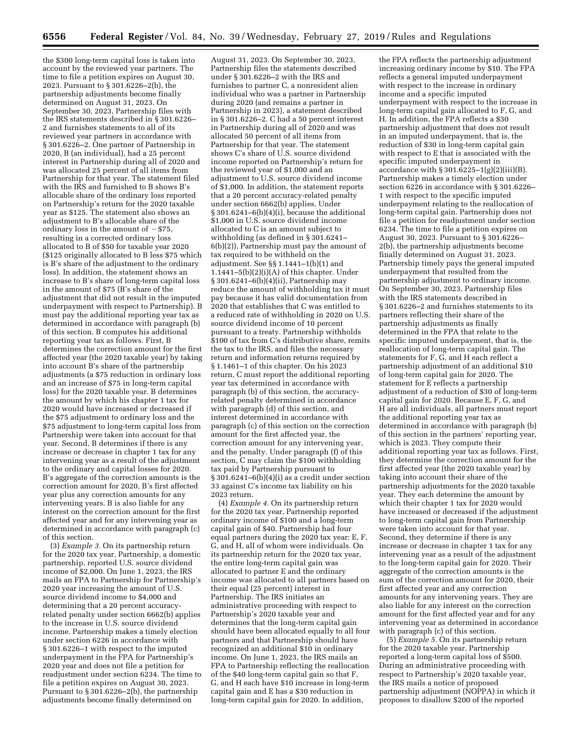the \$300 long-term capital loss is taken into account by the reviewed year partners. The time to file a petition expires on August 30, 2023. Pursuant to § 301.6226–2(b), the partnership adjustments become finally determined on August 31, 2023. On September 30, 2023, Partnership files with the IRS statements described in § 301.6226– 2 and furnishes statements to all of its reviewed year partners in accordance with § 301.6226–2. One partner of Partnership in 2020, B (an individual), had a 25 percent interest in Partnership during all of 2020 and was allocated 25 percent of all items from Partnership for that year. The statement filed with the IRS and furnished to B shows B's allocable share of the ordinary loss reported on Partnership's return for the 2020 taxable year as \$125. The statement also shows an adjustment to B's allocable share of the ordinary loss in the amount of  $- $75$ , resulting in a corrected ordinary loss allocated to B of \$50 for taxable year 2020 (\$125 originally allocated to B less \$75 which is B's share of the adjustment to the ordinary loss). In addition, the statement shows an increase to B's share of long-term capital loss in the amount of \$75 (B's share of the adjustment that did not result in the imputed underpayment with respect to Partnership). B must pay the additional reporting year tax as determined in accordance with paragraph (b) of this section. B computes his additional reporting year tax as follows. First, B determines the correction amount for the first affected year (the 2020 taxable year) by taking into account B's share of the partnership adjustments (a \$75 reduction in ordinary loss and an increase of \$75 in long-term capital loss) for the 2020 taxable year. B determines the amount by which his chapter 1 tax for 2020 would have increased or decreased if the \$75 adjustment to ordinary loss and the \$75 adjustment to long-term capital loss from Partnership were taken into account for that year. Second, B determines if there is any increase or decrease in chapter 1 tax for any intervening year as a result of the adjustment to the ordinary and capital losses for 2020. B's aggregate of the correction amounts is the correction amount for 2020, B's first affected year plus any correction amounts for any intervening years. B is also liable for any interest on the correction amount for the first affected year and for any intervening year as determined in accordance with paragraph (c) of this section.

(3) *Example 3.* On its partnership return for the 2020 tax year, Partnership, a domestic partnership, reported U.S. source dividend income of \$2,000. On June 1, 2023, the IRS mails an FPA to Partnership for Partnership's 2020 year increasing the amount of U.S. source dividend income to \$4,000 and determining that a 20 percent accuracyrelated penalty under section 6662(b) applies to the increase in U.S. source dividend income. Partnership makes a timely election under section 6226 in accordance with § 301.6226–1 with respect to the imputed underpayment in the FPA for Partnership's 2020 year and does not file a petition for readjustment under section 6234. The time to file a petition expires on August 30, 2023. Pursuant to § 301.6226–2(b), the partnership adjustments become finally determined on

August 31, 2023. On September 30, 2023, Partnership files the statements described under § 301.6226–2 with the IRS and furnishes to partner C, a nonresident alien individual who was a partner in Partnership during 2020 (and remains a partner in Partnership in 2023), a statement described in § 301.6226–2. C had a 50 percent interest in Partnership during all of 2020 and was allocated 50 percent of all items from Partnership for that year. The statement shows C's share of U.S. source dividend income reported on Partnership's return for the reviewed year of \$1,000 and an adjustment to U.S. source dividend income of \$1,000. In addition, the statement reports that a 20 percent accuracy-related penalty under section 6662(b) applies. Under § 301.6241–6(b)(4)(i), because the additional \$1,000 in U.S. source dividend income allocated to C is an amount subject to withholding (as defined in § 301.6241– 6(b)(2)), Partnership must pay the amount of tax required to be withheld on the adjustment. See §§ 1.1441–1(b)(1) and  $1.1441-5(b)(2)(i)(A)$  of this chapter. Under § 301.6241–6(b)(4)(ii), Partnership may reduce the amount of withholding tax it must pay because it has valid documentation from 2020 that establishes that C was entitled to a reduced rate of withholding in 2020 on U.S. source dividend income of 10 percent pursuant to a treaty. Partnership withholds \$100 of tax from C's distributive share, remits the tax to the IRS, and files the necessary return and information returns required by § 1.1461–1 of this chapter. On his 2023 return, C must report the additional reporting year tax determined in accordance with paragraph (b) of this section, the accuracyrelated penalty determined in accordance with paragraph (d) of this section, and interest determined in accordance with paragraph (c) of this section on the correction amount for the first affected year, the correction amount for any intervening year, and the penalty. Under paragraph (f) of this section, C may claim the \$100 withholding tax paid by Partnership pursuant to  $§ 301.6241-6(b)(4)(i)$  as a credit under section 33 against C's income tax liability on his 2023 return.

(4) *Example 4.* On its partnership return for the 2020 tax year, Partnership reported ordinary income of \$100 and a long-term capital gain of \$40. Partnership had four equal partners during the  $2020$  tax year: E, F, G, and H, all of whom were individuals. On its partnership return for the 2020 tax year, the entire long-term capital gain was allocated to partner E and the ordinary income was allocated to all partners based on their equal (25 percent) interest in Partnership. The IRS initiates an administrative proceeding with respect to Partnership's 2020 taxable year and determines that the long-term capital gain should have been allocated equally to all four partners and that Partnership should have recognized an additional \$10 in ordinary income. On June 1, 2023, the IRS mails an FPA to Partnership reflecting the reallocation of the \$40 long-term capital gain so that F, G, and H each have \$10 increase in long-term capital gain and E has a \$30 reduction in long-term capital gain for 2020. In addition,

the FPA reflects the partnership adjustment increasing ordinary income by \$10. The FPA reflects a general imputed underpayment with respect to the increase in ordinary income and a specific imputed underpayment with respect to the increase in long-term capital gain allocated to F, G, and H. In addition, the FPA reflects a \$30 partnership adjustment that does not result in an imputed underpayment, that is, the reduction of \$30 in long-term capital gain with respect to E that is associated with the specific imputed underpayment in accordance with  $\S 301.6225 - 1(g)(2)(iii)(B)$ . Partnership makes a timely election under section 6226 in accordance with § 301.6226– 1 with respect to the specific imputed underpayment relating to the reallocation of long-term capital gain. Partnership does not file a petition for readjustment under section 6234. The time to file a petition expires on August 30, 2023. Pursuant to § 301.6226– 2(b), the partnership adjustments become finally determined on August 31, 2023. Partnership timely pays the general imputed underpayment that resulted from the partnership adjustment to ordinary income. On September 30, 2023, Partnership files with the IRS statements described in § 301.6226–2 and furnishes statements to its partners reflecting their share of the partnership adjustments as finally determined in the FPA that relate to the specific imputed underpayment, that is, the reallocation of long-term capital gain. The statements for F, G, and H each reflect a partnership adjustment of an additional \$10 of long-term capital gain for 2020. The statement for E reflects a partnership adjustment of a reduction of \$30 of long-term capital gain for 2020. Because E, F, G, and H are all individuals, all partners must report the additional reporting year tax as determined in accordance with paragraph (b) of this section in the partners' reporting year, which is 2023. They compute their additional reporting year tax as follows. First, they determine the correction amount for the first affected year (the 2020 taxable year) by taking into account their share of the partnership adjustments for the 2020 taxable year. They each determine the amount by which their chapter 1 tax for 2020 would have increased or decreased if the adjustment to long-term capital gain from Partnership were taken into account for that year. Second, they determine if there is any increase or decrease in chapter 1 tax for any intervening year as a result of the adjustment to the long-term capital gain for 2020. Their aggregate of the correction amounts is the sum of the correction amount for 2020, their first affected year and any correction amounts for any intervening years. They are also liable for any interest on the correction amount for the first affected year and for any intervening year as determined in accordance with paragraph (c) of this section.

(5) *Example 5.* On its partnership return for the 2020 taxable year, Partnership reported a long-term capital loss of \$500. During an administrative proceeding with respect to Partnership's 2020 taxable year, the IRS mails a notice of proposed partnership adjustment (NOPPA) in which it proposes to disallow \$200 of the reported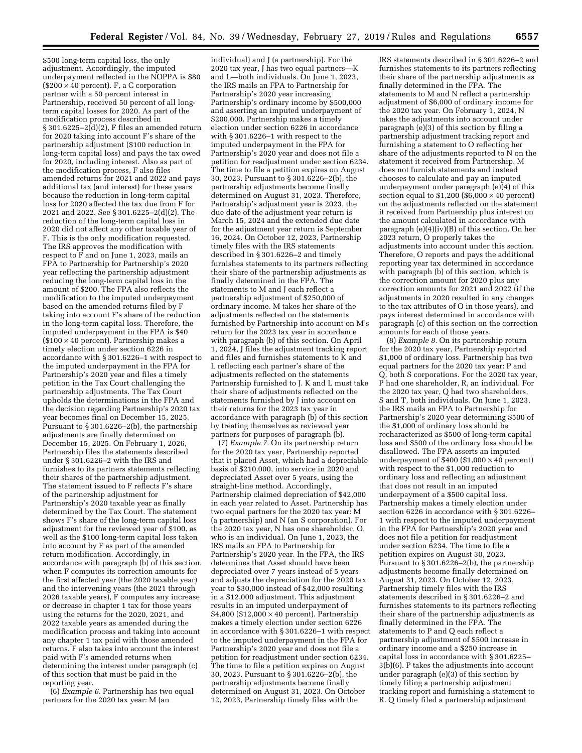\$500 long-term capital loss, the only adjustment. Accordingly, the imputed underpayment reflected in the NOPPA is \$80 (\$200  $\times$  40 percent). F, a C corporation partner with a 50 percent interest in Partnership, received 50 percent of all longterm capital losses for 2020. As part of the modification process described in  $\S 301.6225 - 2(d)(2)$ , F files an amended return for 2020 taking into account F's share of the partnership adjustment (\$100 reduction in long-term capital loss) and pays the tax owed for 2020, including interest. Also as part of the modification process, F also files amended returns for 2021 and 2022 and pays additional tax (and interest) for these years because the reduction in long-term capital loss for 2020 affected the tax due from F for 2021 and 2022. See § 301.6225–2(d)(2). The reduction of the long-term capital loss in 2020 did not affect any other taxable year of F. This is the only modification requested. The IRS approves the modification with respect to F and on June 1, 2023, mails an FPA to Partnership for Partnership's 2020 year reflecting the partnership adjustment reducing the long-term capital loss in the amount of \$200. The FPA also reflects the modification to the imputed underpayment based on the amended returns filed by F taking into account F's share of the reduction in the long-term capital loss. Therefore, the imputed underpayment in the FPA is \$40 (\$100 × 40 percent). Partnership makes a timely election under section 6226 in accordance with § 301.6226–1 with respect to the imputed underpayment in the FPA for Partnership's 2020 year and files a timely petition in the Tax Court challenging the partnership adjustments. The Tax Court upholds the determinations in the FPA and the decision regarding Partnership's 2020 tax year becomes final on December 15, 2025. Pursuant to § 301.6226–2(b), the partnership adjustments are finally determined on December 15, 2025. On February 1, 2026, Partnership files the statements described under § 301.6226–2 with the IRS and furnishes to its partners statements reflecting their shares of the partnership adjustment. The statement issued to F reflects F's share of the partnership adjustment for Partnership's 2020 taxable year as finally determined by the Tax Court. The statement shows F's share of the long-term capital loss adjustment for the reviewed year of \$100, as well as the \$100 long-term capital loss taken into account by F as part of the amended return modification. Accordingly, in accordance with paragraph (b) of this section, when F computes its correction amounts for the first affected year (the 2020 taxable year) and the intervening years (the 2021 through 2026 taxable years), F computes any increase or decrease in chapter 1 tax for those years using the returns for the 2020, 2021, and 2022 taxable years as amended during the modification process and taking into account any chapter  $1$  tax paid with those amended returns. F also takes into account the interest paid with F's amended returns when determining the interest under paragraph (c) of this section that must be paid in the reporting year.

(6) *Example 6.* Partnership has two equal partners for the 2020 tax year: M (an

individual) and J (a partnership). For the 2020 tax year, J has two equal partners—K and L—both individuals. On June 1, 2023, the IRS mails an FPA to Partnership for Partnership's 2020 year increasing Partnership's ordinary income by \$500,000 and asserting an imputed underpayment of \$200,000. Partnership makes a timely election under section 6226 in accordance with § 301.6226–1 with respect to the imputed underpayment in the FPA for Partnership's 2020 year and does not file a petition for readjustment under section 6234. The time to file a petition expires on August 30, 2023. Pursuant to § 301.6226–2(b), the partnership adjustments become finally determined on August 31, 2023. Therefore, Partnership's adjustment year is 2023, the due date of the adjustment year return is March 15, 2024 and the extended due date for the adjustment year return is September 16, 2024. On October 12, 2023, Partnership timely files with the IRS statements described in § 301.6226–2 and timely furnishes statements to its partners reflecting their share of the partnership adjustments as finally determined in the FPA. The statements to M and J each reflect a partnership adjustment of \$250,000 of ordinary income. M takes her share of the adjustments reflected on the statements furnished by Partnership into account on M's return for the 2023 tax year in accordance with paragraph (b) of this section. On April 1, 2024, J files the adjustment tracking report and files and furnishes statements to K and L reflecting each partner's share of the adjustments reflected on the statements Partnership furnished to J. K and L must take their share of adjustments reflected on the statements furnished by J into account on their returns for the 2023 tax year in accordance with paragraph (b) of this section by treating themselves as reviewed year partners for purposes of paragraph (b).

(7) *Example 7.* On its partnership return for the 2020 tax year, Partnership reported that it placed Asset, which had a depreciable basis of \$210,000, into service in 2020 and depreciated Asset over 5 years, using the straight-line method. Accordingly, Partnership claimed depreciation of \$42,000 in each year related to Asset. Partnership has two equal partners for the 2020 tax year: M (a partnership) and N (an S corporation). For the 2020 tax year, N has one shareholder, O, who is an individual. On June 1, 2023, the IRS mails an FPA to Partnership for Partnership's 2020 year. In the FPA, the IRS determines that Asset should have been depreciated over 7 years instead of 5 years and adjusts the depreciation for the 2020 tax year to \$30,000 instead of \$42,000 resulting in a \$12,000 adjustment. This adjustment results in an imputed underpayment of  $$4,800$  (\$12,000  $\times$  40 percent). Partnership makes a timely election under section 6226 in accordance with § 301.6226–1 with respect to the imputed underpayment in the FPA for Partnership's 2020 year and does not file a petition for readjustment under section 6234. The time to file a petition expires on August 30, 2023. Pursuant to § 301.6226–2(b), the partnership adjustments become finally determined on August 31, 2023. On October 12, 2023, Partnership timely files with the

IRS statements described in § 301.6226–2 and furnishes statements to its partners reflecting their share of the partnership adjustments as finally determined in the FPA. The statements to M and N reflect a partnership adjustment of \$6,000 of ordinary income for the 2020 tax year. On February 1, 2024, N takes the adjustments into account under paragraph (e)(3) of this section by filing a partnership adjustment tracking report and furnishing a statement to O reflecting her share of the adjustments reported to N on the statement it received from Partnership. M does not furnish statements and instead chooses to calculate and pay an imputed underpayment under paragraph (e)(4) of this section equal to  $$1,200$  ( $$6,000 \times 40$  percent) on the adjustments reflected on the statement it received from Partnership plus interest on the amount calculated in accordance with paragraph (e)(4)(iv)(B) of this section. On her 2023 return, O properly takes the adjustments into account under this section. Therefore, O reports and pays the additional reporting year tax determined in accordance with paragraph (b) of this section, which is the correction amount for 2020 plus any correction amounts for 2021 and 2022 (if the adjustments in 2020 resulted in any changes to the tax attributes of O in those years), and pays interest determined in accordance with paragraph (c) of this section on the correction amounts for each of those years.

(8) *Example 8.* On its partnership return for the 2020 tax year, Partnership reported \$1,000 of ordinary loss. Partnership has two equal partners for the 2020 tax year: P and Q, both S corporations. For the 2020 tax year, P had one shareholder, R, an individual. For the 2020 tax year, Q had two shareholders, S and T, both individuals. On June 1, 2023, the IRS mails an FPA to Partnership for Partnership's 2020 year determining \$500 of the \$1,000 of ordinary loss should be recharacterized as \$500 of long-term capital loss and \$500 of the ordinary loss should be disallowed. The FPA asserts an imputed underpayment of \$400 (\$1,000  $\times$  40 percent) with respect to the \$1,000 reduction to ordinary loss and reflecting an adjustment that does not result in an imputed underpayment of a \$500 capital loss. Partnership makes a timely election under section 6226 in accordance with § 301.6226– 1 with respect to the imputed underpayment in the FPA for Partnership's 2020 year and does not file a petition for readjustment under section 6234. The time to file a petition expires on August 30, 2023. Pursuant to § 301.6226–2(b), the partnership adjustments become finally determined on August 31, 2023. On October 12, 2023, Partnership timely files with the IRS statements described in § 301.6226–2 and furnishes statements to its partners reflecting their share of the partnership adjustments as finally determined in the FPA. The statements to P and Q each reflect a partnership adjustment of \$500 increase in ordinary income and a \$250 increase in capital loss in accordance with § 301.6225– 3(b)(6). P takes the adjustments into account under paragraph (e)(3) of this section by timely filing a partnership adjustment tracking report and furnishing a statement to R. Q timely filed a partnership adjustment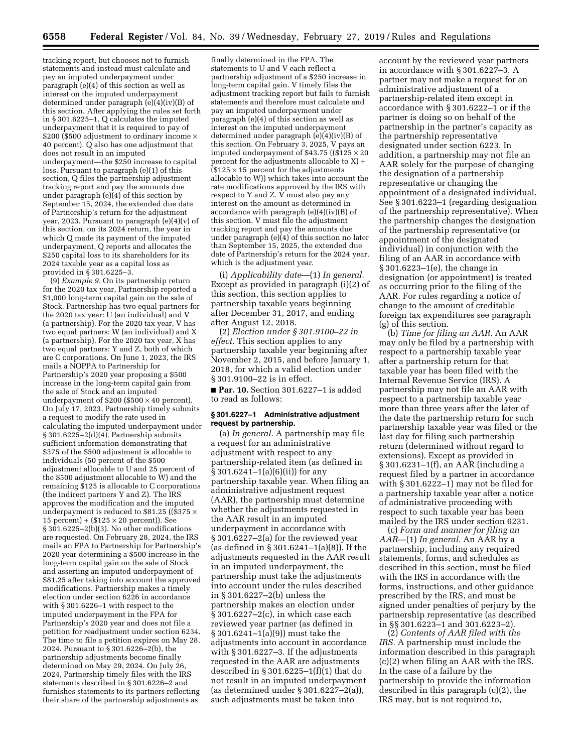tracking report, but chooses not to furnish statements and instead must calculate and pay an imputed underpayment under paragraph (e)(4) of this section as well as interest on the imputed underpayment determined under paragraph (e)(4)(iv)(B) of this section. After applying the rules set forth in § 301.6225–1, Q calculates the imputed underpayment that it is required to pay of \$200 (\$500 adjustment to ordinary income  $\times$ 40 percent). Q also has one adjustment that does not result in an imputed underpayment—the \$250 increase to capital loss. Pursuant to paragraph (e)(1) of this section, Q files the partnership adjustment tracking report and pay the amounts due under paragraph (e)(4) of this section by September 15, 2024, the extended due date of Partnership's return for the adjustment year, 2023. Pursuant to paragraph  $(e)(4)(v)$  of this section, on its 2024 return, the year in which Q made its payment of the imputed underpayment, Q reports and allocates the \$250 capital loss to its shareholders for its 2024 taxable year as a capital loss as provided in § 301.6225–3.

(9) *Example 9.* On its partnership return for the 2020 tax year, Partnership reported a \$1,000 long-term capital gain on the sale of Stock. Partnership has two equal partners for the 2020 tax year: U (an individual) and V (a partnership). For the 2020 tax year, V has two equal partners: W (an individual) and X (a partnership). For the 2020 tax year, X has two equal partners: Y and Z, both of which are C corporations. On June 1, 2023, the IRS mails a NOPPA to Partnership for Partnership's 2020 year proposing a \$500 increase in the long-term capital gain from the sale of Stock and an imputed underpayment of \$200 (\$500  $\times$  40 percent). On July 17, 2023, Partnership timely submits a request to modify the rate used in calculating the imputed underpayment under  $§ 301.6225 - 2(d)(4)$ . Partnership submits sufficient information demonstrating that \$375 of the \$500 adjustment is allocable to individuals (50 percent of the \$500 adjustment allocable to U and 25 percent of the \$500 adjustment allocable to  $\bar{W}$ ) and the remaining \$125 is allocable to C corporations (the indirect partners Y and Z). The IRS approves the modification and the imputed underpayment is reduced to \$81.25 ((\$375  $\times$ 15 percent) +  $($125 \times 20$  percent)). See § 301.6225–2(b)(3). No other modifications are requested. On February 28, 2024, the IRS mails an FPA to Partnership for Partnership's 2020 year determining a \$500 increase in the long-term capital gain on the sale of Stock and asserting an imputed underpayment of \$81.25 after taking into account the approved modifications. Partnership makes a timely election under section 6226 in accordance with § 301.6226–1 with respect to the imputed underpayment in the FPA for Partnership's 2020 year and does not file a petition for readjustment under section 6234. The time to file a petition expires on May 28, 2024. Pursuant to § 301.6226–2(b), the partnership adjustments become finally determined on May 29, 2024. On July 26, 2024, Partnership timely files with the IRS statements described in § 301.6226–2 and furnishes statements to its partners reflecting their share of the partnership adjustments as

finally determined in the FPA. The statements to U and V each reflect a partnership adjustment of a \$250 increase in long-term capital gain. V timely files the adjustment tracking report but fails to furnish statements and therefore must calculate and pay an imputed underpayment under paragraph (e)(4) of this section as well as interest on the imputed underpayment determined under paragraph  $(e)(4)(iv)(B)$  of this section. On February 3, 2025, V pays an imputed underpayment of \$43.75 ( $(\hat{$}125 \times 20)$ percent for the adjustments allocable to X) +  $($125 \times 15$  percent for the adjustments allocable to W)) which takes into account the rate modifications approved by the IRS with respect to Y and Z. V must also pay any interest on the amount as determined in accordance with paragraph (e)(4)(iv)(B) of this section. V must file the adjustment tracking report and pay the amounts due under paragraph (e)(4) of this section no later than September 15, 2025, the extended due date of Partnership's return for the 2024 year, which is the adjustment year.

(i) *Applicability date*—(1) *In general.*  Except as provided in paragraph (i)(2) of this section, this section applies to partnership taxable years beginning after December 31, 2017, and ending after August 12, 2018.

(2) *Election under § 301.9100–22 in effect.* This section applies to any partnership taxable year beginning after November 2, 2015, and before January 1, 2018, for which a valid election under § 301.9100–22 is in effect.

■ **Par. 10.** Section 301.6227–1 is added to read as follows:

### **§ 301.6227–1 Administrative adjustment request by partnership.**

(a) *In general.* A partnership may file a request for an administrative adjustment with respect to any partnership-related item (as defined in § 301.6241–1(a)(6)(ii)) for any partnership taxable year. When filing an administrative adjustment request (AAR), the partnership must determine whether the adjustments requested in the AAR result in an imputed underpayment in accordance with § 301.6227–2(a) for the reviewed year (as defined in § 301.6241–1(a)(8)). If the adjustments requested in the AAR result in an imputed underpayment, the partnership must take the adjustments into account under the rules described in § 301.6227–2(b) unless the partnership makes an election under § 301.6227–2(c), in which case each reviewed year partner (as defined in § 301.6241–1(a)(9)) must take the adjustments into account in accordance with § 301.6227–3. If the adjustments requested in the AAR are adjustments described in § 301.6225–1(f)(1) that do not result in an imputed underpayment (as determined under § 301.6227–2(a)), such adjustments must be taken into

account by the reviewed year partners in accordance with § 301.6227–3. A partner may not make a request for an administrative adjustment of a partnership-related item except in accordance with § 301.6222–1 or if the partner is doing so on behalf of the partnership in the partner's capacity as the partnership representative designated under section 6223. In addition, a partnership may not file an AAR solely for the purpose of changing the designation of a partnership representative or changing the appointment of a designated individual. See § 301.6223–1 (regarding designation of the partnership representative). When the partnership changes the designation of the partnership representative (or appointment of the designated individual) in conjunction with the filing of an AAR in accordance with § 301.6223–1(e), the change in designation (or appointment) is treated as occurring prior to the filing of the AAR. For rules regarding a notice of change to the amount of creditable foreign tax expenditures see paragraph (g) of this section.

(b) *Time for filing an AAR.* An AAR may only be filed by a partnership with respect to a partnership taxable year after a partnership return for that taxable year has been filed with the Internal Revenue Service (IRS). A partnership may not file an AAR with respect to a partnership taxable year more than three years after the later of the date the partnership return for such partnership taxable year was filed or the last day for filing such partnership return (determined without regard to extensions). Except as provided in § 301.6231–1(f), an AAR (including a request filed by a partner in accordance with § 301.6222–1) may not be filed for a partnership taxable year after a notice of administrative proceeding with respect to such taxable year has been mailed by the IRS under section 6231.

(c) *Form and manner for filing an AAR*—(1) *In general.* An AAR by a partnership, including any required statements, forms, and schedules as described in this section, must be filed with the IRS in accordance with the forms, instructions, and other guidance prescribed by the IRS, and must be signed under penalties of perjury by the partnership representative (as described in §§ 301.6223–1 and 301.6223–2).

(2) *Contents of AAR filed with the IRS.* A partnership must include the information described in this paragraph (c)(2) when filing an AAR with the IRS. In the case of a failure by the partnership to provide the information described in this paragraph (c)(2), the IRS may, but is not required to,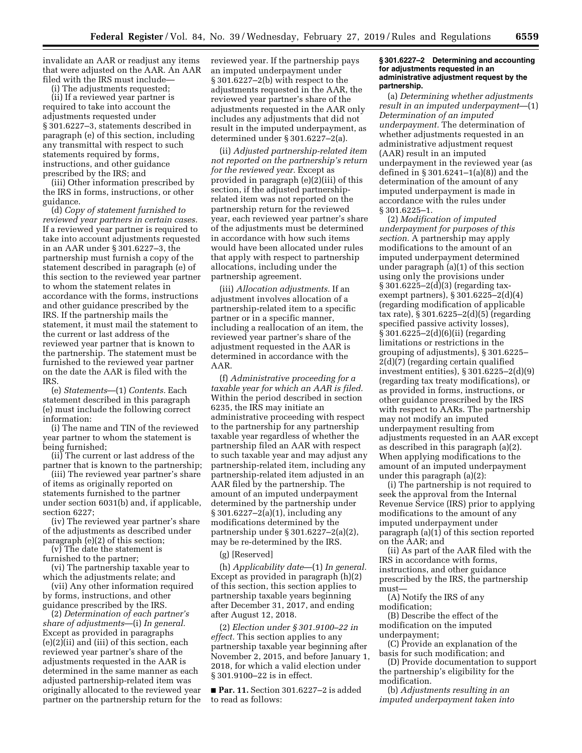invalidate an AAR or readjust any items that were adjusted on the AAR. An AAR filed with the IRS must include—

(i) The adjustments requested;

(ii) If a reviewed year partner is required to take into account the adjustments requested under § 301.6227–3, statements described in paragraph (e) of this section, including any transmittal with respect to such statements required by forms, instructions, and other guidance prescribed by the IRS; and

(iii) Other information prescribed by the IRS in forms, instructions, or other guidance.

(d) *Copy of statement furnished to reviewed year partners in certain cases.*  If a reviewed year partner is required to take into account adjustments requested in an AAR under § 301.6227–3, the partnership must furnish a copy of the statement described in paragraph (e) of this section to the reviewed year partner to whom the statement relates in accordance with the forms, instructions and other guidance prescribed by the IRS. If the partnership mails the statement, it must mail the statement to the current or last address of the reviewed year partner that is known to the partnership. The statement must be furnished to the reviewed year partner on the date the AAR is filed with the IRS.

(e) *Statements*—(1) *Contents.* Each statement described in this paragraph (e) must include the following correct information:

(i) The name and TIN of the reviewed year partner to whom the statement is being furnished;

(ii) The current or last address of the partner that is known to the partnership;

(iii) The reviewed year partner's share of items as originally reported on statements furnished to the partner under section 6031(b) and, if applicable, section 6227;

(iv) The reviewed year partner's share of the adjustments as described under paragraph (e)(2) of this section;

(v) The date the statement is furnished to the partner;

(vi) The partnership taxable year to which the adjustments relate; and

(vii) Any other information required by forms, instructions, and other guidance prescribed by the IRS.

(2) *Determination of each partner's share of adjustments*—(i) *In general.*  Except as provided in paragraphs (e)(2)(ii) and (iii) of this section, each reviewed year partner's share of the adjustments requested in the AAR is determined in the same manner as each adjusted partnership-related item was originally allocated to the reviewed year partner on the partnership return for the reviewed year. If the partnership pays an imputed underpayment under § 301.6227–2(b) with respect to the adjustments requested in the AAR, the reviewed year partner's share of the adjustments requested in the AAR only includes any adjustments that did not result in the imputed underpayment, as determined under § 301.6227–2(a).

(ii) *Adjusted partnership-related item not reported on the partnership's return for the reviewed year.* Except as provided in paragraph (e)(2)(iii) of this section, if the adjusted partnershiprelated item was not reported on the partnership return for the reviewed year, each reviewed year partner's share of the adjustments must be determined in accordance with how such items would have been allocated under rules that apply with respect to partnership allocations, including under the partnership agreement.

(iii) *Allocation adjustments.* If an adjustment involves allocation of a partnership-related item to a specific partner or in a specific manner, including a reallocation of an item, the reviewed year partner's share of the adjustment requested in the AAR is determined in accordance with the AAR.

(f) *Administrative proceeding for a taxable year for which an AAR is filed.*  Within the period described in section 6235, the IRS may initiate an administrative proceeding with respect to the partnership for any partnership taxable year regardless of whether the partnership filed an AAR with respect to such taxable year and may adjust any partnership-related item, including any partnership-related item adjusted in an AAR filed by the partnership. The amount of an imputed underpayment determined by the partnership under § 301.6227–2(a)(1), including any modifications determined by the partnership under § 301.6227–2(a)(2), may be re-determined by the IRS.

(g) [Reserved]

(h) *Applicability date*—(1) *In general.*  Except as provided in paragraph (h)(2) of this section, this section applies to partnership taxable years beginning after December 31, 2017, and ending after August 12, 2018.

(2) *Election under § 301.9100–22 in effect.* This section applies to any partnership taxable year beginning after November 2, 2015, and before January 1, 2018, for which a valid election under § 301.9100–22 is in effect.

■ **Par. 11.** Section 301.6227-2 is added to read as follows:

### **§ 301.6227–2 Determining and accounting for adjustments requested in an administrative adjustment request by the partnership.**

(a) *Determining whether adjustments result in an imputed underpayment*—(1) *Determination of an imputed underpayment.* The determination of whether adjustments requested in an administrative adjustment request (AAR) result in an imputed underpayment in the reviewed year (as defined in § 301.6241–1(a)(8)) and the determination of the amount of any imputed underpayment is made in accordance with the rules under § 301.6225–1.

(2) *Modification of imputed underpayment for purposes of this section.* A partnership may apply modifications to the amount of an imputed underpayment determined under paragraph (a)(1) of this section using only the provisions under § 301.6225–2(d)(3) (regarding taxexempt partners), § 301.6225–2(d)(4) (regarding modification of applicable tax rate), § 301.6225–2(d)(5) (regarding specified passive activity losses), § 301.6225–2(d)(6)(ii) (regarding limitations or restrictions in the grouping of adjustments), § 301.6225– 2(d)(7) (regarding certain qualified investment entities), § 301.6225–2(d)(9) (regarding tax treaty modifications), or as provided in forms, instructions, or other guidance prescribed by the IRS with respect to AARs. The partnership may not modify an imputed underpayment resulting from adjustments requested in an AAR except as described in this paragraph (a)(2). When applying modifications to the amount of an imputed underpayment under this paragraph (a)(2):

(i) The partnership is not required to seek the approval from the Internal Revenue Service (IRS) prior to applying modifications to the amount of any imputed underpayment under paragraph (a)(1) of this section reported on the AAR; and

(ii) As part of the AAR filed with the IRS in accordance with forms, instructions, and other guidance prescribed by the IRS, the partnership must—

(A) Notify the IRS of any modification;

(B) Describe the effect of the modification on the imputed underpayment;

(C) Provide an explanation of the basis for such modification; and

(D) Provide documentation to support the partnership's eligibility for the modification.

(b) *Adjustments resulting in an imputed underpayment taken into*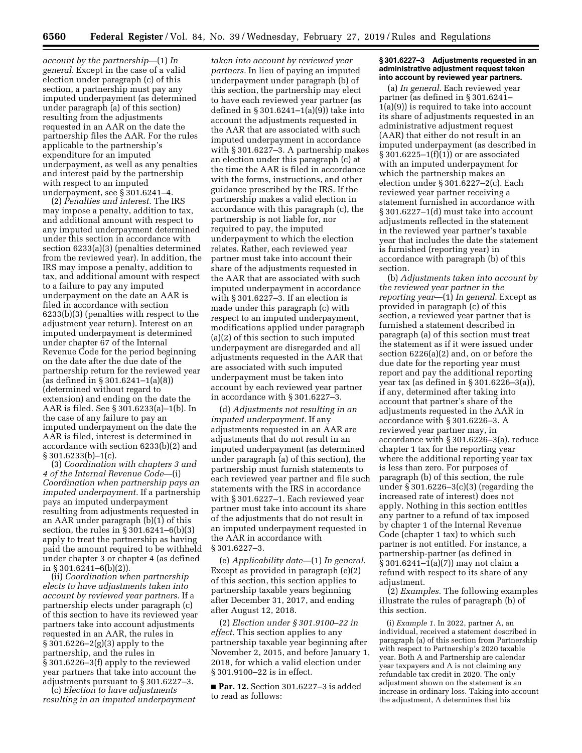*account by the partnership*—(1) *In general.* Except in the case of a valid election under paragraph (c) of this section, a partnership must pay any imputed underpayment (as determined under paragraph (a) of this section) resulting from the adjustments requested in an AAR on the date the partnership files the AAR. For the rules applicable to the partnership's expenditure for an imputed underpayment, as well as any penalties and interest paid by the partnership with respect to an imputed underpayment, see § 301.6241–4.

(2) *Penalties and interest.* The IRS may impose a penalty, addition to tax, and additional amount with respect to any imputed underpayment determined under this section in accordance with section 6233(a)(3) (penalties determined from the reviewed year). In addition, the IRS may impose a penalty, addition to tax, and additional amount with respect to a failure to pay any imputed underpayment on the date an AAR is filed in accordance with section 6233(b)(3) (penalties with respect to the adjustment year return). Interest on an imputed underpayment is determined under chapter 67 of the Internal Revenue Code for the period beginning on the date after the due date of the partnership return for the reviewed year (as defined in § 301.6241–1(a)(8)) (determined without regard to extension) and ending on the date the AAR is filed. See § 301.6233(a)–1(b). In the case of any failure to pay an imputed underpayment on the date the AAR is filed, interest is determined in accordance with section 6233(b)(2) and  $§ 301.6233(b)-1(c).$ 

(3) *Coordination with chapters 3 and 4 of the Internal Revenue Code*—(i) *Coordination when partnership pays an imputed underpayment.* If a partnership pays an imputed underpayment resulting from adjustments requested in an AAR under paragraph (b)(1) of this section, the rules in § 301.6241–6(b)(3) apply to treat the partnership as having paid the amount required to be withheld under chapter 3 or chapter 4 (as defined in § 301.6241–6(b)(2)).

(ii) *Coordination when partnership elects to have adjustments taken into account by reviewed year partners.* If a partnership elects under paragraph (c) of this section to have its reviewed year partners take into account adjustments requested in an AAR, the rules in § 301.6226–2(g)(3) apply to the partnership, and the rules in § 301.6226–3(f) apply to the reviewed year partners that take into account the adjustments pursuant to § 301.6227–3.

(c) *Election to have adjustments resulting in an imputed underpayment* 

*taken into account by reviewed year partners.* In lieu of paying an imputed underpayment under paragraph (b) of this section, the partnership may elect to have each reviewed year partner (as defined in § 301.6241–1(a)(9)) take into account the adjustments requested in the AAR that are associated with such imputed underpayment in accordance with § 301.6227–3. A partnership makes an election under this paragraph (c) at the time the AAR is filed in accordance with the forms, instructions, and other guidance prescribed by the IRS. If the partnership makes a valid election in accordance with this paragraph (c), the partnership is not liable for, nor required to pay, the imputed underpayment to which the election relates. Rather, each reviewed year partner must take into account their share of the adjustments requested in the AAR that are associated with such imputed underpayment in accordance with § 301.6227–3. If an election is made under this paragraph (c) with respect to an imputed underpayment, modifications applied under paragraph (a)(2) of this section to such imputed underpayment are disregarded and all adjustments requested in the AAR that are associated with such imputed underpayment must be taken into account by each reviewed year partner in accordance with § 301.6227–3.

(d) *Adjustments not resulting in an imputed underpayment.* If any adjustments requested in an AAR are adjustments that do not result in an imputed underpayment (as determined under paragraph (a) of this section), the partnership must furnish statements to each reviewed year partner and file such statements with the IRS in accordance with § 301.6227–1. Each reviewed year partner must take into account its share of the adjustments that do not result in an imputed underpayment requested in the AAR in accordance with § 301.6227–3.

(e) *Applicability date*—(1) *In general.*  Except as provided in paragraph (e)(2) of this section, this section applies to partnership taxable years beginning after December 31, 2017, and ending after August 12, 2018.

(2) *Election under § 301.9100–22 in effect.* This section applies to any partnership taxable year beginning after November 2, 2015, and before January 1, 2018, for which a valid election under § 301.9100–22 is in effect.

■ **Par. 12.** Section 301.6227–3 is added to read as follows:

### **§ 301.6227–3 Adjustments requested in an administrative adjustment request taken into account by reviewed year partners.**

(a) *In general.* Each reviewed year partner (as defined in § 301.6241– 1(a)(9)) is required to take into account its share of adjustments requested in an administrative adjustment request (AAR) that either do not result in an imputed underpayment (as described in § 301.6225–1(f)(1)) or are associated with an imputed underpayment for which the partnership makes an election under § 301.6227–2(c). Each reviewed year partner receiving a statement furnished in accordance with § 301.6227–1(d) must take into account adjustments reflected in the statement in the reviewed year partner's taxable year that includes the date the statement is furnished (reporting year) in accordance with paragraph (b) of this section.

(b) *Adjustments taken into account by the reviewed year partner in the reporting year*—(1) *In general.* Except as provided in paragraph (c) of this section, a reviewed year partner that is furnished a statement described in paragraph (a) of this section must treat the statement as if it were issued under section 6226(a)(2) and, on or before the due date for the reporting year must report and pay the additional reporting year tax (as defined in § 301.6226–3(a)), if any, determined after taking into account that partner's share of the adjustments requested in the AAR in accordance with § 301.6226–3. A reviewed year partner may, in accordance with § 301.6226–3(a), reduce chapter 1 tax for the reporting year where the additional reporting year tax is less than zero. For purposes of paragraph (b) of this section, the rule under § 301.6226–3(c)(3) (regarding the increased rate of interest) does not apply. Nothing in this section entitles any partner to a refund of tax imposed by chapter 1 of the Internal Revenue Code (chapter 1 tax) to which such partner is not entitled. For instance, a partnership-partner (as defined in § 301.6241–1(a)(7)) may not claim a refund with respect to its share of any adjustment.

(2) *Examples.* The following examples illustrate the rules of paragraph (b) of this section.

(i) *Example 1.* In 2022, partner A, an individual, received a statement described in paragraph (a) of this section from Partnership with respect to Partnership's 2020 taxable year. Both A and Partnership are calendar year taxpayers and A is not claiming any refundable tax credit in 2020. The only adjustment shown on the statement is an increase in ordinary loss. Taking into account the adjustment, A determines that his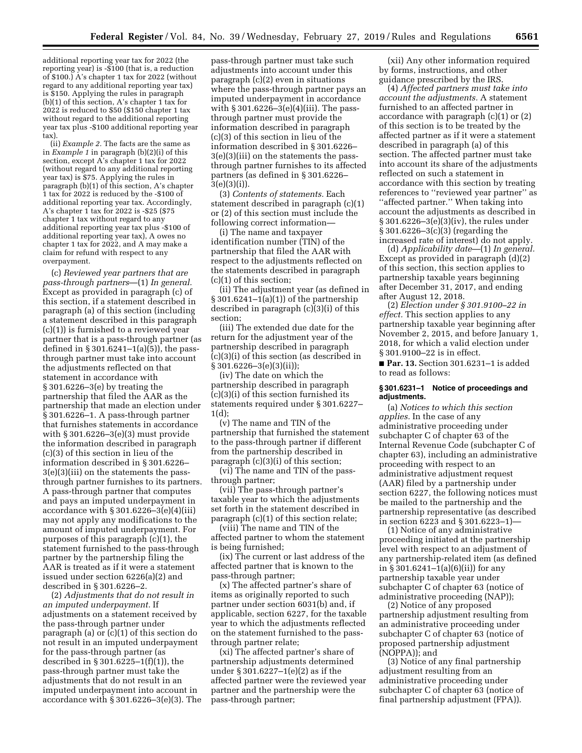additional reporting year tax for 2022 (the reporting year) is -\$100 (that is, a reduction of \$100.) A's chapter 1 tax for 2022 (without regard to any additional reporting year tax) is \$150. Applying the rules in paragraph (b)(1) of this section, A's chapter 1 tax for 2022 is reduced to \$50 (\$150 chapter 1 tax without regard to the additional reporting year tax plus -\$100 additional reporting year tax).

(ii) *Example 2.* The facts are the same as in *Example 1* in paragraph (b)(2)(i) of this section, except  $\overline{A}$ 's chapter 1 tax for 2022 (without regard to any additional reporting year tax) is \$75. Applying the rules in paragraph (b)(1) of this section, A's chapter 1 tax for 2022 is reduced by the -\$100 of additional reporting year tax. Accordingly, A's chapter 1 tax for 2022 is -\$25 (\$75 chapter 1 tax without regard to any additional reporting year tax plus -\$100 of additional reporting year tax), A owes no chapter 1 tax for 2022, and A may make a claim for refund with respect to any overpayment.

(c) *Reviewed year partners that are pass-through partners*—(1) *In general.*  Except as provided in paragraph (c) of this section, if a statement described in paragraph (a) of this section (including a statement described in this paragraph (c)(1)) is furnished to a reviewed year partner that is a pass-through partner (as defined in § 301.6241–1(a)(5)), the passthrough partner must take into account the adjustments reflected on that statement in accordance with § 301.6226–3(e) by treating the partnership that filed the AAR as the partnership that made an election under § 301.6226–1. A pass-through partner that furnishes statements in accordance with § 301.6226–3(e)(3) must provide the information described in paragraph (c)(3) of this section in lieu of the information described in § 301.6226– 3(e)(3)(iii) on the statements the passthrough partner furnishes to its partners. A pass-through partner that computes and pays an imputed underpayment in accordance with  $\S 301.6226 - 3(e)(4)(iii)$ may not apply any modifications to the amount of imputed underpayment. For purposes of this paragraph (c)(1), the statement furnished to the pass-through partner by the partnership filing the AAR is treated as if it were a statement issued under section 6226(a)(2) and described in § 301.6226–2.

(2) *Adjustments that do not result in an imputed underpayment.* If adjustments on a statement received by the pass-through partner under paragraph (a) or (c)(1) of this section do not result in an imputed underpayment for the pass-through partner (as described in § 301.6225–1(f)(1)), the pass-through partner must take the adjustments that do not result in an imputed underpayment into account in accordance with § 301.6226–3(e)(3). The pass-through partner must take such adjustments into account under this paragraph (c)(2) even in situations where the pass-through partner pays an imputed underpayment in accordance with § 301.6226–3(e)(4)(iii). The passthrough partner must provide the information described in paragraph (c)(3) of this section in lieu of the information described in § 301.6226– 3(e)(3)(iii) on the statements the passthrough partner furnishes to its affected partners (as defined in § 301.6226– 3(e)(3)(i)).

(3) *Contents of statements.* Each statement described in paragraph (c)(1) or (2) of this section must include the following correct information—

(i) The name and taxpayer identification number (TIN) of the partnership that filed the AAR with respect to the adjustments reflected on the statements described in paragraph (c)(1) of this section;

(ii) The adjustment year (as defined in § 301.6241–1(a)(1)) of the partnership described in paragraph (c)(3)(i) of this section;

(iii) The extended due date for the return for the adjustment year of the partnership described in paragraph (c)(3)(i) of this section (as described in § 301.6226–3(e)(3)(ii));

(iv) The date on which the partnership described in paragraph (c)(3)(i) of this section furnished its statements required under § 301.6227– 1(d);

(v) The name and TIN of the partnership that furnished the statement to the pass-through partner if different from the partnership described in paragraph (c)(3)(i) of this section;

(vi) The name and TIN of the passthrough partner;

(vii) The pass-through partner's taxable year to which the adjustments set forth in the statement described in paragraph (c)(1) of this section relate;

(viii) The name and TIN of the affected partner to whom the statement is being furnished;

(ix) The current or last address of the affected partner that is known to the pass-through partner;

(x) The affected partner's share of items as originally reported to such partner under section 6031(b) and, if applicable, section 6227, for the taxable year to which the adjustments reflected on the statement furnished to the passthrough partner relate;

(xi) The affected partner's share of partnership adjustments determined under § 301.6227–1(e)(2) as if the affected partner were the reviewed year partner and the partnership were the pass-through partner;

(xii) Any other information required by forms, instructions, and other guidance prescribed by the IRS.

(4) *Affected partners must take into account the adjustments.* A statement furnished to an affected partner in accordance with paragraph (c)(1) or (2) of this section is to be treated by the affected partner as if it were a statement described in paragraph (a) of this section. The affected partner must take into account its share of the adjustments reflected on such a statement in accordance with this section by treating references to ''reviewed year partner'' as ''affected partner.'' When taking into account the adjustments as described in § 301.6226–3(e)(3)(iv), the rules under § 301.6226–3(c)(3) (regarding the increased rate of interest) do not apply.

(d) *Applicability date*—(1) *In general.*  Except as provided in paragraph (d)(2) of this section, this section applies to partnership taxable years beginning after December 31, 2017, and ending after August 12, 2018.

(2) *Election under § 301.9100–22 in effect.* This section applies to any partnership taxable year beginning after November 2, 2015, and before January 1, 2018, for which a valid election under § 301.9100–22 is in effect.

■ **Par. 13.** Section 301.6231–1 is added to read as follows:

### **§ 301.6231–1 Notice of proceedings and adjustments.**

(a) *Notices to which this section applies.* In the case of any administrative proceeding under subchapter C of chapter 63 of the Internal Revenue Code (subchapter C of chapter 63), including an administrative proceeding with respect to an administrative adjustment request (AAR) filed by a partnership under section 6227, the following notices must be mailed to the partnership and the partnership representative (as described in section 6223 and § 301.6223–1)—

(1) Notice of any administrative proceeding initiated at the partnership level with respect to an adjustment of any partnership-related item (as defined in § 301.6241–1(a)(6)(ii)) for any partnership taxable year under subchapter C of chapter 63 (notice of administrative proceeding (NAP));

(2) Notice of any proposed partnership adjustment resulting from an administrative proceeding under subchapter C of chapter 63 (notice of proposed partnership adjustment (NOPPA)); and

(3) Notice of any final partnership adjustment resulting from an administrative proceeding under subchapter C of chapter 63 (notice of final partnership adjustment (FPA)).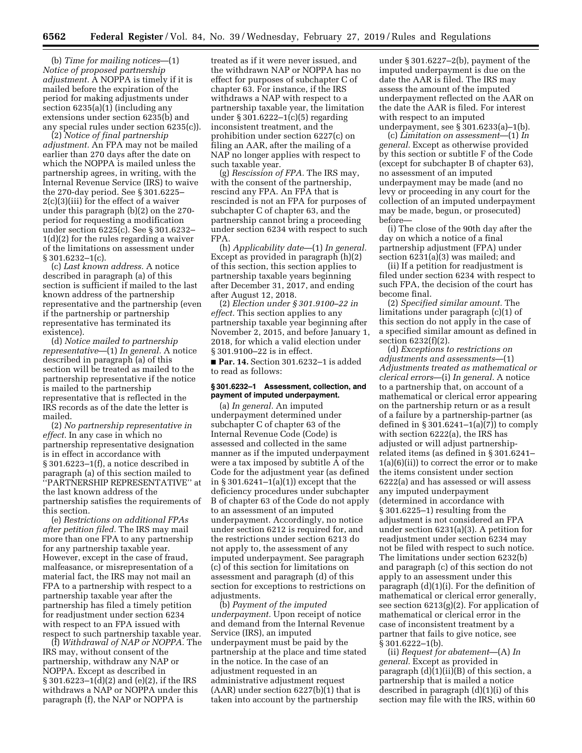(b) *Time for mailing notices*—(1) *Notice of proposed partnership adjustment.* A NOPPA is timely if it is mailed before the expiration of the period for making adjustments under section 6235(a)(1) (including any extensions under section 6235(b) and any special rules under section 6235(c)).

(2) *Notice of final partnership adjustment.* An FPA may not be mailed earlier than 270 days after the date on which the NOPPA is mailed unless the partnership agrees, in writing, with the Internal Revenue Service (IRS) to waive the 270-day period. See § 301.6225– 2(c)(3)(iii) for the effect of a waiver under this paragraph (b)(2) on the 270 period for requesting a modification under section 6225(c). See § 301.6232– 1(d)(2) for the rules regarding a waiver of the limitations on assessment under § 301.6232–1(c).

(c) *Last known address.* A notice described in paragraph (a) of this section is sufficient if mailed to the last known address of the partnership representative and the partnership (even if the partnership or partnership representative has terminated its existence).

(d) *Notice mailed to partnership representative*—(1) *In general.* A notice described in paragraph (a) of this section will be treated as mailed to the partnership representative if the notice is mailed to the partnership representative that is reflected in the IRS records as of the date the letter is mailed.

(2) *No partnership representative in effect.* In any case in which no partnership representative designation is in effect in accordance with § 301.6223–1(f), a notice described in paragraph (a) of this section mailed to ''PARTNERSHIP REPRESENTATIVE'' at the last known address of the partnership satisfies the requirements of this section.

(e) *Restrictions on additional FPAs after petition filed.* The IRS may mail more than one FPA to any partnership for any partnership taxable year. However, except in the case of fraud, malfeasance, or misrepresentation of a material fact, the IRS may not mail an FPA to a partnership with respect to a partnership taxable year after the partnership has filed a timely petition for readjustment under section 6234 with respect to an FPA issued with respect to such partnership taxable year.

(f) *Withdrawal of NAP or NOPPA.* The IRS may, without consent of the partnership, withdraw any NAP or NOPPA. Except as described in § 301.6223–1(d)(2) and (e)(2), if the IRS withdraws a NAP or NOPPA under this paragraph (f), the NAP or NOPPA is

treated as if it were never issued, and the withdrawn NAP or NOPPA has no effect for purposes of subchapter C of chapter 63. For instance, if the IRS withdraws a NAP with respect to a partnership taxable year, the limitation under § 301.6222–1(c)(5) regarding inconsistent treatment, and the prohibition under section 6227(c) on filing an AAR, after the mailing of a NAP no longer applies with respect to such taxable year.

(g) *Rescission of FPA.* The IRS may, with the consent of the partnership, rescind any FPA. An FPA that is rescinded is not an FPA for purposes of subchapter C of chapter 63, and the partnership cannot bring a proceeding under section 6234 with respect to such FPA.

(h) *Applicability date*—(1) *In general.*  Except as provided in paragraph (h)(2) of this section, this section applies to partnership taxable years beginning after December 31, 2017, and ending after August 12, 2018.

(2) *Election under § 301.9100–22 in effect.* This section applies to any partnership taxable year beginning after November 2, 2015, and before January 1, 2018, for which a valid election under § 301.9100–22 is in effect.

■ **Par. 14.** Section 301.6232-1 is added to read as follows:

### **§ 301.6232–1 Assessment, collection, and payment of imputed underpayment.**

(a) *In general.* An imputed underpayment determined under subchapter C of chapter 63 of the Internal Revenue Code (Code) is assessed and collected in the same manner as if the imputed underpayment were a tax imposed by subtitle A of the Code for the adjustment year (as defined in § 301.6241–1(a)(1)) except that the deficiency procedures under subchapter B of chapter 63 of the Code do not apply to an assessment of an imputed underpayment. Accordingly, no notice under section 6212 is required for, and the restrictions under section 6213 do not apply to, the assessment of any imputed underpayment. See paragraph (c) of this section for limitations on assessment and paragraph (d) of this section for exceptions to restrictions on adjustments.

(b) *Payment of the imputed underpayment.* Upon receipt of notice and demand from the Internal Revenue Service (IRS), an imputed underpayment must be paid by the partnership at the place and time stated in the notice. In the case of an adjustment requested in an administrative adjustment request  $(AAR)$  under section  $6227(b)(1)$  that is taken into account by the partnership

under § 301.6227–2(b), payment of the imputed underpayment is due on the date the AAR is filed. The IRS may assess the amount of the imputed underpayment reflected on the AAR on the date the AAR is filed. For interest with respect to an imputed

underpayment, see § 301.6233(a)–1(b). (c) *Limitation on assessment*—(1) *In general.* Except as otherwise provided by this section or subtitle F of the Code (except for subchapter B of chapter 63), no assessment of an imputed underpayment may be made (and no levy or proceeding in any court for the collection of an imputed underpayment may be made, begun, or prosecuted) before—

(i) The close of the 90th day after the day on which a notice of a final partnership adjustment (FPA) under section 6231(a)(3) was mailed; and

(ii) If a petition for readjustment is filed under section 6234 with respect to such FPA, the decision of the court has become final.

(2) *Specified similar amount.* The limitations under paragraph (c)(1) of this section do not apply in the case of a specified similar amount as defined in section 6232(f)(2).

(d) *Exceptions to restrictions on adjustments and assessments*—(1) *Adjustments treated as mathematical or clerical errors*—(i) *In general.* A notice to a partnership that, on account of a mathematical or clerical error appearing on the partnership return or as a result of a failure by a partnership-partner (as defined in § 301.6241–1(a) $(\overline{7})$  to comply with section 6222(a), the IRS has adjusted or will adjust partnershiprelated items (as defined in § 301.6241– 1(a)(6)(ii)) to correct the error or to make the items consistent under section 6222(a) and has assessed or will assess any imputed underpayment (determined in accordance with § 301.6225–1) resulting from the adjustment is not considered an FPA under section 6231(a)(3). A petition for readjustment under section 6234 may not be filed with respect to such notice. The limitations under section 6232(b) and paragraph (c) of this section do not apply to an assessment under this paragraph (d)(1)(i). For the definition of mathematical or clerical error generally, see section 6213(g)(2). For application of mathematical or clerical error in the case of inconsistent treatment by a partner that fails to give notice, see § 301.6222–1(b).

(ii) *Request for abatement*—(A) *In general.* Except as provided in paragraph (d)(1)(ii)(B) of this section, a partnership that is mailed a notice described in paragraph (d)(1)(i) of this section may file with the IRS, within 60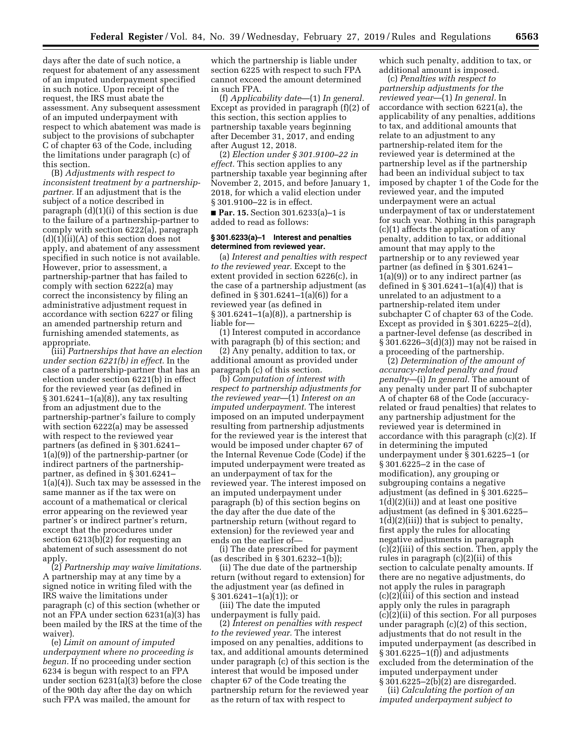days after the date of such notice, a request for abatement of any assessment of an imputed underpayment specified in such notice. Upon receipt of the request, the IRS must abate the assessment. Any subsequent assessment of an imputed underpayment with respect to which abatement was made is subject to the provisions of subchapter C of chapter 63 of the Code, including the limitations under paragraph (c) of this section.

(B) *Adjustments with respect to inconsistent treatment by a partnershippartner.* If an adjustment that is the subject of a notice described in paragraph (d)(1)(i) of this section is due to the failure of a partnership-partner to comply with section 6222(a), paragraph  $(d)(1)(ii)(A)$  of this section does not apply, and abatement of any assessment specified in such notice is not available. However, prior to assessment, a partnership-partner that has failed to comply with section 6222(a) may correct the inconsistency by filing an administrative adjustment request in accordance with section 6227 or filing an amended partnership return and furnishing amended statements, as appropriate.

(iii) *Partnerships that have an election under section 6221(b) in effect.* In the case of a partnership-partner that has an election under section 6221(b) in effect for the reviewed year (as defined in § 301.6241–1(a)(8)), any tax resulting from an adjustment due to the partnership-partner's failure to comply with section 6222(a) may be assessed with respect to the reviewed year partners (as defined in § 301.6241– 1(a)(9)) of the partnership-partner (or indirect partners of the partnershippartner, as defined in § 301.6241– 1(a)(4)). Such tax may be assessed in the same manner as if the tax were on account of a mathematical or clerical error appearing on the reviewed year partner's or indirect partner's return, except that the procedures under section 6213(b)(2) for requesting an abatement of such assessment do not apply.

(2) *Partnership may waive limitations.*  A partnership may at any time by a signed notice in writing filed with the IRS waive the limitations under paragraph (c) of this section (whether or not an FPA under section 6231(a)(3) has been mailed by the IRS at the time of the waiver).

(e) *Limit on amount of imputed underpayment where no proceeding is begun.* If no proceeding under section 6234 is begun with respect to an FPA under section 6231(a)(3) before the close of the 90th day after the day on which such FPA was mailed, the amount for

which the partnership is liable under section 6225 with respect to such FPA cannot exceed the amount determined in such FPA.

(f) *Applicability date*—(1) *In general.*  Except as provided in paragraph (f)(2) of this section, this section applies to partnership taxable years beginning after December 31, 2017, and ending after August 12, 2018.

(2) *Election under § 301.9100–22 in effect.* This section applies to any partnership taxable year beginning after November 2, 2015, and before January 1, 2018, for which a valid election under § 301.9100–22 is in effect.

■ **Par. 15.** Section 301.6233(a)–1 is added to read as follows:

### **§ 301.6233(a)–1 Interest and penalties determined from reviewed year.**

(a) *Interest and penalties with respect to the reviewed year.* Except to the extent provided in section 6226(c), in the case of a partnership adjustment (as defined in § 301.6241–1(a)(6)) for a reviewed year (as defined in § 301.6241–1(a)(8)), a partnership is liable for—

(1) Interest computed in accordance with paragraph  $(b)$  of this section; and

(2) Any penalty, addition to tax, or additional amount as provided under paragraph (c) of this section.

(b) *Computation of interest with respect to partnership adjustments for the reviewed year*—(1) *Interest on an imputed underpayment.* The interest imposed on an imputed underpayment resulting from partnership adjustments for the reviewed year is the interest that would be imposed under chapter 67 of the Internal Revenue Code (Code) if the imputed underpayment were treated as an underpayment of tax for the reviewed year. The interest imposed on an imputed underpayment under paragraph (b) of this section begins on the day after the due date of the partnership return (without regard to extension) for the reviewed year and ends on the earlier of—

(i) The date prescribed for payment (as described in § 301.6232–1(b));

(ii) The due date of the partnership return (without regard to extension) for the adjustment year (as defined in § 301.6241–1(a)(1)); or

(iii) The date the imputed underpayment is fully paid.

(2) *Interest on penalties with respect to the reviewed year.* The interest imposed on any penalties, additions to tax, and additional amounts determined under paragraph (c) of this section is the interest that would be imposed under chapter 67 of the Code treating the partnership return for the reviewed year as the return of tax with respect to

which such penalty, addition to tax, or additional amount is imposed.

(c) *Penalties with respect to partnership adjustments for the reviewed year*—(1) *In general.* In accordance with section 6221(a), the applicability of any penalties, additions to tax, and additional amounts that relate to an adjustment to any partnership-related item for the reviewed year is determined at the partnership level as if the partnership had been an individual subject to tax imposed by chapter 1 of the Code for the reviewed year, and the imputed underpayment were an actual underpayment of tax or understatement for such year. Nothing in this paragraph (c)(1) affects the application of any penalty, addition to tax, or additional amount that may apply to the partnership or to any reviewed year partner (as defined in § 301.6241–  $1(a)(9)$ ) or to any indirect partner (as defined in  $\S 301.6241 - 1(a)(4)$  that is unrelated to an adjustment to a partnership-related item under subchapter C of chapter 63 of the Code. Except as provided in § 301.6225–2(d), a partner-level defense (as described in § 301.6226–3(d)(3)) may not be raised in a proceeding of the partnership.

(2) *Determination of the amount of accuracy-related penalty and fraud penalty*—(i) *In general.* The amount of any penalty under part II of subchapter A of chapter 68 of the Code (accuracyrelated or fraud penalties) that relates to any partnership adjustment for the reviewed year is determined in accordance with this paragraph (c)(2). If in determining the imputed underpayment under § 301.6225–1 (or § 301.6225–2 in the case of modification), any grouping or subgrouping contains a negative adjustment (as defined in § 301.6225– 1(d)(2)(ii)) and at least one positive adjustment (as defined in § 301.6225– 1(d)(2)(iii)) that is subject to penalty, first apply the rules for allocating negative adjustments in paragraph (c)(2)(iii) of this section. Then, apply the rules in paragraph (c)(2)(ii) of this section to calculate penalty amounts. If there are no negative adjustments, do not apply the rules in paragraph (c)(2)(iii) of this section and instead apply only the rules in paragraph (c)(2)(ii) of this section. For all purposes under paragraph (c)(2) of this section, adjustments that do not result in the imputed underpayment (as described in § 301.6225–1(f)) and adjustments excluded from the determination of the imputed underpayment under § 301.6225–2(b)(2) are disregarded.

(ii) *Calculating the portion of an imputed underpayment subject to*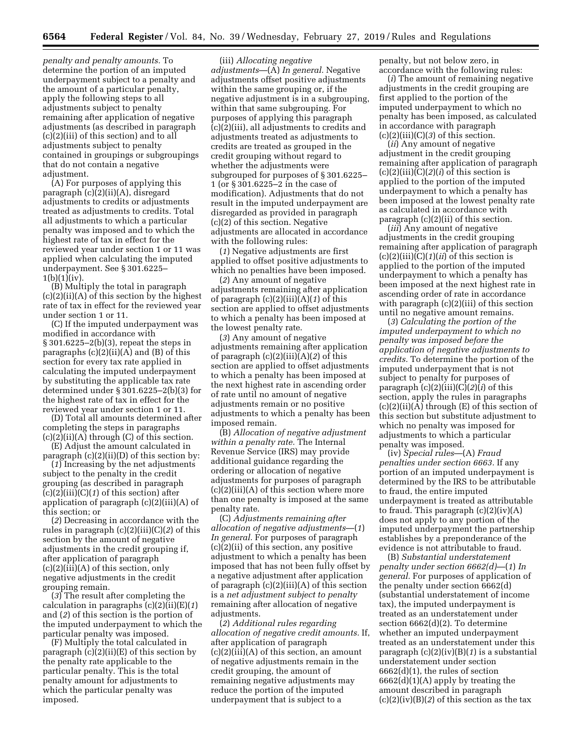*penalty and penalty amounts.* To determine the portion of an imputed underpayment subject to a penalty and the amount of a particular penalty, apply the following steps to all adjustments subject to penalty remaining after application of negative adjustments (as described in paragraph (c)(2)(iii) of this section) and to all adjustments subject to penalty contained in groupings or subgroupings that do not contain a negative adjustment.

(A) For purposes of applying this paragraph (c)(2)(ii)(A), disregard adjustments to credits or adjustments treated as adjustments to credits. Total all adjustments to which a particular penalty was imposed and to which the highest rate of tax in effect for the reviewed year under section 1 or 11 was applied when calculating the imputed underpayment. See § 301.6225–  $1(b)(1)(iv).$ 

(B) Multiply the total in paragraph  $(c)(2)(ii)(A)$  of this section by the highest rate of tax in effect for the reviewed year under section 1 or 11.

(C) If the imputed underpayment was modified in accordance with § 301.6225–2(b)(3), repeat the steps in paragraphs  $(c)(2)(ii)(A)$  and  $(B)$  of this section for every tax rate applied in calculating the imputed underpayment by substituting the applicable tax rate determined under § 301.6225–2(b)(3) for the highest rate of tax in effect for the reviewed year under section 1 or 11.

(D) Total all amounts determined after completing the steps in paragraphs  $(c)(2)(ii)(A)$  through  $(C)$  of this section.

(E) Adjust the amount calculated in paragraph  $(c)(2)(ii)(D)$  of this section by:

(*1*) Increasing by the net adjustments subject to the penalty in the credit grouping (as described in paragraph (c)(2)(iii)(C)(*1*) of this section) after application of paragraph (c)(2)(iii)(A) of this section; or

(*2*) Decreasing in accordance with the rules in paragraph (c)(2)(iii)(C)(*2*) of this section by the amount of negative adjustments in the credit grouping if, after application of paragraph (c)(2)(iii)(A) of this section, only negative adjustments in the credit grouping remain.

(*3*) The result after completing the calculation in paragraphs (c)(2)(ii)(E)(*1*) and (*2*) of this section is the portion of the imputed underpayment to which the particular penalty was imposed.

(F) Multiply the total calculated in paragraph  $(c)(2)(ii)(E)$  of this section by the penalty rate applicable to the particular penalty. This is the total penalty amount for adjustments to which the particular penalty was imposed.

(iii) *Allocating negative adjustments*—(A) *In general.* Negative adjustments offset positive adjustments within the same grouping or, if the negative adjustment is in a subgrouping, within that same subgrouping. For purposes of applying this paragraph (c)(2)(iii), all adjustments to credits and adjustments treated as adjustments to credits are treated as grouped in the credit grouping without regard to whether the adjustments were subgrouped for purposes of § 301.6225– 1 (or § 301.6225–2 in the case of modification). Adjustments that do not result in the imputed underpayment are disregarded as provided in paragraph (c)(2) of this section. Negative adjustments are allocated in accordance with the following rules:

(*1*) Negative adjustments are first applied to offset positive adjustments to which no penalties have been imposed.

(*2*) Any amount of negative adjustments remaining after application of paragraph (c)(2)(iii)(A)(*1*) of this section are applied to offset adjustments to which a penalty has been imposed at the lowest penalty rate.

(*3*) Any amount of negative adjustments remaining after application of paragraph (c)(2)(iii)(A)(*2*) of this section are applied to offset adjustments to which a penalty has been imposed at the next highest rate in ascending order of rate until no amount of negative adjustments remain or no positive adjustments to which a penalty has been imposed remain.

(B) *Allocation of negative adjustment within a penalty rate.* The Internal Revenue Service (IRS) may provide additional guidance regarding the ordering or allocation of negative adjustments for purposes of paragraph  $(c)(2)(iii)(A)$  of this section where more than one penalty is imposed at the same penalty rate.

(C) *Adjustments remaining after allocation of negative adjustments*—(*1*) *In general.* For purposes of paragraph (c)(2)(ii) of this section, any positive adjustment to which a penalty has been imposed that has not been fully offset by a negative adjustment after application of paragraph (c)(2)(iii)(A) of this section is a *net adjustment subject to penalty*  remaining after allocation of negative adjustments.

(*2*) *Additional rules regarding allocation of negative credit amounts.* If, after application of paragraph  $(c)(2)(iii)(A)$  of this section, an amount of negative adjustments remain in the credit grouping, the amount of remaining negative adjustments may reduce the portion of the imputed underpayment that is subject to a

penalty, but not below zero, in accordance with the following rules:

(*i*) The amount of remaining negative adjustments in the credit grouping are first applied to the portion of the imputed underpayment to which no penalty has been imposed, as calculated in accordance with paragraph  $(c)(2)(iii)(C)(3)$  of this section.

(*ii*) Any amount of negative adjustment in the credit grouping remaining after application of paragraph  $(c)(2)(iii)(C)(2)(i)$  of this section is applied to the portion of the imputed underpayment to which a penalty has been imposed at the lowest penalty rate as calculated in accordance with paragraph (c)(2)(ii) of this section.

(*iii*) Any amount of negative adjustments in the credit grouping remaining after application of paragraph  $(c)(2)(iii)(C)(1)(ii)$  of this section is applied to the portion of the imputed underpayment to which a penalty has been imposed at the next highest rate in ascending order of rate in accordance with paragraph (c)(2)(iii) of this section until no negative amount remains.

(*3*) *Calculating the portion of the imputed underpayment to which no penalty was imposed before the application of negative adjustments to credits.* To determine the portion of the imputed underpayment that is not subject to penalty for purposes of paragraph (c)(2)(iii)(C)(*2*)(*i*) of this section, apply the rules in paragraphs (c)(2)(ii)(A) through (E) of this section of this section but substitute adjustment to which no penalty was imposed for adjustments to which a particular penalty was imposed.

(iv) *Special rules*—(A) *Fraud penalties under section 6663.* If any portion of an imputed underpayment is determined by the IRS to be attributable to fraud, the entire imputed underpayment is treated as attributable to fraud. This paragraph  $(c)(2)(iv)(A)$ does not apply to any portion of the imputed underpayment the partnership establishes by a preponderance of the evidence is not attributable to fraud.

(B) *Substantial understatement penalty under section 6662(d)*—(*1*) *In general.* For purposes of application of the penalty under section 6662(d) (substantial understatement of income tax), the imputed underpayment is treated as an understatement under section 6662(d)(2). To determine whether an imputed underpayment treated as an understatement under this paragraph (c)(2)(iv)(B)(*1*) is a substantial understatement under section 6662(d)(1), the rules of section 6662(d)(1)(A) apply by treating the amount described in paragraph (c)(2)(iv)(B)(*2*) of this section as the tax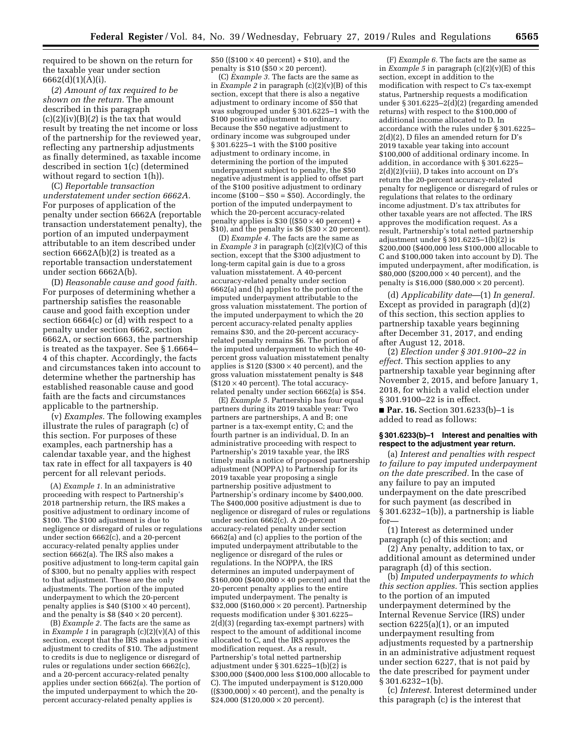required to be shown on the return for the taxable year under section 6662(d)(1)(A)(i).

(*2*) *Amount of tax required to be shown on the return.* The amount described in this paragraph (c)(2)(iv)(B)(*2*) is the tax that would result by treating the net income or loss of the partnership for the reviewed year, reflecting any partnership adjustments as finally determined, as taxable income described in section 1(c) (determined without regard to section 1(h)).

(C) *Reportable transaction understatement under section 6662A.*  For purposes of application of the penalty under section 6662A (reportable transaction understatement penalty), the portion of an imputed underpayment attributable to an item described under section 6662A(b)(2) is treated as a reportable transaction understatement under section 6662A(b).

(D) *Reasonable cause and good faith.*  For purposes of determining whether a partnership satisfies the reasonable cause and good faith exception under section 6664(c) or (d) with respect to a penalty under section 6662, section 6662A, or section 6663, the partnership is treated as the taxpayer. See § 1.6664– 4 of this chapter. Accordingly, the facts and circumstances taken into account to determine whether the partnership has established reasonable cause and good faith are the facts and circumstances applicable to the partnership.

(v) *Examples.* The following examples illustrate the rules of paragraph (c) of this section. For purposes of these examples, each partnership has a calendar taxable year, and the highest tax rate in effect for all taxpayers is 40 percent for all relevant periods.

(A) *Example 1.* In an administrative proceeding with respect to Partnership's 2018 partnership return, the IRS makes a positive adjustment to ordinary income of \$100. The \$100 adjustment is due to negligence or disregard of rules or regulations under section 6662(c), and a 20-percent accuracy-related penalty applies under section 6662(a). The IRS also makes a positive adjustment to long-term capital gain of \$300, but no penalty applies with respect to that adjustment. These are the only adjustments. The portion of the imputed underpayment to which the 20-percent penalty applies is  $$40$  (\$100  $\times$  40 percent), and the penalty is  $$8 (\$40 \times 20)$  percent).

(B) *Example 2.* The facts are the same as in *Example 1* in paragraph (c)(2)(v)(A) of this section, except that the IRS makes a positive adjustment to credits of \$10. The adjustment to credits is due to negligence or disregard of rules or regulations under section 6662(c), and a 20-percent accuracy-related penalty applies under section 6662(a). The portion of the imputed underpayment to which the 20 percent accuracy-related penalty applies is

\$50 ((\$100  $\times$  40 percent) + \$10), and the penalty is  $$10$  ( $$50 \times 20$  percent).

(C) *Example 3.* The facts are the same as in *Example 2* in paragraph (c)(2)(v)(B) of this section, except that there is also a negative adjustment to ordinary income of \$50 that was subgrouped under § 301.6225–1 with the \$100 positive adjustment to ordinary. Because the \$50 negative adjustment to ordinary income was subgrouped under § 301.6225–1 with the \$100 positive adjustment to ordinary income, in determining the portion of the imputed underpayment subject to penalty, the \$50 negative adjustment is applied to offset part of the \$100 positive adjustment to ordinary income  $(\$100 - \$50 = \$50)$ . Accordingly, the portion of the imputed underpayment to which the 20-percent accuracy-related penalty applies is  $$30$  ((\$50  $\times$  40 percent) +  $$10$ , and the penalty is \$6 (\$30  $\times$  20 percent).

(D) *Example 4.* The facts are the same as in *Example 3* in paragraph (c)(2)(v)(C) of this section, except that the \$300 adjustment to long-term capital gain is due to a gross valuation misstatement. A 40-percent accuracy-related penalty under section 6662(a) and (h) applies to the portion of the imputed underpayment attributable to the gross valuation misstatement. The portion of the imputed underpayment to which the 20 percent accuracy-related penalty applies remains \$30, and the 20-percent accuracyrelated penalty remains \$6. The portion of the imputed underpayment to which the 40 percent gross valuation misstatement penalty applies is  $$120$  (\$300  $\times$  40 percent), and the gross valuation misstatement penalty is \$48  $($120 \times 40$  percent). The total accuracyrelated penalty under section 6662(a) is \$54.

(E) *Example 5.* Partnership has four equal partners during its 2019 taxable year: Two partners are partnerships, A and B; one partner is a tax-exempt entity, C; and the fourth partner is an individual, D. In an administrative proceeding with respect to Partnership's 2019 taxable year, the IRS timely mails a notice of proposed partnership adjustment (NOPPA) to Partnership for its 2019 taxable year proposing a single partnership positive adjustment to Partnership's ordinary income by \$400,000. The \$400,000 positive adjustment is due to negligence or disregard of rules or regulations under section 6662(c). A 20-percent accuracy-related penalty under section 6662(a) and (c) applies to the portion of the imputed underpayment attributable to the negligence or disregard of the rules or regulations. In the NOPPA, the IRS determines an imputed underpayment of \$160,000 (\$400,000  $\times$  40 percent) and that the 20-percent penalty applies to the entire imputed underpayment. The penalty is  $$32,000$  (\$160,000  $\times$  20 percent). Partnership requests modification under § 301.6225– 2(d)(3) (regarding tax-exempt partners) with respect to the amount of additional income allocated to C, and the IRS approves the modification request. As a result, Partnership's total netted partnership adjustment under § 301.6225–1(b)(2) is \$300,000 (\$400,000 less \$100,000 allocable to C). The imputed underpayment is \$120,000  $((\$300,000) \times 40$  percent), and the penalty is  $$24,000$  (\$120,000  $\times$  20 percent).

(F) *Example 6.* The facts are the same as in *Example 5* in paragraph (c)(2)(v)(E) of this section, except in addition to the modification with respect to C's tax-exempt status, Partnership requests a modification under § 301.6225 $-2(d)(2)$  (regarding amended returns) with respect to the \$100,000 of additional income allocated to D. In accordance with the rules under § 301.6225– 2(d)(2), D files an amended return for D's 2019 taxable year taking into account \$100,000 of additional ordinary income. In addition, in accordance with § 301.6225–  $2(d)(2)(viii)$ , D takes into account on D's return the 20-percent accuracy-related penalty for negligence or disregard of rules or regulations that relates to the ordinary income adjustment. D's tax attributes for other taxable years are not affected. The IRS approves the modification request. As a result, Partnership's total netted partnership adjustment under § 301.6225–1(b)(2) is \$200,000 (\$400,000 less \$100,000 allocable to C and \$100,000 taken into account by D). The imputed underpayment, after modification, is \$80,000 (\$200,000  $\times$  40 percent), and the penalty is  $$16,000$  ( $$80,000 \times 20$  percent).

(d) *Applicability date*—(1) *In general.*  Except as provided in paragraph (d)(2) of this section, this section applies to partnership taxable years beginning after December 31, 2017, and ending after August 12, 2018.

(2) *Election under § 301.9100–22 in effect.* This section applies to any partnership taxable year beginning after November 2, 2015, and before January 1, 2018, for which a valid election under § 301.9100–22 is in effect.

■ **Par. 16.** Section 301.6233(b)–1 is added to read as follows:

### **§ 301.6233(b)–1 Interest and penalties with respect to the adjustment year return.**

(a) *Interest and penalties with respect to failure to pay imputed underpayment on the date prescribed.* In the case of any failure to pay an imputed underpayment on the date prescribed for such payment (as described in § 301.6232–1(b)), a partnership is liable for—

(1) Interest as determined under paragraph (c) of this section; and

(2) Any penalty, addition to tax, or additional amount as determined under paragraph (d) of this section.

(b) *Imputed underpayments to which this section applies.* This section applies to the portion of an imputed underpayment determined by the Internal Revenue Service (IRS) under section 6225(a)(1), or an imputed underpayment resulting from adjustments requested by a partnership in an administrative adjustment request under section 6227, that is not paid by the date prescribed for payment under § 301.6232–1(b).

(c) *Interest.* Interest determined under this paragraph (c) is the interest that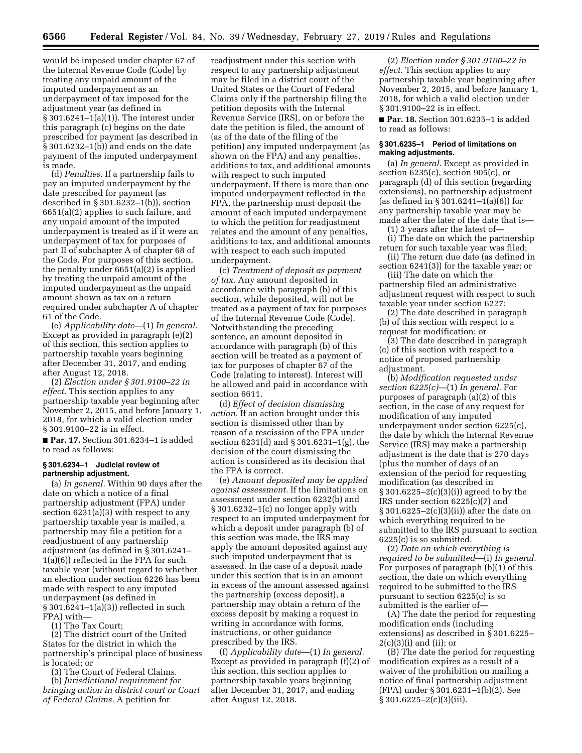would be imposed under chapter 67 of the Internal Revenue Code (Code) by treating any unpaid amount of the imputed underpayment as an underpayment of tax imposed for the adjustment year (as defined in § 301.6241–1(a)(1)). The interest under this paragraph (c) begins on the date prescribed for payment (as described in § 301.6232–1(b)) and ends on the date payment of the imputed underpayment is made.

(d) *Penalties.* If a partnership fails to pay an imputed underpayment by the date prescribed for payment (as described in § 301.6232–1(b)), section 6651(a)(2) applies to such failure, and any unpaid amount of the imputed underpayment is treated as if it were an underpayment of tax for purposes of part II of subchapter A of chapter 68 of the Code. For purposes of this section, the penalty under 6651(a)(2) is applied by treating the unpaid amount of the imputed underpayment as the unpaid amount shown as tax on a return required under subchapter A of chapter 61 of the Code.

(e) *Applicability date*—(1) *In general.*  Except as provided in paragraph (e)(2) of this section, this section applies to partnership taxable years beginning after December 31, 2017, and ending after August 12, 2018.

(2) *Election under § 301.9100–22 in effect.* This section applies to any partnership taxable year beginning after November 2, 2015, and before January 1, 2018, for which a valid election under § 301.9100–22 is in effect.

■ Par. 17. Section 301.6234-1 is added to read as follows:

### **§ 301.6234–1 Judicial review of partnership adjustment.**

(a) *In general.* Within 90 days after the date on which a notice of a final partnership adjustment (FPA) under section 6231(a)(3) with respect to any partnership taxable year is mailed, a partnership may file a petition for a readjustment of any partnership adjustment (as defined in § 301.6241– 1(a)(6)) reflected in the FPA for such taxable year (without regard to whether an election under section 6226 has been made with respect to any imputed underpayment (as defined in § 301.6241–1(a)(3)) reflected in such FPA) with—

(1) The Tax Court;

(2) The district court of the United States for the district in which the partnership's principal place of business is located; or

(3) The Court of Federal Claims.

(b) *Jurisdictional requirement for bringing action in district court or Court of Federal Claims.* A petition for

readjustment under this section with respect to any partnership adjustment may be filed in a district court of the United States or the Court of Federal Claims only if the partnership filing the petition deposits with the Internal Revenue Service (IRS), on or before the date the petition is filed, the amount of (as of the date of the filing of the petition) any imputed underpayment (as shown on the FPA) and any penalties, additions to tax, and additional amounts with respect to such imputed underpayment. If there is more than one imputed underpayment reflected in the FPA, the partnership must deposit the amount of each imputed underpayment to which the petition for readjustment relates and the amount of any penalties, additions to tax, and additional amounts with respect to each such imputed underpayment.

(c) *Treatment of deposit as payment of tax.* Any amount deposited in accordance with paragraph (b) of this section, while deposited, will not be treated as a payment of tax for purposes of the Internal Revenue Code (Code). Notwithstanding the preceding sentence, an amount deposited in accordance with paragraph (b) of this section will be treated as a payment of tax for purposes of chapter 67 of the Code (relating to interest). Interest will be allowed and paid in accordance with section 6611.

(d) *Effect of decision dismissing action.* If an action brought under this section is dismissed other than by reason of a rescission of the FPA under section 6231(d) and § 301.6231–1(g), the decision of the court dismissing the action is considered as its decision that the FPA is correct.

(e) *Amount deposited may be applied against assessment.* If the limitations on assessment under section 6232(b) and § 301.6232–1(c) no longer apply with respect to an imputed underpayment for which a deposit under paragraph (b) of this section was made, the IRS may apply the amount deposited against any such imputed underpayment that is assessed. In the case of a deposit made under this section that is in an amount in excess of the amount assessed against the partnership (excess deposit), a partnership may obtain a return of the excess deposit by making a request in writing in accordance with forms, instructions, or other guidance prescribed by the IRS.

(f) *Applicability date*—(1) *In general.*  Except as provided in paragraph (f)(2) of this section, this section applies to partnership taxable years beginning after December 31, 2017, and ending after August 12, 2018.

(2) *Election under § 301.9100–22 in effect.* This section applies to any partnership taxable year beginning after November 2, 2015, and before January 1, 2018, for which a valid election under § 301.9100–22 is in effect.

■ **Par. 18.** Section 301.6235–1 is added to read as follows:

### **§ 301.6235–1 Period of limitations on making adjustments.**

(a) *In general.* Except as provided in section 6235(c), section 905(c), or paragraph (d) of this section (regarding extensions), no partnership adjustment (as defined in § 301.6241–1(a)(6)) for any partnership taxable year may be made after the later of the date that is—

(1) 3 years after the latest of— (i) The date on which the partnership return for such taxable year was filed;

(ii) The return due date (as defined in section 6241(3)) for the taxable year; or

(iii) The date on which the partnership filed an administrative adjustment request with respect to such taxable year under section 6227;

(2) The date described in paragraph (b) of this section with respect to a request for modification; or

(3) The date described in paragraph (c) of this section with respect to a notice of proposed partnership adjustment.

(b) *Modification requested under section 6225(c)*—(1) *In general.* For purposes of paragraph (a)(2) of this section, in the case of any request for modification of any imputed underpayment under section 6225(c), the date by which the Internal Revenue Service (IRS) may make a partnership adjustment is the date that is 270 days (plus the number of days of an extension of the period for requesting modification (as described in § 301.6225–2(c)(3)(i)) agreed to by the IRS under section 6225(c)(7) and § 301.6225–2(c)(3)(ii)) after the date on which everything required to be submitted to the IRS pursuant to section 6225(c) is so submitted.

(2) *Date on which everything is required to be submitted*—(i) *In general.*  For purposes of paragraph (b)(1) of this section, the date on which everything required to be submitted to the IRS pursuant to section 6225(c) is so submitted is the earlier of—

(A) The date the period for requesting modification ends (including extensions) as described in § 301.6225–  $2(c)(3)(i)$  and  $(ii)$ ; or

(B) The date the period for requesting modification expires as a result of a waiver of the prohibition on mailing a notice of final partnership adjustment (FPA) under § 301.6231–1(b)(2). See § 301.6225–2(c)(3)(iii).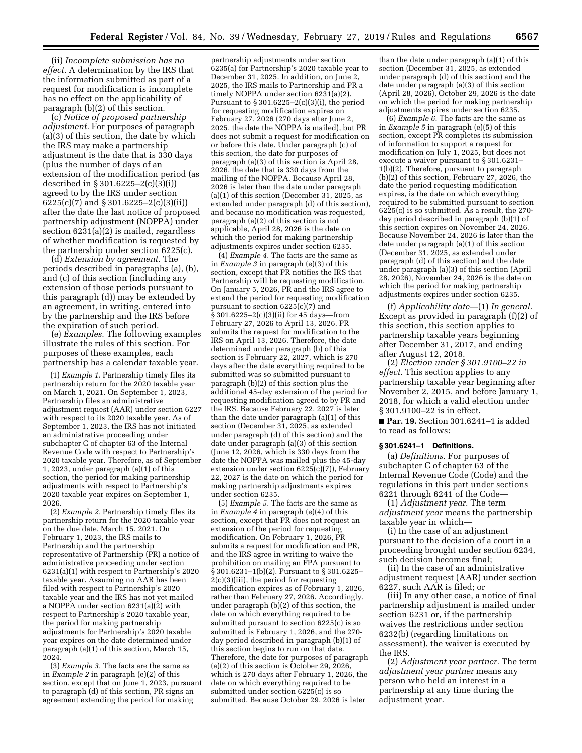(ii) *Incomplete submission has no effect.* A determination by the IRS that the information submitted as part of a request for modification is incomplete has no effect on the applicability of paragraph (b)(2) of this section.

(c) *Notice of proposed partnership adjustment.* For purposes of paragraph (a)(3) of this section, the date by which the IRS may make a partnership adjustment is the date that is 330 days (plus the number of days of an extension of the modification period (as described in § 301.6225–2(c)(3)(i)) agreed to by the IRS under section 6225(c)(7) and § 301.6225–2(c)(3)(ii)) after the date the last notice of proposed partnership adjustment (NOPPA) under section 6231(a)(2) is mailed, regardless of whether modification is requested by the partnership under section 6225(c).

(d) *Extension by agreement.* The periods described in paragraphs (a), (b), and (c) of this section (including any extension of those periods pursuant to this paragraph (d)) may be extended by an agreement, in writing, entered into by the partnership and the IRS before the expiration of such period.

(e) *Examples.* The following examples illustrate the rules of this section. For purposes of these examples, each partnership has a calendar taxable year.

(1) *Example 1.* Partnership timely files its partnership return for the 2020 taxable year on March 1, 2021. On September 1, 2023, Partnership files an administrative adjustment request (AAR) under section 6227 with respect to its 2020 taxable year. As of September 1, 2023, the IRS has not initiated an administrative proceeding under subchapter C of chapter 63 of the Internal Revenue Code with respect to Partnership's 2020 taxable year. Therefore, as of September 1, 2023, under paragraph (a)(1) of this section, the period for making partnership adjustments with respect to Partnership's 2020 taxable year expires on September 1, 2026.

(2) *Example 2.* Partnership timely files its partnership return for the 2020 taxable year on the due date, March 15, 2021. On February 1, 2023, the IRS mails to Partnership and the partnership representative of Partnership (PR) a notice of administrative proceeding under section 6231(a)(1) with respect to Partnership's 2020 taxable year. Assuming no AAR has been filed with respect to Partnership's 2020 taxable year and the IRS has not yet mailed a NOPPA under section 6231(a)(2) with respect to Partnership's 2020 taxable year, the period for making partnership adjustments for Partnership's 2020 taxable year expires on the date determined under paragraph (a)(1) of this section, March 15, 2024.

(3) *Example 3.* The facts are the same as in *Example 2* in paragraph (e)(2) of this section, except that on June 1, 2023, pursuant to paragraph (d) of this section, PR signs an agreement extending the period for making

partnership adjustments under section 6235(a) for Partnership's 2020 taxable year to December 31, 2025. In addition, on June 2, 2025, the IRS mails to Partnership and PR a timely NOPPA under section 6231(a)(2). Pursuant to  $\S 301.6225 - 2(c)(3)(i)$ , the period for requesting modification expires on February 27, 2026 (270 days after June 2, 2025, the date the NOPPA is mailed), but PR does not submit a request for modification on or before this date. Under paragraph (c) of this section, the date for purposes of paragraph (a)(3) of this section is April 28, 2026, the date that is 330 days from the mailing of the NOPPA. Because April 28, 2026 is later than the date under paragraph (a)(1) of this section (December 31, 2025, as extended under paragraph (d) of this section), and because no modification was requested, paragraph (a)(2) of this section is not applicable, April 28, 2026 is the date on which the period for making partnership adjustments expires under section 6235.

(4) *Example 4.* The facts are the same as in *Example 3* in paragraph (e)(3) of this section, except that PR notifies the IRS that Partnership will be requesting modification. On January 5, 2026, PR and the IRS agree to extend the period for requesting modification pursuant to section  $6225(c)(7)$  and § 301.6225–2(c)(3)(ii) for 45 days—from February 27, 2026 to April 13, 2026. PR submits the request for modification to the IRS on April 13, 2026. Therefore, the date determined under paragraph (b) of this section is February 22, 2027, which is 270 days after the date everything required to be submitted was so submitted pursuant to paragraph (b)(2) of this section plus the additional 45-day extension of the period for requesting modification agreed to by PR and the IRS. Because February 22, 2027 is later than the date under paragraph (a)(1) of this section (December 31, 2025, as extended under paragraph (d) of this section) and the date under paragraph (a)(3) of this section (June 12, 2026, which is 330 days from the date the NOPPA was mailed plus the 45-day extension under section 6225(c)(7)), February 22, 2027 is the date on which the period for making partnership adjustments expires under section 6235.

(5) *Example 5.* The facts are the same as in *Example 4* in paragraph (e)(4) of this section, except that PR does not request an extension of the period for requesting modification. On February 1, 2026, PR submits a request for modification and PR, and the IRS agree in writing to waive the prohibition on mailing an FPA pursuant to § 301.6231–1(b)(2). Pursuant to § 301.6225– 2(c)(3)(iii), the period for requesting modification expires as of February 1, 2026, rather than February 27, 2026. Accordingly, under paragraph (b)(2) of this section, the date on which everything required to be submitted pursuant to section 6225(c) is so submitted is February 1, 2026, and the 270 day period described in paragraph (b)(1) of this section begins to run on that date. Therefore, the date for purposes of paragraph (a)(2) of this section is October 29, 2026, which is 270 days after February 1, 2026, the date on which everything required to be submitted under section 6225(c) is so submitted. Because October 29, 2026 is later

than the date under paragraph (a)(1) of this section (December 31, 2025, as extended under paragraph (d) of this section) and the date under paragraph (a)(3) of this section (April 28, 2026), October 29, 2026 is the date on which the period for making partnership adjustments expires under section 6235.

(6) *Example 6.* The facts are the same as in *Example 5* in paragraph (e)(5) of this section, except PR completes its submission of information to support a request for modification on July 1, 2025, but does not execute a waiver pursuant to § 301.6231– 1(b)(2). Therefore, pursuant to paragraph (b)(2) of this section, February 27, 2026, the date the period requesting modification expires, is the date on which everything required to be submitted pursuant to section  $62\overline{2}5(c)$  is so submitted. As a result, the 270day period described in paragraph (b)(1) of this section expires on November 24, 2026. Because November 24, 2026 is later than the date under paragraph (a)(1) of this section (December 31, 2025, as extended under paragraph (d) of this section) and the date under paragraph (a)(3) of this section (April 28, 2026), November 24, 2026 is the date on which the period for making partnership adjustments expires under section 6235.

(f) *Applicability date*—(1) *In general.*  Except as provided in paragraph (f)(2) of this section, this section applies to partnership taxable years beginning after December 31, 2017, and ending after August 12, 2018.

(2) *Election under § 301.9100–22 in effect.* This section applies to any partnership taxable year beginning after November 2, 2015, and before January 1, 2018, for which a valid election under § 301.9100–22 is in effect.

■ **Par. 19.** Section 301.6241–1 is added to read as follows:

#### **§ 301.6241–1 Definitions.**

(a) *Definitions.* For purposes of subchapter C of chapter 63 of the Internal Revenue Code (Code) and the regulations in this part under sections 6221 through 6241 of the Code—

(1) *Adjustment year.* The term *adjustment year* means the partnership taxable year in which—

(i) In the case of an adjustment pursuant to the decision of a court in a proceeding brought under section 6234, such decision becomes final;

(ii) In the case of an administrative adjustment request (AAR) under section 6227, such AAR is filed; or

(iii) In any other case, a notice of final partnership adjustment is mailed under section 6231 or, if the partnership waives the restrictions under section 6232(b) (regarding limitations on assessment), the waiver is executed by the IRS.

(2) *Adjustment year partner.* The term *adjustment year partner* means any person who held an interest in a partnership at any time during the adjustment year.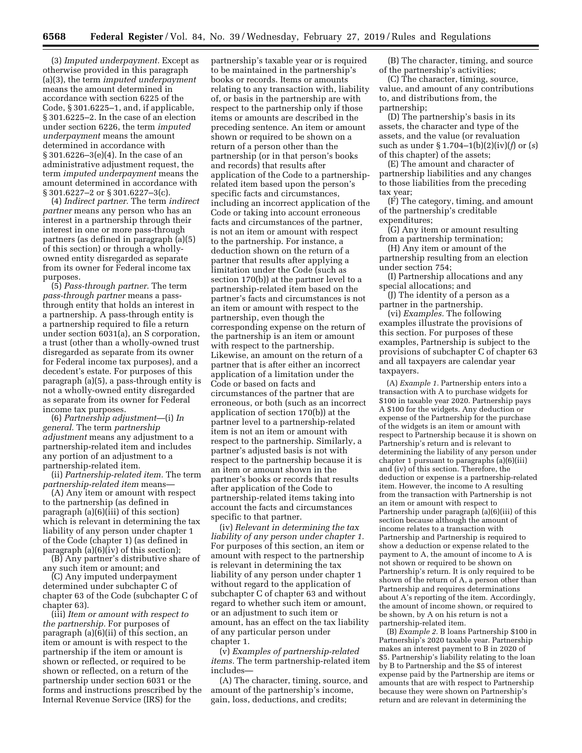(3) *Imputed underpayment.* Except as otherwise provided in this paragraph (a)(3), the term *imputed underpayment*  means the amount determined in accordance with section 6225 of the Code, § 301.6225–1, and, if applicable, § 301.6225–2. In the case of an election under section 6226, the term *imputed underpayment* means the amount determined in accordance with § 301.6226–3(e)(4). In the case of an administrative adjustment request, the term *imputed underpayment* means the amount determined in accordance with § 301.6227–2 or § 301.6227–3(c).

(4) *Indirect partner.* The term *indirect partner* means any person who has an interest in a partnership through their interest in one or more pass-through partners (as defined in paragraph (a)(5) of this section) or through a whollyowned entity disregarded as separate from its owner for Federal income tax purposes.

(5) *Pass-through partner.* The term *pass-through partner* means a passthrough entity that holds an interest in a partnership. A pass-through entity is a partnership required to file a return under section 6031(a), an S corporation, a trust (other than a wholly-owned trust disregarded as separate from its owner for Federal income tax purposes), and a decedent's estate. For purposes of this paragraph (a)(5), a pass-through entity is not a wholly-owned entity disregarded as separate from its owner for Federal income tax purposes.

(6) *Partnership adjustment*—(i) *In general.* The term *partnership adjustment* means any adjustment to a partnership-related item and includes any portion of an adjustment to a partnership-related item.

(ii) *Partnership-related item.* The term *partnership-related item* means—

(A) Any item or amount with respect to the partnership (as defined in paragraph (a)(6)(iii) of this section) which is relevant in determining the tax liability of any person under chapter 1 of the Code (chapter 1) (as defined in paragraph  $(a)(6)(iv)$  of this section);

(B) Any partner's distributive share of any such item or amount; and

(C) Any imputed underpayment determined under subchapter C of chapter 63 of the Code (subchapter C of chapter 63).

(iii) *Item or amount with respect to the partnership.* For purposes of paragraph (a)(6)(ii) of this section, an item or amount is with respect to the partnership if the item or amount is shown or reflected, or required to be shown or reflected, on a return of the partnership under section 6031 or the forms and instructions prescribed by the Internal Revenue Service (IRS) for the

partnership's taxable year or is required to be maintained in the partnership's books or records. Items or amounts relating to any transaction with, liability of, or basis in the partnership are with respect to the partnership only if those items or amounts are described in the preceding sentence. An item or amount shown or required to be shown on a return of a person other than the partnership (or in that person's books and records) that results after application of the Code to a partnershiprelated item based upon the person's specific facts and circumstances, including an incorrect application of the Code or taking into account erroneous facts and circumstances of the partner, is not an item or amount with respect to the partnership. For instance, a deduction shown on the return of a partner that results after applying a limitation under the Code (such as section 170(b)) at the partner level to a partnership-related item based on the partner's facts and circumstances is not an item or amount with respect to the partnership, even though the corresponding expense on the return of the partnership is an item or amount with respect to the partnership. Likewise, an amount on the return of a partner that is after either an incorrect application of a limitation under the Code or based on facts and circumstances of the partner that are erroneous, or both (such as an incorrect application of section 170(b)) at the partner level to a partnership-related item is not an item or amount with respect to the partnership. Similarly, a partner's adjusted basis is not with respect to the partnership because it is an item or amount shown in the partner's books or records that results after application of the Code to partnership-related items taking into account the facts and circumstances specific to that partner.

(iv) *Relevant in determining the tax liability of any person under chapter 1.*  For purposes of this section, an item or amount with respect to the partnership is relevant in determining the tax liability of any person under chapter 1 without regard to the application of subchapter C of chapter 63 and without regard to whether such item or amount, or an adjustment to such item or amount, has an effect on the tax liability of any particular person under chapter 1.

(v) *Examples of partnership-related items.* The term partnership-related item includes—

(A) The character, timing, source, and amount of the partnership's income, gain, loss, deductions, and credits;

(B) The character, timing, and source of the partnership's activities;

(C) The character, timing, source, value, and amount of any contributions to, and distributions from, the partnership;

(D) The partnership's basis in its assets, the character and type of the assets, and the value (or revaluation such as under § 1.704–1(b)(2)(iv)(*f*) or (*s*) of this chapter) of the assets;

(E) The amount and character of partnership liabilities and any changes to those liabilities from the preceding tax year;

(F) The category, timing, and amount of the partnership's creditable expenditures;

(G) Any item or amount resulting from a partnership termination;

(H) Any item or amount of the partnership resulting from an election under section 754;

(I) Partnership allocations and any special allocations; and

(J) The identity of a person as a partner in the partnership.

(vi) *Examples.* The following examples illustrate the provisions of this section. For purposes of these examples, Partnership is subject to the provisions of subchapter C of chapter 63 and all taxpayers are calendar year taxpayers.

(A) *Example 1.* Partnership enters into a transaction with A to purchase widgets for \$100 in taxable year 2020. Partnership pays A \$100 for the widgets. Any deduction or expense of the Partnership for the purchase of the widgets is an item or amount with respect to Partnership because it is shown on Partnership's return and is relevant to determining the liability of any person under chapter 1 pursuant to paragraphs (a)(6)(iii) and (iv) of this section. Therefore, the deduction or expense is a partnership-related item. However, the income to A resulting from the transaction with Partnership is not an item or amount with respect to Partnership under paragraph (a)(6)(iii) of this section because although the amount of income relates to a transaction with Partnership and Partnership is required to show a deduction or expense related to the payment to A, the amount of income to A is not shown or required to be shown on Partnership's return. It is only required to be shown of the return of A, a person other than Partnership and requires determinations about A's reporting of the item. Accordingly, the amount of income shown, or required to be shown, by A on his return is not a partnership-related item.

(B) *Example 2.* B loans Partnership \$100 in Partnership's 2020 taxable year. Partnership makes an interest payment to B in 2020 of \$5. Partnership's liability relating to the loan by B to Partnership and the \$5 of interest expense paid by the Partnership are items or amounts that are with respect to Partnership because they were shown on Partnership's return and are relevant in determining the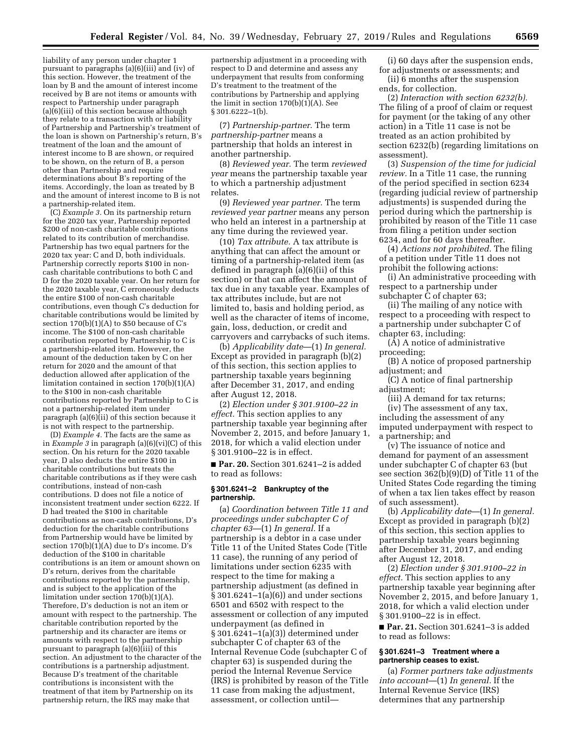liability of any person under chapter 1 pursuant to paragraphs (a)(6)(iii) and (iv) of this section. However, the treatment of the loan by B and the amount of interest income received by B are not items or amounts with respect to Partnership under paragraph (a)(6)(iii) of this section because although they relate to a transaction with or liability of Partnership and Partnership's treatment of the loan is shown on Partnership's return, B's treatment of the loan and the amount of interest income to B are shown, or required to be shown, on the return of B, a person other than Partnership and require determinations about B's reporting of the items. Accordingly, the loan as treated by B and the amount of interest income to B is not a partnership-related item.

(C) *Example 3.* On its partnership return for the 2020 tax year, Partnership reported \$200 of non-cash charitable contributions related to its contribution of merchandise. Partnership has two equal partners for the 2020 tax year: C and D, both individuals. Partnership correctly reports \$100 in noncash charitable contributions to both C and D for the 2020 taxable year. On her return for the 2020 taxable year, C erroneously deducts the entire \$100 of non-cash charitable contributions, even though C's deduction for charitable contributions would be limited by section 170(b)(1)(A) to \$50 because of C's income. The \$100 of non-cash charitable contribution reported by Partnership to C is a partnership-related item. However, the amount of the deduction taken by C on her return for 2020 and the amount of that deduction allowed after application of the limitation contained in section 170(b)(1)(A) to the \$100 in non-cash charitable contributions reported by Partnership to C is not a partnership-related item under paragraph (a)(6)(ii) of this section because it is not with respect to the partnership.

(D) *Example 4.* The facts are the same as in *Example 3* in paragraph (a)(6)(vi)(C) of this section. On his return for the 2020 taxable year, D also deducts the entire \$100 in charitable contributions but treats the charitable contributions as if they were cash contributions, instead of non-cash contributions. D does not file a notice of inconsistent treatment under section 6222. If D had treated the \$100 in charitable contributions as non-cash contributions, D's deduction for the charitable contributions from Partnership would have be limited by section 170(b)(1)(A) due to D's income. D's deduction of the \$100 in charitable contributions is an item or amount shown on D's return, derives from the charitable contributions reported by the partnership, and is subject to the application of the limitation under section 170(b)(1)(A). Therefore, D's deduction is not an item or amount with respect to the partnership. The charitable contribution reported by the partnership and its character are items or amounts with respect to the partnership pursuant to paragraph (a)(6)(iii) of this section. An adjustment to the character of the contributions is a partnership adjustment. Because D's treatment of the charitable contributions is inconsistent with the treatment of that item by Partnership on its partnership return, the IRS may make that

partnership adjustment in a proceeding with respect to D and determine and assess any underpayment that results from conforming D's treatment to the treatment of the contributions by Partnership and applying the limit in section  $170(b)(1)(A)$ . See  $§ 301.6222 - 1(b).$ 

(7) *Partnership-partner.* The term *partnership-partner* means a partnership that holds an interest in another partnership.

(8) *Reviewed year.* The term *reviewed year* means the partnership taxable year to which a partnership adjustment relates.

(9) *Reviewed year partner.* The term *reviewed year partner* means any person who held an interest in a partnership at any time during the reviewed year.

(10) *Tax attribute.* A tax attribute is anything that can affect the amount or timing of a partnership-related item (as defined in paragraph (a)(6)(ii) of this section) or that can affect the amount of tax due in any taxable year. Examples of tax attributes include, but are not limited to, basis and holding period, as well as the character of items of income, gain, loss, deduction, or credit and carryovers and carrybacks of such items.

(b) *Applicability date*—(1) *In general.*  Except as provided in paragraph (b)(2) of this section, this section applies to partnership taxable years beginning after December 31, 2017, and ending after August 12, 2018.

(2) *Election under § 301.9100–22 in effect.* This section applies to any partnership taxable year beginning after November 2, 2015, and before January 1, 2018, for which a valid election under § 301.9100–22 is in effect.

■ **Par. 20.** Section 301.6241-2 is added to read as follows:

### **§ 301.6241–2 Bankruptcy of the partnership.**

(a) *Coordination between Title 11 and proceedings under subchapter C of chapter 63*—(1) *In general.* If a partnership is a debtor in a case under Title 11 of the United States Code (Title 11 case), the running of any period of limitations under section 6235 with respect to the time for making a partnership adjustment (as defined in  $\S 301.6241 - 1(a)(6)$  and under sections 6501 and 6502 with respect to the assessment or collection of any imputed underpayment (as defined in § 301.6241–1(a)(3)) determined under subchapter C of chapter 63 of the Internal Revenue Code (subchapter C of chapter 63) is suspended during the period the Internal Revenue Service (IRS) is prohibited by reason of the Title 11 case from making the adjustment, assessment, or collection until—

(i) 60 days after the suspension ends, for adjustments or assessments; and (ii) 6 months after the suspension

ends, for collection.

(2) *Interaction with section 6232(b).*  The filing of a proof of claim or request for payment (or the taking of any other action) in a Title 11 case is not be treated as an action prohibited by section 6232(b) (regarding limitations on assessment).

(3) *Suspension of the time for judicial review.* In a Title 11 case, the running of the period specified in section 6234 (regarding judicial review of partnership adjustments) is suspended during the period during which the partnership is prohibited by reason of the Title 11 case from filing a petition under section 6234, and for 60 days thereafter.

(4) *Actions not prohibited.* The filing of a petition under Title 11 does not prohibit the following actions:

(i) An administrative proceeding with respect to a partnership under subchapter C of chapter 63;

(ii) The mailing of any notice with respect to a proceeding with respect to a partnership under subchapter C of chapter 63, including:

(A) A notice of administrative proceeding;

(B) A notice of proposed partnership adjustment; and

(C) A notice of final partnership adjustment:

(iii) A demand for tax returns; (iv) The assessment of any tax, including the assessment of any imputed underpayment with respect to a partnership; and

(v) The issuance of notice and demand for payment of an assessment under subchapter C of chapter 63 (but see section 362(b)(9)(D) of Title 11 of the United States Code regarding the timing of when a tax lien takes effect by reason of such assessment).

(b) *Applicability date*—(1) *In general.*  Except as provided in paragraph (b)(2) of this section, this section applies to partnership taxable years beginning after December 31, 2017, and ending after August 12, 2018.

(2) *Election under § 301.9100–22 in effect.* This section applies to any partnership taxable year beginning after November 2, 2015, and before January 1, 2018, for which a valid election under § 301.9100–22 is in effect.

■ **Par. 21.** Section 301.6241–3 is added to read as follows:

## **§ 301.6241–3 Treatment where a partnership ceases to exist.**

(a) *Former partners take adjustments into account*—(1) *In general.* If the Internal Revenue Service (IRS) determines that any partnership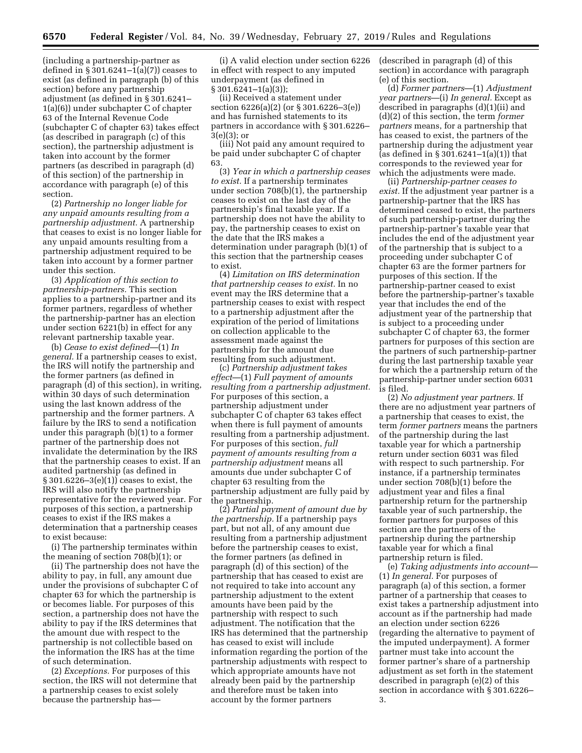(including a partnership-partner as defined in § 301.6241–1(a)(7)) ceases to exist (as defined in paragraph (b) of this section) before any partnership adjustment (as defined in § 301.6241– 1(a)(6)) under subchapter C of chapter 63 of the Internal Revenue Code (subchapter C of chapter 63) takes effect (as described in paragraph (c) of this section), the partnership adjustment is taken into account by the former partners (as described in paragraph (d) of this section) of the partnership in accordance with paragraph (e) of this section.

(2) *Partnership no longer liable for any unpaid amounts resulting from a partnership adjustment.* A partnership that ceases to exist is no longer liable for any unpaid amounts resulting from a partnership adjustment required to be taken into account by a former partner under this section.

(3) *Application of this section to partnership-partners.* This section applies to a partnership-partner and its former partners, regardless of whether the partnership-partner has an election under section 6221(b) in effect for any relevant partnership taxable year.

(b) *Cease to exist defined*—(1) *In general.* If a partnership ceases to exist, the IRS will notify the partnership and the former partners (as defined in paragraph (d) of this section), in writing, within 30 days of such determination using the last known address of the partnership and the former partners. A failure by the IRS to send a notification under this paragraph (b)(1) to a former partner of the partnership does not invalidate the determination by the IRS that the partnership ceases to exist. If an audited partnership (as defined in § 301.6226–3(e)(1)) ceases to exist, the IRS will also notify the partnership representative for the reviewed year. For purposes of this section, a partnership ceases to exist if the IRS makes a determination that a partnership ceases to exist because:

(i) The partnership terminates within the meaning of section 708(b)(1); or

(ii) The partnership does not have the ability to pay, in full, any amount due under the provisions of subchapter C of chapter 63 for which the partnership is or becomes liable. For purposes of this section, a partnership does not have the ability to pay if the IRS determines that the amount due with respect to the partnership is not collectible based on the information the IRS has at the time of such determination.

(2) *Exceptions.* For purposes of this section, the IRS will not determine that a partnership ceases to exist solely because the partnership has—

(i) A valid election under section 6226 in effect with respect to any imputed underpayment (as defined in  $§ 301.6241 - 1(a)(3));$ 

(ii) Received a statement under section 6226(a)(2) (or § 301.6226–3(e)) and has furnished statements to its partners in accordance with § 301.6226– 3(e)(3); or

(iii) Not paid any amount required to be paid under subchapter C of chapter 63.

(3) *Year in which a partnership ceases to exist.* If a partnership terminates under section 708(b)(1), the partnership ceases to exist on the last day of the partnership's final taxable year. If a partnership does not have the ability to pay, the partnership ceases to exist on the date that the IRS makes a determination under paragraph (b)(1) of this section that the partnership ceases to exist.

(4) *Limitation on IRS determination that partnership ceases to exist.* In no event may the IRS determine that a partnership ceases to exist with respect to a partnership adjustment after the expiration of the period of limitations on collection applicable to the assessment made against the partnership for the amount due resulting from such adjustment.

(c) *Partnership adjustment takes effect*—(1) *Full payment of amounts resulting from a partnership adjustment.*  For purposes of this section, a partnership adjustment under subchapter C of chapter 63 takes effect when there is full payment of amounts resulting from a partnership adjustment. For purposes of this section, *full payment of amounts resulting from a partnership adjustment* means all amounts due under subchapter C of chapter 63 resulting from the partnership adjustment are fully paid by the partnership.

(2) *Partial payment of amount due by the partnership.* If a partnership pays part, but not all, of any amount due resulting from a partnership adjustment before the partnership ceases to exist, the former partners (as defined in paragraph (d) of this section) of the partnership that has ceased to exist are not required to take into account any partnership adjustment to the extent amounts have been paid by the partnership with respect to such adjustment. The notification that the IRS has determined that the partnership has ceased to exist will include information regarding the portion of the partnership adjustments with respect to which appropriate amounts have not already been paid by the partnership and therefore must be taken into account by the former partners

(described in paragraph (d) of this section) in accordance with paragraph (e) of this section.

(d) *Former partners*—(1) *Adjustment year partners*—(i) *In general.* Except as described in paragraphs (d)(1)(ii) and (d)(2) of this section, the term *former partners* means, for a partnership that has ceased to exist, the partners of the partnership during the adjustment year (as defined in § 301.6241–1(a)(1)) that corresponds to the reviewed year for which the adjustments were made.

(ii) *Partnership-partner ceases to exist.* If the adjustment year partner is a partnership-partner that the IRS has determined ceased to exist, the partners of such partnership-partner during the partnership-partner's taxable year that includes the end of the adjustment year of the partnership that is subject to a proceeding under subchapter C of chapter 63 are the former partners for purposes of this section. If the partnership-partner ceased to exist before the partnership-partner's taxable year that includes the end of the adjustment year of the partnership that is subject to a proceeding under subchapter C of chapter 63, the former partners for purposes of this section are the partners of such partnership-partner during the last partnership taxable year for which the a partnership return of the partnership-partner under section 6031 is filed.

(2) *No adjustment year partners.* If there are no adjustment year partners of a partnership that ceases to exist, the term *former partners* means the partners of the partnership during the last taxable year for which a partnership return under section 6031 was filed with respect to such partnership. For instance, if a partnership terminates under section 708(b)(1) before the adjustment year and files a final partnership return for the partnership taxable year of such partnership, the former partners for purposes of this section are the partners of the partnership during the partnership taxable year for which a final partnership return is filed.

(e) *Taking adjustments into account*— (1) *In general.* For purposes of paragraph (a) of this section, a former partner of a partnership that ceases to exist takes a partnership adjustment into account as if the partnership had made an election under section 6226 (regarding the alternative to payment of the imputed underpayment). A former partner must take into account the former partner's share of a partnership adjustment as set forth in the statement described in paragraph (e)(2) of this section in accordance with § 301.6226– 3.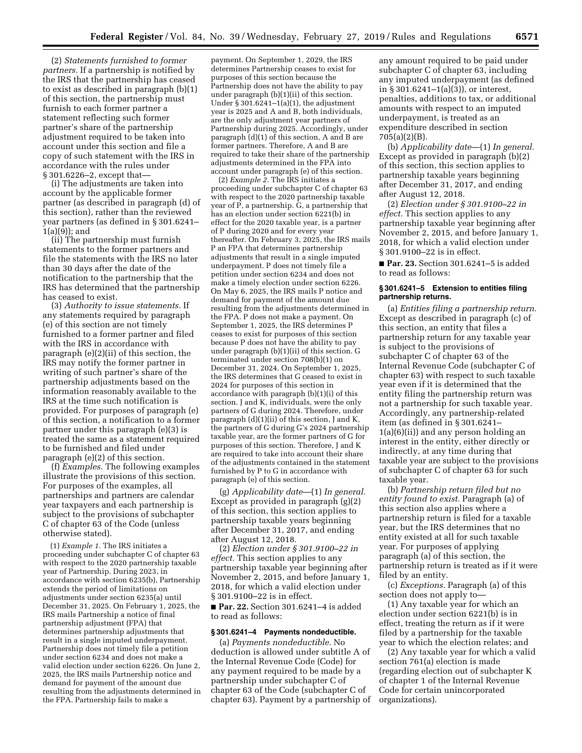(2) *Statements furnished to former partners.* If a partnership is notified by the IRS that the partnership has ceased to exist as described in paragraph (b)(1) of this section, the partnership must furnish to each former partner a statement reflecting such former partner's share of the partnership adjustment required to be taken into account under this section and file a copy of such statement with the IRS in accordance with the rules under § 301.6226–2, except that—

(i) The adjustments are taken into account by the applicable former partner (as described in paragraph (d) of this section), rather than the reviewed year partners (as defined in § 301.6241– 1(a)(9)); and

(ii) The partnership must furnish statements to the former partners and file the statements with the IRS no later than 30 days after the date of the notification to the partnership that the IRS has determined that the partnership has ceased to exist.

(3) *Authority to issue statements.* If any statements required by paragraph (e) of this section are not timely furnished to a former partner and filed with the IRS in accordance with paragraph (e)(2)(ii) of this section, the IRS may notify the former partner in writing of such partner's share of the partnership adjustments based on the information reasonably available to the IRS at the time such notification is provided. For purposes of paragraph (e) of this section, a notification to a former partner under this paragraph (e)(3) is treated the same as a statement required to be furnished and filed under paragraph (e)(2) of this section.

(f) *Examples.* The following examples illustrate the provisions of this section. For purposes of the examples, all partnerships and partners are calendar year taxpayers and each partnership is subject to the provisions of subchapter C of chapter 63 of the Code (unless otherwise stated).

(1) *Example 1.* The IRS initiates a proceeding under subchapter C of chapter 63 with respect to the 2020 partnership taxable year of Partnership. During 2023, in accordance with section 6235(b), Partnership extends the period of limitations on adjustments under section 6235(a) until December 31, 2025. On February 1, 2025, the IRS mails Partnership a notice of final partnership adjustment (FPA) that determines partnership adjustments that result in a single imputed underpayment. Partnership does not timely file a petition under section 6234 and does not make a valid election under section 6226. On June 2, 2025, the IRS mails Partnership notice and demand for payment of the amount due resulting from the adjustments determined in the FPA. Partnership fails to make a

payment. On September 1, 2029, the IRS determines Partnership ceases to exist for purposes of this section because the Partnership does not have the ability to pay under paragraph (b)(1)(ii) of this section. Under  $\S 301.6241 - 1(a)(1)$ , the adjustment year is 2025 and A and B, both individuals, are the only adjustment year partners of Partnership during 2025. Accordingly, under paragraph (d)(1) of this section, A and B are former partners. Therefore, A and B are required to take their share of the partnership adjustments determined in the FPA into account under paragraph (e) of this section.

(2) *Example 2.* The IRS initiates a proceeding under subchapter C of chapter 63 with respect to the 2020 partnership taxable year of P, a partnership. G, a partnership that has an election under section 6221(b) in effect for the 2020 taxable year, is a partner of P during 2020 and for every year thereafter. On February 3, 2025, the IRS mails P an FPA that determines partnership adjustments that result in a single imputed underpayment. P does not timely file a petition under section 6234 and does not make a timely election under section 6226. On May 6, 2025, the IRS mails P notice and demand for payment of the amount due resulting from the adjustments determined in the FPA. P does not make a payment. On September 1, 2025, the IRS determines P ceases to exist for purposes of this section because P does not have the ability to pay under paragraph (b)(1)(ii) of this section. G terminated under section 708(b)(1) on December 31, 2024. On September 1, 2025, the IRS determines that G ceased to exist in 2024 for purposes of this section in accordance with paragraph (b)(1)(i) of this section. J and K, individuals, were the only partners of G during 2024. Therefore, under paragraph (d)(1)(ii) of this section, J and K, the partners of G during G's 2024 partnership taxable year, are the former partners of G for purposes of this section. Therefore, J and K are required to take into account their share of the adjustments contained in the statement furnished by P to G in accordance with paragraph (e) of this section.

(g) *Applicability date*—(1) *In general.*  Except as provided in paragraph (g)(2) of this section, this section applies to partnership taxable years beginning after December 31, 2017, and ending after August 12, 2018.

(2) *Election under § 301.9100–22 in effect.* This section applies to any partnership taxable year beginning after November 2, 2015, and before January 1, 2018, for which a valid election under § 301.9100–22 is in effect.

■ **Par. 22.** Section 301.6241–4 is added to read as follows:

## **§ 301.6241–4 Payments nondeductible.**

(a) *Payments nondeductible.* No deduction is allowed under subtitle A of the Internal Revenue Code (Code) for any payment required to be made by a partnership under subchapter C of chapter 63 of the Code (subchapter C of chapter 63). Payment by a partnership of any amount required to be paid under subchapter C of chapter 63, including any imputed underpayment (as defined in § 301.6241–1(a)(3)), or interest, penalties, additions to tax, or additional amounts with respect to an imputed underpayment, is treated as an expenditure described in section 705(a)(2)(B).

(b) *Applicability date*—(1) *In general.*  Except as provided in paragraph (b)(2) of this section, this section applies to partnership taxable years beginning after December 31, 2017, and ending after August 12, 2018.

(2) *Election under § 301.9100–22 in effect.* This section applies to any partnership taxable year beginning after November 2, 2015, and before January 1, 2018, for which a valid election under § 301.9100–22 is in effect.

■ **Par. 23.** Section 301.6241–5 is added to read as follows:

# **§ 301.6241–5 Extension to entities filing partnership returns.**

(a) *Entities filing a partnership return.*  Except as described in paragraph (c) of this section, an entity that files a partnership return for any taxable year is subject to the provisions of subchapter C of chapter 63 of the Internal Revenue Code (subchapter C of chapter 63) with respect to such taxable year even if it is determined that the entity filing the partnership return was not a partnership for such taxable year. Accordingly, any partnership-related item (as defined in § 301.6241– 1(a)(6)(ii)) and any person holding an interest in the entity, either directly or indirectly, at any time during that taxable year are subject to the provisions of subchapter C of chapter 63 for such taxable year.

(b) *Partnership return filed but no entity found to exist.* Paragraph (a) of this section also applies where a partnership return is filed for a taxable year, but the IRS determines that no entity existed at all for such taxable year. For purposes of applying paragraph (a) of this section, the partnership return is treated as if it were filed by an entity.

(c) *Exceptions.* Paragraph (a) of this section does not apply to—

(1) Any taxable year for which an election under section 6221(b) is in effect, treating the return as if it were filed by a partnership for the taxable year to which the election relates; and

(2) Any taxable year for which a valid section 761(a) election is made (regarding election out of subchapter K of chapter 1 of the Internal Revenue Code for certain unincorporated organizations).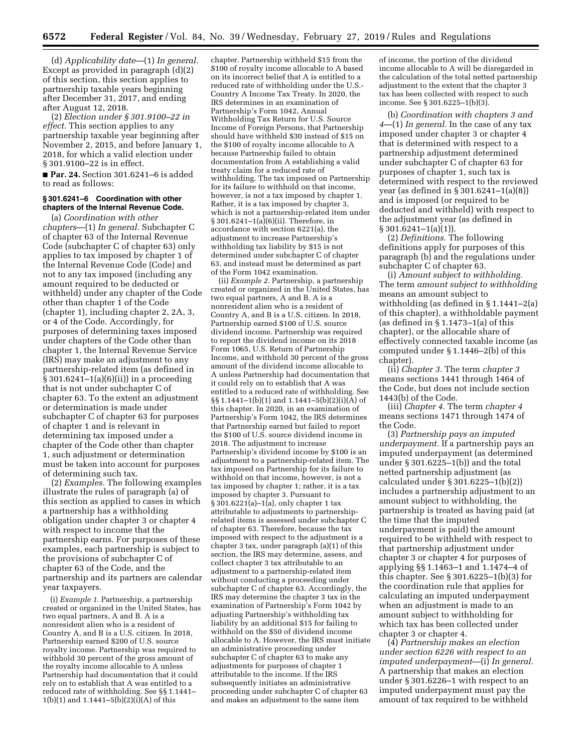(d) *Applicability date*—(1) *In general.*  Except as provided in paragraph (d)(2) of this section, this section applies to partnership taxable years beginning after December 31, 2017, and ending after August 12, 2018.

(2) *Election under § 301.9100–22 in effect.* This section applies to any partnership taxable year beginning after November 2, 2015, and before January 1, 2018, for which a valid election under § 301.9100–22 is in effect.

■ **Par. 24.** Section 301.6241–6 is added to read as follows:

## **§ 301.6241–6 Coordination with other chapters of the Internal Revenue Code.**

(a) *Coordination with other chapters*—(1) *In general.* Subchapter C of chapter 63 of the Internal Revenue Code (subchapter C of chapter 63) only applies to tax imposed by chapter 1 of the Internal Revenue Code (Code) and not to any tax imposed (including any amount required to be deducted or withheld) under any chapter of the Code other than chapter 1 of the Code (chapter 1), including chapter 2, 2A, 3, or 4 of the Code. Accordingly, for purposes of determining taxes imposed under chapters of the Code other than chapter 1, the Internal Revenue Service (IRS) may make an adjustment to any partnership-related item (as defined in § 301.6241–1(a)(6)(ii)) in a proceeding that is not under subchapter C of chapter 63. To the extent an adjustment or determination is made under subchapter C of chapter 63 for purposes of chapter 1 and is relevant in determining tax imposed under a chapter of the Code other than chapter 1, such adjustment or determination must be taken into account for purposes of determining such tax.

(2) *Examples.* The following examples illustrate the rules of paragraph (a) of this section as applied to cases in which a partnership has a withholding obligation under chapter 3 or chapter 4 with respect to income that the partnership earns. For purposes of these examples, each partnership is subject to the provisions of subchapter C of chapter 63 of the Code, and the partnership and its partners are calendar year taxpayers.

(i) *Example 1.* Partnership, a partnership created or organized in the United States, has two equal partners, A and B. A is a nonresident alien who is a resident of Country A, and B is a U.S. citizen. In 2018, Partnership earned \$200 of U.S. source royalty income. Partnership was required to withhold 30 percent of the gross amount of the royalty income allocable to A unless Partnership had documentation that it could rely on to establish that A was entitled to a reduced rate of withholding. See §§ 1.1441–  $1(b)(1)$  and  $1.1441-5(b)(2)(i)(A)$  of this

chapter. Partnership withheld \$15 from the \$100 of royalty income allocable to A based on its incorrect belief that A is entitled to a reduced rate of withholding under the U.S.- Country A Income Tax Treaty. In 2020, the IRS determines in an examination of Partnership's Form 1042, Annual Withholding Tax Return for U.S. Source Income of Foreign Persons, that Partnership should have withheld \$30 instead of \$15 on the \$100 of royalty income allocable to A because Partnership failed to obtain documentation from A establishing a valid treaty claim for a reduced rate of withholding. The tax imposed on Partnership for its failure to withhold on that income, however, is not a tax imposed by chapter 1. Rather, it is a tax imposed by chapter 3, which is not a partnership-related item under § 301.6241–1(a)(6)(ii). Therefore, in accordance with section 6221(a), the adjustment to increase Partnership's withholding tax liability by \$15 is not determined under subchapter C of chapter 63, and instead must be determined as part of the Form 1042 examination.

(ii) *Example 2.* Partnership, a partnership created or organized in the United States, has two equal partners, A and B. A is a nonresident alien who is a resident of Country A, and B is a U.S. citizen. In 2018, Partnership earned \$100 of U.S. source dividend income. Partnership was required to report the dividend income on its 2018 Form 1065, U.S. Return of Partnership Income, and withhold 30 percent of the gross amount of the dividend income allocable to A unless Partnership had documentation that it could rely on to establish that A was entitled to a reduced rate of withholding. See §§ 1.1441–1(b)(1) and 1.1441–5(b)(2)(i)(A) of this chapter. In 2020, in an examination of Partnership's Form 1042, the IRS determines that Partnership earned but failed to report the \$100 of U.S. source dividend income in 2018. The adjustment to increase Partnership's dividend income by \$100 is an adjustment to a partnership-related item. The tax imposed on Partnership for its failure to withhold on that income, however, is not a tax imposed by chapter 1; rather, it is a tax imposed by chapter 3. Pursuant to § 301.6221(a)–1(a), only chapter 1 tax attributable to adjustments to partnershiprelated items is assessed under subchapter C of chapter 63. Therefore, because the tax imposed with respect to the adjustment is a chapter 3 tax, under paragraph (a)(1) of this section, the IRS may determine, assess, and collect chapter 3 tax attributable to an adjustment to a partnership-related item without conducting a proceeding under subchapter C of chapter 63. Accordingly, the IRS may determine the chapter 3 tax in the examination of Partnership's Form 1042 by adjusting Partnership's withholding tax liability by an additional \$15 for failing to withhold on the \$50 of dividend income allocable to A. However, the IRS must initiate an administrative proceeding under subchapter C of chapter 63 to make any adjustments for purposes of chapter 1 attributable to the income. If the IRS subsequently initiates an administrative proceeding under subchapter C of chapter 63 and makes an adjustment to the same item

of income, the portion of the dividend income allocable to A will be disregarded in the calculation of the total netted partnership adjustment to the extent that the chapter 3 tax has been collected with respect to such income. See § 301.6225–1(b)(3).

(b) *Coordination with chapters 3 and 4*—(1) *In general.* In the case of any tax imposed under chapter 3 or chapter 4 that is determined with respect to a partnership adjustment determined under subchapter C of chapter 63 for purposes of chapter 1, such tax is determined with respect to the reviewed year (as defined in § 301.6241–1(a)(8)) and is imposed (or required to be deducted and withheld) with respect to the adjustment year (as defined in  $§ 301.6241 - 1(a)(1)$ .

(2) *Definitions.* The following definitions apply for purposes of this paragraph (b) and the regulations under subchapter C of chapter 63.

(i) *Amount subject to withholding.*  The term *amount subject to withholding*  means an amount subject to withholding (as defined in § 1.1441–2(a) of this chapter), a withholdable payment (as defined in  $\S 1.1473-1(a)$  of this chapter), or the allocable share of effectively connected taxable income (as computed under § 1.1446–2(b) of this chapter).

(ii) *Chapter 3.* The term *chapter 3*  means sections 1441 through 1464 of the Code, but does not include section 1443(b) of the Code.

(iii) *Chapter 4.* The term *chapter 4*  means sections 1471 through 1474 of the Code.

(3) *Partnership pays an imputed underpayment.* If a partnership pays an imputed underpayment (as determined under § 301.6225–1(b)) and the total netted partnership adjustment (as calculated under § 301.6225–1(b)(2)) includes a partnership adjustment to an amount subject to withholding, the partnership is treated as having paid (at the time that the imputed underpayment is paid) the amount required to be withheld with respect to that partnership adjustment under chapter 3 or chapter 4 for purposes of applying §§ 1.1463–1 and 1.1474–4 of this chapter. See § 301.6225–1(b)(3) for the coordination rule that applies for calculating an imputed underpayment when an adjustment is made to an amount subject to withholding for which tax has been collected under chapter 3 or chapter 4.

(4) *Partnership makes an election under section 6226 with respect to an imputed underpayment*—(i) *In general.*  A partnership that makes an election under § 301.6226–1 with respect to an imputed underpayment must pay the amount of tax required to be withheld